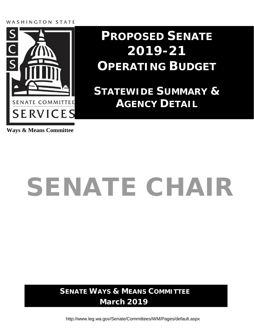# WASHINGTON STATE



# **PROPOSED SENATE 2019-21 OPERATING BUDGET**

**STATEWIDE SUMMARY & AGENCY DETAIL**

**Ways & Means Committee**

# SENATE CHAIR

**SENATE WAYS & MEANS COMMITTEE March 2019**

<http://www.leg.wa.gov/Senate/Committees/WM/Pages/default.aspx>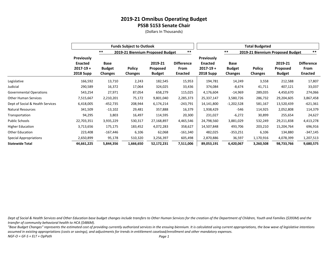(Dollars In Thousands)

|                                  |                                                                          |                                         | <b>Funds Subject to Outlook</b>  |                                             |                                      | <b>Total Budgeted</b>                                                    |                                         |                                  |                                             |                                             |  |
|----------------------------------|--------------------------------------------------------------------------|-----------------------------------------|----------------------------------|---------------------------------------------|--------------------------------------|--------------------------------------------------------------------------|-----------------------------------------|----------------------------------|---------------------------------------------|---------------------------------------------|--|
|                                  |                                                                          | $***$                                   | 2019-21 Biennium Proposed Budget |                                             | $***$                                |                                                                          | $***$                                   | 2019-21 Biennium Proposed Budget |                                             | $***$                                       |  |
|                                  | <b>Previously</b><br><b>Enacted</b><br>$2017 - 19 +$<br><b>2018 Supp</b> | <b>Base</b><br><b>Budget</b><br>Changes | <b>Policy</b><br><b>Changes</b>  | 2019-21<br><b>Proposed</b><br><b>Budget</b> | <b>Difference</b><br>From<br>Enacted | <b>Previously</b><br><b>Enacted</b><br>$2017 - 19 +$<br><b>2018 Supp</b> | Base<br><b>Budget</b><br><b>Changes</b> | <b>Policy</b><br><b>Changes</b>  | 2019-21<br><b>Proposed</b><br><b>Budget</b> | <b>Difference</b><br>From<br><b>Enacted</b> |  |
| Legislative                      | 166,592                                                                  | 13,710                                  | 2,243                            | 182,545                                     | 15,953                               | 194,781                                                                  | 14,249                                  | 3,558                            | 212,588                                     | 17,807                                      |  |
| Judicial                         | 290,589                                                                  | 16,372                                  | 17,064                           | 324,025                                     | 33,436                               | 374,084                                                                  | $-8,674$                                | 41,711                           | 407,121                                     | 33,037                                      |  |
| <b>Governmental Operations</b>   | 543,254                                                                  | 27,971                                  | 87,054                           | 658,279                                     | 115,025                              | 4,176,604                                                                | -14,969                                 | 289,035                          | 4,450,670                                   | 274,066                                     |  |
| <b>Other Human Services</b>      | 7,515,667                                                                | 2,210,201                               | 75,172                           | 9,801,040                                   | 2,285,373                            | 25,337,147                                                               | 3,580,726                               | 286,732                          | 29,204,605                                  | 3,867,458                                   |  |
| Dept of Social & Health Services | 6,418,005                                                                | $-452,735$                              | 208,944                          | 6,174,214                                   | $-243,791$                           | 14,141,800                                                               | $-1,202,528$                            | 581,167                          | 13,520,439                                  | $-621,361$                                  |  |
| <b>Natural Resources</b>         | 341,509                                                                  | $-13,102$                               | 29,481                           | 357,888                                     | 16,379                               | 1,938,429                                                                | -546                                    | 114,925                          | 2,052,808                                   | 114,379                                     |  |
| Transportation                   | 94,295                                                                   | 3,803                                   | 16,497                           | 114,595                                     | 20,300                               | 231,027                                                                  | $-6,272$                                | 30,899                           | 255,654                                     | 24,627                                      |  |
| Public Schools                   | 22,703,351                                                               | 3,935,229                               | 530,317                          | 27,168,897                                  | 4,465,546                            | 24,798,560                                                               | 3,881,029                               | 532,249                          | 29,211,838                                  | 4,413,278                                   |  |
| <b>Higher Education</b>          | 3,713,656                                                                | 175,175                                 | 183,452                          | 4,072,283                                   | 358,627                              | 14,507,848                                                               | 493,706                                 | 203,210                          | 15,204,764                                  | 696,916                                     |  |
| <b>Other Education</b>           | 223,408                                                                  | $-167,446$                              | 6,106                            | 62,068                                      | $-161,340$                           | 482,025                                                                  | $-353,251$                              | 6,106                            | 134,880                                     | -347,145                                    |  |
| Special Appropriations           | 2,650,899                                                                | 95,178                                  | 510,320                          | 3,256,397                                   | 605,498                              | 2,870,886                                                                | 36,597                                  | 1,170,916                        | 4,078,399                                   | 1,207,513                                   |  |
| <b>Statewide Total</b>           | 44,661,225                                                               | 5,844,356                               | 1,666,650                        | 52,172,231                                  | 7,511,006                            | 89,053,191                                                               | 6,420,067                               | 3,260,508                        | 98,733,766                                  | 9,680,575                                   |  |

*Dept of Social & Health Services and Other Education base budget changes include transfers to Other Human Services for the creation of the Department of Children, Youth and Families (\$393M) and the transfer of community behavioral health to HCA (\$486M).*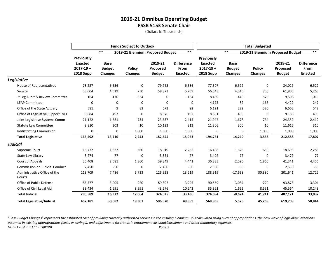(Dollars In Thousands)

|                                        |                                                                   |                                                | <b>Funds Subject to Outlook</b>  |                                      |                                             |                                                                          |                                                | <b>Total Budgeted</b>           |                                      |                                             |
|----------------------------------------|-------------------------------------------------------------------|------------------------------------------------|----------------------------------|--------------------------------------|---------------------------------------------|--------------------------------------------------------------------------|------------------------------------------------|---------------------------------|--------------------------------------|---------------------------------------------|
|                                        |                                                                   | $***$                                          | 2019-21 Biennium Proposed Budget |                                      | $***$                                       |                                                                          | $***$                                          |                                 | 2019-21 Biennium Proposed Budget     | $***$                                       |
|                                        | Previously<br><b>Enacted</b><br>$2017 - 19 +$<br><b>2018 Supp</b> | <b>Base</b><br><b>Budget</b><br><b>Changes</b> | <b>Policy</b><br><b>Changes</b>  | 2019-21<br>Proposed<br><b>Budget</b> | <b>Difference</b><br>From<br><b>Enacted</b> | <b>Previously</b><br><b>Enacted</b><br>$2017 - 19 +$<br><b>2018 Supp</b> | <b>Base</b><br><b>Budget</b><br><b>Changes</b> | <b>Policy</b><br><b>Changes</b> | 2019-21<br>Proposed<br><b>Budget</b> | <b>Difference</b><br>From<br><b>Enacted</b> |
| Legislative                            |                                                                   |                                                |                                  |                                      |                                             |                                                                          |                                                |                                 |                                      |                                             |
| House of Representatives               | 73,227                                                            | 6,536                                          | 0                                | 79,763                               | 6,536                                       | 77,507                                                                   | 6,522                                          | 0                               | 84,029                               | 6,522                                       |
| Senate                                 | 53,604                                                            | 4,519                                          | 750                              | 58,873                               | 5,269                                       | 56,545                                                                   | 4,510                                          | 750                             | 61,805                               | 5,260                                       |
| Jt Leg Audit & Review Committee        | 164                                                               | 170                                            | $-334$                           | 0                                    | $-164$                                      | 8,489                                                                    | 440                                            | 579                             | 9,508                                | 1,019                                       |
| <b>LEAP Committee</b>                  | 0                                                                 | 0                                              | 0                                | 0                                    | 0                                           | 4,175                                                                    | 82                                             | 165                             | 4,422                                | 247                                         |
| Office of the State Actuary            | 581                                                               | 9                                              | 83                               | 673                                  | 92                                          | 6,121                                                                    | 222                                            | 320                             | 6,663                                | 542                                         |
| Office of Legislative Support Svcs     | 8,084                                                             | 492                                            | 0                                | 8,576                                | 492                                         | 8,691                                                                    | 495                                            | 0                               | 9,186                                | 495                                         |
| Joint Legislative Systems Comm         | 21,122                                                            | 1,681                                          | 734                              | 23,537                               | 2,415                                       | 21,947                                                                   | 1,678                                          | 734                             | 24,359                               | 2,412                                       |
| <b>Statute Law Committee</b>           | 9,810                                                             | 303                                            | 10                               | 10,123                               | 313                                         | 11,306                                                                   | 300                                            | 10                              | 11,616                               | 310                                         |
| <b>Redistricting Commission</b>        | 0                                                                 | 0                                              | 1,000                            | 1,000                                | 1,000                                       | 0                                                                        | 0                                              | 1,000                           | 1,000                                | 1,000                                       |
| <b>Total Legislative</b>               | 166,592                                                           | 13,710                                         | 2,243                            | 182,545                              | 15,953                                      | 194,781                                                                  | 14,249                                         | 3,558                           | 212,588                              | 17,807                                      |
| <b>Judicial</b>                        |                                                                   |                                                |                                  |                                      |                                             |                                                                          |                                                |                                 |                                      |                                             |
| Supreme Court                          | 15,737                                                            | 1,622                                          | 660                              | 18,019                               | 2,282                                       | 16,408                                                                   | 1,625                                          | 660                             | 18,693                               | 2,285                                       |
| State Law Library                      | 3,274                                                             | 77                                             | 0                                | 3,351                                | 77                                          | 3,402                                                                    | 77                                             | $\mathbf 0$                     | 3,479                                | 77                                          |
| Court of Appeals                       | 35,408                                                            | 2,581                                          | 1,860                            | 39,849                               | 4,441                                       | 36,885                                                                   | 2,596                                          | 1,860                           | 41,341                               | 4,456                                       |
| Commission on Judicial Conduct         | 2,450                                                             | $-50$                                          | 0                                | 2,400                                | $-50$                                       | 2,580                                                                    | $-50$                                          | 0                               | 2,530                                | $-50$                                       |
| Administrative Office of the<br>Courts | 113,709                                                           | 7,486                                          | 5,733                            | 126,928                              | 13,219                                      | 188,919                                                                  | $-17,658$                                      | 30,380                          | 201,641                              | 12,722                                      |
| Office of Public Defense               | 86,577                                                            | 3,005                                          | 220                              | 89,802                               | 3,225                                       | 90,569                                                                   | 3,084                                          | 220                             | 93,873                               | 3,304                                       |
| Office of Civil Legal Aid              | 33,434                                                            | 1,651                                          | 8,591                            | 43,676                               | 10,242                                      | 35,321                                                                   | 1,652                                          | 8,591                           | 45,564                               | 10,243                                      |
| <b>Total Judicial</b>                  | 290,589                                                           | 16,372                                         | 17,064                           | 324,025                              | 33,436                                      | 374,084                                                                  | $-8,674$                                       | 41,711                          | 407,121                              | 33,037                                      |
| <b>Total Legislative/Judicial</b>      | 457,181                                                           | 30,082                                         | 19,307                           | 506,570                              | 49,389                                      | 568,865                                                                  | 5,575                                          | 45,269                          | 619,709                              | 50.844                                      |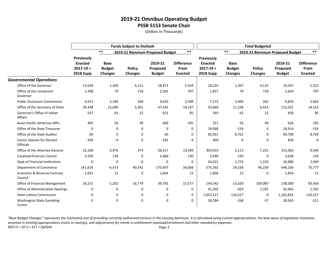(Dollars In Thousands)

|                                                      |                                                                          |                                                | <b>Funds Subject to Outlook</b> |                                      |                                                    |                                                                   |                                                | <b>Total Budgeted</b>            |                                      |                                             |
|------------------------------------------------------|--------------------------------------------------------------------------|------------------------------------------------|---------------------------------|--------------------------------------|----------------------------------------------------|-------------------------------------------------------------------|------------------------------------------------|----------------------------------|--------------------------------------|---------------------------------------------|
|                                                      |                                                                          | $***$                                          |                                 | 2019-21 Biennium Proposed Budget     | $***$                                              |                                                                   | $***$                                          | 2019-21 Biennium Proposed Budget |                                      | $***$                                       |
|                                                      | <b>Previously</b><br><b>Enacted</b><br>$2017 - 19 +$<br><b>2018 Supp</b> | <b>Base</b><br><b>Budget</b><br><b>Changes</b> | <b>Policy</b><br><b>Changes</b> | 2019-21<br>Proposed<br><b>Budget</b> | <b>Difference</b><br><b>From</b><br><b>Enacted</b> | Previously<br><b>Enacted</b><br>$2017 - 19 +$<br><b>2018 Supp</b> | <b>Base</b><br><b>Budget</b><br><b>Changes</b> | <b>Policy</b><br><b>Changes</b>  | 2019-21<br>Proposed<br><b>Budget</b> | <b>Difference</b><br>From<br><b>Enacted</b> |
| <b>Governmental Operations</b>                       |                                                                          |                                                |                                 |                                      |                                                    |                                                                   |                                                |                                  |                                      |                                             |
| Office of the Governor                               | 13,549                                                                   | 1,209                                          | 4,115                           | 18,873                               | 5,324                                              | 18,225                                                            | 1,207                                          | 4,115                            | 23,547                               | 5,322                                       |
| Office of the Lieutenant<br>Governor                 | 1,708                                                                    | 79                                             | 718                             | 2,505                                | 797                                                | 1,857                                                             | 79                                             | 718                              | 2,654                                | 797                                         |
| <b>Public Disclosure Commission</b>                  | 6,912                                                                    | 2,340                                          | 168                             | 9,420                                | 2,508                                              | 7,172                                                             | 2,400                                          | 262                              | 9,834                                | 2,662                                       |
| Office of the Secretary of State                     | 29,348                                                                   | 12,696                                         | 5,501                           | 47,545                               | 18,197                                             | 93,869                                                            | 11,238                                         | 6,914                            | 112,021                              | 18,152                                      |
| Governor's Office of Indian<br>Affairs               | 537                                                                      | 63                                             | 22                              | 622                                  | 85                                                 | 565                                                               | 63                                             | 22                               | 650                                  | 85                                          |
| Asian-Pacific-American Affrs                         | 495                                                                      | 56                                             | 49                              | 600                                  | 105                                                | 521                                                               | 56                                             | 49                               | 626                                  | 105                                         |
| Office of the State Treasurer                        | 0                                                                        | 0                                              | 0                               | 0                                    | 0                                                  | 19,068                                                            | $-154$                                         | 0                                | 18,914                               | $-154$                                      |
| Office of the State Auditor                          | 60                                                                       | 0                                              | 0                               | 60                                   | $\mathbf 0$                                        | 85,931                                                            | 8,761                                          | 8                                | 94,700                               | 8,769                                       |
| <b>Comm Salaries for Elected</b><br><b>Officials</b> | 430                                                                      | $-4$                                           | 0                               | 426                                  | -4                                                 | 460                                                               | -4                                             | 0                                | 456                                  | $-4$                                        |
| Office of the Attorney General                       | 16,168                                                                   | 9,976                                          | 373                             | 26,517                               | 10,349                                             | 304,019                                                           | 2,113                                          | 7,231                            | 313,363                              | 9,344                                       |
| <b>Caseload Forecast Council</b>                     | 3,330                                                                    | 130                                            | 0                               | 3,460                                | 130                                                | 3,499                                                             | 129                                            | 0                                | 3,628                                | 129                                         |
| Dept of Financial Institutions                       | 0                                                                        | 0                                              | 0                               | 0                                    | 0                                                  | 54,031                                                            | 1,723                                          | 1,226                            | 56,980                               | 2,949                                       |
| Department of Commerce                               | 141,629                                                                  | $-6,473$                                       | 40,541                          | 175,697                              | 34,068                                             | 575,392                                                           | 24,538                                         | 46,239                           | 646,169                              | 70,777                                      |
| Economic & Revenue Forecast<br>Council               | 1,652                                                                    | 12                                             | 0                               | 1,664                                | 12                                                 | 1,804                                                             | 12                                             | 0                                | 1,816                                | 12                                          |
| Office of Financial Management                       | 24,215                                                                   | $-1,202$                                       | 16,779                          | 39,792                               | 15,577                                             | 144,542                                                           | $-15,629$                                      | 109,087                          | 238,000                              | 93,458                                      |
| Office of Administrative Hearings                    | 0                                                                        | 0                                              | 0                               | 0                                    | 0                                                  | 41,202                                                            | $-424$                                         | 2,187                            | 42,965                               | 1,763                                       |
| <b>State Lottery Commission</b>                      | 0                                                                        | 0                                              | 0                               | 0                                    | 0                                                  | 1,052,127                                                         | 110,527                                        | 0                                | 1,162,654                            | 110,527                                     |
| <b>Washington State Gambling</b><br>Comm             | 0                                                                        | 0                                              | 0                               | 0                                    | 0                                                  | 28,784                                                            | $-268$                                         | 47                               | 28,563                               | $-221$                                      |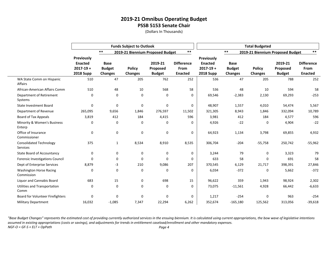(Dollars In Thousands)

|                                                   |                                                                   |                                                | <b>Funds Subject to Outlook</b> |                                      |                                             |                                                                          |                                                | <b>Total Budgeted</b>            |                                      |                                             |
|---------------------------------------------------|-------------------------------------------------------------------|------------------------------------------------|---------------------------------|--------------------------------------|---------------------------------------------|--------------------------------------------------------------------------|------------------------------------------------|----------------------------------|--------------------------------------|---------------------------------------------|
|                                                   |                                                                   | $***$                                          |                                 | 2019-21 Biennium Proposed Budget     | $***$                                       |                                                                          | $***$                                          | 2019-21 Biennium Proposed Budget |                                      | $***$                                       |
|                                                   | Previously<br><b>Enacted</b><br>$2017 - 19 +$<br><b>2018 Supp</b> | <b>Base</b><br><b>Budget</b><br><b>Changes</b> | <b>Policy</b><br><b>Changes</b> | 2019-21<br>Proposed<br><b>Budget</b> | <b>Difference</b><br>From<br><b>Enacted</b> | <b>Previously</b><br><b>Enacted</b><br>$2017 - 19 +$<br><b>2018 Supp</b> | <b>Base</b><br><b>Budget</b><br><b>Changes</b> | <b>Policy</b><br><b>Changes</b>  | 2019-21<br>Proposed<br><b>Budget</b> | <b>Difference</b><br>From<br><b>Enacted</b> |
| WA State Comm on Hispanic<br>Affairs              | 510                                                               | 47                                             | 205                             | 762                                  | 252                                         | 536                                                                      | 47                                             | 205                              | 788                                  | 252                                         |
| African-American Affairs Comm                     | 510                                                               | 48                                             | 10                              | 568                                  | 58                                          | 536                                                                      | 48                                             | 10                               | 594                                  | 58                                          |
| Department of Retirement<br>Systems               | $\mathbf 0$                                                       | $\mathbf 0$                                    | 0                               | 0                                    | 0                                           | 69,546                                                                   | $-2,383$                                       | 2,130                            | 69,293                               | $-253$                                      |
| <b>State Investment Board</b>                     | $\mathbf 0$                                                       | 0                                              | 0                               | 0                                    | 0                                           | 48,907                                                                   | 1,557                                          | 4,010                            | 54,474                               | 5,567                                       |
| Department of Revenue                             | 265,095                                                           | 9,656                                          | 1,846                           | 276,597                              | 11,502                                      | 321,305                                                                  | 8,943                                          | 1,846                            | 332,094                              | 10,789                                      |
| <b>Board of Tax Appeals</b>                       | 3,819                                                             | 412                                            | 184                             | 4,415                                | 596                                         | 3,981                                                                    | 412                                            | 184                              | 4,577                                | 596                                         |
| Minority & Women's Business<br>Enterp             | $\mathbf 0$                                                       | 0                                              | 0                               | $\mathbf 0$                          | 0                                           | 4,926                                                                    | $-22$                                          | 0                                | 4,904                                | $-22$                                       |
| Office of Insurance<br>Commissioner               | $\mathbf 0$                                                       | $\mathbf 0$                                    | 0                               | 0                                    | 0                                           | 64,923                                                                   | 1,134                                          | 3,798                            | 69,855                               | 4,932                                       |
| <b>Consolidated Technology</b><br><b>Services</b> | 375                                                               | $\mathbf{1}$                                   | 8,534                           | 8,910                                | 8,535                                       | 306,704                                                                  | $-204$                                         | $-55,758$                        | 250,742                              | $-55,962$                                   |
| <b>State Board of Accountancy</b>                 | 0                                                                 | $\mathbf 0$                                    | 0                               | 0                                    | 0                                           | 3,244                                                                    | 79                                             | 0                                | 3,323                                | 79                                          |
| Forensic Investigations Council                   | $\mathbf 0$                                                       | $\mathbf 0$                                    | 0                               | $\mathbf 0$                          | 0                                           | 633                                                                      | 58                                             | 0                                | 691                                  | 58                                          |
| Dept of Enterprise Services                       | 8,879                                                             | -3                                             | 210                             | 9,086                                | 207                                         | 370,545                                                                  | 6,129                                          | 21,717                           | 398,391                              | 27,846                                      |
| <b>Washington Horse Racing</b><br>Commission      | $\Omega$                                                          | $\mathbf 0$                                    | 0                               | $\mathbf 0$                          | 0                                           | 6,034                                                                    | $-372$                                         | 0                                | 5,662                                | $-372$                                      |
| Liquor and Cannabis Board                         | 683                                                               | 15                                             | 0                               | 698                                  | 15                                          | 96,622                                                                   | 359                                            | 1,943                            | 98,924                               | 2,302                                       |
| Utilities and Transportation<br>Comm              | 0                                                                 | $\mathbf 0$                                    | 0                               | $\mathbf 0$                          | 0                                           | 73,075                                                                   | $-11,561$                                      | 4,928                            | 66,442                               | $-6,633$                                    |
| Board for Volunteer Firefighters                  | $\Omega$                                                          | $\mathbf 0$                                    | $\Omega$                        | $\mathbf 0$                          | 0                                           | 1,217                                                                    | $-254$                                         | 0                                | 963                                  | $-254$                                      |
| <b>Military Department</b>                        | 16.032                                                            | $-1,085$                                       | 7,347                           | 22,294                               | 6,262                                       | 352,674                                                                  | $-165,180$                                     | 125,562                          | 313,056                              | $-39,618$                                   |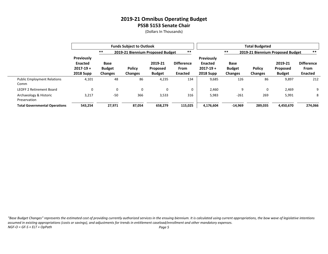(Dollars In Thousands)

|                                            |                                                                          |                                         | <b>Funds Subject to Outlook</b> |                                             |                                             |                                                                   |                                         | <b>Total Budgeted</b>            |                                             |                                                    |
|--------------------------------------------|--------------------------------------------------------------------------|-----------------------------------------|---------------------------------|---------------------------------------------|---------------------------------------------|-------------------------------------------------------------------|-----------------------------------------|----------------------------------|---------------------------------------------|----------------------------------------------------|
|                                            |                                                                          | $***$                                   |                                 | 2019-21 Biennium Proposed Budget            | $***$                                       |                                                                   | $***$                                   | 2019-21 Biennium Proposed Budget |                                             | $***$                                              |
|                                            | <b>Previously</b><br><b>Enacted</b><br>$2017 - 19 +$<br><b>2018 Supp</b> | Base<br><b>Budget</b><br><b>Changes</b> | <b>Policy</b><br><b>Changes</b> | 2019-21<br><b>Proposed</b><br><b>Budget</b> | <b>Difference</b><br>From<br><b>Enacted</b> | Previously<br><b>Enacted</b><br>$2017 - 19 +$<br><b>2018 Supp</b> | Base<br><b>Budget</b><br><b>Changes</b> | <b>Policy</b><br>Changes         | 2019-21<br><b>Proposed</b><br><b>Budget</b> | <b>Difference</b><br><b>From</b><br><b>Enacted</b> |
| <b>Public Employment Relations</b><br>Comm | 4,101                                                                    | 48                                      | 86                              | 4,235                                       | 134                                         | 9,685                                                             | 126                                     | 86                               | 9,897                                       | 212                                                |
| <b>LEOFF 2 Retirement Board</b>            | 0                                                                        | 0                                       | $\Omega$                        | 0                                           |                                             | 2,460                                                             | 9                                       | $\mathbf 0$                      | 2,469                                       | 9                                                  |
| Archaeology & Historic<br>Preservation     | 3,217                                                                    | $-50$                                   | 366                             | 3,533                                       | 316                                         | 5,983                                                             | $-261$                                  | 269                              | 5,991                                       | 8                                                  |
| <b>Total Governmental Operations</b>       | 543,254                                                                  | 27,971                                  | 87,054                          | 658,279                                     | 115,025                                     | 4,176,604                                                         | $-14,969$                               | 289,035                          | 4,450,670                                   | 274,066                                            |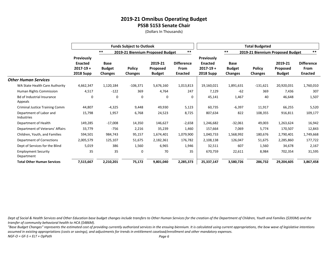(Dollars In Thousands)

|                                              |                                                                          |                                                | <b>Funds Subject to Outlook</b> |                                      |                                                    |                                                                          |                                                | <b>Total Budgeted</b>            |                                      |                                             |
|----------------------------------------------|--------------------------------------------------------------------------|------------------------------------------------|---------------------------------|--------------------------------------|----------------------------------------------------|--------------------------------------------------------------------------|------------------------------------------------|----------------------------------|--------------------------------------|---------------------------------------------|
|                                              |                                                                          | $***$                                          |                                 | 2019-21 Biennium Proposed Budget     | $***$                                              |                                                                          | $***$                                          | 2019-21 Biennium Proposed Budget |                                      | $***$                                       |
|                                              | <b>Previously</b><br><b>Enacted</b><br>$2017 - 19 +$<br><b>2018 Supp</b> | <b>Base</b><br><b>Budget</b><br><b>Changes</b> | <b>Policy</b><br>Changes        | 2019-21<br>Proposed<br><b>Budget</b> | <b>Difference</b><br><b>From</b><br><b>Enacted</b> | <b>Previously</b><br><b>Enacted</b><br>$2017 - 19 +$<br><b>2018 Supp</b> | <b>Base</b><br><b>Budget</b><br><b>Changes</b> | <b>Policy</b><br><b>Changes</b>  | 2019-21<br>Proposed<br><b>Budget</b> | <b>Difference</b><br>From<br><b>Enacted</b> |
| <b>Other Human Services</b>                  |                                                                          |                                                |                                 |                                      |                                                    |                                                                          |                                                |                                  |                                      |                                             |
| WA State Health Care Authority               | 4,662,347                                                                | 1,120,184                                      | $-106,371$                      | 5,676,160                            | 1,013,813                                          | 19,160,021                                                               | 1,891,631                                      | $-131,621$                       | 20,920,031                           | 1,760,010                                   |
| Human Rights Commission                      | 4,517                                                                    | $-122$                                         | 369                             | 4,764                                | 247                                                | 7,129                                                                    | $-62$                                          | 369                              | 7,436                                | 307                                         |
| Bd of Industrial Insurance<br>Appeals        | 0                                                                        | 0                                              | 0                               | 0                                    | 0                                                  | 45,141                                                                   | 1,467                                          | 40                               | 46,648                               | 1,507                                       |
| <b>Criminal Justice Training Comm</b>        | 44,807                                                                   | $-4,325$                                       | 9,448                           | 49,930                               | 5,123                                              | 60,735                                                                   | $-6,397$                                       | 11,917                           | 66,255                               | 5,520                                       |
| Department of Labor and<br><b>Industries</b> | 15,798                                                                   | 1,957                                          | 6,768                           | 24,523                               | 8,725                                              | 807,634                                                                  | 822                                            | 108,355                          | 916,811                              | 109,177                                     |
| Department of Health                         | 149,285                                                                  | $-17,008$                                      | 14,350                          | 146,627                              | $-2,658$                                           | 1,246,682                                                                | $-32,061$                                      | 49,003                           | 1,263,624                            | 16,942                                      |
| Department of Veterans' Affairs              | 33,779                                                                   | $-756$                                         | 2,216                           | 35,239                               | 1,460                                              | 157,664                                                                  | 7,069                                          | 5,774                            | 170,507                              | 12,843                                      |
| Children, Youth, and Families                | 594,501                                                                  | 984,743                                        | 95,157                          | 1,674,401                            | 1,079,900                                          | 1,040,733                                                                | 1,568,992                                      | 180,676                          | 2,790,401                            | 1,749,668                                   |
| Department of Corrections                    | 2,005,579                                                                | 125,107                                        | 51,675                          | 2,182,361                            | 176,782                                            | 2,108,138                                                                | 126,047                                        | 51,675                           | 2,285,860                            | 177,722                                     |
| Dept of Services for the Blind               | 5,019                                                                    | 386                                            | 1,560                           | 6,965                                | 1,946                                              | 32,511                                                                   | 607                                            | 1,560                            | 34,678                               | 2,167                                       |
| <b>Employment Security</b><br>Department     | 35                                                                       | 35                                             | 0                               | 70                                   | 35                                                 | 670,759                                                                  | 22,611                                         | 8,984                            | 702,354                              | 31,595                                      |
| <b>Total Other Human Services</b>            | 7,515,667                                                                | 2,210,201                                      | 75,172                          | 9,801,040                            | 2,285,373                                          | 25,337,147                                                               | 3,580,726                                      | 286,732                          | 29,204,605                           | 3,867,458                                   |

*Dept of Social & Health Services and Other Education base budget changes include transfers to Other Human Services for the creation of the Department of Children, Youth and Families (\$393M) and the transfer of community behavioral health to HCA (\$486M).*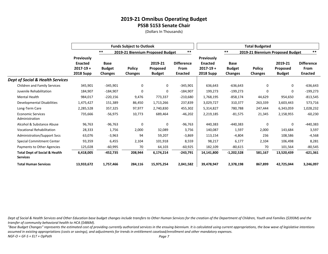(Dollars In Thousands)

|                                                             |                                                                          |                                                | <b>Funds Subject to Outlook</b>  |                                      |                                             |                                                                          |                                                | <b>Total Budgeted</b>           |                                      |                                             |
|-------------------------------------------------------------|--------------------------------------------------------------------------|------------------------------------------------|----------------------------------|--------------------------------------|---------------------------------------------|--------------------------------------------------------------------------|------------------------------------------------|---------------------------------|--------------------------------------|---------------------------------------------|
|                                                             |                                                                          | $***$                                          | 2019-21 Biennium Proposed Budget |                                      | $***$                                       |                                                                          | $***$                                          |                                 | 2019-21 Biennium Proposed Budget     | $***$                                       |
|                                                             | <b>Previously</b><br><b>Enacted</b><br>$2017 - 19 +$<br><b>2018 Supp</b> | <b>Base</b><br><b>Budget</b><br><b>Changes</b> | <b>Policy</b><br>Changes         | 2019-21<br>Proposed<br><b>Budget</b> | <b>Difference</b><br>From<br><b>Enacted</b> | <b>Previously</b><br><b>Enacted</b><br>$2017 - 19 +$<br><b>2018 Supp</b> | <b>Base</b><br><b>Budget</b><br><b>Changes</b> | <b>Policy</b><br><b>Changes</b> | 2019-21<br>Proposed<br><b>Budget</b> | <b>Difference</b><br>From<br><b>Enacted</b> |
| <b>Dept of Social &amp; Health Services</b>                 |                                                                          |                                                |                                  |                                      |                                             |                                                                          |                                                |                                 |                                      |                                             |
| Children and Family Services                                | 345,901                                                                  | -345,901                                       | 0                                | 0                                    | $-345,901$                                  | 636,643                                                                  | $-636,643$                                     | 0                               | 0                                    | $-636,643$                                  |
| Juvenile Rehabilitation                                     | 184,907                                                                  | $-184,907$                                     | 0                                | 0                                    | $-184,907$                                  | 199,273                                                                  | -199,273                                       | 0                               | 0                                    | $-199,273$                                  |
| <b>Mental Health</b>                                        | 984,017                                                                  | $-220,156$                                     | 9,476                            | 773,337                              | $-210,680$                                  | 1,768,195                                                                | $-858,174$                                     | 44,629                          | 954,650                              | $-813,545$                                  |
| Developmental Disabilities                                  | 1,475,427                                                                | 151,389                                        | 86,450                           | 1,713,266                            | 237,839                                     | 3,029,727                                                                | 310,377                                        | 263,339                         | 3,603,443                            | 573,716                                     |
| Long-Term Care                                              | 2,285,528                                                                | 357,325                                        | 97,977                           | 2,740,830                            | 455,302                                     | 5,314,827                                                                | 780,788                                        | 247,444                         | 6,343,059                            | 1,028,232                                   |
| <b>Economic Services</b><br>Administration                  | 735,666                                                                  | -56,975                                        | 10,773                           | 689,464                              | $-46,202$                                   | 2,219,185                                                                | $-81,575$                                      | 21,345                          | 2,158,955                            | $-60,230$                                   |
| Alcohol & Substance Abuse                                   | 96,763                                                                   | $-96,763$                                      | 0                                | 0                                    | $-96,763$                                   | 440,383                                                                  | -440,383                                       | 0                               | 0                                    | $-440,383$                                  |
| <b>Vocational Rehabilitation</b>                            | 28,333                                                                   | 1,756                                          | 2,000                            | 32,089                               | 3,756                                       | 140,087                                                                  | 1,597                                          | 2,000                           | 143,684                              | 3,597                                       |
| Administration/Support Svcs                                 | 63,076                                                                   | $-3,963$                                       | 94                               | 59,207                               | $-3,869$                                    | 113,154                                                                  | $-4,804$                                       | 236                             | 108,586                              | $-4,568$                                    |
| <b>Special Commitment Center</b>                            | 93,359                                                                   | 6,455                                          | 2,104                            | 101,918                              | 8,559                                       | 98,217                                                                   | 6,177                                          | 2,104                           | 106,498                              | 8,281                                       |
| Payments to Other Agencies                                  | 125,028                                                                  | $-60,995$                                      | 70                               | 64,103                               | $-60,925$                                   | 182,109                                                                  | $-80,615$                                      | 70                              | 101,564                              | $-80,545$                                   |
| <b>Total Dept of Social &amp; Health</b><br><b>Services</b> | 6,418,005                                                                | -452,735                                       | 208,944                          | 6,174,214                            | $-243,791$                                  | 14,141,800                                                               | $-1,202,528$                                   | 581,167                         | 13,520,439                           | $-621,361$                                  |
| <b>Total Human Services</b>                                 | 13,933,672                                                               | 1,757,466                                      | 284,116                          | 15,975,254                           | 2,041,582                                   | 39,478,947                                                               | 2,378,198                                      | 867,899                         | 42,725,044                           | 3,246,097                                   |

*Dept of Social & Health Services and Other Education base budget changes include transfers to Other Human Services for the creation of the Department of Children, Youth and Families (\$393M) and the transfer of community behavioral health to HCA (\$486M).*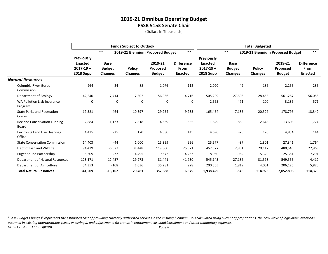(Dollars In Thousands)

|                                              |                                                                          |                                                | <b>Funds Subject to Outlook</b> |                                      |                                                    |                                                                          |                                                | <b>Total Budgeted</b>            |                                      |                                                    |
|----------------------------------------------|--------------------------------------------------------------------------|------------------------------------------------|---------------------------------|--------------------------------------|----------------------------------------------------|--------------------------------------------------------------------------|------------------------------------------------|----------------------------------|--------------------------------------|----------------------------------------------------|
|                                              |                                                                          | $***$                                          |                                 | 2019-21 Biennium Proposed Budget     | $***$                                              |                                                                          | $***$                                          | 2019-21 Biennium Proposed Budget |                                      | $***$                                              |
|                                              | <b>Previously</b><br><b>Enacted</b><br>$2017 - 19 +$<br><b>2018 Supp</b> | <b>Base</b><br><b>Budget</b><br><b>Changes</b> | <b>Policy</b><br><b>Changes</b> | 2019-21<br>Proposed<br><b>Budget</b> | <b>Difference</b><br><b>From</b><br><b>Enacted</b> | <b>Previously</b><br><b>Enacted</b><br>$2017 - 19 +$<br><b>2018 Supp</b> | <b>Base</b><br><b>Budget</b><br><b>Changes</b> | <b>Policy</b><br><b>Changes</b>  | 2019-21<br>Proposed<br><b>Budget</b> | <b>Difference</b><br><b>From</b><br><b>Enacted</b> |
| <b>Natural Resources</b>                     |                                                                          |                                                |                                 |                                      |                                                    |                                                                          |                                                |                                  |                                      |                                                    |
| Columbia River Gorge<br>Commission           | 964                                                                      | 24                                             | 88                              | 1,076                                | 112                                                | 2,020                                                                    | 49                                             | 186                              | 2,255                                | 235                                                |
| Department of Ecology                        | 42,240                                                                   | 7,414                                          | 7,302                           | 56,956                               | 14,716                                             | 505,209                                                                  | 27,605                                         | 28,453                           | 561,267                              | 56,058                                             |
| WA Pollution Liab Insurance<br>Program       | 0                                                                        | 0                                              | 0                               | 0                                    | 0                                                  | 2,565                                                                    | 471                                            | 100                              | 3,136                                | 571                                                |
| <b>State Parks and Recreation</b><br>Comm    | 19,321                                                                   | $-464$                                         | 10,397                          | 29,254                               | 9,933                                              | 165,454                                                                  | $-7,185$                                       | 20,527                           | 178,796                              | 13,342                                             |
| <b>Rec and Conservation Funding</b><br>Board | 2,884                                                                    | $-1,133$                                       | 2,818                           | 4,569                                | 1,685                                              | 11,829                                                                   | $-869$                                         | 2,643                            | 13,603                               | 1,774                                              |
| Environ & Land Use Hearings<br>Office        | 4,435                                                                    | $-25$                                          | 170                             | 4,580                                | 145                                                | 4,690                                                                    | $-26$                                          | 170                              | 4,834                                | 144                                                |
| <b>State Conservation Commission</b>         | 14,403                                                                   | $-44$                                          | 1,000                           | 15,359                               | 956                                                | 25,577                                                                   | $-37$                                          | 1,801                            | 27,341                               | 1,764                                              |
| Dept of Fish and Wildlife                    | 94,429                                                                   | $-6,077$                                       | 31,448                          | 119,800                              | 25,371                                             | 457,577                                                                  | 2,851                                          | 20,117                           | 480,545                              | 22,968                                             |
| <b>Puget Sound Partnership</b>               | 5,309                                                                    | $-232$                                         | 4,495                           | 9,572                                | 4,263                                              | 18,060                                                                   | 1,962                                          | 5,329                            | 25,351                               | 7,291                                              |
| Department of Natural Resources              | 123,171                                                                  | $-12,457$                                      | $-29,273$                       | 81,441                               | $-41,730$                                          | 545,143                                                                  | $-27,186$                                      | 31,598                           | 549,555                              | 4,412                                              |
| Department of Agriculture                    | 34,353                                                                   | $-108$                                         | 1,036                           | 35,281                               | 928                                                | 200,305                                                                  | 1,819                                          | 4,001                            | 206,125                              | 5,820                                              |
| <b>Total Natural Resources</b>               | 341,509                                                                  | $-13,102$                                      | 29,481                          | 357,888                              | 16,379                                             | 1,938,429                                                                | $-546$                                         | 114,925                          | 2,052,808                            | 114,379                                            |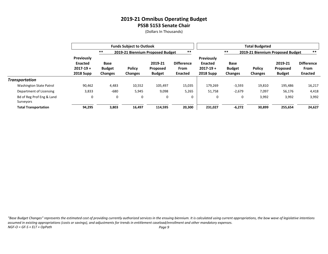(Dollars In Thousands)

|                                        |                                                                   |                                         | <b>Funds Subject to Outlook</b> |                                             |                                                    |                                                                          | <b>Total Budgeted</b>                              |                                 |                                             |                                             |  |
|----------------------------------------|-------------------------------------------------------------------|-----------------------------------------|---------------------------------|---------------------------------------------|----------------------------------------------------|--------------------------------------------------------------------------|----------------------------------------------------|---------------------------------|---------------------------------------------|---------------------------------------------|--|
|                                        |                                                                   | $***$                                   |                                 | 2019-21 Biennium Proposed Budget            | $***$                                              |                                                                          | $***$<br>$***$<br>2019-21 Biennium Proposed Budget |                                 |                                             |                                             |  |
|                                        | Previously<br><b>Enacted</b><br>$2017 - 19 +$<br><b>2018 Supp</b> | Base<br><b>Budget</b><br><b>Changes</b> | <b>Policy</b><br><b>Changes</b> | 2019-21<br><b>Proposed</b><br><b>Budget</b> | <b>Difference</b><br><b>From</b><br><b>Enacted</b> | <b>Previously</b><br><b>Enacted</b><br>$2017 - 19 +$<br><b>2018 Supp</b> | <b>Base</b><br><b>Budget</b><br><b>Changes</b>     | <b>Policy</b><br><b>Changes</b> | 2019-21<br><b>Proposed</b><br><b>Budget</b> | <b>Difference</b><br>From<br><b>Enacted</b> |  |
| Transportation                         |                                                                   |                                         |                                 |                                             |                                                    |                                                                          |                                                    |                                 |                                             |                                             |  |
| <b>Washington State Patrol</b>         | 90,462                                                            | 4,483                                   | 10,552                          | 105,497                                     | 15,035                                             | 179,269                                                                  | $-3,593$                                           | 19,810                          | 195,486                                     | 16,217                                      |  |
| Department of Licensing                | 3,833                                                             | $-680$                                  | 5,945                           | 9,098                                       | 5,265                                              | 51,758                                                                   | $-2,679$                                           | 7,097                           | 56,176                                      | 4,418                                       |  |
| Bd of Reg Prof Eng & Land<br>Surveyors | 0                                                                 | 0                                       | 0                               | 0                                           | 0                                                  | 0                                                                        | 0                                                  | 3,992                           | 3,992                                       | 3,992                                       |  |
| <b>Total Transportation</b>            | 94,295                                                            | 3,803                                   | 16,497                          | 114,595                                     | 20,300                                             | 231,027                                                                  | $-6,272$                                           | 30,899                          | 255,654                                     | 24,627                                      |  |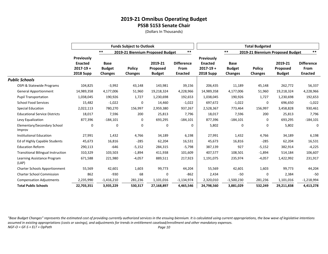(Dollars In Thousands)

|                                           |                                                                          |                                                | <b>Funds Subject to Outlook</b>  |                                             |                                                    |                                                                   |                                                | <b>Total Budgeted</b>           |                                             |                                             |
|-------------------------------------------|--------------------------------------------------------------------------|------------------------------------------------|----------------------------------|---------------------------------------------|----------------------------------------------------|-------------------------------------------------------------------|------------------------------------------------|---------------------------------|---------------------------------------------|---------------------------------------------|
|                                           |                                                                          | $***$                                          | 2019-21 Biennium Proposed Budget |                                             | $***$                                              |                                                                   | $***$                                          |                                 | 2019-21 Biennium Proposed Budget            | $***$                                       |
|                                           | <b>Previously</b><br><b>Enacted</b><br>$2017 - 19 +$<br><b>2018 Supp</b> | <b>Base</b><br><b>Budget</b><br><b>Changes</b> | <b>Policy</b><br><b>Changes</b>  | 2019-21<br><b>Proposed</b><br><b>Budget</b> | <b>Difference</b><br><b>From</b><br><b>Enacted</b> | Previously<br><b>Enacted</b><br>$2017 - 19 +$<br><b>2018 Supp</b> | <b>Base</b><br><b>Budget</b><br><b>Changes</b> | <b>Policy</b><br><b>Changes</b> | 2019-21<br><b>Proposed</b><br><b>Budget</b> | <b>Difference</b><br>From<br><b>Enacted</b> |
| <b>Public Schools</b>                     |                                                                          |                                                |                                  |                                             |                                                    |                                                                   |                                                |                                 |                                             |                                             |
| OSPI & Statewide Programs                 | 104,825                                                                  | $-3,992$                                       | 43,148                           | 143,981                                     | 39,156                                             | 206,435                                                           | 11,189                                         | 45,148                          | 262,772                                     | 56,337                                      |
| <b>General Apportionment</b>              | 14,989,358                                                               | 4,177,006                                      | 51,960                           | 19,218,324                                  | 4,228,966                                          | 14,989,358                                                        | 4,177,006                                      | 51,960                          | 19,218,324                                  | 4,228,966                                   |
| <b>Pupil Transportation</b>               | 1,038,045                                                                | 190,926                                        | 1,727                            | 1,230,698                                   | 192,653                                            | 1,038,045                                                         | 190,926                                        | 1,727                           | 1,230,698                                   | 192,653                                     |
| <b>School Food Services</b>               | 15,482                                                                   | $-1,022$                                       | 0                                | 14,460                                      | $-1,022$                                           | 697,672                                                           | $-1,022$                                       | 0                               | 696,650                                     | $-1,022$                                    |
| <b>Special Education</b>                  | 2,022,113                                                                | 780,270                                        | 156,997                          | 2,959,380                                   | 937,267                                            | 2,528,367                                                         | 773,464                                        | 156,997                         | 3,458,828                                   | 930,461                                     |
| <b>Educational Service Districts</b>      | 18,017                                                                   | 7,596                                          | 200                              | 25,813                                      | 7,796                                              | 18,017                                                            | 7,596                                          | 200                             | 25,813                                      | 7,796                                       |
| Levy Equalization                         | 877,396                                                                  | $-184,101$                                     | 0                                | 693,295                                     | $-184,101$                                         | 877,396                                                           | $-184,101$                                     | 0                               | 693,295                                     | $-184,101$                                  |
| Elementary/Secondary School<br>Improv     | 0                                                                        | $\mathbf 0$                                    | 0                                | 0                                           | 0                                                  | 5,802                                                             | 0                                              | 0                               | 5,802                                       | 0                                           |
| <b>Institutional Education</b>            | 27,991                                                                   | 1,432                                          | 4,766                            | 34,189                                      | 6,198                                              | 27,991                                                            | 1,432                                          | 4,766                           | 34,189                                      | 6,198                                       |
| Ed of Highly Capable Students             | 45,673                                                                   | 16,816                                         | $-285$                           | 62,204                                      | 16,531                                             | 45,673                                                            | 16,816                                         | $-285$                          | 62,204                                      | 16,531                                      |
| <b>Education Reform</b>                   | 290,113                                                                  | $-646$                                         | $-5,152$                         | 284,315                                     | $-5,798$                                           | 387,139                                                           | 927                                            | $-5,152$                        | 382,914                                     | $-4,225$                                    |
| <b>Transitional Bilingual Instruction</b> | 310,329                                                                  | 103,503                                        | $-1,894$                         | 411,938                                     | 101,609                                            | 407,577                                                           | 108,501                                        | $-1,894$                        | 514,184                                     | 106,607                                     |
| Learning Assistance Program<br>(LAP)      | 671,588                                                                  | 221,980                                        | $-4,057$                         | 889,511                                     | 217,923                                            | 1,191,075                                                         | 235,974                                        | $-4,057$                        | 1,422,992                                   | 231,917                                     |
| <b>Charter Schools Apportionment</b>      | 55,569                                                                   | 42,601                                         | 1,603                            | 99,773                                      | 44,204                                             | 55,569                                                            | 42,601                                         | 1,603                           | 99,773                                      | 44,204                                      |
| <b>Charter School Commission</b>          | 862                                                                      | $-930$                                         | 68                               | 0                                           | $-862$                                             | 2,434                                                             | $-50$                                          | 0                               | 2,384                                       | $-50$                                       |
| <b>Compensation Adjustments</b>           | 2,235,990                                                                | $-1,416,210$                                   | 281,236                          | 1,101,016                                   | $-1,134,974$                                       | 2,320,010                                                         | $-1,500,230$                                   | 281,236                         | 1,101,016                                   | $-1,218,994$                                |
| <b>Total Public Schools</b>               | 22,703,351                                                               | 3,935,229                                      | 530,317                          | 27,168,897                                  | 4,465,546                                          | 24,798,560                                                        | 3,881,029                                      | 532,249                         | 29,211,838                                  | 4,413,278                                   |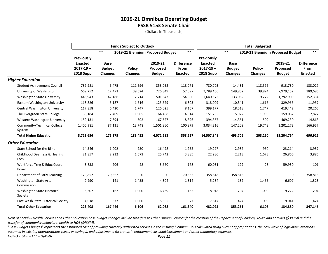(Dollars In Thousands)

|                                            |                                                                   |                                                | <b>Funds Subject to Outlook</b> |                                      |                                             |                                                                          |                                                | <b>Total Budgeted</b>            |                                      |                                             |
|--------------------------------------------|-------------------------------------------------------------------|------------------------------------------------|---------------------------------|--------------------------------------|---------------------------------------------|--------------------------------------------------------------------------|------------------------------------------------|----------------------------------|--------------------------------------|---------------------------------------------|
|                                            |                                                                   | $***$                                          |                                 | 2019-21 Biennium Proposed Budget     | $***$                                       |                                                                          | $***$                                          | 2019-21 Biennium Proposed Budget |                                      | $***$                                       |
|                                            | Previously<br><b>Enacted</b><br>$2017 - 19 +$<br><b>2018 Supp</b> | <b>Base</b><br><b>Budget</b><br><b>Changes</b> | <b>Policy</b><br><b>Changes</b> | 2019-21<br>Proposed<br><b>Budget</b> | <b>Difference</b><br>From<br><b>Enacted</b> | <b>Previously</b><br><b>Enacted</b><br>$2017 - 19 +$<br><b>2018 Supp</b> | <b>Base</b><br><b>Budget</b><br><b>Changes</b> | <b>Policy</b><br><b>Changes</b>  | 2019-21<br>Proposed<br><b>Budget</b> | <b>Difference</b><br>From<br><b>Enacted</b> |
| <b>Higher Education</b>                    |                                                                   |                                                |                                 |                                      |                                             |                                                                          |                                                |                                  |                                      |                                             |
| <b>Student Achievement Council</b>         | 739,981                                                           | 6,475                                          | 111,596                         | 858,052                              | 118,071                                     | 780,703                                                                  | 14,431                                         | 118,596                          | 913,730                              | 133,027                                     |
| University of Washington                   | 669,752                                                           | 17,473                                         | 39,624                          | 726,849                              | 57,097                                      | 7,789,466                                                                | 149,862                                        | 39,824                           | 7,979,152                            | 189,686                                     |
| <b>Washington State University</b>         | 446,943                                                           | 42,186                                         | 12,714                          | 501,843                              | 54,900                                      | 1,640,575                                                                | 133,062                                        | 19,272                           | 1,792,909                            | 152,334                                     |
| Eastern Washington University              | 118,826                                                           | 5,187                                          | 1,616                           | 125,629                              | 6,803                                       | 318,009                                                                  | 10,341                                         | 1,616                            | 329,966                              | 11,957                                      |
| Central Washington University              | 117,858                                                           | 6,420                                          | 1,747                           | 126,025                              | 8,167                                       | 399,177                                                                  | 18,518                                         | 1,747                            | 419,442                              | 20,265                                      |
| The Evergreen State College                | 60,184                                                            | 2,409                                          | 1,905                           | 64,498                               | 4,314                                       | 151,235                                                                  | 5,922                                          | 1,905                            | 159,062                              | 7,827                                       |
| Western Washington University              | 159,131                                                           | 7,894                                          | 502                             | 167,527                              | 8,396                                       | 394,367                                                                  | 14,361                                         | 502                              | 409,230                              | 14,863                                      |
| Community/Technical College<br>System      | 1,400,981                                                         | 87,131                                         | 13,748                          | 1,501,860                            | 100,879                                     | 3,034,316                                                                | 147,209                                        | 19,748                           | 3,201,273                            | 166,957                                     |
| <b>Total Higher Education</b>              | 3,713,656                                                         | 175,175                                        | 183,452                         | 4,072,283                            | 358,627                                     | 14,507,848                                                               | 493,706                                        | 203,210                          | 15,204,764                           | 696,916                                     |
| <b>Other Education</b>                     |                                                                   |                                                |                                 |                                      |                                             |                                                                          |                                                |                                  |                                      |                                             |
| State School for the Blind                 | 14,546                                                            | 1,002                                          | 950                             | 16,498                               | 1,952                                       | 19,277                                                                   | 2,987                                          | 950                              | 23,214                               | 3,937                                       |
| Childhood Deafness & Hearing<br>Loss       | 21,857                                                            | 2,212                                          | 1,673                           | 25,742                               | 3,885                                       | 22,980                                                                   | 2,213                                          | 1,673                            | 26,866                               | 3,886                                       |
| Workforce Trng & Educ Coord<br>Board       | 3,838                                                             | $-206$                                         | 28                              | 3,660                                | $-178$                                      | 60,031                                                                   | $-129$                                         | 28                               | 59,930                               | $-101$                                      |
| Department of Early Learning               | 170,852                                                           | $-170,852$                                     | 0                               | 0                                    | $-170,852$                                  | 358,818                                                                  | $-358,818$                                     | 0                                | 0                                    | $-358,818$                                  |
| <b>Washington State Arts</b><br>Commission | 2,990                                                             | $-141$                                         | 1,455                           | 4,304                                | 1,314                                       | 5,284                                                                    | $-132$                                         | 1,455                            | 6,607                                | 1,323                                       |
| Washington State Historical<br>Society     | 5,307                                                             | 162                                            | 1,000                           | 6,469                                | 1,162                                       | 8,018                                                                    | 204                                            | 1,000                            | 9,222                                | 1,204                                       |
| East Wash State Historical Society         | 4,018                                                             | 377                                            | 1,000                           | 5,395                                | 1,377                                       | 7,617                                                                    | 424                                            | 1,000                            | 9,041                                | 1,424                                       |
| <b>Total Other Education</b>               | 223,408                                                           | $-167,446$                                     | 6,106                           | 62,068                               | $-161,340$                                  | 482,025                                                                  | $-353,251$                                     | 6,106                            | 134,880                              | $-347,145$                                  |

*Dept of Social & Health Services and Other Education base budget changes include transfers to Other Human Services for the creation of the Department of Children, Youth and Families (\$393M) and the transfer of community behavioral health to HCA (\$486M).*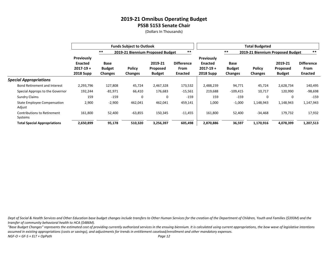(Dollars In Thousands)

|                                               |                                                                   |                                                | <b>Funds Subject to Outlook</b> |                                      |                                             |                                                                          |                                         | <b>Total Budgeted</b>            |                                             |                                             |
|-----------------------------------------------|-------------------------------------------------------------------|------------------------------------------------|---------------------------------|--------------------------------------|---------------------------------------------|--------------------------------------------------------------------------|-----------------------------------------|----------------------------------|---------------------------------------------|---------------------------------------------|
|                                               |                                                                   | $***$                                          |                                 | 2019-21 Biennium Proposed Budget     | $***$                                       |                                                                          | $***$                                   | 2019-21 Biennium Proposed Budget |                                             | $***$                                       |
|                                               | Previously<br><b>Enacted</b><br>$2017 - 19 +$<br><b>2018 Supp</b> | <b>Base</b><br><b>Budget</b><br><b>Changes</b> | <b>Policy</b><br><b>Changes</b> | 2019-21<br>Proposed<br><b>Budget</b> | <b>Difference</b><br>From<br><b>Enacted</b> | <b>Previously</b><br><b>Enacted</b><br>$2017 - 19 +$<br><b>2018 Supp</b> | Base<br><b>Budget</b><br><b>Changes</b> | <b>Policy</b><br><b>Changes</b>  | 2019-21<br><b>Proposed</b><br><b>Budget</b> | <b>Difference</b><br>From<br><b>Enacted</b> |
| <b>Special Appropriations</b>                 |                                                                   |                                                |                                 |                                      |                                             |                                                                          |                                         |                                  |                                             |                                             |
| <b>Bond Retirement and Interest</b>           | 2,293,796                                                         | 127,808                                        | 45,724                          | 2,467,328                            | 173,532                                     | 2,488,239                                                                | 94,771                                  | 45,724                           | 2,628,734                                   | 140,495                                     |
| Special Approps to the Governor               | 192,244                                                           | -81,971                                        | 66,410                          | 176,683                              | $-15,561$                                   | 219,688                                                                  | $-109,415$                              | 10,717                           | 120,990                                     | $-98,698$                                   |
| <b>Sundry Claims</b>                          | 159                                                               | $-159$                                         | 0                               | 0                                    | $-159$                                      | 159                                                                      | $-159$                                  | 0                                | 0                                           | $-159$                                      |
| State Employee Compensation<br>Adjust         | 2,900                                                             | $-2,900$                                       | 462,041                         | 462,041                              | 459,141                                     | 1,000                                                                    | $-1,000$                                | 1,148,943                        | 1,148,943                                   | 1,147,943                                   |
| <b>Contributions to Retirement</b><br>Systems | 161,800                                                           | 52,400                                         | $-63,855$                       | 150,345                              | $-11,455$                                   | 161,800                                                                  | 52,400                                  | -34,468                          | 179,732                                     | 17,932                                      |
| <b>Total Special Appropriations</b>           | 2,650,899                                                         | 95,178                                         | 510,320                         | 3,256,397                            | 605,498                                     | 2,870,886                                                                | 36,597                                  | 1,170,916                        | 4,078,399                                   | 1,207,513                                   |

*Dept of Social & Health Services and Other Education base budget changes include transfers to Other Human Services for the creation of the Department of Children, Youth and Families (\$393M) and the transfer of community behavioral health to HCA (\$486M).*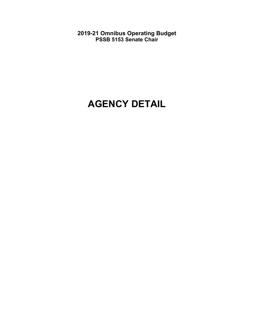# **AGENCY DETAIL**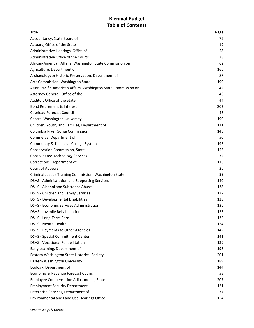# **Biennial Budget** Table of Contents

| Title                                                          | Page |
|----------------------------------------------------------------|------|
| Accountancy, State Board of                                    | 75   |
| Actuary, Office of the State                                   | 19   |
| Administrative Hearings, Office of                             | 58   |
| Administrative Office of the Courts                            | 28   |
| African-American Affairs, Washington State Commission on       | 62   |
| Agriculture, Department of                                     | 166  |
| Archaeology & Historic Preservation, Department of             | 87   |
| Arts Commission, Washington State                              | 199  |
| Asian-Pacific-American Affairs, Washington State Commission on | 42   |
| Attorney General, Office of the                                | 46   |
| Auditor, Office of the State                                   | 44   |
| <b>Bond Retirement &amp; Interest</b>                          | 202  |
| <b>Caseload Forecast Council</b>                               | 48   |
| Central Washington University                                  | 190  |
| Children, Youth, and Families, Department of                   | 111  |
| Columbia River Gorge Commission                                | 143  |
| Commerce, Department of                                        | 50   |
| Community & Technical College System                           | 193  |
| Conservation Commission, State                                 | 155  |
| <b>Consolidated Technology Services</b>                        | 72   |
| Corrections, Department of                                     | 116  |
| Court of Appeals                                               | 26   |
| Criminal Justice Training Commission, Washington State         | 99   |
| DSHS - Administration and Supporting Services                  | 140  |
| DSHS - Alcohol and Substance Abuse                             | 138  |
| DSHS - Children and Family Services                            | 122  |
| <b>DSHS - Developmental Disabilities</b>                       | 128  |
| <b>DSHS - Economic Services Administration</b>                 | 136  |
| <b>DSHS</b> - Juvenile Rehabilitation                          | 123  |
| DSHS - Long-Term Care                                          | 132  |
| <b>DSHS - Mental Health</b>                                    | 124  |
| <b>DSHS - Payments to Other Agencies</b>                       | 142  |
| <b>DSHS - Special Commitment Center</b>                        | 141  |
| <b>DSHS - Vocational Rehabilitation</b>                        | 139  |
| Early Learning, Department of                                  | 198  |
| Eastern Washington State Historical Society                    | 201  |
| Eastern Washington University                                  | 189  |
| Ecology, Department of                                         | 144  |
| Economic & Revenue Forecast Council                            | 55   |
| <b>Employee Compensation Adjustments, State</b>                | 207  |
| <b>Employment Security Department</b>                          | 121  |
| Enterprise Services, Department of                             | 77   |
| Environmental and Land Use Hearings Office                     | 154  |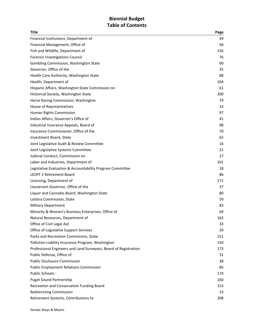# **Biennial Budget** Table of Contents

| <b>Title</b>                                                     | Page |
|------------------------------------------------------------------|------|
| Financial Institutions, Department of                            | 49   |
| Financial Management, Office of                                  | 56   |
| Fish and Wildlife, Department of                                 | 156  |
| Forensic Investigations Council                                  | 76   |
| Gambling Commission, Washington State                            | 60   |
| Governor, Office of the                                          | 35   |
| Health Care Authority, Washington State                          | 88   |
| Health, Department of                                            | 104  |
| Hispanic Affairs, Washington State Commission on                 | 61   |
| Historical Society, Washington State                             | 200  |
| Horse Racing Commission, Washington                              | 79   |
| House of Representatives                                         | 14   |
| Human Rights Commission                                          | 97   |
| Indian Affairs, Governor's Office of                             | 41   |
| Industrial Insurance Appeals, Board of                           | 98   |
| Insurance Commissioner, Office of the                            | 70   |
| Investment Board, State                                          | 65   |
| Joint Legislative Audit & Review Committee                       | 16   |
| Joint Legislative Systems Committee                              | 21   |
| Judicial Conduct, Commission on                                  | 27   |
| Labor and Industries, Department of                              | 101  |
| Legislative Evaluation & Accountability Program Committee        | 18   |
| <b>LEOFF 2 Retirement Board</b>                                  | 86   |
| Licensing, Department of                                         | 171  |
| Lieutenant Governor, Office of the                               | 37   |
| Liquor and Cannabis Board, Washington State                      | 80   |
| Lottery Commission, State                                        | 59   |
| <b>Military Department</b>                                       | 83   |
| Minority & Women's Business Enterprises, Office of               | 69   |
| Natural Resources, Department of                                 | 162  |
| Office of Civil Legal Aid                                        | 33   |
| Office of Legislative Support Services                           | 20   |
| Parks and Recreation Commission, State                           | 151  |
| Pollution Liability Insurance Program, Washington                | 150  |
| Professional Engineers and Land Surveyors, Board of Registration | 173  |
| Public Defense, Office of                                        | 31   |
| <b>Public Disclosure Commission</b>                              | 38   |
| <b>Public Employment Relations Commission</b>                    | 85   |
| Public Schools -                                                 | 174  |
| <b>Puget Sound Partnership</b>                                   | 160  |
| Recreation and Conservation Funding Board                        | 153  |
| <b>Redistricting Commission</b>                                  | 23   |
| Retirement Systems, Contributions to                             | 208  |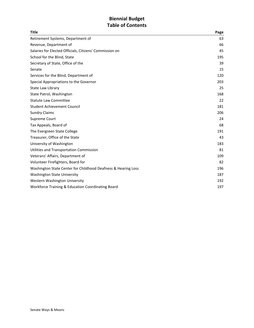# **Biennial Budget** Table of Contents

| <b>Title</b>                                                  | Page |
|---------------------------------------------------------------|------|
| Retirement Systems, Department of                             | 63   |
| Revenue, Department of                                        | 66   |
| Salaries for Elected Officials, Citizens' Commission on       | 45   |
| School for the Blind, State                                   | 195  |
| Secretary of State, Office of the                             | 39   |
| Senate                                                        | 15   |
| Services for the Blind, Department of                         | 120  |
| Special Appropriations to the Governor                        | 203  |
| State Law Library                                             | 25   |
| State Patrol, Washington                                      | 168  |
| <b>Statute Law Committee</b>                                  | 22   |
| <b>Student Achievement Council</b>                            | 181  |
| <b>Sundry Claims</b>                                          | 206  |
| Supreme Court                                                 | 24   |
| Tax Appeals, Board of                                         | 68   |
| The Evergreen State College                                   | 191  |
| Treasurer, Office of the State                                | 43   |
| University of Washington                                      | 183  |
| Utilities and Transportation Commission                       | 81   |
| Veterans' Affairs, Department of                              | 109  |
| Volunteer Firefighters, Board for                             | 82   |
| Washington State Center for Childhood Deafness & Hearing Loss | 196  |
| <b>Washington State University</b>                            | 187  |
| Western Washington University                                 | 192  |
| Workforce Training & Education Coordinating Board             | 197  |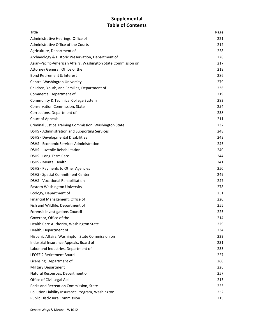# **Supplemental** Table of Contents

| <b>Title</b>                                                   | Page |
|----------------------------------------------------------------|------|
| Administrative Hearings, Office of                             | 221  |
| Administrative Office of the Courts                            | 212  |
| Agriculture, Department of                                     | 258  |
| Archaeology & Historic Preservation, Department of             | 228  |
| Asian-Pacific-American Affairs, Washington State Commission on | 217  |
| Attorney General, Office of the                                | 218  |
| <b>Bond Retirement &amp; Interest</b>                          | 286  |
| Central Washington University                                  | 279  |
| Children, Youth, and Families, Department of                   | 236  |
| Commerce, Department of                                        | 219  |
| Community & Technical College System                           | 282  |
| Conservation Commission, State                                 | 254  |
| Corrections, Department of                                     | 238  |
| Court of Appeals                                               | 211  |
| Criminal Justice Training Commission, Washington State         | 232  |
| <b>DSHS</b> - Administration and Supporting Services           | 248  |
| <b>DSHS - Developmental Disabilities</b>                       | 243  |
| DSHS - Economic Services Administration                        | 245  |
| <b>DSHS</b> - Juvenile Rehabilitation                          | 240  |
| DSHS - Long-Term Care                                          | 244  |
| <b>DSHS - Mental Health</b>                                    | 241  |
| DSHS - Payments to Other Agencies                              | 250  |
| <b>DSHS - Special Commitment Center</b>                        | 249  |
| <b>DSHS - Vocational Rehabilitation</b>                        | 247  |
| Eastern Washington University                                  | 278  |
| Ecology, Department of                                         | 251  |
| Financial Management, Office of                                | 220  |
| Fish and Wildlife, Department of                               | 255  |
| Forensic Investigations Council                                | 225  |
| Governor, Office of the                                        | 214  |
| Health Care Authority, Washington State                        | 229  |
| Health, Department of                                          | 234  |
| Hispanic Affairs, Washington State Commission on               | 222  |
| Industrial Insurance Appeals, Board of                         | 231  |
| Labor and Industries, Department of                            | 233  |
| <b>LEOFF 2 Retirement Board</b>                                | 227  |
| Licensing, Department of                                       | 260  |
| <b>Military Department</b>                                     | 226  |
| Natural Resources, Department of                               | 257  |
| Office of Civil Legal Aid                                      | 213  |
| Parks and Recreation Commission, State                         | 253  |
| Pollution Liability Insurance Program, Washington              | 252  |
| <b>Public Disclosure Commission</b>                            | 215  |
|                                                                |      |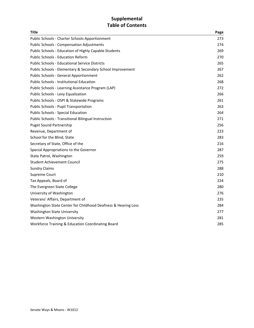# **Supplemental** Table of Contents

| Title                                                         | Page |
|---------------------------------------------------------------|------|
| Public Schools - Charter Schools Apportionment                | 273  |
| <b>Public Schools - Compensation Adjustments</b>              | 274  |
| Public Schools - Education of Highly Capable Students         | 269  |
| <b>Public Schools - Education Reform</b>                      | 270  |
| <b>Public Schools - Educational Service Districts</b>         | 265  |
| Public Schools - Elementary & Secondary School Improvement    | 267  |
| <b>Public Schools - General Apportionment</b>                 | 262  |
| <b>Public Schools - Institutional Education</b>               | 268  |
| Public Schools - Learning Assistance Program (LAP)            | 272  |
| Public Schools - Levy Equalization                            | 266  |
| Public Schools - OSPI & Statewide Programs                    | 261  |
| Public Schools - Pupil Transportation                         | 263  |
| Public Schools - Special Education                            | 264  |
| Public Schools - Transitional Bilingual Instruction           | 271  |
| <b>Puget Sound Partnership</b>                                | 256  |
| Revenue, Department of                                        | 223  |
| School for the Blind, State                                   | 283  |
| Secretary of State, Office of the                             | 216  |
| Special Appropriations to the Governor                        | 287  |
| State Patrol, Washington                                      | 259  |
| <b>Student Achievement Council</b>                            | 275  |
| <b>Sundry Claims</b>                                          | 288  |
| Supreme Court                                                 | 210  |
| Tax Appeals, Board of                                         | 224  |
| The Evergreen State College                                   | 280  |
| University of Washington                                      | 276  |
| Veterans' Affairs, Department of                              | 235  |
| Washington State Center for Childhood Deafness & Hearing Loss | 284  |
| <b>Washington State University</b>                            | 277  |
| Western Washington University                                 | 281  |
| Workforce Training & Education Coordinating Board             | 285  |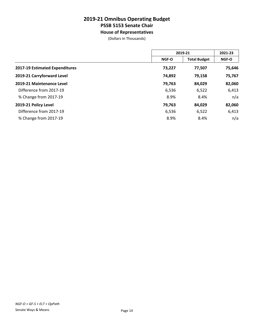**House of Representatives**

|                                | 2019-21 |                     | 2021-23 |  |
|--------------------------------|---------|---------------------|---------|--|
|                                | NGF-O   | <b>Total Budget</b> | NGF-O   |  |
| 2017-19 Estimated Expenditures | 73,227  | 77,507              | 75,646  |  |
| 2019-21 Carryforward Level     | 74,892  | 79,158              | 75,767  |  |
| 2019-21 Maintenance Level      | 79,763  | 84,029              | 82,060  |  |
| Difference from 2017-19        | 6,536   | 6,522               | 6,413   |  |
| % Change from 2017-19          | 8.9%    | 8.4%                | n/a     |  |
| 2019-21 Policy Level           | 79,763  | 84,029              | 82,060  |  |
| Difference from 2017-19        | 6,536   | 6,522               | 6,413   |  |
| % Change from 2017-19          | 8.9%    | 8.4%                | n/a     |  |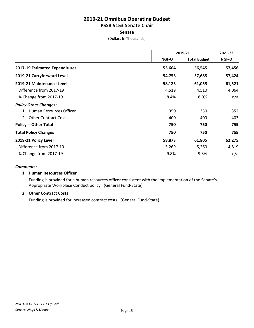#### **Senate**

(Dollars In Thousands)

|                                | 2019-21 |                     | 2021-23 |
|--------------------------------|---------|---------------------|---------|
|                                | NGF-O   | <b>Total Budget</b> | NGF-O   |
| 2017-19 Estimated Expenditures | 53,604  | 56,545              | 57,456  |
| 2019-21 Carryforward Level     | 54,753  | 57,685              | 57,424  |
| 2019-21 Maintenance Level      | 58,123  | 61,055              | 61,521  |
| Difference from 2017-19        | 4,519   | 4,510               | 4,064   |
| % Change from 2017-19          | 8.4%    | 8.0%                | n/a     |
| <b>Policy Other Changes:</b>   |         |                     |         |
| Human Resources Officer        | 350     | 350                 | 352     |
| 2. Other Contract Costs        | 400     | 400                 | 403     |
| <b>Policy -- Other Total</b>   | 750     | 750                 | 755     |
| <b>Total Policy Changes</b>    | 750     | 750                 | 755     |
| 2019-21 Policy Level           | 58,873  | 61,805              | 62,275  |
| Difference from 2017-19        | 5,269   | 5,260               | 4,819   |
| % Change from 2017-19          | 9.8%    | 9.3%                | n/a     |

#### *Comments:*

#### **1. Human Resources Officer**

Funding is provided for a human resources officer consistent with the implementation of the Senate's Appropriate Workplace Conduct policy. (General Fund-State)

#### **2. Other Contract Costs**

Funding is provided for increased contract costs. (General Fund-State)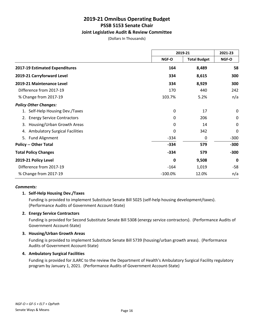#### **Joint Legislative Audit & Review Committee**

(Dollars In Thousands)

|                                             | 2019-21   |                     | 2021-23     |  |
|---------------------------------------------|-----------|---------------------|-------------|--|
|                                             | NGF-O     | <b>Total Budget</b> | NGF-O       |  |
| 2017-19 Estimated Expenditures              | 164       | 8,489               | 58          |  |
| 2019-21 Carryforward Level                  | 334       | 8,615               | 300         |  |
| 2019-21 Maintenance Level                   | 334       | 8,929               | 300         |  |
| Difference from 2017-19                     | 170       | 440                 | 242         |  |
| % Change from 2017-19                       | 103.7%    | 5.2%                | n/a         |  |
| <b>Policy Other Changes:</b>                |           |                     |             |  |
| 1. Self-Help Housing Dev./Taxes             | 0         | 17                  | 0           |  |
| <b>Energy Service Contractors</b><br>2.     | 0         | 206                 | $\mathbf 0$ |  |
| Housing/Urban Growth Areas<br>3.            | 0         | 14                  | 0           |  |
| <b>Ambulatory Surgical Facilities</b><br>4. | 0         | 342                 | 0           |  |
| 5. Fund Alignment                           | $-334$    | 0                   | $-300$      |  |
| <b>Policy -- Other Total</b>                | $-334$    | 579                 | $-300$      |  |
| <b>Total Policy Changes</b>                 | $-334$    | 579                 | $-300$      |  |
| 2019-21 Policy Level                        | 0         | 9,508               | 0           |  |
| Difference from 2017-19                     | $-164$    | 1,019               | $-58$       |  |
| % Change from 2017-19                       | $-100.0%$ | 12.0%               | n/a         |  |

#### *Comments:*

#### **1. Self-Help Housing Dev./Taxes**

Funding is provided to implement Substitute Senate Bill 5025 (self-help housing development/taxes). (Performance Audits of Government Account-State)

#### **2. Energy Service Contractors**

Funding is provided for Second Substitute Senate Bill 5308 (energy service contractors). (Performance Audits of Government Account-State)

#### **3. Housing/Urban Growth Areas**

Funding is provided to implement Substitute Senate Bill 5739 (housing/urban growth areas). (Performance Audits of Government Account-State)

#### **4. Ambulatory Surgical Facilities**

Funding is provided for JLARC to the review the Department of Health's Ambulatory Surgical Facility regulatory program by January 1, 2021. (Performance Audits of Government Account-State)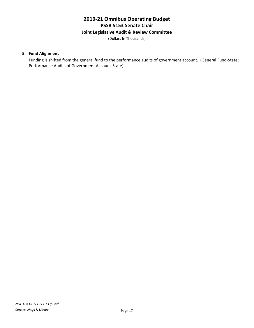#### **Joint Legislative Audit & Review Committee**

(Dollars In Thousands)

#### **5. Fund Alignment**

Funding is shifted from the general fund to the performance audits of government account. (General Fund-State; Performance Audits of Government Account-State)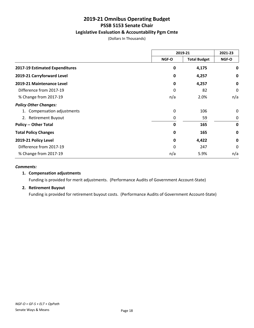# **Legislative Evaluation & Accountability Pgm Cmte**

(Dollars In Thousands)

|                                | 2019-21     |                     | 2021-23     |
|--------------------------------|-------------|---------------------|-------------|
|                                | NGF-O       | <b>Total Budget</b> | NGF-O       |
| 2017-19 Estimated Expenditures | 0           | 4,175               | 0           |
| 2019-21 Carryforward Level     | 0           | 4,257               | 0           |
| 2019-21 Maintenance Level      | 0           | 4,257               | $\mathbf 0$ |
| Difference from 2017-19        | 0           | 82                  | 0           |
| % Change from 2017-19          | n/a         | 2.0%                | n/a         |
| <b>Policy Other Changes:</b>   |             |                     |             |
| 1. Compensation adjustments    | 0           | 106                 | 0           |
| 2. Retirement Buyout           | 0           | 59                  | 0           |
| <b>Policy -- Other Total</b>   | 0           | 165                 | $\mathbf 0$ |
| <b>Total Policy Changes</b>    | $\mathbf 0$ | 165                 | 0           |
| 2019-21 Policy Level           | 0           | 4,422               | $\mathbf 0$ |
| Difference from 2017-19        | 0           | 247                 | 0           |
| % Change from 2017-19          | n/a         | 5.9%                | n/a         |

#### *Comments:*

#### **1. Compensation adjustments**

Funding is provided for merit adjustments. (Performance Audits of Government Account-State)

#### **2. Retirement Buyout**

Funding is provided for retirement buyout costs. (Performance Audits of Government Account-State)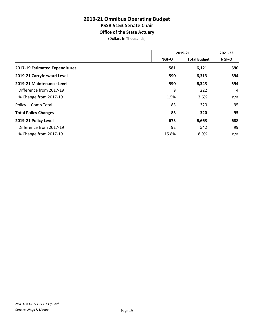# **2019-21 Omnibus Operating Budget PSSB 5153 Senate Chair Office of the State Actuary**

|                                | 2019-21 |                     | 2021-23        |
|--------------------------------|---------|---------------------|----------------|
|                                | NGF-O   | <b>Total Budget</b> | NGF-O          |
| 2017-19 Estimated Expenditures | 581     | 6,121               | 590            |
| 2019-21 Carryforward Level     | 590     | 6,313               | 594            |
| 2019-21 Maintenance Level      | 590     | 6,343               | 594            |
| Difference from 2017-19        | 9       | 222                 | $\overline{4}$ |
| % Change from 2017-19          | 1.5%    | 3.6%                | n/a            |
| Policy -- Comp Total           | 83      | 320                 | 95             |
| <b>Total Policy Changes</b>    | 83      | 320                 | 95             |
| 2019-21 Policy Level           | 673     | 6,663               | 688            |
| Difference from 2017-19        | 92      | 542                 | 99             |
| % Change from 2017-19          | 15.8%   | 8.9%                | n/a            |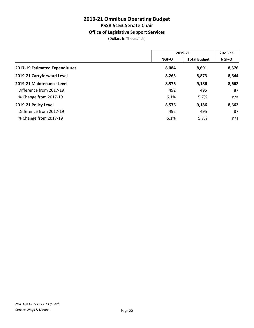# **Office of Legislative Support Services**

|                                | 2019-21      |                     | 2021-23 |  |
|--------------------------------|--------------|---------------------|---------|--|
|                                | <b>NGF-O</b> | <b>Total Budget</b> | NGF-O   |  |
| 2017-19 Estimated Expenditures | 8,084        | 8,691               | 8,576   |  |
| 2019-21 Carryforward Level     | 8,263        | 8,873               | 8,644   |  |
| 2019-21 Maintenance Level      | 8,576        | 9,186               | 8,662   |  |
| Difference from 2017-19        | 492          | 495                 | 87      |  |
| % Change from 2017-19          | 6.1%         | 5.7%                | n/a     |  |
| 2019-21 Policy Level           | 8,576        | 9,186               | 8,662   |  |
| Difference from 2017-19        | 492          | 495                 | 87      |  |
| % Change from 2017-19          | 6.1%         | 5.7%                | n/a     |  |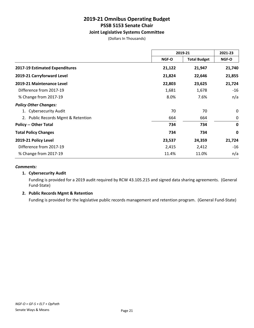### **Joint Legislative Systems Committee**

(Dollars In Thousands)

|                                    | 2019-21                      |        | 2021-23      |  |
|------------------------------------|------------------------------|--------|--------------|--|
|                                    | <b>Total Budget</b><br>NGF-O |        | <b>NGF-O</b> |  |
| 2017-19 Estimated Expenditures     | 21,122                       | 21,947 | 21,740       |  |
| 2019-21 Carryforward Level         | 21,824                       | 22,646 | 21,855       |  |
| 2019-21 Maintenance Level          | 22,803                       | 23,625 | 21,724       |  |
| Difference from 2017-19            | 1,681                        | 1,678  | $-16$        |  |
| % Change from 2017-19              | 8.0%                         | 7.6%   | n/a          |  |
| <b>Policy Other Changes:</b>       |                              |        |              |  |
| 1. Cybersecurity Audit             | 70                           | 70     | 0            |  |
| 2. Public Records Mgmt & Retention | 664                          | 664    | 0            |  |
| <b>Policy -- Other Total</b>       | 734                          | 734    | $\mathbf 0$  |  |
| <b>Total Policy Changes</b>        | 734                          | 734    | 0            |  |
| 2019-21 Policy Level               | 23,537                       | 24,359 | 21,724       |  |
| Difference from 2017-19            | 2,415                        | 2,412  | $-16$        |  |
| % Change from 2017-19              | 11.4%                        | 11.0%  | n/a          |  |

#### *Comments:*

#### **1. Cybersecurity Audit**

Funding is provided for a 2019 audit required by RCW 43.105.215 and signed data sharing agreements. (General Fund-State)

#### **2. Public Records Mgmt & Retention**

Funding is provided for the legislative public records management and retention program. (General Fund-State)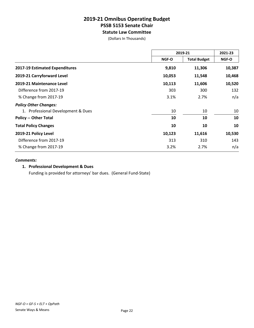# **2019-21 Omnibus Operating Budget PSSB 5153 Senate Chair Statute Law Committee**

(Dollars In Thousands)

|                                    | 2019-21 |                     | 2021-23 |
|------------------------------------|---------|---------------------|---------|
|                                    | NGF-O   | <b>Total Budget</b> | NGF-O   |
| 2017-19 Estimated Expenditures     | 9,810   | 11,306              | 10,387  |
| 2019-21 Carryforward Level         | 10,053  | 11,548              | 10,468  |
| 2019-21 Maintenance Level          | 10,113  | 11,606              | 10,520  |
| Difference from 2017-19            | 303     | 300                 | 132     |
| % Change from 2017-19              | 3.1%    | 2.7%                | n/a     |
| <b>Policy Other Changes:</b>       |         |                     |         |
| 1. Professional Development & Dues | 10      | 10                  | 10      |
| <b>Policy -- Other Total</b>       | 10      | 10                  | 10      |
| <b>Total Policy Changes</b>        | 10      | 10                  | 10      |
| 2019-21 Policy Level               | 10,123  | 11,616              | 10,530  |
| Difference from 2017-19            | 313     | 310                 | 143     |
| % Change from 2017-19              | 3.2%    | 2.7%                | n/a     |

#### *Comments:*

# **1. Professional Development & Dues**

Funding is provided for attorneys' bar dues. (General Fund-State)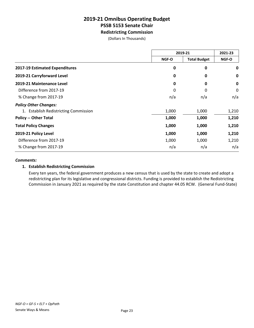# **2019-21 Omnibus Operating Budget PSSB 5153 Senate Chair Redistricting Commission**

(Dollars In Thousands)

|                                       | 2019-21 |                     | 2021-23 |
|---------------------------------------|---------|---------------------|---------|
|                                       | NGF-O   | <b>Total Budget</b> | NGF-O   |
| 2017-19 Estimated Expenditures        | 0       | 0                   | 0       |
| 2019-21 Carryforward Level            | 0       | 0                   | 0       |
| 2019-21 Maintenance Level             | 0       | 0                   | 0       |
| Difference from 2017-19               | 0       | 0                   | 0       |
| % Change from 2017-19                 | n/a     | n/a                 | n/a     |
| <b>Policy Other Changes:</b>          |         |                     |         |
| 1. Establish Redistricting Commission | 1,000   | 1,000               | 1,210   |
| <b>Policy -- Other Total</b>          | 1,000   | 1,000               | 1,210   |
| <b>Total Policy Changes</b>           | 1,000   | 1,000               | 1,210   |
| 2019-21 Policy Level                  | 1,000   | 1,000               | 1,210   |
| Difference from 2017-19               | 1,000   | 1,000               | 1,210   |
| % Change from 2017-19                 | n/a     | n/a                 | n/a     |

#### *Comments:*

#### **1. Establish Redistricting Commission**

Every ten years, the federal government produces a new census that is used by the state to create and adopt a redistricting plan for its legislative and congressional districts. Funding is provided to establish the Redistricting Commission in January 2021 as required by the state Constitution and chapter 44.05 RCW. (General Fund-State)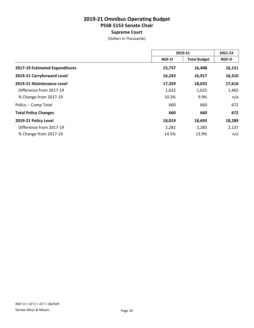# **Supreme Court**

|                                | 2019-21      |                     | 2021-23      |  |
|--------------------------------|--------------|---------------------|--------------|--|
|                                | <b>NGF-O</b> | <b>Total Budget</b> | <b>NGF-O</b> |  |
| 2017-19 Estimated Expenditures | 15,737       | 16,408              | 16,151       |  |
| 2019-21 Carryforward Level     | 16,243       | 16,917              | 16,310       |  |
| 2019-21 Maintenance Level      | 17,359       | 18,033              | 17,616       |  |
| Difference from 2017-19        | 1,622        | 1,625               | 1,465        |  |
| % Change from 2017-19          | 10.3%        | 9.9%                | n/a          |  |
| Policy -- Comp Total           | 660          | 660                 | 672          |  |
| <b>Total Policy Changes</b>    | 660          | 660                 | 672          |  |
| 2019-21 Policy Level           | 18,019       | 18,693              | 18,289       |  |
| Difference from 2017-19        | 2,282        | 2,285               | 2,137        |  |
| % Change from 2017-19          | 14.5%        | 13.9%               | n/a          |  |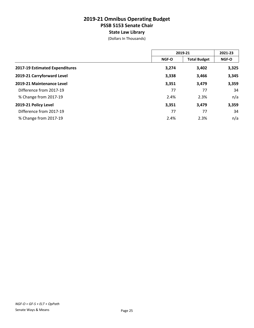# **2019-21 Omnibus Operating Budget PSSB 5153 Senate Chair State Law Library**

|                                | 2019-21      |                     | 2021-23      |
|--------------------------------|--------------|---------------------|--------------|
|                                | <b>NGF-O</b> | <b>Total Budget</b> | <b>NGF-O</b> |
| 2017-19 Estimated Expenditures | 3,274        | 3,402               | 3,325        |
| 2019-21 Carryforward Level     | 3,338        | 3,466               | 3,345        |
| 2019-21 Maintenance Level      | 3,351        | 3,479               | 3,359        |
| Difference from 2017-19        | 77           | 77                  | 34           |
| % Change from 2017-19          | 2.4%         | 2.3%                | n/a          |
| 2019-21 Policy Level           | 3,351        | 3,479               | 3,359        |
| Difference from 2017-19        | 77           | 77                  | 34           |
| % Change from 2017-19          | 2.4%         | 2.3%                | n/a          |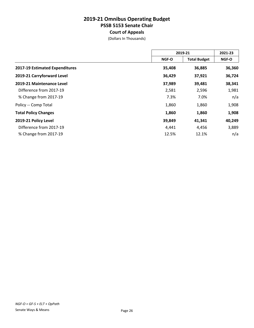**Court of Appeals**

|                                | 2019-21 |                     | 2021-23 |
|--------------------------------|---------|---------------------|---------|
|                                | NGF-O   | <b>Total Budget</b> | NGF-O   |
| 2017-19 Estimated Expenditures | 35,408  | 36,885              | 36,360  |
| 2019-21 Carryforward Level     | 36,429  | 37,921              | 36,724  |
| 2019-21 Maintenance Level      | 37,989  | 39,481              | 38,341  |
| Difference from 2017-19        | 2,581   | 2,596               | 1,981   |
| % Change from 2017-19          | 7.3%    | 7.0%                | n/a     |
| Policy -- Comp Total           | 1,860   | 1,860               | 1,908   |
| <b>Total Policy Changes</b>    | 1,860   | 1,860               | 1,908   |
| 2019-21 Policy Level           | 39,849  | 41,341              | 40,249  |
| Difference from 2017-19        | 4,441   | 4,456               | 3,889   |
| % Change from 2017-19          | 12.5%   | 12.1%               | n/a     |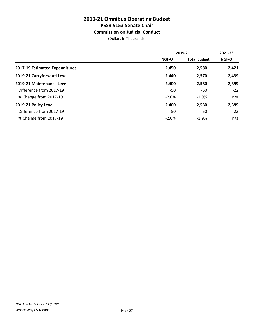# **Commission on Judicial Conduct**

|                                | 2019-21      |                     | 2021-23 |
|--------------------------------|--------------|---------------------|---------|
|                                | <b>NGF-O</b> | <b>Total Budget</b> | NGF-O   |
| 2017-19 Estimated Expenditures | 2,450        | 2,580               | 2,421   |
| 2019-21 Carryforward Level     | 2,440        | 2,570               | 2,439   |
| 2019-21 Maintenance Level      | 2,400        | 2,530               | 2,399   |
| Difference from 2017-19        | -50          | -50                 | $-22$   |
| % Change from 2017-19          | $-2.0%$      | $-1.9%$             | n/a     |
| 2019-21 Policy Level           | 2,400        | 2,530               | 2,399   |
| Difference from 2017-19        | -50          | -50                 | $-22$   |
| % Change from 2017-19          | $-2.0%$      | $-1.9%$             | n/a     |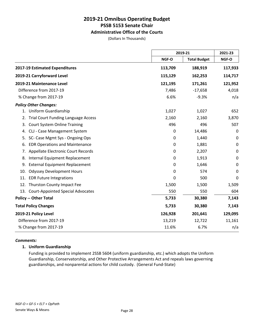# **Administrative Office of the Courts**

(Dollars In Thousands)

|                                                  |         | 2019-21             |             |
|--------------------------------------------------|---------|---------------------|-------------|
|                                                  | NGF-O   | <b>Total Budget</b> | NGF-O       |
| 2017-19 Estimated Expenditures                   | 113,709 | 188,919             | 117,933     |
| 2019-21 Carryforward Level                       | 115,129 | 162,253             | 114,717     |
| 2019-21 Maintenance Level                        | 121,195 | 171,261             | 121,952     |
| Difference from 2017-19                          | 7,486   | $-17,658$           | 4,018       |
| % Change from 2017-19                            | 6.6%    | $-9.3%$             | n/a         |
| <b>Policy Other Changes:</b>                     |         |                     |             |
| 1. Uniform Guardianship                          | 1,027   | 1,027               | 652         |
| <b>Trial Court Funding Language Access</b><br>2. | 2,160   | 2,160               | 3,870       |
| <b>Court System Online Training</b><br>3.        | 496     | 496                 | 507         |
| CLJ - Case Management System<br>4.               | 0       | 14,486              | $\mathbf 0$ |
| SC- Case Mgmt Sys - Ongoing Ops<br>5.            | 0       | 1,440               | $\mathbf 0$ |
| <b>EDR Operations and Maintenance</b><br>6.      | 0       | 1,881               | 0           |
| Appellate Electronic Court Records<br>7.         | 0       | 2,207               | $\mathbf 0$ |
| Internal Equipment Replacement<br>8.             | 0       | 1,913               | 0           |
| <b>External Equipment Replacement</b><br>9.      | 0       | 1,646               | $\mathbf 0$ |
| <b>Odyssey Development Hours</b><br>10.          | 0       | 574                 | $\mathbf 0$ |
| <b>EDR Future Integrations</b><br>11.            | 0       | 500                 | 0           |
| Thurston County Impact Fee<br>12.                | 1,500   | 1,500               | 1,509       |
| 13. Court-Appointed Special Advocates            | 550     | 550                 | 604         |
| <b>Policy -- Other Total</b>                     | 5,733   | 30,380              | 7,143       |
| <b>Total Policy Changes</b>                      | 5,733   | 30,380              | 7,143       |
| 2019-21 Policy Level                             | 126,928 | 201,641             | 129,095     |
| Difference from 2017-19                          | 13,219  | 12,722              | 11,161      |
| % Change from 2017-19                            | 11.6%   | 6.7%                | n/a         |

#### *Comments:*

#### **1. Uniform Guardianship**

Funding is provided to implement 2SSB 5604 (uniform guardianship, etc.) which adopts the Uniform Guardianship, Conservatorship, and Other Protective Arrangements Act and repeals laws governing guardianships, and nonparental actions for child custody. (General Fund-State)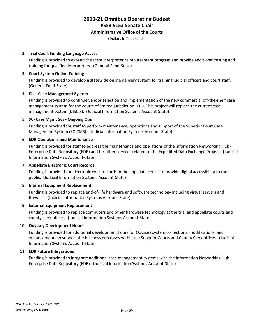#### **Administrative Office of the Courts**

(Dollars In Thousands)

#### **2. Trial Court Funding Language Access**

Funding is provided to expand the state interpreter reimbursement program and provide additional testing and training for qualified interpreters. (General Fund-State)

#### **3. Court System Online Training**

Funding is provided to develop a statewide online delivery system for training judicial officers and court staff. (General Fund-State)

#### **4. CLJ - Case Management System**

Funding is provided to continue vendor selection and implementation of the new commercial off-the-shelf case management system for the courts of limited jurisdiction (CLJ). This project will replace the current case management system (DISCIS). (Judicial Information Systems Account-State)

#### **5. SC- Case Mgmt Sys - Ongoing Ops**

Funding is provided for staff to perform maintenance, operations and support of the Superior Court Case Management System (SC-CMS). (Judicial Information Systems Account-State)

#### **6. EDR Operations and Maintenance**

Funding is provided for staff to address the maintenance and operations of the Information Networking Hub - Enterprise Data Repository (EDR) and for other services related to the Expedited Data Exchange Project. (Judicial Information Systems Account-State)

#### **7. Appellate Electronic Court Records**

Funding is provided for electronic court records in the appellate courts to provide digital accessibility to the public. (Judicial Information Systems Account-State)

#### **8. Internal Equipment Replacement**

Funding is provided to replace end-of-life hardware and software technology including virtual servers and firewalls. (Judicial Information Systems Account-State)

#### **9. External Equipment Replacement**

Funding is provided to replace computers and other hardware technology at the trial and appellate courts and county clerk offices. (Judicial Information Systems Account-State)

#### **10. Odyssey Development Hours**

Funding is provided for additional development hours for Odyssey system corrections, modifications, and enhancements to support the business processes within the Superior Courts and County Clerk offices. (Judicial Information Systems Account-State)

#### **11. EDR Future Integrations**

Funding is provided to integrate additional case management systems with the Information Networking Hub - Enterprise Data Repository (EDR). (Judicial Information Systems Account-State)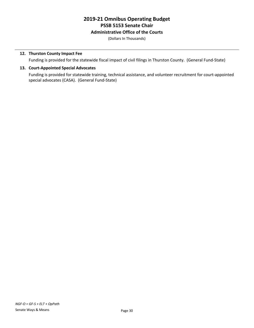# **Administrative Office of the Courts**

(Dollars In Thousands)

### **12. Thurston County Impact Fee**

Funding is provided for the statewide fiscal impact of civil filings in Thurston County. (General Fund-State)

### **13. Court-Appointed Special Advocates**

Funding is provided for statewide training, technical assistance, and volunteer recruitment for court-appointed special advocates (CASA). (General Fund-State)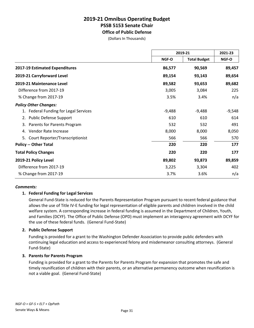# **2019-21 Omnibus Operating Budget PSSB 5153 Senate Chair Office of Public Defense**

(Dollars In Thousands)

|                                       | 2019-21      |                     | 2021-23  |  |
|---------------------------------------|--------------|---------------------|----------|--|
|                                       | <b>NGF-O</b> | <b>Total Budget</b> | NGF-O    |  |
| 2017-19 Estimated Expenditures        | 86,577       | 90,569              | 89,457   |  |
| 2019-21 Carryforward Level            | 89,154       | 93,143              | 89,654   |  |
| 2019-21 Maintenance Level             | 89,582       | 93,653              | 89,682   |  |
| Difference from 2017-19               | 3,005        | 3,084               | 225      |  |
| % Change from 2017-19                 | 3.5%         | 3.4%                | n/a      |  |
| <b>Policy Other Changes:</b>          |              |                     |          |  |
| 1. Federal Funding for Legal Services | $-9,488$     | $-9,488$            | $-9,548$ |  |
| 2. Public Defense Support             | 610          | 610                 | 614      |  |
| 3. Parents for Parents Program        | 532          | 532                 | 491      |  |
| Vendor Rate Increase<br>4.            | 8,000        | 8,000               | 8,050    |  |
| Court Reporter/Transcriptionist<br>5. | 566          | 566                 | 570      |  |
| <b>Policy -- Other Total</b>          | 220          | 220                 | 177      |  |
| <b>Total Policy Changes</b>           | 220          | 220                 | 177      |  |
| 2019-21 Policy Level                  | 89,802       | 93,873              | 89,859   |  |
| Difference from 2017-19               | 3,225        | 3,304               | 402      |  |
| % Change from 2017-19                 | 3.7%         | 3.6%                | n/a      |  |

#### *Comments:*

#### **1. Federal Funding for Legal Services**

General Fund-State is reduced for the Parents Representation Program pursuant to recent federal guidance that allows the use of Title IV-E funding for legal representation of eligible parents and children involved in the child welfare system. A corresponding increase in federal funding is assumed in the Department of Children, Youth, and Families (DCYF). The Office of Public Defense (OPD) must implement an interagency agreement with DCYF for the use of these federal funds. (General Fund-State)

#### **2. Public Defense Support**

Funding is provided for a grant to the Washington Defender Association to provide public defenders with continuing legal education and access to experienced felony and misdemeanor consulting attorneys. (General Fund-State)

#### **3. Parents for Parents Program**

Funding is provided for a grant to the Parents for Parents Program for expansion that promotes the safe and timely reunification of children with their parents, or an alternative permanency outcome when reunification is not a viable goal. (General Fund-State)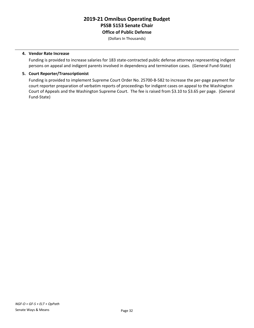# **2019-21 Omnibus Operating Budget PSSB 5153 Senate Chair Office of Public Defense**

(Dollars In Thousands)

#### **4. Vendor Rate Increase**

Funding is provided to increase salaries for 183 state-contracted public defense attorneys representing indigent persons on appeal and indigent parents involved in dependency and termination cases. (General Fund-State)

#### **5. Court Reporter/Transcriptionist**

Funding is provided to implement Supreme Court Order No. 25700-B-582 to increase the per-page payment for court reporter preparation of verbatim reports of proceedings for indigent cases on appeal to the Washington Court of Appeals and the Washington Supreme Court. The fee is raised from \$3.10 to \$3.65 per page. (General Fund-State)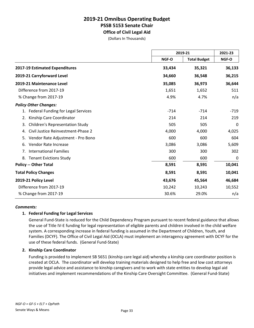# **2019-21 Omnibus Operating Budget PSSB 5153 Senate Chair Office of Civil Legal Aid**

(Dollars In Thousands)

|                                              |        | 2019-21             |        |
|----------------------------------------------|--------|---------------------|--------|
|                                              | NGF-O  | <b>Total Budget</b> | NGF-O  |
| 2017-19 Estimated Expenditures               | 33,434 | 35,321              | 36,133 |
| 2019-21 Carryforward Level                   | 34,660 | 36,548              | 36,215 |
| 2019-21 Maintenance Level                    | 35,085 | 36,973              | 36,644 |
| Difference from 2017-19                      | 1,651  | 1,652               | 511    |
| % Change from 2017-19                        | 4.9%   | 4.7%                | n/a    |
| <b>Policy Other Changes:</b>                 |        |                     |        |
| Federal Funding for Legal Services<br>1.     | $-714$ | $-714$              | $-719$ |
| Kinship Care Coordinator<br>2.               | 214    | 214                 | 219    |
| <b>Children's Representation Study</b><br>3. | 505    | 505                 | 0      |
| Civil Justice Reinvestment-Phase 2<br>4.     | 4,000  | 4,000               | 4,025  |
| Vendor Rate Adjustment - Pro Bono<br>5.      | 600    | 600                 | 604    |
| Vendor Rate Increase<br>6.                   | 3,086  | 3,086               | 5,609  |
| <b>International Families</b><br>7.          | 300    | 300                 | 302    |
| <b>Tenant Evictions Study</b><br>8.          | 600    | 600                 | 0      |
| <b>Policy -- Other Total</b>                 | 8,591  | 8,591               | 10,041 |
| <b>Total Policy Changes</b>                  | 8,591  | 8,591               | 10,041 |
| 2019-21 Policy Level                         | 43,676 | 45,564              | 46,684 |
| Difference from 2017-19                      | 10,242 | 10,243              | 10,552 |
| % Change from 2017-19                        | 30.6%  | 29.0%               | n/a    |

#### *Comments:*

#### **1. Federal Funding for Legal Services**

General Fund-State is reduced for the Child Dependency Program pursuant to recent federal guidance that allows the use of Title IV-E funding for legal representation of eligible parents and children involved in the child welfare system. A corresponding increase in federal funding is assumed in the Department of Children, Youth, and Families (DCYF). The Office of Civil Legal Aid (OCLA) must implement an interagency agreement with DCYF for the use of these federal funds. (General Fund-State)

#### **2. Kinship Care Coordinator**

Funding is provided to implement SB 5651 (kinship care legal aid) whereby a kinship care coordinator position is created at OCLA. The coordinator will develop training materials designed to help free and low cost attorneys provide legal advice and assistance to kinship caregivers and to work with state entities to develop legal aid initiatives and implement recommendations of the Kinship Care Oversight Committee. (General Fund-State)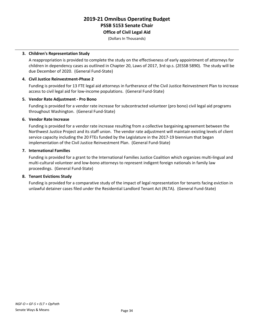# **2019-21 Omnibus Operating Budget PSSB 5153 Senate Chair Office of Civil Legal Aid**

(Dollars In Thousands)

#### **3. Children's Representation Study**

A reappropriation is provided to complete the study on the effectiveness of early appointment of attorneys for children in dependency cases as outlined in Chapter 20, Laws of 2017, 3rd sp.s. (2ESSB 5890). The study will be due December of 2020. (General Fund-State)

#### **4. Civil Justice Reinvestment-Phase 2**

Funding is provided for 13 FTE legal aid attorneys in furtherance of the Civil Justice Reinvestment Plan to increase access to civil legal aid for low-income populations. (General Fund-State)

#### **5. Vendor Rate Adjustment - Pro Bono**

Funding is provided for a vendor rate increase for subcontracted volunteer (pro bono) civil legal aid programs throughout Washington. (General Fund-State)

#### **6. Vendor Rate Increase**

Funding is provided for a vendor rate increase resulting from a collective bargaining agreement between the Northwest Justice Project and its staff union. The vendor rate adjustment will maintain existing levels of client service capacity including the 20 FTEs funded by the Legislature in the 2017-19 biennium that began implementation of the Civil Justice Reinvestment Plan. (General Fund-State)

#### **7. International Families**

Funding is provided for a grant to the International Families Justice Coalition which organizes multi-lingual and multi-cultural volunteer and low-bono attorneys to represent indigent foreign nationals in family law proceedings. (General Fund-State)

#### **8. Tenant Evictions Study**

Funding is provided for a comparative study of the impact of legal representation for tenants facing eviction in unlawful detainer cases filed under the Residential Landlord Tenant Act (RLTA). (General Fund-State)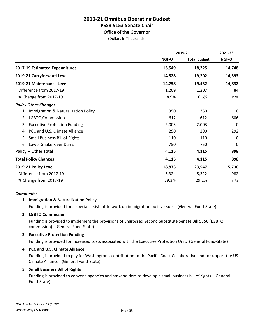# **2019-21 Omnibus Operating Budget PSSB 5153 Senate Chair Office of the Governor**

(Dollars In Thousands)

|                                            |              | 2019-21             |          |
|--------------------------------------------|--------------|---------------------|----------|
|                                            | <b>NGF-O</b> | <b>Total Budget</b> | NGF-O    |
| 2017-19 Estimated Expenditures             | 13,549       | 18,225              | 14,748   |
| 2019-21 Carryforward Level                 | 14,528       | 19,202              | 14,593   |
| 2019-21 Maintenance Level                  | 14,758       | 19,432              | 14,832   |
| Difference from 2017-19                    | 1,209        | 1,207               | 84       |
| % Change from 2017-19                      | 8.9%         | 6.6%                | n/a      |
| <b>Policy Other Changes:</b>               |              |                     |          |
| Immigration & Naturalization Policy        | 350          | 350                 | 0        |
| 2. LGBTQ Commission                        | 612          | 612                 | 606      |
| <b>Executive Protection Funding</b><br>3.  | 2,003        | 2,003               | 0        |
| PCC and U.S. Climate Alliance<br>4.        | 290          | 290                 | 292      |
| <b>Small Business Bill of Rights</b><br>5. | 110          | 110                 | 0        |
| Lower Snake River Dams<br>6.               | 750          | 750                 | $\Omega$ |
| <b>Policy -- Other Total</b>               | 4,115        | 4,115               | 898      |
| <b>Total Policy Changes</b>                | 4,115        | 4,115               | 898      |
| 2019-21 Policy Level                       | 18,873       | 23,547              | 15,730   |
| Difference from 2017-19                    | 5,324        | 5,322               | 982      |
| % Change from 2017-19                      | 39.3%        | 29.2%               | n/a      |

#### *Comments:*

# **1. Immigration & Naturalization Policy**

Funding is provided for a special assistant to work on immigration policy issues. (General Fund-State)

#### **2. LGBTQ Commission**

Funding is provided to implement the provisions of Engrossed Second Substitute Senate Bill 5356 (LGBTQ commission). (General Fund-State)

#### **3. Executive Protection Funding**

Funding is provided for increased costs associated with the Executive Protection Unit. (General Fund-State)

#### **4. PCC and U.S. Climate Alliance**

Funding is provided to pay for Washington's contribution to the Pacific Coast Collaborative and to support the US Climate Alliance. (General Fund-State)

#### **5. Small Business Bill of Rights**

Funding is provided to convene agencies and stakeholders to develop a small business bill of rights. (General Fund-State)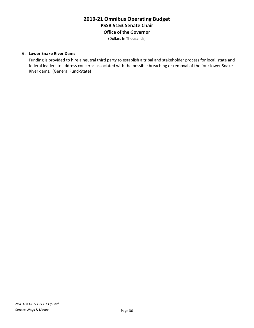# **2019-21 Omnibus Operating Budget PSSB 5153 Senate Chair Office of the Governor**

(Dollars In Thousands)

#### **6. Lower Snake River Dams**

Funding is provided to hire a neutral third party to establish a tribal and stakeholder process for local, state and federal leaders to address concerns associated with the possible breaching or removal of the four lower Snake River dams. (General Fund-State)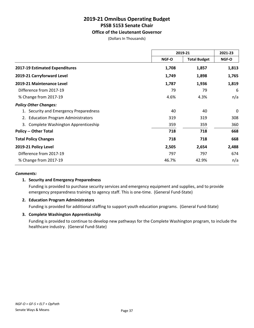# **Office of the Lieutenant Governor**

(Dollars In Thousands)

|                                               | 2019-21 |                     | 2021-23 |
|-----------------------------------------------|---------|---------------------|---------|
|                                               | NGF-O   | <b>Total Budget</b> | NGF-O   |
| 2017-19 Estimated Expenditures                | 1,708   | 1,857               | 1,813   |
| 2019-21 Carryforward Level                    | 1,749   | 1,898               | 1,765   |
| 2019-21 Maintenance Level                     | 1,787   | 1,936               | 1,819   |
| Difference from 2017-19                       | 79      | 79                  | 6       |
| % Change from 2017-19                         | 4.6%    | 4.3%                | n/a     |
| <b>Policy Other Changes:</b>                  |         |                     |         |
| 1. Security and Emergency Preparedness        | 40      | 40                  | 0       |
| <b>Education Program Administrators</b><br>2. | 319     | 319                 | 308     |
| Complete Washington Apprenticeship<br>3.      | 359     | 359                 | 360     |
| <b>Policy -- Other Total</b>                  | 718     | 718                 | 668     |
| <b>Total Policy Changes</b>                   | 718     | 718                 | 668     |
| 2019-21 Policy Level                          | 2,505   | 2,654               | 2,488   |
| Difference from 2017-19                       | 797     | 797                 | 674     |
| % Change from 2017-19                         | 46.7%   | 42.9%               | n/a     |

#### *Comments:*

#### **1. Security and Emergency Preparedness**

Funding is provided to purchase security services and emergency equipment and supplies, and to provide emergency preparedness training to agency staff. This is one-time. (General Fund-State)

#### **2. Education Program Administrators**

Funding is provided for additional staffing to support youth education programs. (General Fund-State)

#### **3. Complete Washington Apprenticeship**

Funding is provided to continue to develop new pathways for the Complete Washington program, to include the healthcare industry. (General Fund-State)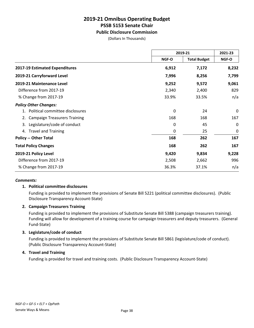# **Public Disclosure Commission**

(Dollars In Thousands)

|                                           | 2019-21      |                     | 2021-23 |
|-------------------------------------------|--------------|---------------------|---------|
|                                           | <b>NGF-O</b> | <b>Total Budget</b> | NGF-O   |
| 2017-19 Estimated Expenditures            | 6,912        | 7,172               | 8,232   |
| 2019-21 Carryforward Level                | 7,996        | 8,256               | 7,799   |
| 2019-21 Maintenance Level                 | 9,252        | 9,572               | 9,061   |
| Difference from 2017-19                   | 2,340        | 2,400               | 829     |
| % Change from 2017-19                     | 33.9%        | 33.5%               | n/a     |
| <b>Policy Other Changes:</b>              |              |                     |         |
| 1. Political committee disclosures        | 0            | 24                  | 0       |
| <b>Campaign Treasurers Training</b><br>2. | 168          | 168                 | 167     |
| Legislature/code of conduct<br>3.         | 0            | 45                  | 0       |
| <b>Travel and Training</b><br>4.          | 0            | 25                  | 0       |
| <b>Policy -- Other Total</b>              | 168          | 262                 | 167     |
| <b>Total Policy Changes</b>               | 168          | 262                 | 167     |
| 2019-21 Policy Level                      | 9,420        | 9,834               | 9,228   |
| Difference from 2017-19                   | 2,508        | 2,662               | 996     |
| % Change from 2017-19                     | 36.3%        | 37.1%               | n/a     |

#### *Comments:*

#### **1. Political committee disclosures**

Funding is provided to implement the provisions of Senate Bill 5221 (political committee disclosures). (Public Disclosure Transparency Account-State)

#### **2. Campaign Treasurers Training**

Funding is provided to implement the provisions of Substitute Senate Bill 5388 (campaign treasurers training). Funding will allow for development of a training course for campaign treasurers and deputy treasurers. (General Fund-State)

#### **3. Legislature/code of conduct**

Funding is provided to implement the provisions of Substitute Senate Bill 5861 (legislature/code of conduct). (Public Disclosure Transparency Account-State)

#### **4. Travel and Training**

Funding is provided for travel and training costs. (Public Disclosure Transparency Account-State)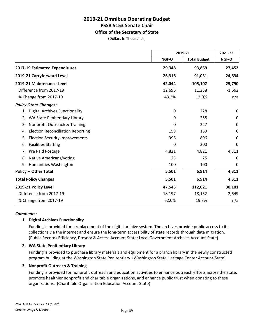# **Office of the Secretary of State**

(Dollars In Thousands)

|                                                |             | 2019-21             |             |
|------------------------------------------------|-------------|---------------------|-------------|
|                                                | NGF-O       | <b>Total Budget</b> | NGF-O       |
| 2017-19 Estimated Expenditures                 | 29,348      | 93,869              | 27,452      |
| 2019-21 Carryforward Level                     | 26,316      | 91,031              | 24,634      |
| 2019-21 Maintenance Level                      | 42,044      | 105,107             | 25,790      |
| Difference from 2017-19                        | 12,696      | 11,238              | $-1,662$    |
| % Change from 2017-19                          | 43.3%       | 12.0%               | n/a         |
| <b>Policy Other Changes:</b>                   |             |                     |             |
| <b>Digital Archives Functionality</b>          | $\mathbf 0$ | 228                 | $\mathbf 0$ |
| WA State Penitentiary Library<br>2.            | 0           | 258                 | 0           |
| Nonprofit Outreach & Training<br>3.            | 0           | 227                 | $\mathbf 0$ |
| <b>Election Reconciliation Reporting</b><br>4. | 159         | 159                 | $\mathbf 0$ |
| <b>Election Security Improvements</b><br>5.    | 396         | 896                 | 0           |
| <b>Facilities Staffing</b><br>6.               | 0           | 200                 | 0           |
| Pre Paid Postage<br>7.                         | 4,821       | 4,821               | 4,311       |
| Native Americans/voting<br>8.                  | 25          | 25                  | $\mathbf 0$ |
| <b>Humanities Washington</b><br>9.             | 100         | 100                 | $\mathbf 0$ |
| <b>Policy -- Other Total</b>                   | 5,501       | 6,914               | 4,311       |
| <b>Total Policy Changes</b>                    | 5,501       | 6,914               | 4,311       |
| 2019-21 Policy Level                           | 47,545      | 112,021             | 30,101      |
| Difference from 2017-19                        | 18,197      | 18,152              | 2,649       |
| % Change from 2017-19                          | 62.0%       | 19.3%               | n/a         |

#### *Comments:*

#### **1. Digital Archives Functionality**

Funding is provided for a replacement of the digital archive system. The archives provide public access to its collections via the internet and ensure the long-term accessibility of state records through data migration. (Public Records Efficiency, Preserv & Access Account-State; Local Government Archives Account-State)

#### **2. WA State Penitentiary Library**

Funding is provided to purchase library materials and equipment for a branch library in the newly constructed program building at the Washington State Penitentiary (Washington State Heritage Center Account-State)

#### **3. Nonprofit Outreach & Training**

Funding is provided for nonprofit outreach and education activities to enhance outreach efforts across the state, promote healthier nonprofit and charitable organizations, and enhance public trust when donating to these organizations. (Charitable Organization Education Account-State)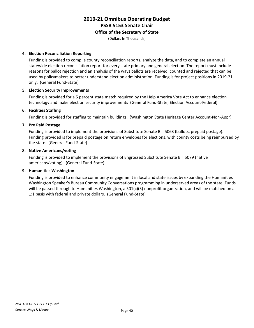### **Office of the Secretary of State**

(Dollars In Thousands)

### **4. Election Reconciliation Reporting**

Funding is provided to compile county reconciliation reports, analyze the data, and to complete an annual statewide election reconciliation report for every state primary and general election. The report must include reasons for ballot rejection and an analysis of the ways ballots are received, counted and rejected that can be used by policymakers to better understand election administration. Funding is for project positions in 2019-21 only. (General Fund-State)

# **5. Election Security Improvements**

Funding is provided for a 5 percent state match required by the Help America Vote Act to enhance election technology and make election security improvements (General Fund-State; Election Account-Federal)

# **6. Facilities Staffing**

Funding is provided for staffing to maintain buildings. (Washington State Heritage Center Account-Non-Appr)

# **7. Pre Paid Postage**

Funding is provided to implement the provisions of Substitute Senate Bill 5063 (ballots, prepaid postage). Funding provided is for prepaid postage on return envelopes for elections, with county costs being reimbursed by the state. (General Fund-State)

#### **8. Native Americans/voting**

Funding is provided to implement the provisions of Engrossed Substitute Senate Bill 5079 (native americans/voting). (General Fund-State)

## **9. Humanities Washington**

Funding is provided to enhance community engagement in local and state issues by expanding the Humanities Washington Speaker's Bureau Community Conversations programming in underserved areas of the state. Funds will be passed through to Humanities Washington, a 501(c)(3) nonprofit organization, and will be matched on a 1:1 basis with federal and private dollars. (General Fund-State)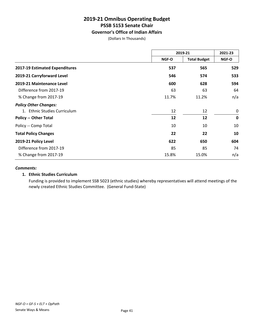# **Governor's Office of Indian Affairs**

(Dollars In Thousands)

|                                | 2019-21                      |       | 2021-23     |  |
|--------------------------------|------------------------------|-------|-------------|--|
|                                | <b>Total Budget</b><br>NGF-O | NGF-O |             |  |
| 2017-19 Estimated Expenditures | 537                          | 565   | 529         |  |
| 2019-21 Carryforward Level     | 546                          | 574   | 533         |  |
| 2019-21 Maintenance Level      | 600                          | 628   | 594         |  |
| Difference from 2017-19        | 63                           | 63    | 64          |  |
| % Change from 2017-19          | 11.7%                        | 11.2% | n/a         |  |
| <b>Policy Other Changes:</b>   |                              |       |             |  |
| 1. Ethnic Studies Curriculum   | 12                           | 12    | 0           |  |
| <b>Policy -- Other Total</b>   | 12                           | 12    | $\mathbf 0$ |  |
| Policy -- Comp Total           | 10                           | 10    | 10          |  |
| <b>Total Policy Changes</b>    | 22                           | 22    | 10          |  |
| 2019-21 Policy Level           | 622                          | 650   | 604         |  |
| Difference from 2017-19        | 85                           | 85    | 74          |  |
| % Change from 2017-19          | 15.8%                        | 15.0% | n/a         |  |

#### *Comments:*

#### **1. Ethnic Studies Curriculum**

Funding is provided to implement SSB 5023 (ethnic studies) whereby representatives will attend meetings of the newly created Ethnic Studies Committee. (General Fund-State)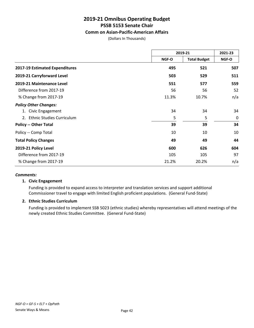# **Comm on Asian-Pacific-American Affairs**

(Dollars In Thousands)

|                                        | 2019-21 |                     | 2021-23 |
|----------------------------------------|---------|---------------------|---------|
|                                        | NGF-O   | <b>Total Budget</b> | NGF-O   |
| 2017-19 Estimated Expenditures         | 495     | 521                 | 507     |
| 2019-21 Carryforward Level             | 503     | 529                 | 511     |
| 2019-21 Maintenance Level              | 551     | 577                 | 559     |
| Difference from 2017-19                | 56      | 56                  | 52      |
| % Change from 2017-19                  | 11.3%   | 10.7%               | n/a     |
| <b>Policy Other Changes:</b>           |         |                     |         |
| Civic Engagement<br>1.                 | 34      | 34                  | 34      |
| <b>Ethnic Studies Curriculum</b><br>2. | 5       | 5                   | 0       |
| <b>Policy -- Other Total</b>           | 39      | 39                  | 34      |
| Policy -- Comp Total                   | 10      | 10                  | 10      |
| <b>Total Policy Changes</b>            | 49      | 49                  | 44      |
| 2019-21 Policy Level                   | 600     | 626                 | 604     |
| Difference from 2017-19                | 105     | 105                 | 97      |
| % Change from 2017-19                  | 21.2%   | 20.2%               | n/a     |

#### *Comments:*

#### **1. Civic Engagement**

Funding is provided to expand access to interpreter and translation services and support additional Commissioner travel to engage with limited English proficient populations. (General Fund-State)

## **2. Ethnic Studies Curriculum**

Funding is provided to implement SSB 5023 (ethnic studies) whereby representatives will attend meetings of the newly created Ethnic Studies Committee. (General Fund-State)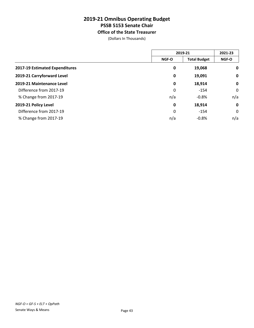**Office of the State Treasurer**

(Dollars In Thousands)

|                                | 2019-21     |                     | 2021-23     |
|--------------------------------|-------------|---------------------|-------------|
|                                | NGF-O       | <b>Total Budget</b> | NGF-O       |
| 2017-19 Estimated Expenditures | 0           | 19,068              | $\mathbf 0$ |
| 2019-21 Carryforward Level     | 0           | 19,091              | $\mathbf 0$ |
| 2019-21 Maintenance Level      | 0           | 18,914              | $\mathbf 0$ |
| Difference from 2017-19        | 0           | $-154$              | $\mathbf 0$ |
| % Change from 2017-19          | n/a         | $-0.8%$             | n/a         |
| 2019-21 Policy Level           | $\mathbf 0$ | 18,914              | $\mathbf 0$ |
| Difference from 2017-19        | 0           | $-154$              | $\mathbf 0$ |
| % Change from 2017-19          | n/a         | $-0.8%$             | n/a         |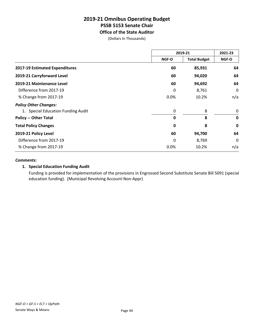# **2019-21 Omnibus Operating Budget PSSB 5153 Senate Chair Office of the State Auditor**

(Dollars In Thousands)

|                                    | 2019-21      |                     | 2021-23     |
|------------------------------------|--------------|---------------------|-------------|
|                                    | NGF-O        | <b>Total Budget</b> | NGF-O       |
| 2017-19 Estimated Expenditures     | 60           | 85,931              | 64          |
| 2019-21 Carryforward Level         | 60           | 94,020              | 64          |
| 2019-21 Maintenance Level          | 60           | 94,692              | 64          |
| Difference from 2017-19            | 0            | 8,761               | 0           |
| % Change from 2017-19              | 0.0%         | 10.2%               | n/a         |
| <b>Policy Other Changes:</b>       |              |                     |             |
| 1. Special Education Funding Audit | 0            | 8                   | 0           |
| <b>Policy -- Other Total</b>       | $\mathbf{0}$ | 8                   | $\mathbf 0$ |
| <b>Total Policy Changes</b>        | 0            | 8                   | $\mathbf 0$ |
| 2019-21 Policy Level               | 60           | 94,700              | 64          |
| Difference from 2017-19            | 0            | 8,769               | 0           |
| % Change from 2017-19              | $0.0\%$      | 10.2%               | n/a         |

#### *Comments:*

# **1. Special Education Funding Audit**

Funding is provided for implementation of the provisions in Engrossed Second Substitute Senate Bill 5091 (special education funding). (Municipal Revolving Account-Non-Appr)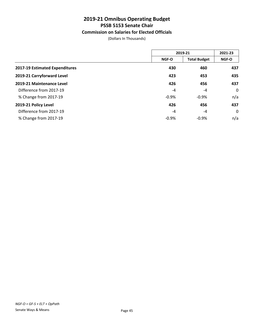# **Commission on Salaries for Elected Officials**

(Dollars In Thousands)

|                                | 2019-21      |                     | 2021-23      |
|--------------------------------|--------------|---------------------|--------------|
|                                | <b>NGF-O</b> | <b>Total Budget</b> | <b>NGF-O</b> |
| 2017-19 Estimated Expenditures | 430          | 460                 | 437          |
| 2019-21 Carryforward Level     | 423          | 453                 | 435          |
| 2019-21 Maintenance Level      | 426          | 456                 | 437          |
| Difference from 2017-19        | $-4$         | $-4$                | $\mathbf 0$  |
| % Change from 2017-19          | $-0.9%$      | $-0.9%$             | n/a          |
| 2019-21 Policy Level           | 426          | 456                 | 437          |
| Difference from 2017-19        | $-4$         | $-4$                | $\mathbf 0$  |
| % Change from 2017-19          | $-0.9%$      | $-0.9%$             | n/a          |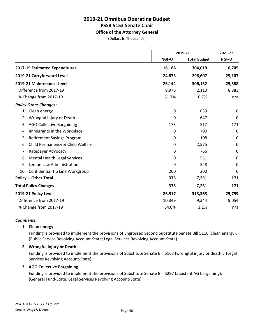# **Office of the Attorney General**

(Dollars In Thousands)

|                                           |        | 2019-21             |             |
|-------------------------------------------|--------|---------------------|-------------|
|                                           | NGF-O  | <b>Total Budget</b> | NGF-O       |
| 2017-19 Estimated Expenditures            | 16,168 | 304,019             | 16,705      |
| 2019-21 Carryforward Level                | 24,873 | 296,607             | 25,107      |
| 2019-21 Maintenance Level                 | 26,144 | 306,132             | 25,588      |
| Difference from 2017-19                   | 9,976  | 2,113               | 8,883       |
| % Change from 2017-19                     | 61.7%  | 0.7%                | n/a         |
| <b>Policy Other Changes:</b>              |        |                     |             |
| 1. Clean energy                           | 0      | 639                 | 0           |
| Wrongful Injury or Death<br>2.            | 0      | 647                 | $\mathbf 0$ |
| <b>AGO Collective Bargaining</b><br>3.    | 173    | 517                 | 171         |
| Immigrants in the Workplace<br>4.         | 0      | 700                 | 0           |
| <b>Retirement Savings Program</b><br>5.   | 0      | 108                 | 0           |
| Child Permanency & Child Welfare<br>6.    | 0      | 2,575               | $\mathbf 0$ |
| Ratepayer Advocacy<br>7.                  | 0      | 766                 | $\mathbf 0$ |
| <b>Mental Health Legal Services</b><br>8. | 0      | 551                 | 0           |
| Lemon Law Administration<br>9.            | 0      | 528                 | $\mathbf 0$ |
| 10. Confidential Tip Line Workgroup       | 200    | 200                 | $\mathbf 0$ |
| <b>Policy -- Other Total</b>              | 373    | 7,231               | 171         |
| <b>Total Policy Changes</b>               | 373    | 7,231               | 171         |
| 2019-21 Policy Level                      | 26,517 | 313,363             | 25,759      |
| Difference from 2017-19                   | 10,349 | 9,344               | 9,054       |
| % Change from 2017-19                     | 64.0%  | 3.1%                | n/a         |

#### *Comments:*

#### **1. Clean energy**

Funding is provided to implement the provisions of Engrossed Second Substitute Senate Bill 5116 (clean energy). (Public Service Revolving Account-State; Legal Services Revolving Account-State)

### **2. Wrongful Injury or Death**

Funding is provided to implement the provisions of Substitute Senate Bill 5163 (wrongful injury or death). (Legal Services Revolving Account-State)

#### **3. AGO Collective Bargaining**

Funding is provided to implement the provisions of Substitute Senate Bill 5297 (assistant AG bargaining). (General Fund-State; Legal Services Revolving Account-State)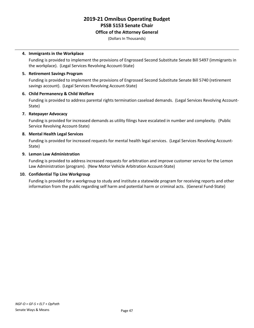### **Office of the Attorney General**

(Dollars In Thousands)

### **4. Immigrants in the Workplace**

Funding is provided to implement the provisions of Engrossed Second Substitute Senate Bill 5497 (immigrants in the workplace). (Legal Services Revolving Account-State)

### **5. Retirement Savings Program**

Funding is provided to implement the provisions of Engrossed Second Substitute Senate Bill 5740 (retirement savings account). (Legal Services Revolving Account-State)

# **6. Child Permanency & Child Welfare**

Funding is provided to address parental rights termination caseload demands. (Legal Services Revolving Account-State)

# **7. Ratepayer Advocacy**

Funding is provided for increased demands as utility filings have escalated in number and complexity. (Public Service Revolving Account-State)

#### **8. Mental Health Legal Services**

Funding is provided for increased requests for mental health legal services. (Legal Services Revolving Account-State)

# **9. Lemon Law Administration**

Funding is provided to address increased requests for arbitration and improve customer service for the Lemon Law Administration (program). (New Motor Vehicle Arbitration Account-State)

# **10. Confidential Tip Line Workgroup**

Funding is provided for a workgroup to study and institute a statewide program for receiving reports and other information from the public regarding self harm and potential harm or criminal acts. (General Fund-State)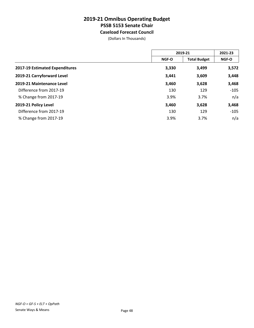# **2019-21 Omnibus Operating Budget PSSB 5153 Senate Chair Caseload Forecast Council**

(Dollars In Thousands)

|                                | 2019-21 |                     | 2021-23      |  |
|--------------------------------|---------|---------------------|--------------|--|
|                                | NGF-O   | <b>Total Budget</b> | <b>NGF-O</b> |  |
| 2017-19 Estimated Expenditures | 3,330   | 3,499               | 3,572        |  |
| 2019-21 Carryforward Level     | 3,441   | 3,609               | 3,448        |  |
| 2019-21 Maintenance Level      | 3,460   | 3,628               | 3,468        |  |
| Difference from 2017-19        | 130     | 129                 | $-105$       |  |
| % Change from 2017-19          | 3.9%    | 3.7%                | n/a          |  |
| 2019-21 Policy Level           | 3,460   | 3,628               | 3,468        |  |
| Difference from 2017-19        | 130     | 129                 | $-105$       |  |
| % Change from 2017-19          | 3.9%    | 3.7%                | n/a          |  |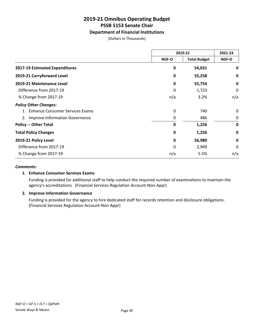# **Department of Financial Institutions**

(Dollars In Thousands)

|                                        | 2019-21                      |        | 2021-23     |
|----------------------------------------|------------------------------|--------|-------------|
|                                        | NGF-O<br><b>Total Budget</b> | NGF-O  |             |
| 2017-19 Estimated Expenditures         | 0                            | 54,031 | 0           |
| 2019-21 Carryforward Level             | 0                            | 55,258 | 0           |
| 2019-21 Maintenance Level              | 0                            | 55,754 | $\mathbf 0$ |
| Difference from 2017-19                | 0                            | 1,723  | 0           |
| % Change from 2017-19                  | n/a                          | 3.2%   | n/a         |
| <b>Policy Other Changes:</b>           |                              |        |             |
| <b>Enhance Consumer Services Exams</b> | 0                            | 740    | 0           |
| 2. Improve Information Governance      | 0                            | 486    | 0           |
| <b>Policy -- Other Total</b>           | 0                            | 1,226  | $\mathbf 0$ |
| <b>Total Policy Changes</b>            | 0                            | 1,226  | 0           |
| 2019-21 Policy Level                   | 0                            | 56,980 | $\mathbf 0$ |
| Difference from 2017-19                | 0                            | 2,949  | 0           |
| % Change from 2017-19                  | n/a                          | 5.5%   | n/a         |

#### *Comments:*

# **1. Enhance Consumer Services Exams**

Funding is provided for additional staff to help conduct the required number of examinations to maintain the agency's accreditations. (Financial Services Regulation Account-Non-Appr)

#### **2. Improve Information Governance**

Funding is provided for the agency to hire dedicated staff for records retention and disclosure obligations. (Financial Services Regulation Account-Non-Appr)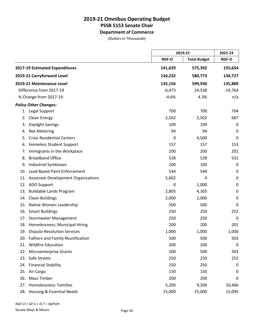**Department of Commerce**

(Dollars In Thousands)

|                                            |          | 2019-21             |             |
|--------------------------------------------|----------|---------------------|-------------|
|                                            | NGF-O    | <b>Total Budget</b> | NGF-O       |
| 2017-19 Estimated Expenditures             | 141,629  | 575,392             | 155,654     |
| 2019-21 Carryforward Level                 | 134,232  | 580,773             | 134,727     |
| 2019-21 Maintenance Level                  | 135,156  | 599,930             | 135,889     |
| Difference from 2017-19                    | $-6,473$ | 24,538              | $-19,764$   |
| % Change from 2017-19                      | $-4.6%$  | 4.3%                | n/a         |
| <b>Policy Other Changes:</b>               |          |                     |             |
| 1. Legal Support                           | 700      | 700                 | 704         |
| Clean Energy<br>2.                         | 2,502    | 2,502               | 687         |
| Daylight Savings<br>3.                     | 109      | 109                 | 0           |
| Net-Metering<br>4.                         | 94       | 94                  | 0           |
| <b>Crisis Residential Centers</b><br>5.    | 0        | 4,500               | 0           |
| <b>Homeless Student Support</b><br>6.      | 157      | 157                 | 153         |
| Immigrants in the Workplace<br>7.          | 200      | 200                 | 201         |
| <b>Broadband Office</b><br>8.              | 528      | 528                 | 531         |
| <b>Industrial Symbioses</b><br>9.          | 100      | 100                 | 0           |
| <b>Lead Based Paint Enforcement</b><br>10. | 544      | 544                 | 0           |
| 11. Associate Development Organizations    | 5,602    | 0                   | $\pmb{0}$   |
| 12. ADO Support                            | 0        | 1,000               | 0           |
| <b>Buildable Lands Program</b><br>13.      | 2,805    | 4,305               | 0           |
| <b>Clean Buildings</b><br>14.              | 2,000    | 2,000               | 0           |
| 15. Native Women Leadership                | 500      | 500                 | 0           |
| 16. Smart Buildings                        | 250      | 250                 | 252         |
| <b>Stormwater Management</b><br>17.        | 250      | 250                 | $\mathbf 0$ |
| 18. Homelessness: Municipal Hiring         | 200      | 200                 | 201         |
| 19. Dispute Resolution Services            | 1,000    | 1,000               | 1,006       |
| 20. Fathers and Family Reunification       | 500      | 500                 | 503         |
| <b>Wildfire Education</b><br>21.           | 200      | 200                 | 0           |
| 22. Microenterprise Grants                 | 500      | 500                 | 503         |
| 23. Safe Streets                           | 250      | 250                 | 252         |
| 24. Financial Stability                    | 250      | 250                 | 0           |
| 25. Air Cargo                              | 150      | 150                 | 0           |
| 26. Mass Timber                            | 200      | 200                 | 0           |
| 27. Homelessness: Families                 | 5,200    | 9,200               | 10,466      |
| 28. Housing & Essential Needs              | 15,000   | 15,000              | 15,095      |

*NGF-O = GF-S + ELT + OpPath*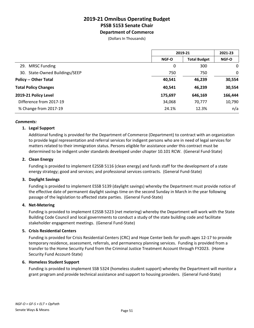# **2019-21 Omnibus Operating Budget PSSB 5153 Senate Chair Department of Commerce**

(Dollars In Thousands)

|                                | 2019-21                      |         | 2021-23 |
|--------------------------------|------------------------------|---------|---------|
|                                | <b>Total Budget</b><br>NGF-O | NGF-O   |         |
| 29. MRSC Funding               | 0                            | 300     | 0       |
| 30. State-Owned Buildings/SEEP | 750                          | 750     | 0       |
| <b>Policy -- Other Total</b>   | 40,541                       | 46,239  | 30,554  |
| <b>Total Policy Changes</b>    | 40,541                       | 46,239  | 30,554  |
| 2019-21 Policy Level           | 175,697                      | 646,169 | 166,444 |
| Difference from 2017-19        | 34,068                       | 70,777  | 10,790  |
| % Change from 2017-19          | 24.1%                        | 12.3%   | n/a     |

#### *Comments:*

#### **1. Legal Support**

Additional funding is provided for the Department of Commerce (Department) to contract with an organization to provide legal representation and referral services for indigent persons who are in need of legal services for matters related to their immigration status. Persons eligible for assistance under this contract must be determined to be indigent under standards developed under chapter 10.101 RCW. (General Fund-State)

#### **2. Clean Energy**

Funding is provided to implement E2SSB 5116 (clean energy) and funds staff for the development of a state energy strategy; good and services; and professional services contracts. (General Fund-State)

#### **3. Daylight Savings**

Funding is provided to implement ESSB 5139 (daylight savings) whereby the Department must provide notice of the effective date of permanent daylight savings time on the second Sunday in March in the year following passage of the legislation to affected state parties. (General Fund-State)

#### **4. Net-Metering**

Funding is provided to implement E2SSB 5223 (net metering) whereby the Department will work with the State Building Code Council and local governments to conduct a study of the state building code and facilitate stakeholder engagement meetings. (General Fund-State)

#### **5. Crisis Residential Centers**

Funding is provided for Crisis Residential Centers (CRC) and Hope Center beds for youth ages 12-17 to provide temporary residence, assessment, referrals, and permanency planning services. Funding is provided from a transfer to the Home Security Fund from the Criminal Justice Treatment Account through FY2023. (Home Security Fund Account-State)

#### **6. Homeless Student Support**

Funding is provided to implement SSB 5324 (homeless student support) whereby the Department will monitor a grant program and provide technical assistance and support to housing providers. (General Fund-State)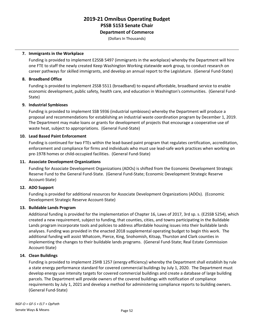**Department of Commerce**

(Dollars In Thousands)

### **7. Immigrants in the Workplace**

Funding is provided to implement E2SSB 5497 (immigrants in the workplace) whereby the Department will hire one FTE to staff the newly created Keep Washington Working statewide work group, to conduct research on career pathways for skilled immigrants, and develop an annual report to the Legislature. (General Fund-State)

# **8. Broadband Office**

Funding is provided to implement 2SSB 5511 (broadband) to expand affordable, broadband service to enable economic development, public safety, health care, and education in Washington's communities. (General Fund-State)

# **9. Industrial Symbioses**

Funding is provided to implement SSB 5936 (industrial symbioses) whereby the Department will produce a proposal and recommendations for establishing an industrial waste coordination program by December 1, 2019. The Department may make loans or grants for development of projects that encourage a cooperative use of waste heat, subject to appropriations. (General Fund-State)

# **10. Lead Based Paint Enforcement**

Funding is continued for two FTEs within the lead-based paint program that regulates certification, accreditation, enforcement and compliance for firms and individuals who must use lead-safe work practices when working on pre-1978 homes or child-occupied facilities. (General Fund-State)

# **11. Associate Development Organizations**

Funding for Associate Development Organizations (ADOs) is shifted from the Economic Development Strategic Reserve Fund to the General Fund-State. (General Fund-State; Economic Development Strategic Reserve Account-State)

# **12. ADO Support**

Funding is provided for additional resources for Associate Development Organizations (ADOs). (Economic Development Strategic Reserve Account-State)

# **13. Buildable Lands Program**

Additional funding is provided for the implementation of Chapter 16, Laws of 2017, 3rd sp. s. (E2SSB 5254), which created a new requirement, subject to funding, that counties, cities, and towns participating in the Buildable Lands program incorporate tools and policies to address affordable housing issues into their buildable lands analyses. Funding was provided in the enacted 2018 supplemental operating budget to begin this work. The additional funding will assist Whatcom, Pierce, King, Snohomish, Kitsap, Thurston and Clark counties in implementing the changes to their buildable lands programs. (General Fund-State; Real Estate Commission Account-State)

#### **14. Clean Buildings**

Funding is provided to implement 2SHB 1257 (energy efficiency) whereby the Department shall establish by rule a state energy performance standard for covered commercial buildings by July 1, 2020. The Department must develop energy use intensity targets for covered commercial buildings and create a database of large building parcels. The Department will provide owners of the covered buildings with notification of compliance requirements by July 1, 2021 and develop a method for administering compliance reports to building owners. (General Fund-State)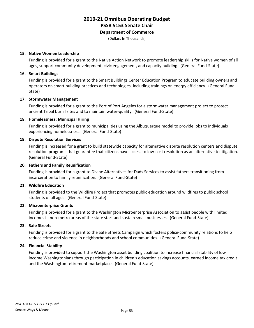# **Department of Commerce**

(Dollars In Thousands)

#### **15. Native Women Leadership**

Funding is provided for a grant to the Native Action Network to promote leadership skills for Native women of all ages, support community development, civic engagement, and capacity building. (General Fund-State)

### **16. Smart Buildings**

Funding is provided for a grant to the Smart Buildings Center Education Program to educate building owners and operators on smart building practices and technologies, including trainings on energy efficiency. (General Fund-State)

# **17. Stormwater Management**

Funding is provided for a grant to the Port of Port Angeles for a stormwater management project to protect ancient Tribal burial sites and to maintain water-quality. (General Fund-State)

# **18. Homelessness: Municipal Hiring**

Funding is provided for a grant to municipalities using the Albuquerque model to provide jobs to individuals experiencing homelessness. (General Fund-State)

# **19. Dispute Resolution Services**

Funding is increased for a grant to build statewide capacity for alternative dispute resolution centers and dispute resolution programs that guarantee that citizens have access to low-cost resolution as an alternative to litigation. (General Fund-State)

### **20. Fathers and Family Reunification**

Funding is provided for a grant to Divine Alternatives for Dads Services to assist fathers transitioning from incarceration to family reunification. (General Fund-State)

# **21. Wildfire Education**

Funding is provided to the Wildfire Project that promotes public education around wildfires to public school students of all ages. (General Fund-State)

#### **22. Microenterprise Grants**

Funding is provided for a grant to the Washington Microenterprise Association to assist people with limited incomes in non-metro areas of the state start and sustain small businesses. (General Fund-State)

#### **23. Safe Streets**

Funding is provided for a grant to the Safe Streets Campaign which fosters police-community relations to help reduce crime and violence in neighborhoods and school communities. (General Fund-State)

#### **24. Financial Stability**

Funding is provided to support the Washington asset building coalition to increase financial stability of low income Washingtonians through participation in children's education savings accounts, earned income tax credit and the Washington retirement marketplace. (General Fund-State)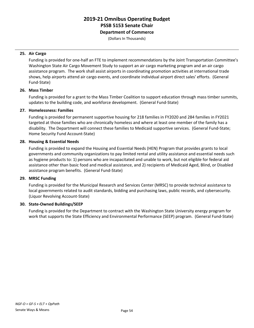**Department of Commerce**

(Dollars In Thousands)

# **25. Air Cargo**

Funding is provided for one-half an FTE to implement recommendations by the Joint Transportation Committee's Washington State Air Cargo Movement Study to support an air cargo marketing program and an air cargo assistance program. The work shall assist airports in coordinating promotion activities at international trade shows, help airports attend air cargo events, and coordinate individual airport direct sales' efforts. (General Fund-State)

# **26. Mass Timber**

Funding is provided for a grant to the Mass Timber Coalition to support education through mass timber summits, updates to the building code, and workforce development. (General Fund-State)

# **27. Homelessness: Families**

Funding is provided for permanent supportive housing for 218 families in FY2020 and 284 families in FY2021 targeted at those families who are chronically homeless and where at least one member of the family has a disability. The Department will connect these families to Medicaid supportive services. (General Fund-State; Home Security Fund Account-State)

# **28. Housing & Essential Needs**

Funding is provided to expand the Housing and Essential Needs (HEN) Program that provides grants to local governments and community organizations to pay limited rental and utility assistance and essential needs such as hygiene products to: 1) persons who are incapacitated and unable to work, but not eligible for federal aid assistance other than basic food and medical assistance, and 2) recipients of Medicaid Aged, Blind, or Disabled assistance program benefits. (General Fund-State)

#### **29. MRSC Funding**

Funding is provided for the Municipal Research and Services Center (MRSC) to provide technical assistance to local governments related to audit standards, bidding and purchasing laws, public records, and cybersecurity. (Liquor Revolving Account-State)

# **30. State-Owned Buildings/SEEP**

Funding is provided for the Department to contract with the Washington State University energy program for work that supports the State Efficiency and Environmental Performance (SEEP) program. (General Fund-State)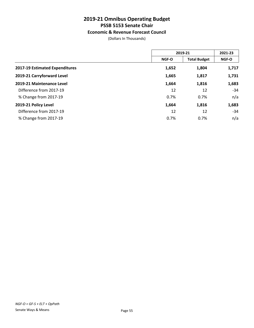# **Economic & Revenue Forecast Council**

(Dollars In Thousands)

|                                | 2019-21      |                     | 2021-23      |
|--------------------------------|--------------|---------------------|--------------|
|                                | <b>NGF-O</b> | <b>Total Budget</b> | <b>NGF-O</b> |
| 2017-19 Estimated Expenditures | 1,652        | 1,804               | 1,717        |
| 2019-21 Carryforward Level     | 1,665        | 1,817               | 1,731        |
| 2019-21 Maintenance Level      | 1,664        | 1,816               | 1,683        |
| Difference from 2017-19        | 12           | 12                  | -34          |
| % Change from 2017-19          | 0.7%         | 0.7%                | n/a          |
| 2019-21 Policy Level           | 1,664        | 1,816               | 1,683        |
| Difference from 2017-19        | 12           | 12                  | -34          |
| % Change from 2017-19          | 0.7%         | 0.7%                | n/a          |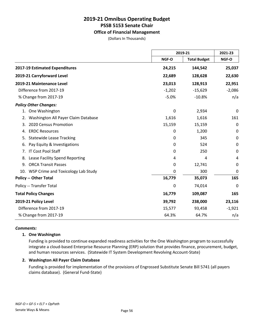# **Office of Financial Management**

(Dollars In Thousands)

|                                           |          | 2019-21             |          |
|-------------------------------------------|----------|---------------------|----------|
|                                           | NGF-O    | <b>Total Budget</b> | NGF-O    |
| 2017-19 Estimated Expenditures            | 24,215   | 144,542             | 25,037   |
| 2019-21 Carryforward Level                | 22,689   | 128,628             | 22,630   |
| 2019-21 Maintenance Level                 | 23,013   | 128,913             | 22,951   |
| Difference from 2017-19                   | $-1,202$ | $-15,629$           | $-2,086$ |
| % Change from 2017-19                     | $-5.0%$  | $-10.8%$            | n/a      |
| <b>Policy Other Changes:</b>              |          |                     |          |
| 1. One Washington                         | 0        | 2,934               | 0        |
| Washington All Payer Claim Database<br>2. | 1,616    | 1,616               | 161      |
| 2020 Census Promotion<br>3.               | 15,159   | 15,159              | 0        |
| <b>ERDC Resources</b><br>4.               | 0        | 1,200               | 0        |
| <b>Statewide Lease Tracking</b><br>5.     | 0        | 345                 | 0        |
| Pay Equity & Investigations<br>6.         | 0        | 524                 | 0        |
| IT Cost Pool Staff<br>7.                  | 0        | 250                 | 0        |
| Lease Facility Spend Reporting<br>8.      | 4        | 4                   | 4        |
| <b>ORCA Transit Passes</b><br>9.          | 0        | 12,741              | 0        |
| 10. WSP Crime and Toxicology Lab Study    | 0        | 300                 | 0        |
| <b>Policy -- Other Total</b>              | 16,779   | 35,073              | 165      |
| Policy -- Transfer Total                  | 0        | 74,014              | 0        |
| <b>Total Policy Changes</b>               | 16,779   | 109,087             | 165      |
| 2019-21 Policy Level                      | 39,792   | 238,000             | 23,116   |
| Difference from 2017-19                   | 15,577   | 93,458              | $-1,921$ |
| % Change from 2017-19                     | 64.3%    | 64.7%               | n/a      |

#### *Comments:*

#### **1. One Washington**

Funding is provided to continue expanded readiness activities for the One Washington program to successfully integrate a cloud-based Enterprise Resource Planning (ERP) solution that provides finance, procurement, budget, and human resources services. (Statewide IT System Development Revolving Account-State)

#### **2. Washington All Payer Claim Database**

Funding is provided for implementation of the provisions of Engrossed Substitute Senate Bill 5741 (all payers claims database). (General Fund-State)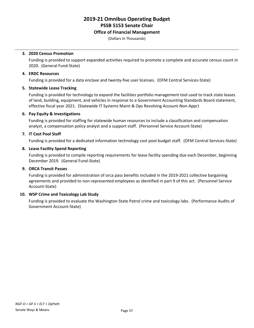### **Office of Financial Management**

(Dollars In Thousands)

#### **3. 2020 Census Promotion**

Funding is provided to support expanded activities required to promote a complete and accurate census count in 2020. (General Fund-State)

### **4. ERDC Resources**

Funding is provided for a data enclave and twenty-five user licenses. (OFM Central Services-State)

# **5. Statewide Lease Tracking**

Funding is provided for technology to expand the facilities portfolio management tool used to track state leases of land, building, equipment, and vehicles in response to a Government Accounting Standards Board statement, effective fiscal year 2021. (Statewide IT Systems Maint & Ops Revolving Account-Non-Appr)

# **6. Pay Equity & Investigations**

Funding is provided for staffing for statewide human resources to include a classification and compensation analyst, a compensation policy analyst and a support staff. (Personnel Service Account-State)

# **7. IT Cost Pool Staff**

Funding is provided for a dedicated information technology cost pool budget staff. (OFM Central Services-State)

#### **8. Lease Facility Spend Reporting**

Funding is provided to compile reporting requirements for lease facility spending due each December, beginning December 2019. (General Fund-State)

### **9. ORCA Transit Passes**

Funding is provided for administration of orca pass benefits included in the 2019-2021 collective bargaining agreements and provided to non-represented employees as identified in part 9 of this act. (Personnel Service Account-State)

#### **10. WSP Crime and Toxicology Lab Study**

Funding is provided to evaluate the Washington State Patrol crime and toxicology labs. (Performance Audits of Government Account-State)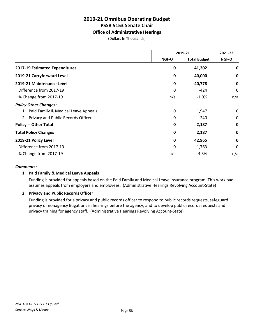# **Office of Administrative Hearings**

(Dollars In Thousands)

|                                        | 2019-21                      |         | 2021-23     |
|----------------------------------------|------------------------------|---------|-------------|
|                                        | <b>Total Budget</b><br>NGF-O | NGF-O   |             |
| 2017-19 Estimated Expenditures         | 0                            | 41,202  | 0           |
| 2019-21 Carryforward Level             | 0                            | 40,000  | 0           |
| 2019-21 Maintenance Level              | 0                            | 40,778  | 0           |
| Difference from 2017-19                | 0                            | $-424$  | 0           |
| % Change from 2017-19                  | n/a                          | $-1.0%$ | n/a         |
| <b>Policy Other Changes:</b>           |                              |         |             |
| 1. Paid Family & Medical Leave Appeals | 0                            | 1,947   | $\Omega$    |
| 2. Privacy and Public Records Officer  | 0                            | 240     | 0           |
| <b>Policy -- Other Total</b>           | 0                            | 2,187   | 0           |
| <b>Total Policy Changes</b>            | $\mathbf 0$                  | 2,187   | 0           |
| 2019-21 Policy Level                   | 0                            | 42,965  | $\mathbf 0$ |
| Difference from 2017-19                | 0                            | 1,763   | $\Omega$    |
| % Change from 2017-19                  | n/a                          | 4.3%    | n/a         |

#### *Comments:*

# **1. Paid Family & Medical Leave Appeals**

Funding is provided for appeals based on the Paid Family and Medical Leave insurance program. This workload assumes appeals from employers and employees. (Administrative Hearings Revolving Account-State)

#### **2. Privacy and Public Records Officer**

Funding is provided for a privacy and public records officer to respond to public records requests, safeguard privacy of nonagency litigations in hearings before the agency, and to develop public records requests and privacy training for agency staff. (Administrative Hearings Revolving Account-State)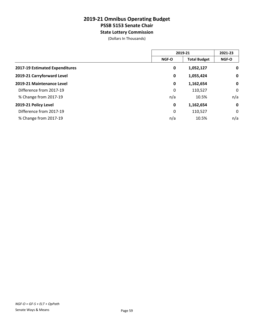**State Lottery Commission**

(Dollars In Thousands)

|                                | 2019-21      |                     | 2021-23      |
|--------------------------------|--------------|---------------------|--------------|
|                                | <b>NGF-O</b> | <b>Total Budget</b> | <b>NGF-O</b> |
| 2017-19 Estimated Expenditures | 0            | 1,052,127           | $\mathbf 0$  |
| 2019-21 Carryforward Level     | $\mathbf 0$  | 1,055,424           | $\mathbf 0$  |
| 2019-21 Maintenance Level      | 0            | 1,162,654           | $\mathbf 0$  |
| Difference from 2017-19        | 0            | 110,527             | 0            |
| % Change from 2017-19          | n/a          | 10.5%               | n/a          |
| 2019-21 Policy Level           | $\mathbf 0$  | 1,162,654           | $\mathbf 0$  |
| Difference from 2017-19        | 0            | 110,527             | 0            |
| % Change from 2017-19          | n/a          | 10.5%               | n/a          |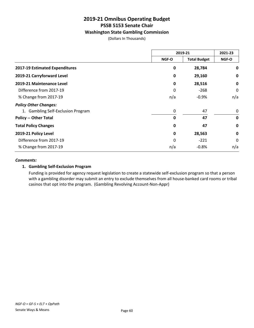# **Washington State Gambling Commission**

(Dollars In Thousands)

|                                    | 2019-21 |                     | 2021-23     |
|------------------------------------|---------|---------------------|-------------|
|                                    | NGF-O   | <b>Total Budget</b> | NGF-O       |
| 2017-19 Estimated Expenditures     | 0       | 28,784              | 0           |
| 2019-21 Carryforward Level         | 0       | 29,160              | 0           |
| 2019-21 Maintenance Level          | 0       | 28,516              | 0           |
| Difference from 2017-19            | 0       | $-268$              | 0           |
| % Change from 2017-19              | n/a     | $-0.9\%$            | n/a         |
| <b>Policy Other Changes:</b>       |         |                     |             |
| 1. Gambling Self-Exclusion Program | 0       | 47                  | 0           |
| <b>Policy -- Other Total</b>       | 0       | 47                  | $\mathbf 0$ |
| <b>Total Policy Changes</b>        | 0       | 47                  | 0           |
| 2019-21 Policy Level               | 0       | 28,563              | 0           |
| Difference from 2017-19            | 0       | $-221$              | 0           |
| % Change from 2017-19              | n/a     | $-0.8%$             | n/a         |

#### *Comments:*

# **1. Gambling Self-Exclusion Program**

Funding is provided for agency request legislation to create a statewide self-exclusion program so that a person with a gambling disorder may submit an entry to exclude themselves from all house-banked card rooms or tribal casinos that opt into the program. (Gambling Revolving Account-Non-Appr)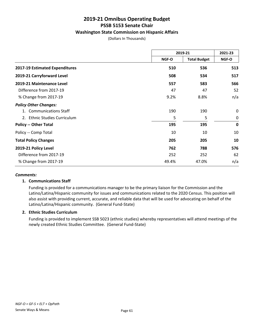# **Washington State Commission on Hispanic Affairs**

(Dollars In Thousands)

|                                        | 2019-21 |                     | 2021-23     |
|----------------------------------------|---------|---------------------|-------------|
|                                        | NGF-O   | <b>Total Budget</b> | NGF-O       |
| 2017-19 Estimated Expenditures         | 510     | 536                 | 513         |
| 2019-21 Carryforward Level             | 508     | 534                 | 517         |
| 2019-21 Maintenance Level              | 557     | 583                 | 566         |
| Difference from 2017-19                | 47      | 47                  | 52          |
| % Change from 2017-19                  | 9.2%    | 8.8%                | n/a         |
| <b>Policy Other Changes:</b>           |         |                     |             |
| <b>Communications Staff</b>            | 190     | 190                 | $\mathbf 0$ |
| <b>Ethnic Studies Curriculum</b><br>2. | 5       | 5                   | $\mathbf 0$ |
| <b>Policy -- Other Total</b>           | 195     | 195                 | $\mathbf 0$ |
| Policy -- Comp Total                   | 10      | 10                  | 10          |
| <b>Total Policy Changes</b>            | 205     | 205                 | 10          |
| 2019-21 Policy Level                   | 762     | 788                 | 576         |
| Difference from 2017-19                | 252     | 252                 | 62          |
| % Change from 2017-19                  | 49.4%   | 47.0%               | n/a         |

#### *Comments:*

#### **1. Communications Staff**

Funding is provided for a communications manager to be the primary liaison for the Commission and the Latino/Latina/Hispanic community for issues and communications related to the 2020 Census. This position will also assist with providing current, accurate, and reliable data that will be used for advocating on behalf of the Latino/Latina/Hispanic community. (General Fund-State)

#### **2. Ethnic Studies Curriculum**

Funding is provided to implement SSB 5023 (ethnic studies) whereby representatives will attend meetings of the newly created Ethnic Studies Committee. (General Fund-State)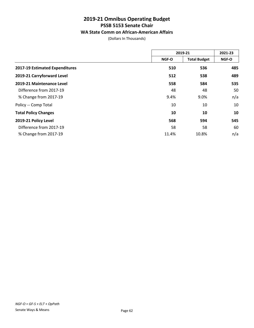# **WA State Comm on African-American Affairs**

(Dollars In Thousands)

|                                |       | 2019-21             |       |
|--------------------------------|-------|---------------------|-------|
|                                | NGF-O | <b>Total Budget</b> | NGF-O |
| 2017-19 Estimated Expenditures | 510   | 536                 | 485   |
| 2019-21 Carryforward Level     | 512   | 538                 | 489   |
| 2019-21 Maintenance Level      | 558   | 584                 | 535   |
| Difference from 2017-19        | 48    | 48                  | 50    |
| % Change from 2017-19          | 9.4%  | 9.0%                | n/a   |
| Policy -- Comp Total           | 10    | 10                  | 10    |
| <b>Total Policy Changes</b>    | 10    | 10                  | 10    |
| 2019-21 Policy Level           | 568   | 594                 | 545   |
| Difference from 2017-19        | 58    | 58                  | 60    |
| % Change from 2017-19          | 11.4% | 10.8%               | n/a   |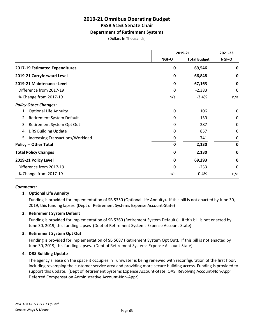# **Department of Retirement Systems**

(Dollars In Thousands)

|                                        | 2019-21     |                     | 2021-23     |
|----------------------------------------|-------------|---------------------|-------------|
|                                        | NGF-O       | <b>Total Budget</b> | NGF-O       |
| 2017-19 Estimated Expenditures         | $\mathbf 0$ | 69,546              | 0           |
| 2019-21 Carryforward Level             | 0           | 66,848              | 0           |
| 2019-21 Maintenance Level              | 0           | 67,163              | $\mathbf 0$ |
| Difference from 2017-19                | 0           | $-2,383$            | 0           |
| % Change from 2017-19                  | n/a         | $-3.4%$             | n/a         |
| <b>Policy Other Changes:</b>           |             |                     |             |
| <b>Optional Life Annuity</b>           | 0           | 106                 | 0           |
| Retirement System Default<br>2.        | 0           | 139                 | 0           |
| Retirement System Opt Out<br>3.        | 0           | 287                 | $\mathbf 0$ |
| <b>DRS Building Update</b><br>4.       | 0           | 857                 | 0           |
| Increasing Transactions/Workload<br>5. | 0           | 741                 | 0           |
| <b>Policy -- Other Total</b>           | $\mathbf 0$ | 2,130               | $\mathbf 0$ |
| <b>Total Policy Changes</b>            | $\mathbf 0$ | 2,130               | $\mathbf 0$ |
| 2019-21 Policy Level                   | $\mathbf 0$ | 69,293              | 0           |
| Difference from 2017-19                | 0           | $-253$              | 0           |
| % Change from 2017-19                  | n/a         | $-0.4%$             | n/a         |

#### *Comments:*

#### **1. Optional Life Annuity**

Funding is provided for implementation of SB 5350 (Optional Life Annuity). If this bill is not enacted by June 30, 2019, this funding lapses (Dept of Retirement Systems Expense Account-State)

#### **2. Retirement System Default**

Funding is provided for implementation of SB 5360 (Retirement System Defaults). If this bill is not enacted by June 30, 2019, this funding lapses (Dept of Retirement Systems Expense Account-State)

#### **3. Retirement System Opt Out**

Funding is provided for implementation of SB 5687 (Retirement System Opt Out). If this bill is not enacted by June 30, 2019, this funding lapses. (Dept of Retirement Systems Expense Account-State)

#### **4. DRS Building Update**

The agency's lease on the space it occupies in Tumwater is being renewed with reconfiguration of the first floor, including revamping the customer service area and providing more secure building access. Funding is provided to support this update. (Dept of Retirement Systems Expense Account-State; OASI Revolving Account-Non-Appr; Deferred Compensation Administrative Account-Non-Appr)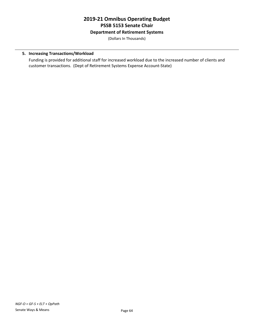**Department of Retirement Systems**

(Dollars In Thousands)

# **5. Increasing Transactions/Workload**

Funding is provided for additional staff for increased workload due to the increased number of clients and customer transactions. (Dept of Retirement Systems Expense Account-State)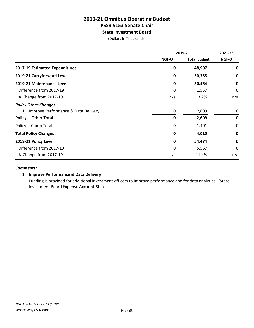**State Investment Board**

(Dollars In Thousands)

|                                        | 2019-21      |                     | 2021-23     |
|----------------------------------------|--------------|---------------------|-------------|
|                                        | NGF-O        | <b>Total Budget</b> | NGF-O       |
| 2017-19 Estimated Expenditures         | 0            | 48,907              | 0           |
| 2019-21 Carryforward Level             | 0            | 50,355              | 0           |
| 2019-21 Maintenance Level              | $\mathbf 0$  | 50,464              | 0           |
| Difference from 2017-19                | 0            | 1,557               | 0           |
| % Change from 2017-19                  | n/a          | 3.2%                | n/a         |
| <b>Policy Other Changes:</b>           |              |                     |             |
| 1. Improve Performance & Data Delivery | 0            | 2,609               | 0           |
| <b>Policy -- Other Total</b>           | $\mathbf{0}$ | 2,609               | $\mathbf 0$ |
| Policy -- Comp Total                   | 0            | 1,401               | 0           |
| <b>Total Policy Changes</b>            | $\mathbf 0$  | 4,010               | $\mathbf 0$ |
| 2019-21 Policy Level                   | 0            | 54,474              | $\mathbf 0$ |
| Difference from 2017-19                | 0            | 5,567               | 0           |
| % Change from 2017-19                  | n/a          | 11.4%               | n/a         |

#### *Comments:*

### **1. Improve Performance & Data Delivery**

Funding is provided for additional investment officers to improve performance and for data analytics. (State Investment Board Expense Account-State)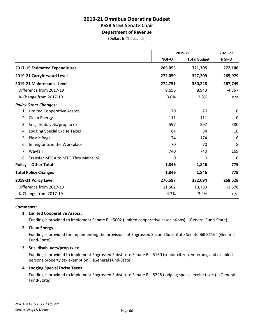**Department of Revenue**

(Dollars In Thousands)

|                                           |         | 2019-21             |          |
|-------------------------------------------|---------|---------------------|----------|
|                                           | NGF-O   | <b>Total Budget</b> | NGF-O    |
| 2017-19 Estimated Expenditures            | 265,095 | 321,305             | 272,106  |
| 2019-21 Carryforward Level                | 272,059 | 327,209             | 265,979  |
| 2019-21 Maintenance Level                 | 274,751 | 330,248             | 267,749  |
| Difference from 2017-19                   | 9,656   | 8,943               | $-4,357$ |
| % Change from 2017-19                     | 3.6%    | 2.8%                | n/a      |
| <b>Policy Other Changes:</b>              |         |                     |          |
| Limited Cooperative Assocs.<br>1.         | 70      | 70                  | 0        |
| Clean Energy<br>2.                        | 111     | 111                 | 0        |
| Sr's, disab. vets/prop tx ex<br>3.        | 597     | 597                 | 580      |
| Lodging Special Excise Taxes<br>4.        | 84      | 84                  | 16       |
| <b>Plastic Bags</b><br>5.                 | 174     | 174                 | 6        |
| Immigrants in the Workplace<br>6.         | 70      | 70                  | 8        |
| Wayfair<br>7.                             | 740     | 740                 | 169      |
| Transfer MTCA to MTO Thru Maint Lvl<br>8. | 0       | 0                   | 0        |
| <b>Policy -- Other Total</b>              | 1,846   | 1,846               | 779      |
| <b>Total Policy Changes</b>               | 1,846   | 1,846               | 779      |
| 2019-21 Policy Level                      | 276,597 | 332,094             | 268,528  |
| Difference from 2017-19                   | 11,502  | 10,789              | $-3,578$ |
| % Change from 2017-19                     | 4.3%    | 3.4%                | n/a      |

#### *Comments:*

#### **1. Limited Cooperative Assocs.**

Funding is provided to implement Senate Bill 5002 (limited cooperative associations). (General Fund-State)

#### **2. Clean Energy**

Funding is provided for implementing the provisions of Engrossed Second Substitute Senate Bill 5116. (General Fund-State)

#### **3. Sr's, disab. vets/prop tx ex**

Funding is provided to implement Engrossed Substitute Senate Bill 5160 (senior citizen, veterans, and disabled persons property tax exemption). (General Fund-State)

#### **4. Lodging Special Excise Taxes**

Funding is provided to implement Engrossed Substitute Senate Bill 5228 (lodging special excise taxes). (General Fund-State)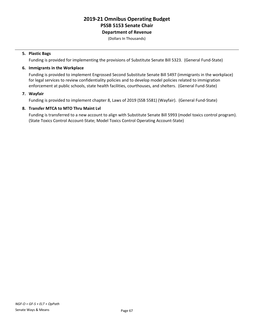**Department of Revenue**

(Dollars In Thousands)

#### **5. Plastic Bags**

Funding is provided for implementing the provisions of Substitute Senate Bill 5323. (General Fund-State)

#### **6. Immigrants in the Workplace**

Funding is provided to implement Engrossed Second Substitute Senate Bill 5497 (immigrants in the workplace) for legal services to review confidentiality policies and to develop model policies related to immigration enforcement at public schools, state health facilities, courthouses, and shelters. (General Fund-State)

#### **7. Wayfair**

Funding is provided to implement chapter 8, Laws of 2019 (SSB 5581) (Wayfair). (General Fund-State)

#### **8. Transfer MTCA to MTO Thru Maint Lvl**

Funding is transferred to a new account to align with Substitute Senate Bill 5993 (model toxics control program). (State Toxics Control Account-State; Model Toxics Control Operating Account-State)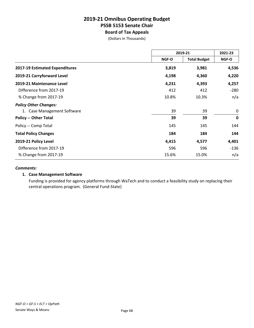### **2019-21 Omnibus Operating Budget PSSB 5153 Senate Chair Board of Tax Appeals**

(Dollars In Thousands)

|                                | 2019-21 |                     | 2021-23     |
|--------------------------------|---------|---------------------|-------------|
|                                | NGF-O   | <b>Total Budget</b> | NGF-O       |
| 2017-19 Estimated Expenditures | 3,819   | 3,981               | 4,536       |
| 2019-21 Carryforward Level     | 4,198   | 4,360               | 4,220       |
| 2019-21 Maintenance Level      | 4,231   | 4,393               | 4,257       |
| Difference from 2017-19        | 412     | 412                 | $-280$      |
| % Change from 2017-19          | 10.8%   | 10.3%               | n/a         |
| <b>Policy Other Changes:</b>   |         |                     |             |
| 1. Case Management Software    | 39      | 39                  | 0           |
| <b>Policy -- Other Total</b>   | 39      | 39                  | $\mathbf 0$ |
| Policy -- Comp Total           | 145     | 145                 | 144         |
| <b>Total Policy Changes</b>    | 184     | 184                 | 144         |
| 2019-21 Policy Level           | 4,415   | 4,577               | 4,401       |
| Difference from 2017-19        | 596     | 596                 | -136        |
| % Change from 2017-19          | 15.6%   | 15.0%               | n/a         |

#### *Comments:*

#### **1. Case Management Software**

Funding is provided for agency platforms through WaTech and to conduct a feasibility study on replacing their central operations program. (General Fund-State)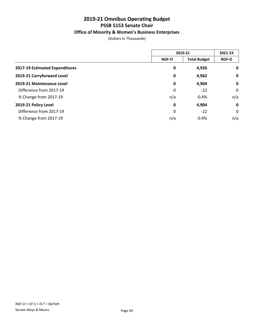### **Office of Minority & Women's Business Enterprises**

(Dollars In Thousands)

|                                | 2019-21      |                     | 2021-23     |
|--------------------------------|--------------|---------------------|-------------|
|                                | <b>NGF-O</b> | <b>Total Budget</b> | NGF-O       |
| 2017-19 Estimated Expenditures | 0            | 4,926               | $\mathbf 0$ |
| 2019-21 Carryforward Level     | 0            | 4,962               | $\mathbf 0$ |
| 2019-21 Maintenance Level      | 0            | 4,904               | $\mathbf 0$ |
| Difference from 2017-19        | 0            | $-22$               | 0           |
| % Change from 2017-19          | n/a          | $-0.4%$             | n/a         |
| 2019-21 Policy Level           | 0            | 4,904               | $\mathbf 0$ |
| Difference from 2017-19        | 0            | $-22$               | 0           |
| % Change from 2017-19          | n/a          | $-0.4%$             | n/a         |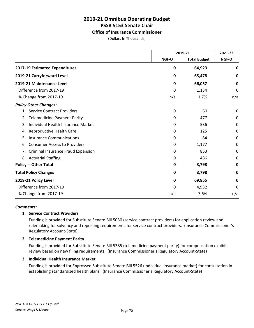#### **Office of Insurance Commissioner**

(Dollars In Thousands)

|                                           | 2019-21 |                     | 2021-23     |  |
|-------------------------------------------|---------|---------------------|-------------|--|
|                                           | NGF-O   | <b>Total Budget</b> | NGF-O       |  |
| 2017-19 Estimated Expenditures            | 0       | 64,923              | 0           |  |
| 2019-21 Carryforward Level                | 0       | 65,478              | 0           |  |
| 2019-21 Maintenance Level                 | 0       | 66,057              | $\mathbf 0$ |  |
| Difference from 2017-19                   | 0       | 1,134               | 0           |  |
| % Change from 2017-19                     | n/a     | 1.7%                | n/a         |  |
| <b>Policy Other Changes:</b>              |         |                     |             |  |
| 1. Service Contract Providers             | 0       | 60                  | 0           |  |
| <b>Telemedicine Payment Parity</b><br>2.  | 0       | 477                 | 0           |  |
| Individual Health Insurance Market<br>3.  | 0       | 536                 | 0           |  |
| Reproductive Health Care<br>4.            | 0       | 125                 | 0           |  |
| <b>Insurance Communications</b><br>5.     | 0       | 84                  | 0           |  |
| <b>Consumer Access to Providers</b><br>6. | 0       | 1,177               | 0           |  |
| Criminal Insurance Fraud Expansion<br>7.  | 0       | 853                 | 0           |  |
| 8. Actuarial Staffing                     | 0       | 486                 | 0           |  |
| <b>Policy -- Other Total</b>              | 0       | 3,798               | 0           |  |
| <b>Total Policy Changes</b>               | 0       | 3,798               | 0           |  |
| 2019-21 Policy Level                      | 0       | 69,855              | 0           |  |
| Difference from 2017-19                   | 0       | 4,932               | $\Omega$    |  |
| % Change from 2017-19                     | n/a     | 7.6%                | n/a         |  |

#### *Comments:*

#### **1. Service Contract Providers**

Funding is provided for Substitute Senate Bill 5030 (service contract providers) for application review and rulemaking for solvency and reporting requirements for service contract providers. (Insurance Commissioner's Regulatory Account-State)

#### **2. Telemedicine Payment Parity**

Funding is provided for Substitute Senate Bill 5385 (telemedicine payment parity) for compensation exhibit review based on new filing requirements. (Insurance Commissioner's Regulatory Account-State)

#### **3. Individual Health Insurance Market**

Funding is provided for Engrossed Substitute Senate Bill 5526 (individual insurance market) for consultation in establishing standardized health plans. (Insurance Commissioner's Regulatory Account-State)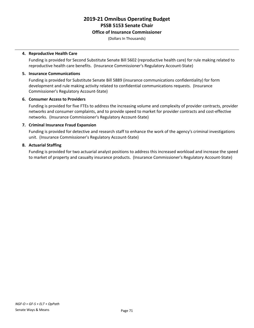#### **Office of Insurance Commissioner**

(Dollars In Thousands)

#### **4. Reproductive Health Care**

Funding is provided for Second Substitute Senate Bill 5602 (reproductive health care) for rule making related to reproductive health care benefits. (Insurance Commissioner's Regulatory Account-State)

#### **5. Insurance Communications**

Funding is provided for Substitute Senate Bill 5889 (insurance communications confidentiality) for form development and rule making activity related to confidential communications requests. (Insurance Commissioner's Regulatory Account-State)

#### **6. Consumer Access to Providers**

Funding is provided for five FTEs to address the increasing volume and complexity of provider contracts, provider networks and consumer complaints, and to provide speed to market for provider contracts and cost-effective networks. (Insurance Commissioner's Regulatory Account-State)

#### **7. Criminal Insurance Fraud Expansion**

Funding is provided for detective and research staff to enhance the work of the agency's criminal investigations unit. (Insurance Commissioner's Regulatory Account-State)

#### **8. Actuarial Staffing**

Funding is provided for two actuarial analyst positions to address this increased workload and increase the speed to market of property and casualty insurance products. (Insurance Commissioner's Regulatory Account-State)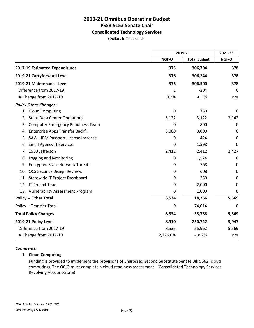#### **Consolidated Technology Services**

(Dollars In Thousands)

|                                                |          | 2019-21             |       |
|------------------------------------------------|----------|---------------------|-------|
|                                                | NGF-O    | <b>Total Budget</b> | NGF-O |
| 2017-19 Estimated Expenditures                 | 375      | 306,704             | 378   |
| 2019-21 Carryforward Level                     | 376      | 306,244             | 378   |
| 2019-21 Maintenance Level                      | 376      | 306,500             | 378   |
| Difference from 2017-19                        | 1        | $-204$              | 0     |
| % Change from 2017-19                          | 0.3%     | $-0.1%$             | n/a   |
| <b>Policy Other Changes:</b>                   |          |                     |       |
| 1. Cloud Computing                             | 0        | 750                 | 0     |
| <b>State Data Center Operations</b><br>2.      | 3,122    | 3,122               | 3,142 |
| <b>Computer Emergency Readiness Team</b><br>3. | 0        | 800                 | 0     |
| <b>Enterprise Apps Transfer Backfill</b><br>4. | 3,000    | 3,000               | 0     |
| SAW - IBM Passport License Increase<br>5.      | 0        | 424                 | 0     |
| <b>Small Agency IT Services</b><br>6.          | 0        | 1,598               | 0     |
| 1500 Jefferson<br>7.                           | 2,412    | 2,412               | 2,427 |
| Logging and Monitoring<br>8.                   | 0        | 1,524               | 0     |
| <b>Encrypted State Network Threats</b><br>9.   | 0        | 768                 | 0     |
| 10. OCS Security Design Reviews                | 0        | 608                 | 0     |
| 11. Statewide IT Project Dashboard             | 0        | 250                 | 0     |
| 12. IT Project Team                            | 0        | 2,000               | 0     |
| 13. Vulnerability Assessment Program           | 0        | 1,000               | 0     |
| <b>Policy -- Other Total</b>                   | 8,534    | 18,256              | 5,569 |
| Policy -- Transfer Total                       | 0        | $-74,014$           | 0     |
| <b>Total Policy Changes</b>                    | 8,534    | $-55,758$           | 5,569 |
| 2019-21 Policy Level                           | 8,910    | 250,742             | 5,947 |
| Difference from 2017-19                        | 8,535    | $-55,962$           | 5,569 |
| % Change from 2017-19                          | 2,276.0% | $-18.2%$            | n/a   |

#### *Comments:*

#### **1. Cloud Computing**

Funding is provided to implement the provisions of Engrossed Second Substitute Senate Bill 5662 (cloud computing). The OCIO must complete a cloud readiness assessment. (Consolidated Technology Services Revolving Account-State)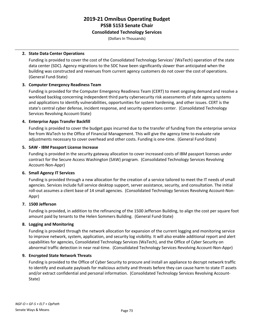#### **Consolidated Technology Services**

(Dollars In Thousands)

#### **2. State Data Center Operations**

Funding is provided to cover the cost of the Consolidated Technology Services' (WaTech) operation of the state data center (SDC). Agency migrations to the SDC have been significantly slower than anticipated when the building was constructed and revenues from current agency customers do not cover the cost of operations. (General Fund-State)

#### **3. Computer Emergency Readiness Team**

Funding is provided for the Computer Emergency Readiness Team (CERT) to meet ongoing demand and resolve a workload backlog concerning independent third party cybersecurity risk assessments of state agency systems and applications to identify vulnerabilities, opportunities for system hardening, and other issues. CERT is the state's central cyber defense, incident response, and security operations center. (Consolidated Technology Services Revolving Account-State)

#### **4. Enterprise Apps Transfer Backfill**

Funding is provided to cover the budget gaps incurred due to the transfer of funding from the enterprise service fee from WaTech to the Office of Financial Management. This will give the agency time to evaluate rate adjustments necessary to cover overhead and other costs. Funding is one-time. (General Fund-State)

#### **5. SAW - IBM Passport License Increase**

Funding is provided in the security gateway allocation to cover increased costs of IBM passport licenses under contract for the Secure Access Washington (SAW) program. (Consolidated Technology Services Revolving Account-Non-Appr)

#### **6. Small Agency IT Services**

Funding is provided through a new allocation for the creation of a service tailored to meet the IT needs of small agencies. Services include full service desktop support, server assistance, security, and consultation. The initial roll-out assumes a client base of 14 small agencies. (Consolidated Technology Services Revolving Account-Non-Appr)

#### **7. 1500 Jefferson**

Funding is provided, in addition to the refinancing of the 1500 Jefferson Building, to align the cost per square foot amount paid by tenants to the Helen Sommers Building. (General Fund-State)

#### **8. Logging and Monitoring**

Funding is provided through the network allocation for expansion of the current logging and monitoring service to improve network, system, application, and security log visibility. It will also enable additional report and alert capabilities for agencies, Consolidated Technology Services (WaTech), and the Office of Cyber Security on abnormal traffic detection in near real-time. (Consolidated Technology Services Revolving Account-Non-Appr)

#### **9. Encrypted State Network Threats**

Funding is provided to the Office of Cyber Security to procure and install an appliance to decrypt network traffic to identify and evaluate payloads for malicious activity and threats before they can cause harm to state IT assets and/or extract confidential and personal information. (Consolidated Technology Services Revolving Account-State)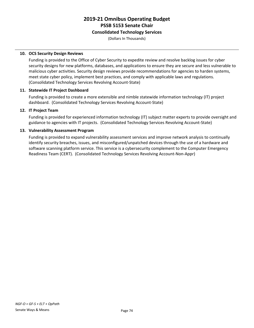#### **Consolidated Technology Services**

(Dollars In Thousands)

#### **10. OCS Security Design Reviews**

Funding is provided to the Office of Cyber Security to expedite review and resolve backlog issues for cyber security designs for new platforms, databases, and applications to ensure they are secure and less vulnerable to malicious cyber activities. Security design reviews provide recommendations for agencies to harden systems, meet state cyber policy, implement best practices, and comply with applicable laws and regulations. (Consolidated Technology Services Revolving Account-State)

#### **11. Statewide IT Project Dashboard**

Funding is provided to create a more extensible and nimble statewide information technology (IT) project dashboard. (Consolidated Technology Services Revolving Account-State)

#### **12. IT Project Team**

Funding is provided for experienced information technology (IT) subject matter experts to provide oversight and guidance to agencies with IT projects. (Consolidated Technology Services Revolving Account-State)

#### **13. Vulnerability Assessment Program**

Funding is provided to expand vulnerability assessment services and improve network analysis to continually identify security breaches, issues, and misconfigured/unpatched devices through the use of a hardware and software scanning platform service. This service is a cybersecurity complement to the Computer Emergency Readiness Team (CERT). (Consolidated Technology Services Revolving Account-Non-Appr)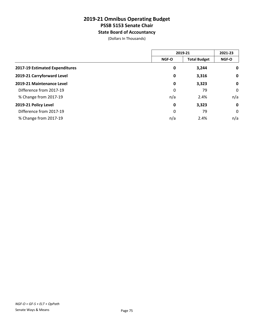**State Board of Accountancy**

(Dollars In Thousands)

|                                | 2019-21      |                     | 2021-23     |
|--------------------------------|--------------|---------------------|-------------|
|                                | <b>NGF-O</b> | <b>Total Budget</b> | NGF-O       |
| 2017-19 Estimated Expenditures | 0            | 3,244               | $\mathbf 0$ |
| 2019-21 Carryforward Level     | 0            | 3,316               | $\mathbf 0$ |
| 2019-21 Maintenance Level      | 0            | 3,323               | $\mathbf 0$ |
| Difference from 2017-19        | 0            | 79                  | 0           |
| % Change from 2017-19          | n/a          | 2.4%                | n/a         |
| 2019-21 Policy Level           | $\mathbf 0$  | 3,323               | $\mathbf 0$ |
| Difference from 2017-19        | 0            | 79                  | $\mathbf 0$ |
| % Change from 2017-19          | n/a          | 2.4%                | n/a         |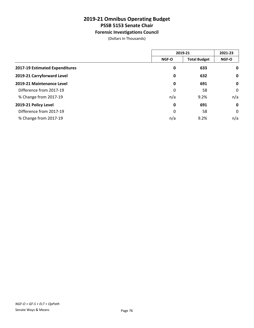### **Forensic Investigations Council**

(Dollars In Thousands)

|                                | 2019-21      |                     | 2021-23     |
|--------------------------------|--------------|---------------------|-------------|
|                                | <b>NGF-O</b> | <b>Total Budget</b> | NGF-O       |
| 2017-19 Estimated Expenditures | 0            | 633                 | $\mathbf 0$ |
| 2019-21 Carryforward Level     | 0            | 632                 | $\mathbf 0$ |
| 2019-21 Maintenance Level      | 0            | 691                 | $\mathbf 0$ |
| Difference from 2017-19        | 0            | 58                  | 0           |
| % Change from 2017-19          | n/a          | 9.2%                | n/a         |
| 2019-21 Policy Level           | 0            | 691                 | $\mathbf 0$ |
| Difference from 2017-19        | 0            | 58                  | $\mathbf 0$ |
| % Change from 2017-19          | n/a          | 9.2%                | n/a         |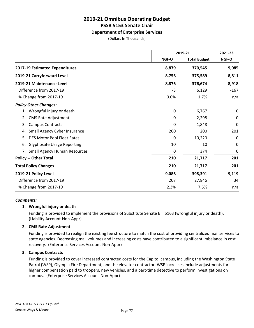#### **Department of Enterprise Services**

(Dollars In Thousands)

|                                           | 2019-21 |                     | 2021-23     |  |
|-------------------------------------------|---------|---------------------|-------------|--|
|                                           | NGF-O   | <b>Total Budget</b> | NGF-O       |  |
| 2017-19 Estimated Expenditures            | 8,879   | 370,545             | 9,085       |  |
| 2019-21 Carryforward Level                | 8,756   | 375,589             | 8,811       |  |
| 2019-21 Maintenance Level                 | 8,876   | 376,674             | 8,918       |  |
| Difference from 2017-19                   | $-3$    | 6,129               | $-167$      |  |
| % Change from 2017-19                     | 0.0%    | 1.7%                | n/a         |  |
| <b>Policy Other Changes:</b>              |         |                     |             |  |
| Wrongful injury or death<br>1.            | 0       | 6,767               | 0           |  |
| <b>CMS Rate Adjustment</b><br>2.          | 0       | 2,298               | 0           |  |
| <b>Campus Contracts</b><br>3.             | 0       | 1,848               | $\mathbf 0$ |  |
| Small Agency Cyber Insurance<br>4.        | 200     | 200                 | 201         |  |
| <b>DES Motor Pool Fleet Rates</b><br>5.   | 0       | 10,220              | 0           |  |
| <b>Glyphosate Usage Reporting</b><br>6.   | 10      | 10                  | 0           |  |
| <b>Small Agency Human Resources</b><br>7. | 0       | 374                 | $\mathbf 0$ |  |
| <b>Policy -- Other Total</b>              | 210     | 21,717              | 201         |  |
| <b>Total Policy Changes</b>               | 210     | 21,717              | 201         |  |
| 2019-21 Policy Level                      | 9,086   | 398,391             | 9,119       |  |
| Difference from 2017-19                   | 207     | 27,846              | 34          |  |
| % Change from 2017-19                     | 2.3%    | 7.5%                | n/a         |  |

#### *Comments:*

#### **1. Wrongful injury or death**

Funding is provided to implement the provisions of Substitute Senate Bill 5163 (wrongful injury or death). (Liability Account-Non-Appr)

#### **2. CMS Rate Adjustment**

Funding is provided to realign the existing fee structure to match the cost of providing centralized mail services to state agencies. Decreasing mail volumes and increasing costs have contributed to a significant imbalance in cost recovery. (Enterprise Services Account-Non-Appr)

#### **3. Campus Contracts**

Funding is provided to cover increased contracted costs for the Capitol campus, including the Washington State Patrol (WSP), Olympia Fire Department, and the elevator contractor. WSP increases include adjustments for higher compensation paid to troopers, new vehicles, and a part-time detective to perform investigations on campus. (Enterprise Services Account-Non-Appr)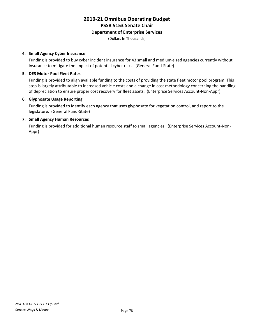#### **Department of Enterprise Services**

(Dollars In Thousands)

#### **4. Small Agency Cyber Insurance**

Funding is provided to buy cyber incident insurance for 43 small and medium-sized agencies currently without insurance to mitigate the impact of potential cyber risks. (General Fund-State)

#### **5. DES Motor Pool Fleet Rates**

Funding is provided to align available funding to the costs of providing the state fleet motor pool program. This step is largely attributable to increased vehicle costs and a change in cost methodology concerning the handling of depreciation to ensure proper cost recovery for fleet assets. (Enterprise Services Account-Non-Appr)

#### **6. Glyphosate Usage Reporting**

Funding is provided to identify each agency that uses glyphosate for vegetation control, and report to the legislature. (General Fund-State)

#### **7. Small Agency Human Resources**

Funding is provided for additional human resource staff to small agencies. (Enterprise Services Account-Non-Appr)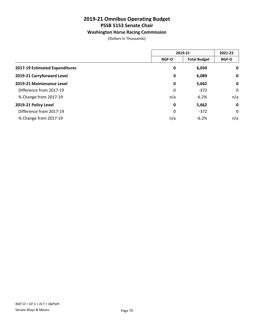### **Washington Horse Racing Commission**

(Dollars In Thousands)

|                                | 2019-21      |                     | 2021-23     |
|--------------------------------|--------------|---------------------|-------------|
|                                | <b>NGF-O</b> | <b>Total Budget</b> | NGF-O       |
| 2017-19 Estimated Expenditures | 0            | 6,034               | $\mathbf 0$ |
| 2019-21 Carryforward Level     | 0            | 6,089               | $\mathbf 0$ |
| 2019-21 Maintenance Level      | 0            | 5,662               | $\mathbf 0$ |
| Difference from 2017-19        | 0            | $-372$              | $\mathbf 0$ |
| % Change from 2017-19          | n/a          | $-6.2%$             | n/a         |
| 2019-21 Policy Level           | 0            | 5,662               | $\mathbf 0$ |
| Difference from 2017-19        | 0            | $-372$              | $\mathbf 0$ |
| % Change from 2017-19          | n/a          | $-6.2%$             | n/a         |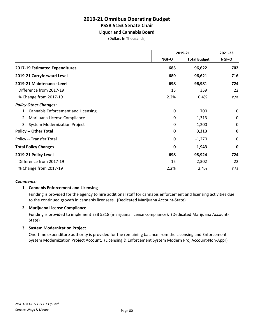**Liquor and Cannabis Board**

(Dollars In Thousands)

|                                           | 2019-21                      |          | 2021-23     |
|-------------------------------------------|------------------------------|----------|-------------|
|                                           | NGF-O<br><b>Total Budget</b> | NGF-O    |             |
| 2017-19 Estimated Expenditures            | 683                          | 96,622   | 702         |
| 2019-21 Carryforward Level                | 689                          | 96,621   | 716         |
| 2019-21 Maintenance Level                 | 698                          | 96,981   | 724         |
| Difference from 2017-19                   | 15                           | 359      | 22          |
| % Change from 2017-19                     | 2.2%                         | 0.4%     | n/a         |
| <b>Policy Other Changes:</b>              |                              |          |             |
| <b>Cannabis Enforcement and Licensing</b> | 0                            | 700      | 0           |
| Marijuana License Compliance<br>2.        | 0                            | 1,313    | 0           |
| <b>System Modernization Project</b><br>3. | 0                            | 1,200    | 0           |
| <b>Policy -- Other Total</b>              | $\mathbf 0$                  | 3,213    | $\mathbf 0$ |
| Policy -- Transfer Total                  | 0                            | $-1,270$ | $\mathbf 0$ |
| <b>Total Policy Changes</b>               | 0                            | 1,943    | $\mathbf 0$ |
| 2019-21 Policy Level                      | 698                          | 98,924   | 724         |
| Difference from 2017-19                   | 15                           | 2,302    | 22          |
| % Change from 2017-19                     | 2.2%                         | 2.4%     | n/a         |

#### *Comments:*

#### **1. Cannabis Enforcement and Licensing**

Funding is provided for the agency to hire additional staff for cannabis enforcement and licensing activities due to the continued growth in cannabis licensees. (Dedicated Marijuana Account-State)

#### **2. Marijuana License Compliance**

Funding is provided to implement ESB 5318 (marijuana license compliance). (Dedicated Marijuana Account-State)

#### **3. System Modernization Project**

One-time expenditure authority is provided for the remaining balance from the Licensing and Enforcement System Modernization Project Account. (Licensing & Enforcement System Modern Proj Account-Non-Appr)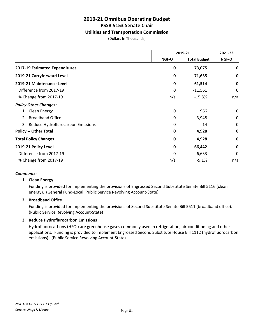#### **Utilities and Transportation Commission**

(Dollars In Thousands)

|                                      | 2019-21      |                     | 2021-23     |
|--------------------------------------|--------------|---------------------|-------------|
|                                      | <b>NGF-O</b> | <b>Total Budget</b> | NGF-O       |
| 2017-19 Estimated Expenditures       | $\mathbf 0$  | 73,075              | 0           |
| 2019-21 Carryforward Level           | $\mathbf 0$  | 71,635              | 0           |
| 2019-21 Maintenance Level            | $\mathbf 0$  | 61,514              | $\mathbf 0$ |
| Difference from 2017-19              | 0            | $-11,561$           | 0           |
| % Change from 2017-19                | n/a          | $-15.8%$            | n/a         |
| <b>Policy Other Changes:</b>         |              |                     |             |
| 1. Clean Energy                      | 0            | 966                 | 0           |
| <b>Broadband Office</b><br>2.        | 0            | 3,948               | 0           |
| 3. Reduce Hydroflurocarbon Emissions | 0            | 14                  | 0           |
| <b>Policy -- Other Total</b>         | $\mathbf 0$  | 4,928               | $\mathbf 0$ |
| <b>Total Policy Changes</b>          | $\mathbf 0$  | 4,928               | $\mathbf 0$ |
| 2019-21 Policy Level                 | 0            | 66,442              | $\mathbf 0$ |
| Difference from 2017-19              | 0            | $-6,633$            | 0           |
| % Change from 2017-19                | n/a          | $-9.1%$             | n/a         |

#### *Comments:*

#### **1. Clean Energy**

Funding is provided for implementing the provisions of Engrossed Second Substitute Senate Bill 5116 (clean energy). (General Fund-Local; Public Service Revolving Account-State)

#### **2. Broadband Office**

Funding is provided for implementing the provisions of Second Substitute Senate Bill 5511 (broadband office). (Public Service Revolving Account-State)

#### **3. Reduce Hydroflurocarbon Emissions**

Hydrofluorocarbons (HFCs) are greenhouse gases commonly used in refrigeration, air-conditioning and other applications. Funding is provided to implement Engrossed Second Substitute House Bill 1112 (hydrofluorocarbon emissions). (Public Service Revolving Account-State)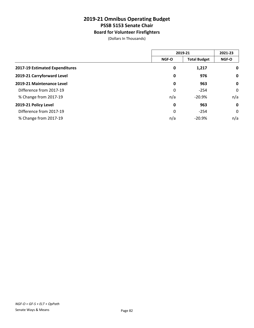### **Board for Volunteer Firefighters**

(Dollars In Thousands)

|                                | 2019-21      |                     | 2021-23     |
|--------------------------------|--------------|---------------------|-------------|
|                                | <b>NGF-O</b> | <b>Total Budget</b> | NGF-O       |
| 2017-19 Estimated Expenditures | 0            | 1,217               | 0           |
| 2019-21 Carryforward Level     | 0            | 976                 | $\mathbf 0$ |
| 2019-21 Maintenance Level      | 0            | 963                 | $\mathbf 0$ |
| Difference from 2017-19        | 0            | $-254$              | 0           |
| % Change from 2017-19          | n/a          | $-20.9%$            | n/a         |
| 2019-21 Policy Level           | 0            | 963                 | $\mathbf 0$ |
| Difference from 2017-19        | 0            | $-254$              | 0           |
| % Change from 2017-19          | n/a          | $-20.9%$            | n/a         |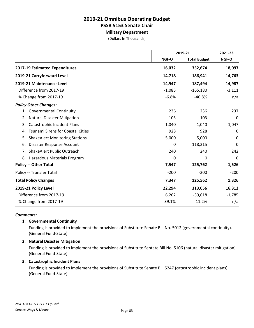# **Military Department**

(Dollars In Thousands)

|                                                |          | 2019-21             |          |
|------------------------------------------------|----------|---------------------|----------|
|                                                | NGF-O    | <b>Total Budget</b> | NGF-O    |
| 2017-19 Estimated Expenditures                 | 16,032   | 352,674             | 18,097   |
| 2019-21 Carryforward Level                     | 14,718   | 186,941             | 14,763   |
| 2019-21 Maintenance Level                      | 14,947   | 187,494             | 14,987   |
| Difference from 2017-19                        | $-1,085$ | $-165,180$          | $-3,111$ |
| % Change from 2017-19                          | $-6.8%$  | $-46.8%$            | n/a      |
| <b>Policy Other Changes:</b>                   |          |                     |          |
| 1. Governmental Continuity                     | 236      | 236                 | 237      |
| <b>Natural Disaster Mitigation</b><br>2.       | 103      | 103                 | 0        |
| <b>Catastrophic Incident Plans</b><br>3.       | 1,040    | 1,040               | 1,047    |
| <b>Tsunami Sirens for Coastal Cities</b><br>4. | 928      | 928                 | 0        |
| <b>ShakeAlert Monitoring Stations</b><br>5.    | 5,000    | 5,000               | 0        |
| Disaster Response Account<br>6.                | 0        | 118,215             | 0        |
| ShakeAlert Public Outreach<br>7.               | 240      | 240                 | 242      |
| Hazardous Materials Program<br>8.              | 0        | 0                   | 0        |
| <b>Policy -- Other Total</b>                   | 7,547    | 125,762             | 1,526    |
| Policy -- Transfer Total                       | $-200$   | $-200$              | $-200$   |
| <b>Total Policy Changes</b>                    | 7,347    | 125,562             | 1,326    |
| 2019-21 Policy Level                           | 22,294   | 313,056             | 16,312   |
| Difference from 2017-19                        | 6,262    | $-39,618$           | $-1,785$ |
| % Change from 2017-19                          | 39.1%    | $-11.2%$            | n/a      |

#### *Comments:*

#### **1. Governmental Continuity**

Funding is provided to implement the provisions of Substitute Senate Bill No. 5012 (governmental continuity). (General Fund-State)

#### **2. Natural Disaster Mitigation**

Funding is provided to implement the provisions of Substitute Sentate Bill No. 5106 (natural disaster mitigation). (General Fund-State)

#### **3. Catastrophic Incident Plans**

Funding is provided to implement the provisions of Substitute Senate Bill 5247 (catastrophic incident plans). (General Fund-State)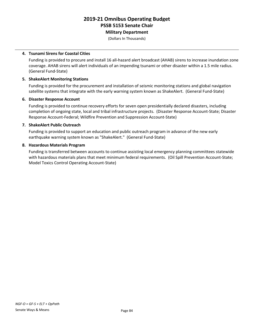**Military Department**

(Dollars In Thousands)

#### **4. Tsunami Sirens for Coastal Cities**

Funding is provided to procure and install 16 all-hazard alert broadcast (AHAB) sirens to increase inundation zone coverage. AHAB sirens will alert individuals of an impending tsunami or other disaster within a 1.5 mile radius. (General Fund-State)

#### **5. ShakeAlert Monitoring Stations**

Funding is provided for the procurement and installation of seismic monitoring stations and global navigation satellite systems that integrate with the early warning system known as ShakeAlert. (General Fund-State)

#### **6. Disaster Response Account**

Funding is provided to continue recovery efforts for seven open presidentially declared disasters, including completion of ongoing state, local and tribal infrastructure projects. (Disaster Response Account-State; Disaster Response Account-Federal; Wildfire Prevention and Suppression Account-State)

#### **7. ShakeAlert Public Outreach**

Funding is provided to support an education and public outreach program in advance of the new early earthquake warning system known as "ShakeAlert." (General Fund-State)

#### **8. Hazardous Materials Program**

Funding is transferred between accounts to continue assisting local emergency planning committees statewide with hazardous materials plans that meet minimum federal requirements. (Oil Spill Prevention Account-State; Model Toxics Control Operating Account-State)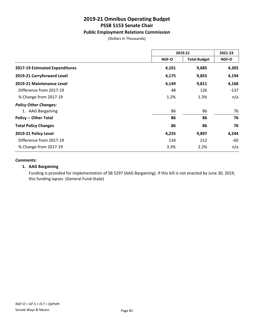#### **Public Employment Relations Commission**

(Dollars In Thousands)

|                                | 2019-21      |                     | 2021-23 |
|--------------------------------|--------------|---------------------|---------|
|                                | <b>NGF-O</b> | <b>Total Budget</b> | NGF-O   |
| 2017-19 Estimated Expenditures | 4,101        | 9,685               | 4,305   |
| 2019-21 Carryforward Level     | 4,175        | 9,855               | 4,194   |
| 2019-21 Maintenance Level      | 4,149        | 9,811               | 4,168   |
| Difference from 2017-19        | 48           | 126                 | $-137$  |
| % Change from 2017-19          | 1.2%         | 1.3%                | n/a     |
| <b>Policy Other Changes:</b>   |              |                     |         |
| 1. AAG Bargaining              | 86           | 86                  | 76      |
| <b>Policy -- Other Total</b>   | 86           | 86                  | 76      |
| <b>Total Policy Changes</b>    | 86           | 86                  | 76      |
| 2019-21 Policy Level           | 4,235        | 9,897               | 4,244   |
| Difference from 2017-19        | 134          | 212                 | $-60$   |
| % Change from 2017-19          | 3.3%         | 2.2%                | n/a     |

#### *Comments:*

#### **1. AAG Bargaining**

Funding is provided for implementation of SB 5297 (AAG Bargaining). If this bill is not enacted by June 30, 2019, this funding lapses (General Fund-State)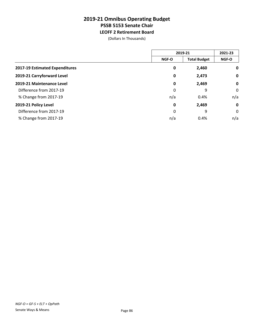### **2019-21 Omnibus Operating Budget PSSB 5153 Senate Chair LEOFF 2 Retirement Board**

(Dollars In Thousands)

|                                | 2019-21      |                     | 2021-23      |
|--------------------------------|--------------|---------------------|--------------|
|                                | <b>NGF-O</b> | <b>Total Budget</b> | <b>NGF-O</b> |
| 2017-19 Estimated Expenditures | 0            | 2,460               | 0            |
| 2019-21 Carryforward Level     | 0            | 2,473               | $\mathbf 0$  |
| 2019-21 Maintenance Level      | 0            | 2,469               | $\mathbf 0$  |
| Difference from 2017-19        | 0            | 9                   | 0            |
| % Change from 2017-19          | n/a          | 0.4%                | n/a          |
| 2019-21 Policy Level           | $\mathbf 0$  | 2,469               | $\mathbf 0$  |
| Difference from 2017-19        | 0            | 9                   | 0            |
| % Change from 2017-19          | n/a          | 0.4%                | n/a          |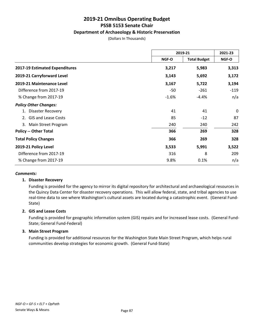#### **Department of Archaeology & Historic Preservation**

(Dollars In Thousands)

|                                  | 2019-21                      |         | 2021-23<br>NGF-O |
|----------------------------------|------------------------------|---------|------------------|
|                                  | <b>Total Budget</b><br>NGF-O |         |                  |
| 2017-19 Estimated Expenditures   | 3,217                        | 5,983   | 3,313            |
| 2019-21 Carryforward Level       | 3,143                        | 5,692   | 3,172            |
| 2019-21 Maintenance Level        | 3,167                        | 5,722   | 3,194            |
| Difference from 2017-19          | -50                          | $-261$  | $-119$           |
| % Change from 2017-19            | $-1.6%$                      | $-4.4%$ | n/a              |
| <b>Policy Other Changes:</b>     |                              |         |                  |
| Disaster Recovery                | 41                           | 41      | 0                |
| <b>GIS and Lease Costs</b><br>2. | 85                           | $-12$   | 87               |
| 3.<br>Main Street Program        | 240                          | 240     | 242              |
| <b>Policy -- Other Total</b>     | 366                          | 269     | 328              |
| <b>Total Policy Changes</b>      | 366                          | 269     | 328              |
| 2019-21 Policy Level             | 3,533                        | 5,991   | 3,522            |
| Difference from 2017-19          | 316                          | 8       | 209              |
| % Change from 2017-19            | 9.8%                         | 0.1%    | n/a              |

#### *Comments:*

#### **1. Disaster Recovery**

Funding is provided for the agency to mirror its digital repository for architectural and archaeological resources in the Quincy Data Center for disaster recovery operations. This will allow federal, state, and tribal agencies to use real-time data to see where Washington's cultural assets are located during a catastrophic event. (General Fund-State)

#### **2. GIS and Lease Costs**

Funding is provided for geographic information system (GIS) repairs and for increased lease costs. (General Fund-State; General Fund-Federal)

#### **3. Main Street Program**

Funding is provided for additional resources for the Washington State Main Street Program, which helps rural communities develop strategies for economic growth. (General Fund-State)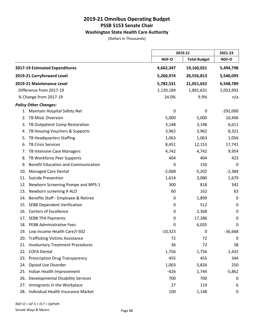### **Washington State Health Care Authority**

(Dollars In Thousands)

|                                                  |           | 2019-21             |            |
|--------------------------------------------------|-----------|---------------------|------------|
|                                                  | NGF-O     | <b>Total Budget</b> | NGF-O      |
| 2017-19 Estimated Expenditures                   | 4,662,347 | 19,160,021          | 5,494,798  |
| 2019-21 Carryforward Level                       | 5,260,974 | 20,556,813          | 5,540,095  |
| 2019-21 Maintenance Level                        | 5,782,531 | 21,051,652          | 6,548,789  |
| Difference from 2017-19                          | 1,120,184 | 1,891,631           | 1,053,992  |
| % Change from 2017-19                            | 24.0%     | 9.9%                | n/a        |
| <b>Policy Other Changes:</b>                     |           |                     |            |
| 1. Maintain Hospital Safety Net                  | 0         | $\mathbf 0$         | $-292,000$ |
| TB Misd. Diversion<br>2.                         | 5,000     | 5,000               | 10,496     |
| TB Outpatient Comp Restoration<br>3.             | 3,148     | 3,148               | 6,611      |
| TB Housing Vouchers & Supports<br>4.             | 3,962     | 3,962               | 8,321      |
| TB Headquarters Staffing<br>5.                   | 1,063     | 1,063               | 1,056      |
| <b>TB Crisis Services</b><br>6.                  | 8,451     | 12,153              | 17,741     |
| TB Intensive Case Managers<br>7.                 | 4,742     | 4,742               | 9,954      |
| TB Workforce Peer Supports<br>8.                 | 404       | 404                 | 423        |
| <b>Benefit Education and Communication</b><br>9. | 0         | 150                 | 0          |
| <b>Managed Care Dental</b><br>10.                | $-2,068$  | $-5,202$            | $-2,384$   |
| <b>Suicide Prevention</b><br>11.                 | 1,614     | 3,080               | 1,679      |
| Newborn Screening Pompe and MPS-1<br>12.         | 300       | 818                 | 342        |
| 13. Newborn screening X-ALD                      | 60        | 162                 | 63         |
| Benefits Staff - Employee & Retiree<br>14.       | 0         | 1,899               | 0          |
| 15. SEBB Dependent Verification                  | 0         | 512                 | 0          |
| 16. Centers of Excellence                        | 0         | 2,368               | 0          |
| <b>SEBB TPA Payments</b><br>17.                  | 0         | 17,286              | 0          |
| 18. PEBB Administrative Fees                     | 0         | 6,035               | 0          |
| 19. Low Income Health Care/I-502                 | $-10,323$ | 0                   | $-36,668$  |
| <b>Trafficking Victims Assistance</b><br>20.     | 72        | 72                  | $\pmb{0}$  |
| <b>Involuntary Treatment Procedures</b><br>21.   | 36        | 72                  | 38         |
| <b>COFA Dental</b><br>22.                        | 1,756     | 1,756               | 1,432      |
| <b>Prescription Drug Transparency</b><br>23.     | 455       | 455                 | 344        |
| Opioid Use Disorder<br>24.                       | 1,003     | 5,826               | 250        |
| Indian Health Improvement<br>25.                 | $-426$    | 1,744               | $-5,862$   |
| <b>Developmental Disability Services</b><br>26.  | 700       | 700                 | 0          |
| Immigrants in the Workplace<br>27.               | 27        | 119                 | 6          |
| Individual Health Insurance Market<br>28.        | 100       | 1,148               | 0          |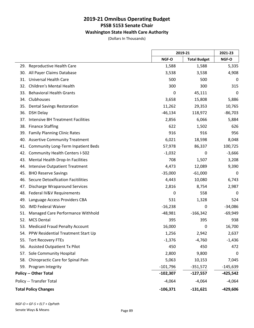### **Washington State Health Care Authority**

(Dollars In Thousands)

|     |                                           |            | 2019-21             | 2021-23    |
|-----|-------------------------------------------|------------|---------------------|------------|
|     |                                           | NGF-O      | <b>Total Budget</b> | NGF-O      |
| 29. | Reproductive Health Care                  | 1,588      | 1,588               | 5,335      |
|     | 30. All Payer Claims Database             | 3,538      | 3,538               | 4,908      |
| 31. | <b>Universal Health Care</b>              | 500        | 500                 | 0          |
| 32. | <b>Children's Mental Health</b>           | 300        | 300                 | 315        |
| 33. | <b>Behavioral Health Grants</b>           | 0          | 45,111              | 0          |
| 34. | Clubhouses                                | 3,658      | 15,808              | 5,886      |
| 35. | <b>Dental Savings Restoration</b>         | 11,262     | 29,353              | 10,765     |
| 36. | <b>DSH Delay</b>                          | $-46,134$  | 118,972             | $-86,703$  |
| 37. | <b>Intensive BH Treatment Facilities</b>  | 2,856      | 6,066               | 5,884      |
| 38. | <b>Finance Staffing</b>                   | 622        | 1,502               | 626        |
| 39. | <b>Family Planning Clinic Rates</b>       | 916        | 916                 | 956        |
| 40. | <b>Assertive Community Treatment</b>      | 6,021      | 18,598              | 8,048      |
| 41. | <b>Community Long-Term Inpatient Beds</b> | 57,978     | 86,337              | 100,725    |
| 42. | <b>Community Health Centers I-502</b>     | $-1,032$   | 0                   | $-3,666$   |
| 43. | Mental Health Drop-In Facilities          | 708        | 1,507               | 3,208      |
| 44. | <b>Intensive Outpatient Treatment</b>     | 4,473      | 12,089              | 9,390      |
| 45. | <b>BHO Reserve Savings</b>                | $-35,000$  | $-61,000$           | 0          |
| 46. | <b>Secure Detoxification Facitilities</b> | 4,443      | 10,080              | 6,743      |
| 47. | <b>Discharge Wraparound Services</b>      | 2,816      | 8,754               | 2,987      |
| 48. | Federal IV&V Requirements                 | 0          | 558                 | 0          |
| 49. | Language Access Providers CBA             | 531        | 1,328               | 524        |
| 50. | <b>IMD Federal Waiver</b>                 | $-16,238$  | $\mathbf 0$         | $-34,086$  |
| 51. | Managed Care Performance Withhold         | $-48,981$  | $-166,342$          | $-69,949$  |
| 52. | <b>MCS Dental</b>                         | 395        | 395                 | 938        |
| 53. | <b>Medicaid Fraud Penalty Account</b>     | 16,000     | $\mathbf 0$         | 16,700     |
|     | 54. PPW Residential Treatment Start Up    | 1,256      | 2,942               | 2,637      |
| 55. | <b>Tort Recovery FTEs</b>                 | $-1,376$   | $-4,760$            | $-1,436$   |
|     | 56. Assisted Outpatient Tx Pilot          | 450        | 450                 | 472        |
| 57. | Sole Community Hospital                   | 2,800      | 9,800               | 0          |
| 58. | Chiropractic Care for Spinal Pain         | 5,063      | 10,153              | 7,045      |
|     | 59. Program Integrity                     | $-101,796$ | $-351,572$          | $-145,639$ |
|     | <b>Policy -- Other Total</b>              | $-102,307$ | $-127,557$          | $-425,542$ |
|     | Policy -- Transfer Total                  | $-4,064$   | $-4,064$            | $-4,064$   |
|     | <b>Total Policy Changes</b>               | $-106,371$ | $-131,621$          | $-429,606$ |

 $\overline{a}$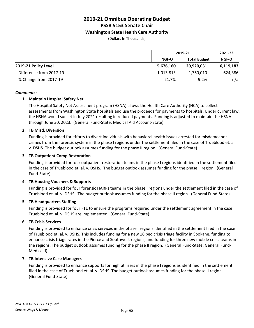#### **Washington State Health Care Authority**

(Dollars In Thousands)

|                         |           | 2019-21             |              |
|-------------------------|-----------|---------------------|--------------|
|                         | NGF-O     | <b>Total Budget</b> | <b>NGF-O</b> |
| 2019-21 Policy Level    | 5,676,160 | 20,920,031          | 6,119,183    |
| Difference from 2017-19 | 1,013,813 | 1,760,010           | 624,386      |
| % Change from 2017-19   | 21.7%     | 9.2%                | n/a          |

#### *Comments:*

#### **1. Maintain Hospital Safety Net**

The Hospital Safety Net Assessment program (HSNA) allows the Health Care Authority (HCA) to collect assessments from Washington State hospitals and use the proceeds for payments to hospitals. Under current law, the HSNA would sunset in July 2021 resulting in reduced payments. Funding is adjusted to maintain the HSNA through June 30, 2023. (General Fund-State; Medical Aid Account-State)

#### **2. TB Misd. Diversion**

Funding is provided for efforts to divert individuals with behavioral health issues arrested for misdemeanor crimes from the forensic system in the phase I regions under the settlement filed in the case of Trueblood et. al. v. DSHS. The budget outlook assumes funding for the phase II region. (General Fund-State)

#### **3. TB Outpatient Comp Restoration**

Funding is provided for four outpatient restoration teams in the phase I regions identified in the settlement filed in the case of Trueblood et. al. v. DSHS. The budget outlook assumes funding for the phase II region. (General Fund-State)

#### **4. TB Housing Vouchers & Supports**

Funding is provided for four forensic HARPs teams in the phase I regions under the settlement filed in the case of Trueblood et. al. v. DSHS. The budget outlook assumes funding for the phase II region. (General Fund-State)

#### **5. TB Headquarters Staffing**

Funding is provided for four FTE to ensure the programs required under the settlement agreement in the case Trueblood et. al. v. DSHS are implemented. (General Fund-State)

#### **6. TB Crisis Services**

Funding is provided to enhance crisis services in the phase I regions identified in the settlement filed in the case of Trueblood et. al. v. DSHS. This includes funding for a new 16 bed crisis triage facility in Spokane, funding to enhance crisis triage rates in the Pierce and Southwest regions, and funding for three new mobile crisis teams in the regions. The budget outlook assumes funding for the phase II region. (General Fund-State; General Fund-Medicaid)

#### **7. TB Intensive Case Managers**

Funding is provided to enhance supports for high utilizers in the phase I regions as identified in the settlement filed in the case of Trueblood et. al. v. DSHS. The budget outlook assumes funding for the phase II region. (General Fund-State)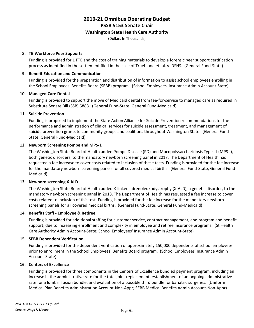#### **Washington State Health Care Authority**

(Dollars In Thousands)

#### **8. TB Workforce Peer Supports**

Funding is provided for 1 FTE and the cost of training materials to develop a forensic peer support certification process as identified in the settlement filed in the case of Trueblood et. al. v. DSHS. (General Fund-State)

#### **9. Benefit Education and Communication**

Funding is provided for the preparation and distribution of information to assist school employees enrolling in the School Employees' Benefits Board (SEBB) program. (School Employees' Insurance Admin Account-State)

#### **10. Managed Care Dental**

Funding is provided to support the move of Medicaid dental from fee-for-service to managed care as required in Substitute Senate Bill (SSB) 5883. (General Fund-State; General Fund-Medicaid)

#### **11. Suicide Prevention**

Funding is proposed to implement the State Action Alliance for Suicide Prevention recommendations for the performance and administration of clinical services for suicide assessment, treatment, and management of suicide prevention grants to community groups and coalitions throughout Washington State. (General Fund-State; General Fund-Medicaid)

#### **12. Newborn Screening Pompe and MPS-1**

The Washington State Board of Health added Pompe Disease (PD) and Mucopolysaccharidosis Type - I (MPS-I), both genetic disorders, to the mandatory newborn screening panel in 2017. The Department of Health has requested a fee increase to cover costs related to inclusion of these tests. Funding is provided for the fee increase for the mandatory newborn screening panels for all covered medical births. (General Fund-State; General Fund-Medicaid)

#### **13. Newborn screening X-ALD**

The Washington State Board of Health added X-linked adrenoleukodystrophy (X-ALD), a genetic disorder, to the mandatory newborn screening panel in 2018. The Department of Health has requested a fee increase to cover costs related to inclusion of this test. Funding is provided for the fee increase for the mandatory newborn screening panels for all covered medical births. (General Fund-State; General Fund-Medicaid)

#### **14. Benefits Staff - Employee & Retiree**

Funding is provided for additional staffing for customer service, contract management, and program and benefit support, due to increasing enrollment and complexity in employee and retiree insurance programs. (St Health Care Authority Admin Account-State; School Employees' Insurance Admin Account-State)

#### **15. SEBB Dependent Verification**

Funding is provided for the dependent verification of approximately 150,000 dependents of school employees prior to enrollment in the School Employees' Benefits Board program. (School Employees' Insurance Admin Account-State)

#### **16. Centers of Excellence**

Funding is provided for three components in the Centers of Excellence bundled payment program, including an increase in the administrative rate for the total joint replacement, establishment of an ongoing administrative rate for a lumbar fusion bundle, and evaluation of a possible third bundle for bariatric surgeries. (Uniform Medical Plan Benefits Administration Account-Non-Appr; SEBB Medical Benefits Admin Account-Non-Appr)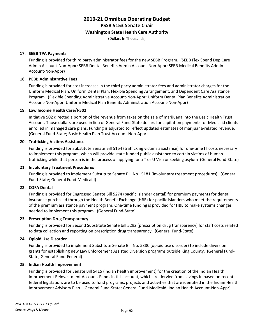#### **Washington State Health Care Authority**

(Dollars In Thousands)

#### **17. SEBB TPA Payments**

Funding is provided for third party administrator fees for the new SEBB Program. (SEBB Flex Spend Dep Care Admin Account-Non-Appr; SEBB Dental Benefits Admin Account-Non-Appr; SEBB Medical Benefits Admin Account-Non-Appr)

#### **18. PEBB Administrative Fees**

Funding is provided for cost increases in the third party administrator fees and administrator charges for the Uniform Medical Plan, Uniform Dental Plan, Flexible Spending Arrangement, and Dependent Care Assistance Program. (Flexible Spending Administrative Account-Non-Appr; Uniform Dental Plan Benefits Administration Account-Non-Appr; Uniform Medical Plan Benefits Administration Account-Non-Appr)

#### **19. Low Income Health Care/I-502**

Initiative 502 directed a portion of the revenue from taxes on the sale of marijuana into the Basic Health Trust Account. Those dollars are used in lieu of General Fund-State dollars for capitation payments for Medicaid clients enrolled in managed care plans. Funding is adjusted to reflect updated estimates of marijuana-related revenue. (General Fund-State; Basic Health Plan Trust Account-Non-Appr)

#### **20. Trafficking Victims Assistance**

Funding is provided for Substitute Senate Bill 5164 (trafficking victims assistance) for one-time IT costs necessary to implement this program, which will provide state funded public assistance to certain victims of human trafficking while that person is in the process of applying for a T or U Visa or seeking asylum (General Fund-State)

#### **21. Involuntary Treatment Procedures**

Funding is provided to implement Substitute Senate Bill No. 5181 (involuntary treatment procedures). (General Fund-State; General Fund-Medicaid)

#### **22. COFA Dental**

Funding is provided for Engrossed Senate Bill 5274 (pacific islander dental) for premium payments for dental insurance purchased through the Health Benefit Exchange (HBE) for pacific islanders who meet the requirements of the premium assistance payment program. One-time funding is provided for HBE to make systems changes needed to implement this program. (General Fund-State)

#### **23. Prescription Drug Transparency**

Funding is provided for Second Substitute Senate bill 5292 (prescription drug transparency) for staff costs related to data collection and reporting on prescription drug transparency. (General Fund-State)

#### **24. Opioid Use Disorder**

Funding is provided to implement Substitute Senate Bill No. 5380 (opioid use disorder) to include diversion grants for establishing new Law Enforcement Assisted Diversion programs outside King County. (General Fund-State; General Fund-Federal)

#### **25. Indian Health Improvement**

Funding is provided for Senate Bill 5415 (indian health improvement) for the creation of the Indian Health Improvement Reinvestment Account. Funds in this account, which are dervied from savings in based on recent federal legislation, are to be used to fund programs, projects and activities that are identified in the Indian Health Improvement Advisory Plan. (General Fund-State; General Fund-Medicaid; Indian Health Account-Non-Appr)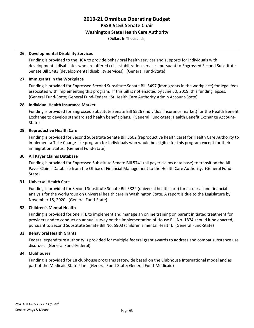#### **Washington State Health Care Authority**

(Dollars In Thousands)

#### **26. Developmental Disability Services**

Funding is provided to the HCA to provide behavioral health services and supports for individuals with developmental disabilities who are offered crisis stabilization services, pursuant to Engrossed Second Substitute Senate Bill 5483 (developmental disability services). (General Fund-State)

#### **27. Immigrants in the Workplace**

Funding is provided for Engrossed Second Substitute Senate Bill 5497 (immigrants in the workplace) for legal fees associated with implementing this program. If this bill is not enacted by June 30, 2019, this funding lapses. (General Fund-State; General Fund-Federal; St Health Care Authority Admin Account-State)

#### **28. Individual Health Insurance Market**

Funding is provided for Engrossed Substitute Senate Bill 5526 (individual insurance market) for the Health Benefit Exchange to develop standardized health benefit plans. (General Fund-State; Health Benefit Exchange Account-State)

#### **29. Reproductive Health Care**

Funding is provided for Second Substitute Senate Bill 5602 (reproductive health care) for Health Care Authority to implement a Take Charge-like program for individuals who would be eligible for this program except for their immigration status. (General Fund-State)

#### **30. All Payer Claims Database**

Funding is provided for Engrossed Substitute Senate Bill 5741 (all payer claims data base) to transition the All Payer Claims Database from the Office of Financial Management to the Health Care Authority. (General Fund-State)

#### **31. Universal Health Care**

Funding is provided for Second Substitute Senate Bill 5822 (universal health care) for actuarial and financial analysis for the workgroup on universal health care in Washington State. A report is due to the Legislature by November 15, 2020. (General Fund-State)

#### **32. Children's Mental Health**

Funding is provided for one FTE to implement and manage an online training on parent initiated treatment for providers and to conduct an annual survey on the implementation of House Bill No. 1874 should it be enacted, pursuant to Second Substitute Senate Bill No. 5903 (children's mental Health). (General Fund-State)

#### **33. Behavioral Health Grants**

Federal expenditure authority is provided for multiple federal grant awards to address and combat substance use disorder. (General Fund-Federal)

#### **34. Clubhouses**

Funding is provided for 18 clubhouse programs statewide based on the Clubhouse International model and as part of the Medicaid State Plan. (General Fund-State; General Fund-Medicaid)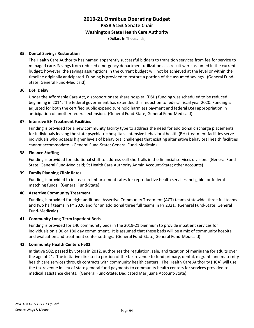#### **Washington State Health Care Authority**

(Dollars In Thousands)

#### **35. Dental Savings Restoration**

The Health Care Authority has named apparently successful bidders to transition services from fee for service to managed care. Savings from reduced emergency department utilization as a result were assumed in the current budget; however, the savings assumptions in the current budget will not be achieved at the level or within the timeline originally anticipated. Funding is provided to restore a portion of the assumed savings. (General Fund-State; General Fund-Medicaid)

#### **36. DSH Delay**

Under the Affordable Care Act, disproportionate share hospital (DSH) funding was scheduled to be reduced beginning in 2014. The federal government has extended this reduction to federal fiscal year 2020. Funding is adjusted for both the certified public expenditure hold harmless payment and federal DSH appropriation in anticipation of another federal extension. (General Fund-State; General Fund-Medicaid)

#### **37. Intensive BH Treatment Facilities**

Funding is provided for a new community facility type to address the need for additional discharge placements for individuals leaving the state psychiatric hospitals. Intensive behavioral health (BH) treatment facilities serve individuals who possess higher levels of behavioral challenges that existing alternative behavioral health facilities cannot accommodate. (General Fund-State; General Fund-Medicaid)

#### **38. Finance Staffing**

Funding is provided for additional staff to address skill shortfalls in the financial services division. (General Fund-State; General Fund-Medicaid; St Health Care Authority Admin Account-State; other accounts)

#### **39. Family Planning Clinic Rates**

Funding is provided to increase reimbursement rates for reproductive health services ineligible for federal matching funds. (General Fund-State)

#### **40. Assertive Community Treatment**

Funding is provided for eight additional Assertive Community Treatment (ACT) teams statewide, three full teams and two half teams in FY 2020 and for an additional three full teams in FY 2021. (General Fund-State; General Fund-Medicaid)

#### **41. Community Long-Term Inpatient Beds**

Funding is provided for 140 community beds in the 2019-21 biennium to provide inpatient services for individuals on a 90 or 180 day commitment. It is assumed that these beds will be a mix of community hospital and evaluation and treatment center settings. (General Fund-State; General Fund-Medicaid)

#### **42. Community Health Centers I-502**

Initiative 502, passed by voters in 2012, authorizes the regulation, sale, and taxation of marijuana for adults over the age of 21. The initiative directed a portion of the tax revenue to fund primary, dental, migrant, and maternity health care services through contracts with community health centers. The Health Care Authority (HCA) will use the tax revenue in lieu of state general fund payments to community health centers for services provided to medical assistance clients. (General Fund-State; Dedicated Marijuana Account-State)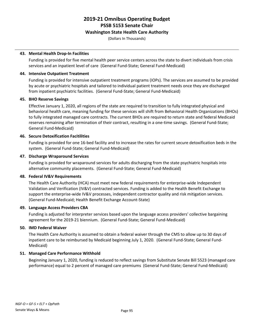#### **Washington State Health Care Authority**

(Dollars In Thousands)

#### **43. Mental Health Drop-In Facilities**

Funding is provided for five mental health peer service centers across the state to divert individuals from crisis services and an inpatient level of care (General Fund-State; General Fund-Medicaid)

#### **44. Intensive Outpatient Treatment**

Funding is provided for intensive outpatient treatment programs (IOPs). The services are assumed to be provided by acute or psychiatric hospitals and tailored to individual patient treatment needs once they are discharged from inpatient psychiatric facilities. (General Fund-State; General Fund-Medicaid)

#### **45. BHO Reserve Savings**

Effective January 1, 2020, all regions of the state are required to transition to fully integrated physical and behavioral health care, meaning funding for these services will shift from Behavioral Health Organizations (BHOs) to fully integrated managed care contracts. The current BHOs are required to return state and federal Medicaid reserves remaining after termination of their contract, resulting in a one-time savings. (General Fund-State; General Fund-Medicaid)

#### **46. Secure Detoxification Facitilities**

Funding is provided for one 16-bed facility and to increase the rates for current secure detoxification beds in the system. (General Fund-State; General Fund-Medicaid)

#### **47. Discharge Wraparound Services**

Funding is provided for wraparound services for adults discharging from the state psychiatric hospitals into alternative community placements. (General Fund-State; General Fund-Medicaid)

#### **48. Federal IV&V Requirements**

The Health Care Authority (HCA) must meet new federal requirements for enterprise-wide Independent Validation and Verification (IV&V) contracted services. Funding is added to the Health Benefit Exchange to support the enterprise-wide IV&V processes, independent contractor quality and risk mitigation services. (General Fund-Medicaid; Health Benefit Exchange Account-State)

#### **49. Language Access Providers CBA**

Funding is adjusted for interpreter services based upon the language access providers' collective bargaining agreement for the 2019-21 biennium. (General Fund-State; General Fund-Medicaid)

#### **50. IMD Federal Waiver**

The Health Care Authority is assumed to obtain a federal waiver through the CMS to allow up to 30 days of inpatient care to be reimbursed by Medicaid beginning July 1, 2020. (General Fund-State; General Fund-Medicaid)

#### **51. Managed Care Performance Withhold**

Beginning January 1, 2020, funding is reduced to reflect savings from Substitute Senate Bill 5523 (managed care performance) equal to 2 percent of managed care premiums (General Fund-State; General Fund-Medicaid)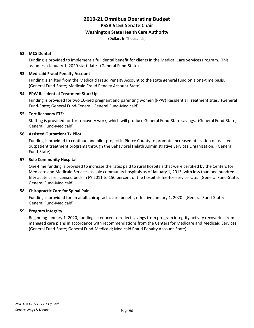#### **Washington State Health Care Authority**

(Dollars In Thousands)

#### **52. MCS Dental**

Funding is provided to implement a full dental benefit for clients in the Medical Care Services Program. This assumes a January 1, 2020 start date. (General Fund-State)

#### **53. Medicaid Fraud Penalty Account**

Funding is shifted from the Medicaid Fraud Penalty Account to the state general fund on a one-time basis. (General Fund-State; Medicaid Fraud Penalty Account-State)

#### **54. PPW Residential Treatment Start Up**

Funding is provided for two 16-bed pregnant and parenting women (PPW) Residential Treatment sites. (General Fund-State; General Fund-Federal; General Fund-Medicaid)

#### **55. Tort Recovery FTEs**

Staffing is provided for tort recovery work, which will produce General Fund-State savings. (General Fund-State; General Fund-Medicaid)

#### **56. Assisted Outpatient Tx Pilot**

Funding is provided to continue one pilot project in Pierce County to promote increased utilization of assisted outpatient treatment programs through the Behavioral Helath Administrative Services Organization. (General Fund-State)

#### **57. Sole Community Hospital**

One-time funding is provided to increase the rates paid to rural hospitals that were certified by the Centers for Medicare and Medicaid Services as sole community hospitals as of January 1, 2013, with less than one hundred fifty acute care licensed beds in FY 2011 to 150 percent of the hospitals fee-for-service rate. (General Fund-State; General Fund-Medicaid)

#### **58. Chiropractic Care for Spinal Pain**

Funding is provided for an adult chiropractic care benefit, effective January 1, 2020. (General Fund-State; General Fund-Medicaid)

#### **59. Program Integrity**

Beginning January 1, 2020, funding is reduced to reflect savings from program integrity activity recoveries from managed care plans in accordance with recommendations from the Centers for Medicare and Medicaid Services. (General Fund-State; General Fund-Medicaid; Medicaid Fraud Penalty Account-State)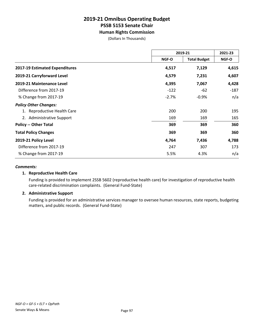**Human Rights Commission**

(Dollars In Thousands)

|                                | 2019-21                      |         | 2021-23 |
|--------------------------------|------------------------------|---------|---------|
|                                | <b>Total Budget</b><br>NGF-O |         | NGF-O   |
| 2017-19 Estimated Expenditures | 4,517                        | 7,129   | 4,615   |
| 2019-21 Carryforward Level     | 4,579                        | 7,231   | 4,607   |
| 2019-21 Maintenance Level      | 4,395                        | 7,067   | 4,428   |
| Difference from 2017-19        | $-122$                       | $-62$   | $-187$  |
| % Change from 2017-19          | $-2.7%$                      | $-0.9%$ | n/a     |
| <b>Policy Other Changes:</b>   |                              |         |         |
| 1. Reproductive Health Care    | 200                          | 200     | 195     |
| 2. Administrative Support      | 169                          | 169     | 165     |
| <b>Policy -- Other Total</b>   | 369                          | 369     | 360     |
| <b>Total Policy Changes</b>    | 369                          | 369     | 360     |
| 2019-21 Policy Level           | 4,764                        | 7,436   | 4,788   |
| Difference from 2017-19        | 247                          | 307     | 173     |
| % Change from 2017-19          | 5.5%                         | 4.3%    | n/a     |

#### *Comments:*

#### **1. Reproductive Health Care**

Funding is provided to implement 2SSB 5602 (reproductive health care) for investigation of reproductive health care-related discrimination complaints. (General Fund-State)

#### **2. Administrative Support**

Funding is provided for an administrative services manager to oversee human resources, state reports, budgeting matters, and public records. (General Fund-State)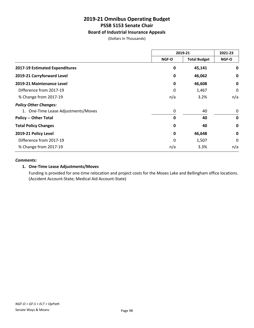#### **Board of Industrial Insurance Appeals**

(Dollars In Thousands)

|                                     | 2019-21 |                     | 2021-23     |
|-------------------------------------|---------|---------------------|-------------|
|                                     | NGF-O   | <b>Total Budget</b> | NGF-O       |
| 2017-19 Estimated Expenditures      | 0       | 45,141              | 0           |
| 2019-21 Carryforward Level          | 0       | 46,062              | 0           |
| 2019-21 Maintenance Level           | 0       | 46,608              | 0           |
| Difference from 2017-19             | 0       | 1,467               | 0           |
| % Change from 2017-19               | n/a     | 3.2%                | n/a         |
| <b>Policy Other Changes:</b>        |         |                     |             |
| 1. One-Time Lease Adjustments/Moves | 0       | 40                  | 0           |
| <b>Policy -- Other Total</b>        | 0       | 40                  | $\mathbf 0$ |
| <b>Total Policy Changes</b>         | 0       | 40                  | $\mathbf 0$ |
| 2019-21 Policy Level                | 0       | 46,648              | 0           |
| Difference from 2017-19             | 0       | 1,507               | $\Omega$    |
| % Change from 2017-19               | n/a     | 3.3%                | n/a         |

#### *Comments:*

#### **1. One-Time Lease Adjustments/Moves**

Funding is provided for one-time relocation and project costs for the Moses Lake and Bellingham office locations. (Accident Account-State; Medical Aid Account-State)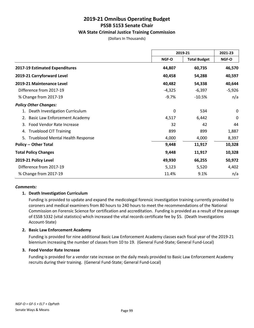#### **WA State Criminal Justice Training Commission**

(Dollars In Thousands)

|                                            | 2019-21      |                     | 2021-23  |
|--------------------------------------------|--------------|---------------------|----------|
|                                            | <b>NGF-O</b> | <b>Total Budget</b> | NGF-O    |
| 2017-19 Estimated Expenditures             | 44,807       | 60,735              | 46,570   |
| 2019-21 Carryforward Level                 | 40,458       | 54,288              | 40,597   |
| 2019-21 Maintenance Level                  | 40,482       | 54,338              | 40,644   |
| Difference from 2017-19                    | $-4,325$     | $-6,397$            | $-5,926$ |
| % Change from 2017-19                      | $-9.7%$      | $-10.5%$            | n/a      |
| <b>Policy Other Changes:</b>               |              |                     |          |
| Death Investigation Curriculum             | 0            | 534                 | 0        |
| <b>Basic Law Enforcement Academy</b><br>2. | 4,517        | 6,442               | 0        |
| Food Vendor Rate Increase<br>3.            | 32           | 42                  | 44       |
| <b>Trueblood CIT Training</b><br>4.        | 899          | 899                 | 1,887    |
| Trueblood Mental Health Response<br>5.     | 4,000        | 4,000               | 8,397    |
| <b>Policy -- Other Total</b>               | 9,448        | 11,917              | 10,328   |
| <b>Total Policy Changes</b>                | 9,448        | 11,917              | 10,328   |
| 2019-21 Policy Level                       | 49,930       | 66,255              | 50,972   |
| Difference from 2017-19                    | 5,123        | 5,520               | 4,402    |
| % Change from 2017-19                      | 11.4%        | 9.1%                | n/a      |

#### *Comments:*

#### **1. Death Investigation Curriculum**

Funding is provided to update and expand the medicolegal forensic investigation training currently provided to coroners and medical examiners from 80 hours to 240 hours to meet the recommendations of the National Commission on Forensic Science for certification and accreditation. Funding is provided as a result of the passage of ESSB 5332 (vital statistics) which increased the vital records certificate fee by \$5. (Death Investigations Account-State)

#### **2. Basic Law Enforcement Academy**

Funding is provided for nine additional Basic Law Enforcement Academy classes each fiscal year of the 2019-21 biennium increasing the number of classes from 10 to 19. (General Fund-State; General Fund-Local)

#### **3. Food Vendor Rate Increase**

Funding is provided for a vendor rate increase on the daily meals provided to Basic Law Enforcement Academy recruits during their training. (General Fund-State; General Fund-Local)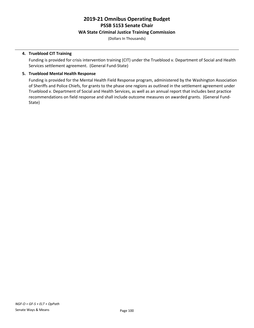#### **WA State Criminal Justice Training Commission**

(Dollars In Thousands)

#### **4. Trueblood CIT Training**

Funding is provided for crisis intervention training (CIT) under the Trueblood v. Department of Social and Health Services settlement agreement. (General Fund-State)

#### **5. Trueblood Mental Health Response**

Funding is provided for the Mental Health Field Response program, administered by the Washington Association of Sheriffs and Police Chiefs, for grants to the phase one regions as outlined in the settlement agreement under Trueblood v. Department of Social and Health Services, as well as an annual report that includes best practice recommendations on field response and shall include outcome measures on awarded grants. (General Fund-State)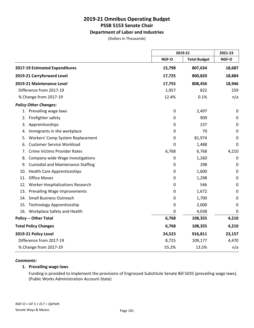#### **Department of Labor and Industries**

(Dollars In Thousands)

|                                                 |           | 2019-21             |             |
|-------------------------------------------------|-----------|---------------------|-------------|
|                                                 | NGF-O     | <b>Total Budget</b> | NGF-O       |
| 2017-19 Estimated Expenditures                  | 15,798    | 807,634             | 18,687      |
| 2019-21 Carryforward Level                      | 17,725    | 800,820             | 18,884      |
| 2019-21 Maintenance Level                       | 17,755    | 808,456             | 18,946      |
| Difference from 2017-19                         | 1,957     | 822                 | 259         |
| % Change from 2017-19                           | 12.4%     | 0.1%                | n/a         |
| <b>Policy Other Changes:</b>                    |           |                     |             |
| 1. Prevailing wage laws                         | 0         | 2,497               | $\mathbf 0$ |
| Firefighter safety<br>2.                        | 0         | 909                 | 0           |
| Apprenticeships<br>3.                           | 0         | 237                 | 0           |
| Immigrants in the workplace<br>4.               | 0         | 70                  | 0           |
| Workers' Comp System Replacement<br>5.          | 0         | 81,974              | 0           |
| <b>Customer Service Workload</b><br>6.          | 0         | 1,488               | 0           |
| <b>Crime Victims Provider Rates</b><br>7.       | 6,768     | 6,768               | 4,210       |
| Company-wide Wage Investigations<br>8.          | $\pmb{0}$ | 1,260               | $\mathbf 0$ |
| <b>Custodial and Maintenance Staffing</b><br>9. | 0         | 298                 | 0           |
| <b>Health Care Apprenticeships</b><br>10.       | 0         | 1,600               | $\mathbf 0$ |
| 11. Office Moves                                | 0         | 1,298               | 0           |
| 12. Worker Hospitalizations Research            | 0         | 546                 | $\mathbf 0$ |
| 13. Prevailing Wage Improvements                | 0         | 1,672               | 0           |
| <b>Small Business Outreach</b><br>14.           | 0         | 1,700               | 0           |
| 15. Technology Apprenticeship                   | 0         | 2,000               | 0           |
| 16. Workplace Safety and Health                 | 0         | 4,038               | 0           |
| <b>Policy -- Other Total</b>                    | 6,768     | 108,355             | 4,210       |
| <b>Total Policy Changes</b>                     | 6,768     | 108,355             | 4,210       |
| 2019-21 Policy Level                            | 24,523    | 916,811             | 23,157      |
| Difference from 2017-19                         | 8,725     | 109,177             | 4,470       |
| % Change from 2017-19                           | 55.2%     | 13.5%               | n/a         |

#### *Comments:*

#### **1. Prevailing wage laws**

Funding is provided to implement the provisions of Engrossed Substitute Senate Bill 5035 (prevailing wage laws). (Public Works Administration Account-State)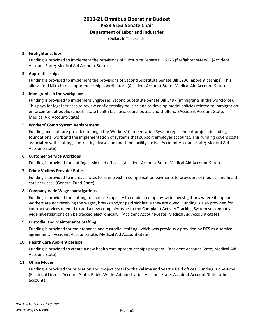### **Department of Labor and Industries**

(Dollars In Thousands)

### **2. Firefighter safety**

Funding is provided to implement the provisions of Substitute Senate Bill 5175 (firefighter safety). (Accident Account-State; Medical Aid Account-State)

### **3. Apprenticeships**

Funding is provided to implement the provisions of Second Substitute Senate Bill 5236 (apprenticeships). This allows for LNI to hire an apprenticeship coordinator. (Accident Account-State; Medical Aid Account-State)

### **4. Immigrants in the workplace**

Funding is provided to implement Engrossed Second Substitute Senate Bill 5497 (immigrants in the workforce). This pays for legal services to review confidentiality policies and to develop model policies related to immigration enforcement at public schools, state health facilities, courthouses, and shelters. (Accident Account-State; Medical Aid Account-State)

### **5. Workers' Comp System Replacement**

Funding and staff are provided to begin the Workers' Compensation System replacement project, including foundational work and the implementation of systems that support employer accounts. This funding covers costs associated with staffing, contracting, lease and one-time facility costs. (Accident Account-State; Medical Aid Account-State)

### **6. Customer Service Workload**

Funding is provided for staffing at six field offices. (Accident Account-State; Medical Aid Account-State)

### **7. Crime Victims Provider Rates**

Funding is provided to increase rates for crime victim compensation payments to providers of medical and health care services. (General Fund-State)

### **8. Company-wide Wage Investigations**

Funding is provided for staffing to increase capacity to conduct company-wide investigations where it appears workers are not receiving the wages, breaks and/or paid sick leave they are owed. Funding is also provided for contract services needed to add a new complaint type to the Complaint Activity Tracking System so companywide investigations can be tracked electronically. (Accident Account-State; Medical Aid Account-State)

### **9. Custodial and Maintenance Staffing**

Funding is provided for maintenance and custodial staffing, which was previously provided by DES as a service agreement. (Accident Account-State; Medical Aid Account-State)

### **10. Health Care Apprenticeships**

Funding is provided to create a new health care apprenticeships program. (Accident Account-State; Medical Aid Account-State)

### **11. Office Moves**

Funding is provided for relocation and project costs for the Yakima and Seattle field offices. Funding is one-time. (Electrical License Account-State; Public Works Administration Account-State; Accident Account-State; other accounts)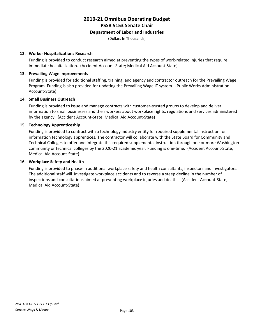### **Department of Labor and Industries**

(Dollars In Thousands)

### **12. Worker Hospitalizations Research**

Funding is provided to conduct research aimed at preventing the types of work-related injuries that require immediate hospitalization. (Accident Account-State; Medical Aid Account-State)

### **13. Prevailing Wage Improvements**

Funding is provided for additional staffing, training, and agency and contractor outreach for the Prevailing Wage Program. Funding is also provided for updating the Prevailing Wage IT system. (Public Works Administration Account-State)

### **14. Small Business Outreach**

Funding is provided to issue and manage contracts with customer-trusted groups to develop and deliver information to small businesses and their workers about workplace rights, regulations and services administered by the agency. (Accident Account-State; Medical Aid Account-State)

### **15. Technology Apprenticeship**

Funding is provided to contract with a technology industry entity for required supplemental instruction for information technology apprentices. The contractor will collaborate with the State Board for Community and Technical Colleges to offer and integrate this required supplemental instruction through one or more Washington community or technical colleges by the 2020-21 academic year. Funding is one-time. (Accident Account-State; Medical Aid Account-State)

### **16. Workplace Safety and Health**

Funding is provided to phase-in additional workplace safety and health consultants, inspectors and investigators. The additional staff will investigate workplace accidents and to reverse a steep decline in the number of inspections and consultations aimed at preventing workplace injuries and deaths. (Accident Account-State; Medical Aid Account-State)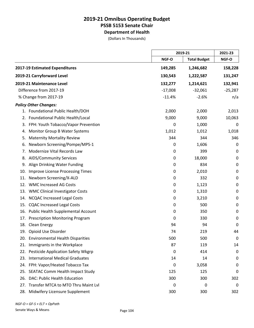|     |                                           |           | 2019-21             |             |
|-----|-------------------------------------------|-----------|---------------------|-------------|
|     |                                           | NGF-O     | <b>Total Budget</b> | NGF-O       |
|     | 2017-19 Estimated Expenditures            | 149,285   | 1,246,682           | 158,228     |
|     | 2019-21 Carryforward Level                | 130,543   | 1,222,587           | 131,247     |
|     | 2019-21 Maintenance Level                 | 132,277   | 1,214,621           | 132,941     |
|     | Difference from 2017-19                   | $-17,008$ | $-32,061$           | $-25,287$   |
|     | % Change from 2017-19                     | $-11.4%$  | $-2.6%$             | n/a         |
|     | <b>Policy Other Changes:</b>              |           |                     |             |
|     | 1. Foundational Public Health/DOH         | 2,000     | 2,000               | 2,013       |
| 2.  | Foundational Public Health/Local          | 9,000     | 9,000               | 10,063      |
|     | 3. FPH: Youth Tobacco/Vapor Prevention    | 0         | 1,000               | 0           |
| 4.  | Monitor Group B Water Systems             | 1,012     | 1,012               | 1,018       |
| 5.  | <b>Maternity Mortality Review</b>         | 344       | 344                 | 346         |
| 6.  | Newborn Screening/Pompe/MPS-1             | 0         | 1,606               | 0           |
| 7.  | Modernize Vital Records Law               | 0         | 399                 | 0           |
| 8.  | <b>AIDS/Community Services</b>            | 0         | 18,000              | $\mathbf 0$ |
| 9.  | Align Drinking Water Funding              | 0         | 834                 | 0           |
| 10. | Improve License Processing Times          | 0         | 2,010               | $\mathbf 0$ |
| 11. | Newborn Screening/X-ALD                   | 0         | 332                 | $\mathbf 0$ |
| 12. | <b>WMC Increased AG Costs</b>             | 0         | 1,123               | 0           |
|     | 13. WMC Clinical Investigator Costs       | 0         | 1,310               | $\mathbf 0$ |
| 14. | <b>NCQAC Increased Legal Costs</b>        | 0         | 3,210               | $\pmb{0}$   |
| 15. | <b>CQAC Increased Legal Costs</b>         | 0         | 500                 | 0           |
|     | 16. Public Health Supplemental Account    | 0         | 350                 | 0           |
| 17. | <b>Prescription Monitoring Program</b>    | 0         | 330                 | $\mathbf 0$ |
| 18. | Clean Energy                              | 94        | 94                  | 0           |
|     | 19. Opioid Use Disorder                   | 74        | 219                 | 44          |
| 20. | <b>Environmental Health Disparities</b>   | 500       | 500                 | 0           |
| 21. | Immigrants in the Workplace               | 87        | 119                 | 14          |
| 22. | <b>Pesticide Application Safety Wkgrp</b> | 0         | 414                 | 0           |
| 23. | <b>International Medical Graduates</b>    | 14        | 14                  | 0           |
| 24. | FPH: Vapor/Heated Tobacco Tax             | 0         | 3,058               | 0           |
| 25. | <b>SEATAC Comm Health Impact Study</b>    | 125       | 125                 | 0           |
| 26. | DAC: Public Health Education              | 300       | 300                 | 302         |
| 27. | Transfer MTCA to MTO Thru Maint Lvl       | 0         | 0                   | 0           |
| 28. | Midwifery Licensure Supplement            | 300       | 300                 | 302         |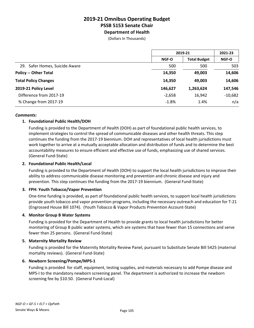(Dollars In Thousands)

|                                | 2019-21      |                     | 2021-23      |
|--------------------------------|--------------|---------------------|--------------|
|                                | <b>NGF-O</b> | <b>Total Budget</b> | <b>NGF-O</b> |
| 29. Safer Homes, Suicide Aware | 500          | 500                 | 503          |
| <b>Policy -- Other Total</b>   | 14,350       | 49,003              | 14,606       |
| <b>Total Policy Changes</b>    | 14,350       | 49.003              | 14,606       |
| 2019-21 Policy Level           | 146,627      | 1,263,624           | 147,546      |
| Difference from 2017-19        | $-2,658$     | 16,942              | $-10,682$    |
| % Change from 2017-19          | $-1.8%$      | 1.4%                | n/a          |

### *Comments:*

### **1. Foundational Public Health/DOH**

Funding is provided to the Department of Health (DOH) as part of foundational public health services, to implement strategies to control the spread of communicable diseases and other health threats. This step continues the funding from the 2017-19 biennium. DOH and representatives of local health jurisdictions must work together to arrive at a mutually acceptable allocation and distribution of funds and to determine the best accountability measures to ensure efficient and effective use of funds, emphasizing use of shared services. (General Fund-State)

### **2. Foundational Public Health/Local**

Funding is provided to the Department of Health (DOH) to support the local health jurisdictions to improve their ability to address communicable disease monitoring and prevention and chronic disease and injury and prevention. This step continues the funding from the 2017-19 biennium. (General Fund-State)

### **3. FPH: Youth Tobacco/Vapor Prevention**

One-time funding is provided, as part of foundational public health services, to support local health jurisdictions provide youth tobacco and vapor prevention programs, including the necessary outreach and education for T-21 (Engrossed House Bill 1074). (Youth Tobacco & Vapor Products Prevention Account-State)

### **4. Monitor Group B Water Systems**

Funding is provided for the Department of Health to provide grants to local health jurisdictions for better monitoring of Group B public water systems, which are systems that have fewer than 15 connections and serve fewer than 25 persons. (General Fund-State)

### **5. Maternity Mortality Review**

Funding is provided for the Maternity Mortality Review Panel, pursuant to Substitute Senate Bill 5425 (maternal mortality reviews). (General Fund-State)

### **6. Newborn Screening/Pompe/MPS-1**

Funding is provided for staff, equipment, testing supplies, and materials necessary to add Pompe disease and MPS-I to the mandatory newborn screening panel. The department is authorized to increase the newborn screening fee by \$10.50. (General Fund-Local)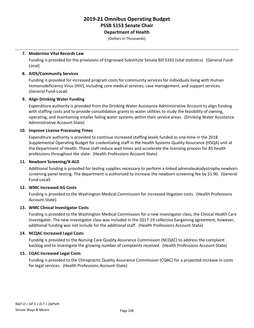(Dollars In Thousands)

### **7. Modernize Vital Records Law**

Funding is provided for the provisions of Engrossed Substitute Senate Bill 5332 (vital statistics). (General Fund-Local)

### **8. AIDS/Community Services**

Funding is provided for increased program costs for community services for individuals living with Human Immunodeficiency Virus (HIV), including core medical services, case management, and support services. (General Fund-Local)

### **9. Align Drinking Water Funding**

Expenditure authority is provided from the Drinking Water Assistance Administrative Account to align funding with staffing costs and to provide consolidation grants to water utilities to study the feasibility of owning, operating, and maintaining smaller failing water systems within their service areas. (Drinking Water Assistance Administrative Account-State)

### **10. Improve License Processing Times**

Expenditure authority is provided to continue increased staffing levels funded as one-time in the 2018 Supplemental Operating Budget for credentialing staff in the Health Systems Quality Assurance (HSQA) unit at the Department of Health. These staff reduce wait times and accelerate the licensing process for 85 health professions throughout the state. (Health Professions Account-State)

### **11. Newborn Screening/X-ALD**

Additional funding is provided for testing supplies necessary to perform x-linked adrenoleukodystrophy newborn screening panel testing. The department is authorized to increase the newborn screening fee by \$1.90. (General Fund-Local)

### **12. WMC Increased AG Costs**

Funding is provided to the Washington Medical Commission for increased litigation costs. (Health Professions Account-State)

### **13. WMC Clinical Investigator Costs**

Funding is provided to the Washington Medical Commission for a new investigator class, the Clinical Health Care Investigator. The new investigator class was included in the 2017-19 collective bargaining agreement, however, additional funding was not include for the additional staff. (Health Professions Account-State)

### **14. NCQAC Increased Legal Costs**

Funding is provided to the Nursing Care Quality Assurance Commission (NCQAC) to address the complaint backlog and to investigate the growing number of complaints received. (Health Professions Account-State)

### **15. CQAC Increased Legal Costs**

Funding is provided to the Chiropractic Quality Assurance Commission (CQAC) for a projected increase in costs for legal services. (Health Professions Account-State)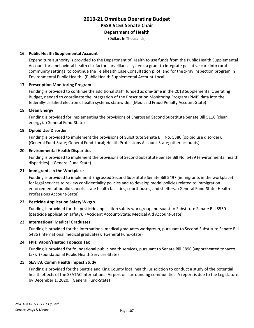**Department of Health**

(Dollars In Thousands)

### **16. Public Health Supplemental Account**

Expenditure authority is provided to the Department of Health to use funds from the Public Health Supplemental Account for a behavioral health risk factor surveillance system, a grant to integrate palliative care into rural community settings, to continue the Telehealth Case Consultation pilot, and for the x-ray inspection program in Environmental Public Health. (Public Health Supplemental Account-Local)

### **17. Prescription Monitoring Program**

Funding is provided to continue the additional staff, funded as one-time in the 2018 Supplemental Operating Budget, needed to coordinate the integration of the Prescription Monitoring Program (PMP) data into the federally-certified electronic health systems statewide. (Medicaid Fraud Penalty Account-State)

### **18. Clean Energy**

Funding is provided for implementing the provisions of Engrossed Second Substitute Senate Bill 5116 (clean energy). (General Fund-State)

### **19. Opioid Use Disorder**

Funding is provided to implement the provisions of Substitute Senate Bill No. 5380 (opioid use disorder). (General Fund-State; General Fund-Local; Health Professions Account-State; other accounts)

### **20. Environmental Health Disparities**

Funding is provided to implement the provisions of Second Substitute Senate Bill No. 5489 (environmental health disparities). (General Fund-State)

### **21. Immigrants in the Workplace**

Funding is provided to implement Engrossed Second Substitute Senate Bill 5497 (immigrants in the workplace) for legal services to review confidentiality policies and to develop model policies related to immigration enforcement at public schools, state health facilities, courthouses, and shelters. (General Fund-State; Health Professions Account-State)

### **22. Pesticide Application Safety Wkgrp**

Funding is provided for the pesticide application safety workgroup, pursuant to Substitute Senate Bill 5550 (pesticide application safety). (Accident Account-State; Medical Aid Account-State)

### **23. International Medical Graduates**

Funding is provided for the international medical graduates workgroup, pursuant to Second Substitute Senate Bill 5486 (international medical graduates). (General Fund-State)

### **24. FPH: Vapor/Heated Tobacco Tax**

Funding is provided for foundational public health services, pursuant to Senate Bill 5896 (vapor/heated tobacco tax). (Foundational Public Health Services-State)

### **25. SEATAC Comm Health Impact Study**

Funding is provided for the Seattle and King County local health jurisdiction to conduct a study of the potential health effects of the SEATAC International Airport on surrounding communities. A report is due to the Legislature by December 1, 2020. (General Fund-State)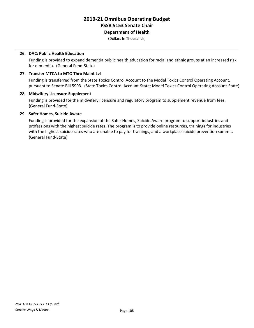(Dollars In Thousands)

### **26. DAC: Public Health Education**

Funding is provided to expand dementia public health education for racial and ethnic groups at an increased risk for dementia. (General Fund-State)

### **27. Transfer MTCA to MTO Thru Maint Lvl**

Funding is transferred from the State Toxics Control Account to the Model Toxics Control Operating Account, pursuant to Senate Bill 5993. (State Toxics Control Account-State; Model Toxics Control Operating Account-State)

### **28. Midwifery Licensure Supplement**

Funding is provided for the midwifery licensure and regulatory program to supplement revenue from fees. (General Fund-State)

### **29. Safer Homes, Suicide Aware**

Funding is provided for the expansion of the Safer Homes, Suicide Aware program to support industries and professions with the highest suicide rates. The program is to provide online resources, trainings for industries with the highest suicide rates who are unable to pay for trainings, and a workplace suicide prevention summit. (General Fund-State)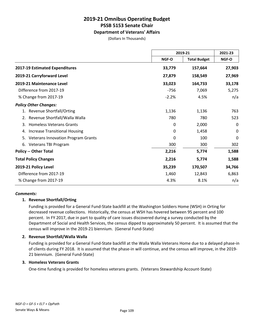### **Department of Veterans' Affairs**

(Dollars In Thousands)

|                                                 |         | 2019-21             | 2021-23 |
|-------------------------------------------------|---------|---------------------|---------|
|                                                 | NGF-O   | <b>Total Budget</b> | NGF-O   |
| 2017-19 Estimated Expenditures                  | 33,779  | 157,664             | 27,903  |
| 2019-21 Carryforward Level                      | 27,879  | 158,549             | 27,969  |
| 2019-21 Maintenance Level                       | 33,023  | 164,733             | 33,178  |
| Difference from 2017-19                         | $-756$  | 7,069               | 5,275   |
| % Change from 2017-19                           | $-2.2%$ | 4.5%                | n/a     |
| <b>Policy Other Changes:</b>                    |         |                     |         |
| <b>Revenue Shortfall/Orting</b>                 | 1,136   | 1,136               | 763     |
| Revenue Shortfall/Walla Walla<br>2.             | 780     | 780                 | 523     |
| <b>Homeless Veterans Grants</b><br>3.           | 0       | 2,000               | 0       |
| <b>Increase Transitional Housing</b><br>4.      | 0       | 1,458               | 0       |
| <b>Veterans Innovation Program Grants</b><br>5. | 0       | 100                 | 0       |
| 6. Veterans TBI Program                         | 300     | 300                 | 302     |
| <b>Policy -- Other Total</b>                    | 2,216   | 5,774               | 1,588   |
| <b>Total Policy Changes</b>                     | 2,216   | 5,774               | 1,588   |
| 2019-21 Policy Level                            | 35,239  | 170,507             | 34,766  |
| Difference from 2017-19                         | 1,460   | 12,843              | 6,863   |
| % Change from 2017-19                           | 4.3%    | 8.1%                | n/a     |

### *Comments:*

### **1. Revenue Shortfall/Orting**

Funding is provided for a General Fund-State backfill at the Washington Soldiers Home (WSH) in Orting for decreased revenue collections. Historically, the census at WSH has hovered between 95 percent and 100 percent. In FY 2017, due in part to quality of care issues discovered during a survey conducted by the Department of Social and Health Services, the census dipped to approximately 50 percent. It is assumed that the census will improve in the 2019-21 biennium. (General Fund-State)

### **2. Revenue Shortfall/Walla Walla**

Funding is provided for a General Fund-State backfill at the Walla Walla Veterans Home due to a delayed phase-in of clients during FY 2018. It is assumed that the phase-in will continue, and the census will improve, in the 2019- 21 biennium. (General Fund-State)

### **3. Homeless Veterans Grants**

One-time funding is provided for homeless veterans grants. (Veterans Stewardship Account-State)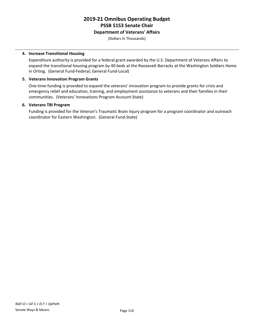### **Department of Veterans' Affairs**

(Dollars In Thousands)

### **4. Increase Transitional Housing**

Expenditure authority is provided for a federal grant awarded by the U.S. Department of Veterans Affairs to expand the transitional housing program by 40 beds at the Roosevelt Barracks at the Washington Soldiers Home in Orting. (General Fund-Federal; General Fund-Local)

### **5. Veterans Innovation Program Grants**

One-time funding is provided to expand the veterans' innovation program to provide grants for crisis and emergency relief and education, training, and employment assistance to veterans and their families in their communities. (Veterans' Innovations Program Account-State)

### **6. Veterans TBI Program**

Funding is provided for the Veteran's Traumatic Brain Injury program for a program coordinator and outreach coordinator for Eastern Washington. (General Fund-State)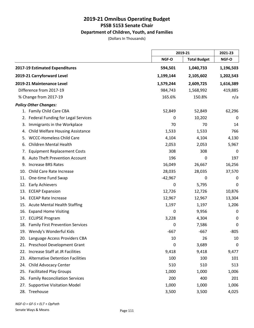### **Department of Children, Youth, and Families**

(Dollars In Thousands)

|                                                |           | 2019-21             |           |
|------------------------------------------------|-----------|---------------------|-----------|
|                                                | NGF-O     | <b>Total Budget</b> | NGF-O     |
| 2017-19 Estimated Expenditures                 | 594,501   | 1,040,733           | 1,196,503 |
| 2019-21 Carryforward Level                     | 1,199,144 | 2,105,602           | 1,202,543 |
| 2019-21 Maintenance Level                      | 1,579,244 | 2,609,725           | 1,616,389 |
| Difference from 2017-19                        | 984,743   | 1,568,992           | 419,885   |
| % Change from 2017-19                          | 165.6%    | 150.8%              | n/a       |
| <b>Policy Other Changes:</b>                   |           |                     |           |
| 1. Family Child Care CBA                       | 52,849    | 52,849              | 62,296    |
| Federal Funding for Legal Services<br>2.       | 0         | 10,202              | 0         |
| Immigrants in the Workplace<br>3.              | 70        | 70                  | 14        |
| <b>Child Welfare Housing Assistance</b><br>4.  | 1,533     | 1,533               | 766       |
| <b>WCCC-Homeless Child Care</b><br>5.          | 4,104     | 4,104               | 4,130     |
| <b>Children Mental Health</b><br>6.            | 2,053     | 2,053               | 5,967     |
| <b>Equipment Replacement Costs</b><br>7.       | 308       | 308                 | 0         |
| Auto Theft Prevention Account<br>8.            | 196       | 0                   | 197       |
| <b>Increase BRS Rates</b><br>9.                | 16,049    | 26,667              | 16,256    |
| Child Care Rate Increase<br>10.                | 28,035    | 28,035              | 37,570    |
| One-time Fund Swap<br>11.                      | $-42,967$ | 0                   | 0         |
| <b>Early Achievers</b><br>12.                  | 0         | 5,795               | 0         |
| <b>ECEAP Expansion</b><br>13.                  | 12,726    | 12,726              | 10,876    |
| <b>ECEAP Rate Increase</b><br>14.              | 12,967    | 12,967              | 13,304    |
| 15. Acute Mental Health Staffing               | 1,197     | 1,197               | 1,206     |
| <b>Expand Home Visiting</b><br>16.             | 0         | 9,956               | 0         |
| <b>ECLIPSE Program</b><br>17.                  | 3,228     | 4,304               | 0         |
| 18. Family First Prevention Services           | 0         | 7,586               | 0         |
| 19. Wendy's Wonderful Kids                     | $-667$    | $-667$              | $-805$    |
| 20. Language Access Providers CBA              | 10        | 26                  | 10        |
| Preschool Development Grant<br>21.             | 0         | 3,689               | 0         |
| Increase Staff at JR Facilities<br>22.         | 9,418     | 9,418               | 9,477     |
| <b>Alternative Detention Facilities</b><br>23. | 100       | 100                 | 101       |
| Child Advocacy Center<br>24.                   | 510       | 510                 | 513       |
| 25. Facilitated Play Groups                    | 1,000     | 1,000               | 1,006     |
| <b>Family Reconciliation Services</b><br>26.   | 200       | 400                 | 201       |
| <b>Supportive Visitation Model</b><br>27.      | 1,000     | 1,000               | 1,006     |
| 28. Treehouse                                  | 3,500     | 3,500               | 4,025     |

*NGF-O = GF-S + ELT + OpPath*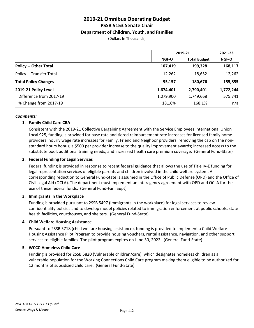### **Department of Children, Youth, and Families**

(Dollars In Thousands)

|                              | 2019-21      |                     | 2021-23   |
|------------------------------|--------------|---------------------|-----------|
|                              | <b>NGF-O</b> | <b>Total Budget</b> | NGF-O     |
| <b>Policy -- Other Total</b> | 107,419      | 199,328             | 168,117   |
| Policy -- Transfer Total     | $-12,262$    | $-18,652$           | $-12,262$ |
| <b>Total Policy Changes</b>  | 95,157       | 180,676             | 155,855   |
| 2019-21 Policy Level         | 1,674,401    | 2,790,401           | 1,772,244 |
| Difference from 2017-19      | 1,079,900    | 1,749,668           | 575,741   |
| % Change from 2017-19        | 181.6%       | 168.1%              | n/a       |

### *Comments:*

### **1. Family Child Care CBA**

Consistent with the 2019-21 Collective Bargaining Agreement with the Service Employees International Union Local 925, funding is provided for base rate and tiered reimbursement rate increases for licensed family home providers; hourly wage rate increases for Family, Friend and Neighbor providers; removing the cap on the nonstandard hours bonus; a \$500 per provider increase to the quality improvement awards; increased access to the substitute pool; additional training needs; and increased health care premium coverage. (General Fund-State)

### **2. Federal Funding for Legal Services**

Federal funding is provided in response to recent federal guidance that allows the use of Title IV-E funding for legal representation services of eligible parents and children involved in the child welfare system. A corresponding reduction to General Fund-State is assumed in the Office of Public Defense (OPD) and the Office of Civil Legal Aid (OCLA). The department must implement an interagency agreement with OPD and OCLA for the use of these federal funds. (General Fund-Fam Supt)

### **3. Immigrants in the Workplace**

Funding is provided pursuant to 2SSB 5497 (immigrants in the workplace) for legal services to review confidentiality policies and to develop model policies related to immigration enforcement at public schools, state health facilities, courthouses, and shelters. (General Fund-State)

### **4. Child Welfare Housing Assistance**

Pursuant to 2SSB 5718 (child welfare housing assistance), funding is provided to implement a Child Welfare Housing Assistance Pilot Program to provide housing vouchers, rental assistance, navigation, and other support services to eligible families. The pilot program expires on June 30, 2022. (General Fund-State)

### **5. WCCC-Homeless Child Care**

Funding is provided for 2SSB 5820 (Vulnerable children/care), which designates homeless children as a vulnerable population for the Working Connections Child Care program making them eligible to be authorized for 12 months of subsidized child care. (General Fund-State)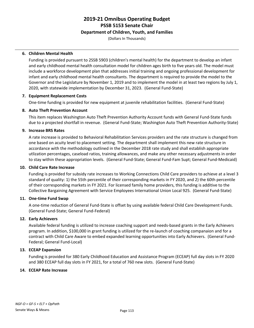### **Department of Children, Youth, and Families**

(Dollars In Thousands)

### **6. Children Mental Health**

Funding is provided pursuant to 2SSB 5903 (children's mental health) for the department to develop an infant and early childhood mental health consultation model for children ages birth to five years old. The model must include a workforce development plan that addresses initial training and ongoing professional development for infant and early childhood mental health consultants. The department is required to provide the model to the Governor and the Legislature by November 1, 2019 and to implement the model in at least two regions by July 1, 2020, with statewide implementation by December 31, 2023. (General Fund-State)

### **7. Equipment Replacement Costs**

One-time funding is provided for new equipment at juvenile rehabilitation facilities. (General Fund-State)

### **8. Auto Theft Prevention Account**

This item replaces Washington Auto Theft Prevention Authority Account funds with General Fund-State funds due to a projected shortfall in revenue. (General Fund-State; Washington Auto Theft Prevention Authority-State)

### **9. Increase BRS Rates**

A rate increase is provided to Behavioral Rehabilitation Services providers and the rate structure is changed from one based on acuity level to placement setting. The department shall implement this new rate structure in accordance with the methodology outlined in the December 2018 rate study and shall establish appropriate utlization percentages, caseload ratios, training allowances, and make any other necessary adjustments in order to stay within these appropriation levels. (General Fund-State; General Fund-Fam Supt; General Fund-Medicaid)

### **10. Child Care Rate Increase**

Funding is provided for subsidy rate increases to Working Connections Child Care providers to achieve at a level 3 standard of quality: 1) the 55th percentile of their corresponding markets in FY 2020, and 2) the 60th percentile of their corresponding markets in FY 2021. For licensed family home providers, this funding is additive to the Collective Bargaining Agreement with Service Employees International Union Local 925. (General Fund-State)

### **11. One-time Fund Swap**

A one-time reduction of General Fund-State is offset by using available federal Child Care Development Funds. (General Fund-State; General Fund-Federal)

### **12. Early Achievers**

Available federal funding is utilized to increase coaching support and needs-based grants in the Early Achievers program. In addition, \$100,000 in grant funding is utilized for the re-launch of coaching companaion and for a contract with Child Care Aware to embed expanded learning opportunities into Early Achievers. (General Fund-Federal; General Fund-Local)

### **13. ECEAP Expansion**

Funding is provided for 380 Early Childhood Education and Assistance Program (ECEAP) full day slots in FY 2020 and 380 ECEAP full day slots in FY 2021, for a total of 760 new slots. (General Fund-State)

### **14. ECEAP Rate Increase**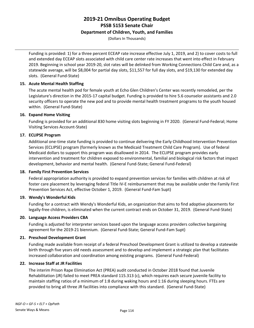### **Department of Children, Youth, and Families**

(Dollars In Thousands)

Funding is provided: 1) for a three percent ECEAP rate increase effective July 1, 2019, and 2) to cover costs to full and extended day ECEAP slots associated with child care center rate increases that went into effect in February 2019. Beginning in school year 2019-20, slot rates will be delinked from Working Connections Child Care and, as a statewide average, will be \$8,004 for partial day slots, \$11,557 for full day slots, and \$19,130 for extended day slots. (General Fund-State)

### **15. Acute Mental Health Staffing**

The acute mental health pod for female youth at Echo Glen Children's Center was recently remodeled, per the Legislature's direction in the 2015-17 capital budget. Funding is provided to hire 5.6 counselor assistants and 2.0 security officers to operate the new pod and to provide mental health treatment programs to the youth housed within. (General Fund-State)

### **16. Expand Home Visiting**

Funding is provided for an additional 830 home visiting slots beginning in FY 2020. (General Fund-Federal; Home Visiting Services Account-State)

### **17. ECLIPSE Program**

Additional one-time state funding is provided to continue delivering the Early Childhood Intervention Prevention Services (ECLIPSE) program (formerly known as the Medicaid Treatment Child Care Program). Use of federal Medicaid dollars to support this program was disallowed in 2014. The ECLIPSE program provides early intervention and treatment for children exposed to environmental, familial and biological risk factors that impact development, behavior and mental health. (General Fund-State; General Fund-Federal)

### **18. Family First Prevention Services**

Federal appropriation authority is provided to expand prevention services for families with children at risk of foster care placement by leveraging federal Title IV-E reimbursement that may be available under the Family First Prevention Services Act, effective October 1, 2019. (General Fund-Fam Supt)

### **19. Wendy's Wonderful Kids**

Funding for a contract with Wendy's Wonderful Kids, an organization that aims to find adoptive placements for legally-free children, is eliminated when the current contract ends on October 31, 2019. (General Fund-State)

### **20. Language Access Providers CBA**

Funding is adjusted for interpreter services based upon the language access providers collective bargaining agreement for the 2019-21 biennium. (General Fund-State; General Fund-Fam Supt)

### **21. Preschool Development Grant**

Funding made available from receipt of a federal Preschool Development Grant is utilized to develop a statewide birth through five years old needs assessment and to develop and implement a strategic plan that facilitates increased collaboration and coordination among existing programs. (General Fund-Federal)

### **22. Increase Staff at JR Facilities**

The interim Prison Rape Elimination Act (PREA) audit conducted in October 2018 found that Juvenile Rehabilitation (JR) failed to meet PREA standard 115.313 (c), which requires each secure juvenile facility to maintain staffing ratios of a minimum of 1:8 during waking hours and 1:16 during sleeping hours. FTEs are provided to bring all three JR facilities into compliance with this standard. (General Fund-State)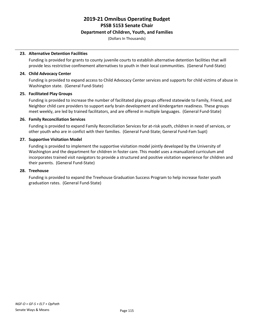### **Department of Children, Youth, and Families**

(Dollars In Thousands)

### **23. Alternative Detention Facilities**

Funding is provided for grants to county juvenile courts to establish alternative detention facilities that will provide less restrictive confinement alternatives to youth in their local communities. (General Fund-State)

### **24. Child Advocacy Center**

Funding is provided to expand access to Child Advocacy Center services and supports for child victims of abuse in Washington state. (General Fund-State)

### **25. Facilitated Play Groups**

Funding is provided to increase the number of facilitated play groups offered statewide to Family, Friend, and Neighbor child care providers to support early brain development and kindergarten readiness. These groups meet weekly, are led by trained facilitators, and are offered in multiple languages. (General Fund-State)

### **26. Family Reconciliation Services**

Funding is provided to expand Family Reconciliation Services for at-risk youth, children in need of services, or other youth who are in confict with their families. (General Fund-State; General Fund-Fam Supt)

### **27. Supportive Visitation Model**

Funding is provided to implement the supportive visitation model jointly developed by the University of Washington and the department for children in foster care. This model uses a manualized curriculum and incorporates trained visit navigators to provide a structured and positive visitation experience for children and their parents. (General Fund-State)

### **28. Treehouse**

Funding is provided to expand the Treehouse Graduation Success Program to help increase foster youth graduation rates. (General Fund-State)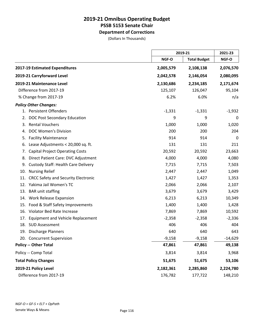**Department of Corrections**

|                                                   | 2019-21   |                     | 2021-23   |
|---------------------------------------------------|-----------|---------------------|-----------|
|                                                   | NGF-O     | <b>Total Budget</b> | NGF-O     |
| 2017-19 Estimated Expenditures                    | 2,005,579 | 2,108,138           | 2,076,570 |
| 2019-21 Carryforward Level                        | 2,042,578 | 2,146,054           | 2,080,095 |
| 2019-21 Maintenance Level                         | 2,130,686 | 2,234,185           | 2,171,674 |
| Difference from 2017-19                           | 125,107   | 126,047             | 95,104    |
| % Change from 2017-19                             | 6.2%      | 6.0%                | n/a       |
| <b>Policy Other Changes:</b>                      |           |                     |           |
| 1. Persistent Offenders                           | $-1,331$  | $-1,331$            | $-1,932$  |
| DOC Post Secondary Education<br>2.                | 9         | 9                   | 0         |
| <b>Rental Vouchers</b><br>3.                      | 1,000     | 1,000               | 1,020     |
| <b>DOC Women's Division</b><br>4.                 | 200       | 200                 | 204       |
| <b>Facility Maintenance</b><br>5.                 | 914       | 914                 | 0         |
| Lease Adjustments < 20,000 sq. ft.<br>6.          | 131       | 131                 | 211       |
| <b>Capital Project Operating Costs</b><br>7.      | 20,592    | 20,592              | 23,663    |
| Direct Patient Care: DVC Adjustment<br>8.         | 4,000     | 4,000               | 4,080     |
| <b>Custody Staff: Health Care Delivery</b><br>9.  | 7,715     | 7,715               | 7,503     |
| <b>Nursing Relief</b><br>10.                      | 2,447     | 2,447               | 1,049     |
| <b>CRCC Safety and Security Electronic</b><br>11. | 1,427     | 1,427               | 1,353     |
| 12. Yakima Jail Women's TC                        | 2,066     | 2,066               | 2,107     |
| <b>BAR</b> unit staffing<br>13.                   | 3,679     | 3,679               | 3,429     |
| 14. Work Release Expansion                        | 6,213     | 6,213               | 10,349    |
| 15. Food & Staff Safety Improvements              | 1,400     | 1,400               | 1,428     |
| Violator Bed Rate Increase<br>16.                 | 7,869     | 7,869               | 10,592    |
| Equipment and Vehicle Replacement<br>17.          | $-2,358$  | $-2,358$            | $-2,336$  |
| 18.<br><b>SUD Assessment</b>                      | 406       | 406                 | 404       |
| 19. Discharge Planners                            | 640       | 640                 | 643       |
| 20. Concurrent Supervision                        | $-9,158$  | $-9,158$            | $-14,629$ |
| <b>Policy -- Other Total</b>                      | 47,861    | 47,861              | 49,138    |
| Policy -- Comp Total                              | 3,814     | 3,814               | 3,968     |
| <b>Total Policy Changes</b>                       | 51,675    | 51,675              | 53,106    |
| 2019-21 Policy Level                              | 2,182,361 | 2,285,860           | 2,224,780 |
| Difference from 2017-19                           | 176,782   | 177,722             | 148,210   |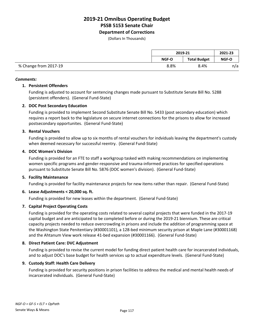**Department of Corrections**

(Dollars In Thousands)

|                       | 2019-21      |                     | 2021-23 |
|-----------------------|--------------|---------------------|---------|
|                       | <b>NGF-O</b> | <b>Total Budget</b> | NGF-O   |
| % Change from 2017-19 | 8.8%         | 8.4%                | n/a     |

### *Comments:*

### **1. Persistent Offenders**

Funding is adjusted to account for sentencing changes made pursuant to Substitute Senate Bill No. 5288 (persistent offenders). (General Fund-State)

### **2. DOC Post Secondary Education**

Funding is provided to implement Second Substitute Senate Bill No. 5433 (post secondary education) which requires a report back to the legislature on secure internet connections for the prisons to allow for increased postsecondary opportunites. (General Fund-State)

### **3. Rental Vouchers**

Funding is provided to allow up to six months of rental vouchers for indviduals leaving the department's custody when deemed necessary for successful reentry. (General Fund-State)

### **4. DOC Women's Division**

Funding is provided for an FTE to staff a workgroup tasked with making recommendations on implementing women specific programs and gender-responsive and trauma-informed practices for specified operations pursuant to Substitute Senate Bill No. 5876 (DOC women's division). (General Fund-State)

### **5. Facility Maintenance**

Funding is provided for facility maintenance projects for new items rather than repair. (General Fund-State)

### **6. Lease Adjustments < 20,000 sq. ft.**

Funding is provided for new leases within the department. (General Fund-State)

### **7. Capital Project Operating Costs**

Funding is provided for the operating costs related to several capital projects that were funded in the 2017-19 capital budget and are anticipated to be completed before or during the 2019-21 biennium. These are critical capacity projects needed to reduce overcrowding in prisons and include the addition of programming space at the Washington State Penitentiary (#30001101), a 128-bed minimum security prison at Maple Lane (#30001168) and the Ahtanum View work release 41-bed expansion (#30001166). (General Fund-State)

### **8. Direct Patient Care: DVC Adjustment**

Funding is provided to revise the current model for funding direct patient health care for incarcerated individuals, and to adjust DOC's base budget for health services up to actual expenditure levels. (General Fund-State)

### **9. Custody Staff: Health Care Delivery**

Funding is provided for security positions in prison facilities to address the medical and mental health needs of incarcerated individuals. (General Fund-State)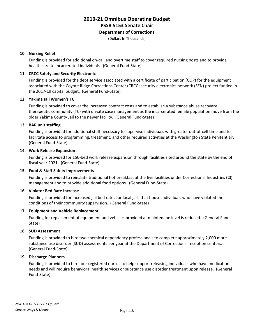### **Department of Corrections**

(Dollars In Thousands)

### **10. Nursing Relief**

Funding is provided for additional on-call and overtime staff to cover required nursing posts and to provide health care to incarcerated individuals. (General Fund-State)

### **11. CRCC Safety and Security Electronic**

Funding is provided for the debt service associated with a certificate of participation (COP) for the equipment associated with the Coyote Ridge Corrections Center (CRCC) security electronics network (SEN) project funded in the 2017-19 capital budget. (General Fund-State)

### **12. Yakima Jail Women's TC**

Funding is provided to cover the increased contract costs and to establish a substance abuse recovery therapeutic community (TC) with on-site case management as the incarcerated female population move from the older Yakima County Jail to the newer facility. (General Fund-State)

### **13. BAR unit staffing**

Funding is provided for additional staff necessary to supervise individuals with greater out-of-cell time and to facilitate access to programming, treatment, and other required activities at the Washington State Penitentiary. (General Fund-State)

### **14. Work Release Expansion**

Funding is provided for 150-bed work release expansion through facilities sited around the state by the end of fiscal year 2021. (General Fund-State)

### **15. Food & Staff Safety Improvements**

Funding is provided to reinstate traditional hot breakfast at the five facilities under Correctional Industries (CI) management and to provide additional food options. (General Fund-State)

### **16. Violator Bed Rate Increase**

Funding is provided for increased jail bed rates for local jails that house individuals who have violated the conditions of their community supervision. (General Fund-State)

### **17. Equipment and Vehicle Replacement**

Funding for replacement of equipment and vehicles provided at maintenane level is reduced. (General Fund-State)

### **18. SUD Assessment**

Funding is provided to hire two chemical dependency professionals to complete approximately 2,000 more substance use disorder (SUD) assessments per year at the Department of Corrections' reception centers. (General Fund-State)

### **19. Discharge Planners**

Funding is provided to hire four registered nurses to help support releasing individuals who have medication needs and will require behavioral health services or substance use disorder treatment upon release. (General Fund-State)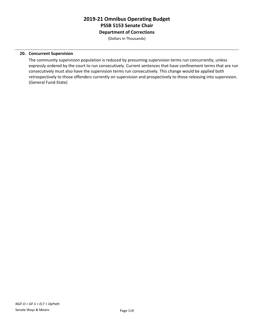**Department of Corrections**

(Dollars In Thousands)

### **20. Concurrent Supervision**

The community supervision population is reduced by presuming supervision terms run concurrently, unless expressly ordered by the court to run consecutively. Current sentences that have confinement terms that are run consecutively must also have the supervision terms run consecutively. This change would be applied both retrospectively to those offenders currently on supervision and prospectively to those releasing into supervision. (General Fund-State)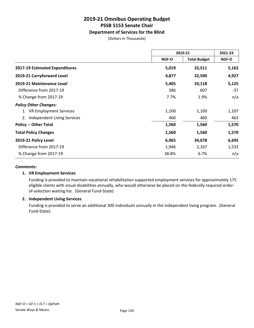### **Department of Services for the Blind**

(Dollars In Thousands)

|                                |              | 2019-21             | 2021-23 |
|--------------------------------|--------------|---------------------|---------|
|                                | <b>NGF-O</b> | <b>Total Budget</b> | NGF-O   |
| 2017-19 Estimated Expenditures | 5,019        | 32,511              | 5,162   |
| 2019-21 Carryforward Level     | 4,877        | 32,590              | 4,927   |
| 2019-21 Maintenance Level      | 5,405        | 33,118              | 5,125   |
| Difference from 2017-19        | 386          | 607                 | $-37$   |
| % Change from 2017-19          | 7.7%         | 1.9%                | n/a     |
| <b>Policy Other Changes:</b>   |              |                     |         |
| 1. VR Employment Services      | 1,100        | 1,100               | 1,107   |
| 2. Independent Living Services | 460          | 460                 | 463     |
| <b>Policy -- Other Total</b>   | 1,560        | 1,560               | 1,570   |
| <b>Total Policy Changes</b>    | 1,560        | 1,560               | 1,570   |
| 2019-21 Policy Level           | 6,965        | 34,678              | 6,695   |
| Difference from 2017-19        | 1,946        | 2,167               | 1,533   |
| % Change from 2017-19          | 38.8%        | 6.7%                | n/a     |

### *Comments:*

### **1. VR Employment Services**

Funding is provided to maintain vocational rehabilitation supported employment services for approximately 175 eligible clients with visual disabilities annually, who would otherwise be placed on the federally required orderof-selection waiting list. (General Fund-State)

### **2. Independent Living Services**

Funding is provided to serve an additional 300 individuals annually in the independent living program. (General Fund-State)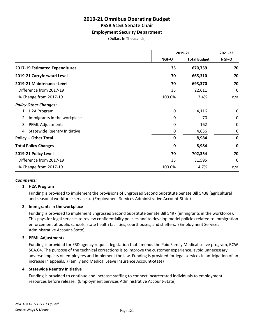### **Employment Security Department**

(Dollars In Thousands)

|                                           |             | 2019-21             |             |
|-------------------------------------------|-------------|---------------------|-------------|
|                                           | NGF-O       | <b>Total Budget</b> | NGF-O       |
| 2017-19 Estimated Expenditures            | 35          | 670,759             | 70          |
| 2019-21 Carryforward Level                | 70          | 665,310             | 70          |
| 2019-21 Maintenance Level                 | 70          | 693,370             | 70          |
| Difference from 2017-19                   | 35          | 22,611              | 0           |
| % Change from 2017-19                     | 100.0%      | 3.4%                | n/a         |
| <b>Policy Other Changes:</b>              |             |                     |             |
| <b>H2A Program</b>                        | 0           | 4,116               | 0           |
| Immigrants in the workplace<br>2.         | 0           | 70                  | $\mathbf 0$ |
| <b>PFML Adjustments</b><br>3.             | 0           | 162                 | 0           |
| <b>Statewide Reentry Initiative</b><br>4. | 0           | 4,636               | $\mathbf 0$ |
| <b>Policy -- Other Total</b>              | $\mathbf 0$ | 8,984               | $\mathbf 0$ |
| <b>Total Policy Changes</b>               | 0           | 8,984               | $\mathbf 0$ |
| 2019-21 Policy Level                      | 70          | 702,354             | 70          |
| Difference from 2017-19                   | 35          | 31,595              | 0           |
| % Change from 2017-19                     | 100.0%      | 4.7%                | n/a         |

### *Comments:*

### **1. H2A Program**

Funding is provided to implement the provisions of Engrossed Second Substitute Senate Bill 5438 (agricultural and seasonal workforce services). (Employment Services Administrative Account-State)

### **2. Immigrants in the workplace**

Funding is provided to implement Engrossed Second Substitute Senate Bill 5497 (immigrants in the workforce). This pays for legal services to review confidentiality policies and to develop model policies related to immigration enforcement at public schools, state health facilities, courthouses, and shelters. (Employment Services Administrative Account-State)

### **3. PFML Adjustments**

Funding is provided for ESD agency request legislation that amends the Paid Family Medical Leave program, RCW 50A.04. The purpose of the technical corrections is to improve the customer experience, avoid unnecessary adverse impacts on employees and implement the law. Funding is provided for legal services in anticipation of an increase in appeals. (Family and Medical Leave Insurance Account-State)

### **4. Statewide Reentry Initiative**

Funding is provided to continue and increase staffing to connect incarcerated individuals to employment resources before release. (Employment Services Administrative Account-State)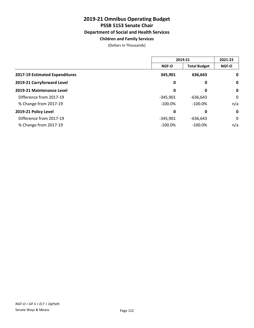### **Children and Family Services**

|                                |            | 2019-21             |              |
|--------------------------------|------------|---------------------|--------------|
|                                | NGF-O      | <b>Total Budget</b> | <b>NGF-O</b> |
| 2017-19 Estimated Expenditures | 345,901    | 636,643             | $\mathbf 0$  |
| 2019-21 Carryforward Level     | 0          | 0                   | $\mathbf 0$  |
| 2019-21 Maintenance Level      | 0          | 0                   | $\mathbf 0$  |
| Difference from 2017-19        | $-345,901$ | $-636,643$          | 0            |
| % Change from 2017-19          | $-100.0\%$ | $-100.0\%$          | n/a          |
| 2019-21 Policy Level           | 0          | 0                   | $\mathbf 0$  |
| Difference from 2017-19        | $-345.901$ | $-636,643$          | 0            |
| % Change from 2017-19          | $-100.0\%$ | $-100.0\%$          | n/a          |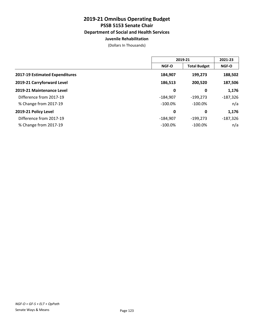### **Juvenile Rehabilitation**

|                                | 2019-21      |                     | 2021-23    |
|--------------------------------|--------------|---------------------|------------|
|                                | <b>NGF-O</b> | <b>Total Budget</b> | NGF-O      |
| 2017-19 Estimated Expenditures | 184,907      | 199,273             | 188,502    |
| 2019-21 Carryforward Level     | 186,513      | 200,520             | 187,506    |
| 2019-21 Maintenance Level      | 0            | 0                   | 1,176      |
| Difference from 2017-19        | $-184,907$   | $-199,273$          | $-187,326$ |
| % Change from 2017-19          | $-100.0\%$   | $-100.0\%$          | n/a        |
| 2019-21 Policy Level           | 0            | 0                   | 1,176      |
| Difference from 2017-19        | $-184,907$   | $-199,273$          | $-187,326$ |
| % Change from 2017-19          | $-100.0\%$   | $-100.0\%$          | n/a        |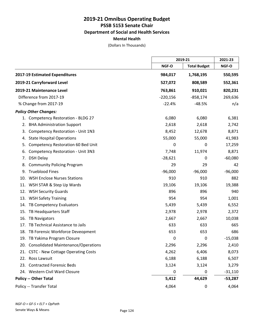**Mental Health**

|     |                                          |            | 2019-21             |           |
|-----|------------------------------------------|------------|---------------------|-----------|
|     |                                          | NGF-O      | <b>Total Budget</b> | NGF-O     |
|     | 2017-19 Estimated Expenditures           | 984,017    | 1,768,195           | 550,595   |
|     | 2019-21 Carryforward Level               | 527,072    | 808,589             | 552,361   |
|     | 2019-21 Maintenance Level                | 763,861    | 910,021             | 820,231   |
|     | Difference from 2017-19                  | $-220,156$ | $-858,174$          | 269,636   |
|     | % Change from 2017-19                    | $-22.4%$   | $-48.5%$            | n/a       |
|     | <b>Policy Other Changes:</b>             |            |                     |           |
|     | 1. Competency Restoration - BLDG 27      | 6,080      | 6,080               | 6,381     |
| 2.  | <b>BHA Administration Support</b>        | 2,618      | 2,618               | 2,742     |
| 3.  | Competency Restoration - Unit 1N3        | 8,452      | 12,678              | 8,871     |
| 4.  | <b>State Hospital Operations</b>         | 55,000     | 55,000              | 41,983    |
| 5.  | Competency Restoration 60 Bed Unit       | 0          | 0                   | 17,259    |
| 6.  | <b>Competency Restoration - Unit 3N3</b> | 7,748      | 11,974              | 8,871     |
| 7.  | <b>DSH Delay</b>                         | $-28,621$  | 0                   | $-60,080$ |
| 8.  | <b>Community Policing Program</b>        | 29         | 29                  | 42        |
| 9.  | <b>Trueblood Fines</b>                   | $-96,000$  | $-96,000$           | $-96,000$ |
| 10. | <b>WSH Enclose Nurses Stations</b>       | 910        | 910                 | 882       |
|     | 11. WSH STAR & Step Up Wards             | 19,106     | 19,106              | 19,388    |
|     | 12. WSH Security Guards                  | 896        | 896                 | 940       |
| 13. | <b>WSH Safety Training</b>               | 954        | 954                 | 1,001     |
| 14. | TB Competency Evaluators                 | 5,439      | 5,439               | 6,552     |
| 15. | TB Headquarters Staff                    | 2,978      | 2,978               | 2,372     |
| 16. | <b>TB Navigators</b>                     | 2,667      | 2,667               | 10,038    |
| 17. | TB Technical Assistance to Jails         | 633        | 633                 | 665       |
|     | 18. TB Forensic Workforce Deveopment     | 653        | 653                 | 686       |
|     | 19. TB Yakima Program Closure            | 0          | $\mathbf 0$         | $-15,038$ |
|     | 20. Consolidated Maintenance/Operations  | 2,296      | 2,296               | 2,410     |
|     | 21. CSTC - New Cottage Operating Costs   | 4,262      | 6,406               | 8,073     |
|     | 22. Ross Lawsuit                         | 6,188      | 6,188               | 6,507     |
|     | 23. Contracted Forensic Beds             | 3,124      | 3,124               | 3,279     |
|     | 24. Western Civil Ward Closure           | 0          | 0                   | $-31,110$ |
|     | <b>Policy -- Other Total</b>             | 5,412      | 44,629              | $-53,287$ |
|     | Policy -- Transfer Total                 | 4,064      | 0                   | 4,064     |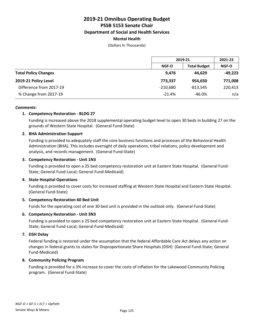### **Mental Health**

(Dollars In Thousands)

|                             |              | 2019-21             |              |
|-----------------------------|--------------|---------------------|--------------|
|                             | <b>NGF-O</b> | <b>Total Budget</b> | <b>NGF-O</b> |
| <b>Total Policy Changes</b> | 9,476        | 44.629              | $-49,223$    |
| 2019-21 Policy Level        | 773,337      | 954,650             | 771,008      |
| Difference from 2017-19     | $-210,680$   | $-813,545$          | 220,413      |
| % Change from 2017-19       | $-21.4%$     | $-46.0%$            | n/a          |

### *Comments:*

### **1. Competency Restoration - BLDG 27**

Funding is increased above the 2018 supplemental operating budget level to open 30 beds in building 27 on the grounds of Western State Hospital. (General Fund-State)

### **2. BHA Administration Support**

Funding is provided to adequately staff the core business functions and processes of the Behavioral Health Administration (BHA). This includes oversight of daily operations, tribal relations, policy development and analysis, and records management. (General Fund-State)

### **3. Competency Restoration - Unit 1N3**

Funding is provided to open a 25 bed competency restoration unit at Eastern State Hospital. (General Fund-State; General Fund-Local; General Fund-Medicaid)

### **4. State Hospital Operations**

Funding is provided to cover costs for increased staffing at Western State Hospital and Eastern State Hospital. (General Fund-State)

### **5. Competency Restoration 60 Bed Unit**

Funds for the operating cost of one 30 bed unit is provided in the outlook only. (General Fund-State)

### **6. Competency Restoration - Unit 3N3**

Funding is provided to open a 25 bed competency restoration unit at Eastern State Hospital. (General Fund-State; General Fund-Local; General Fund-Medicaid)

### **7. DSH Delay**

Federal funding is restored under the assumption that the federal Affordable Care Act delays any action on changes in federal grants to states for Disproportionate Share Hospitals (DSH) (General Fund-State; General Fund-Medicaid)

### **8. Community Policing Program**

Funding is provided for a 3% increase to cover the costs of inflation for the Lakewood Community Policing program. (General Fund-State)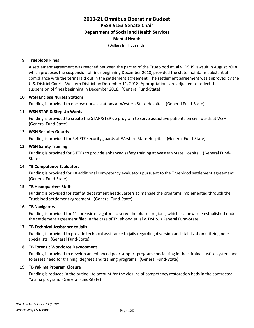(Dollars In Thousands)

### **9. Trueblood Fines**

A settlement agreement was reached between the parties of the Trueblood et. al v. DSHS lawsuit in August 2018 which proposes the suspension of fines beginning December 2018, provided the state maintains substantial compliance with the terms laid out in the settlement agreement. The settlement agreement was approved by the U.S. District Court - Western District on December 11, 2018. Appropriations are adjusted to reflect the suspension of fines beginning in December 2018. (General Fund-State)

### **10. WSH Enclose Nurses Stations**

Funding is provided to enclose nurses stations at Western State Hospital. (General Fund-State)

### **11. WSH STAR & Step Up Wards**

Funding is provided to create the STAR/STEP up program to serve assaultive patients on civil wards at WSH. (General Fund-State)

### **12. WSH Security Guards**

Funding is provided for 5.4 FTE security guards at Western State Hospital. (General Fund-State)

### **13. WSH Safety Training**

Funding is provided for 5 FTEs to provide enhanced safety training at Western State Hospital. (General Fund-State)

### **14. TB Competency Evaluators**

Funding is provided for 18 additional competency evaluators pursuant to the Trueblood settlement agreement. (General Fund-State)

### **15. TB Headquarters Staff**

Funding is provided for staff at department headquarters to manage the programs implemented through the Trueblood settlement agreement. (General Fund-State)

### **16. TB Navigators**

Funding is provided for 11 forensic navigators to serve the phase I regions, which is a new role established under the settlement agreement filed in the case of Trueblood et. al v. DSHS. (General Fund-State)

### **17. TB Technical Assistance to Jails**

Funding is provided to provide technical assistance to jails regarding diversion and stabilization utilizing peer specialists. (General Fund-State)

### **18. TB Forensic Workforce Deveopment**

Funding is provided to develop an enhanced peer support program specializing in the criminal justice system and to assess need for training, degrees and training programs. (General Fund-State)

### **19. TB Yakima Program Closure**

Funding is reduced in the outlook to account for the closure of competency restoration beds in the contracted Yakima program. (General Fund-State)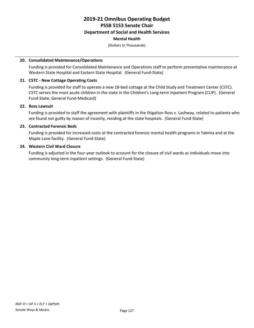### **Mental Health**

(Dollars In Thousands)

### **20. Consolidated Maintenance/Operations**

Funding is provided for Consolidated Maintenance and Operations staff to perform preventative maintenance at Western State Hospital and Eastern State Hospital. (General Fund-State)

### **21. CSTC - New Cottage Operating Costs**

Funding is provided for staff to operate a new 18-bed cottage at the Child Study and Treatment Center (CSTC). CSTC serves the most acute children in the state in the Children's Long-term Inpatient Program (CLIP). (General Fund-State; General Fund-Medicaid)

### **22. Ross Lawsuit**

Funding is provided to staff the agreement with plaintiffs in the litigation Ross v. Lashway, related to patients who are found not guilty by reason of insanity, residing at the state hospitals. (General Fund-State)

### **23. Contracted Forensic Beds**

Funding is provided for increased costs at the contracted forensic mental health programs in Yakima and at the Maple Lane facility. (General Fund-State)

### **24. Western Civil Ward Closure**

Funding is adjusted in the four-year outlook to account for the closure of civil wards as individuals move into community long-term inpatient settings. (General Fund-State)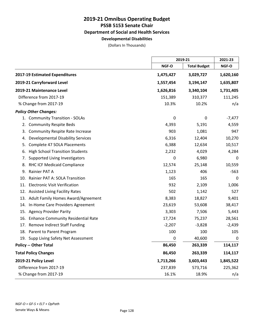### **Developmental Disabilities**

|                                                  |             | 2019-21             |           |
|--------------------------------------------------|-------------|---------------------|-----------|
|                                                  | NGF-O       | <b>Total Budget</b> | NGF-O     |
| 2017-19 Estimated Expenditures                   | 1,475,427   | 3,029,727           | 1,620,160 |
| 2019-21 Carryforward Level                       | 1,557,454   | 3,194,147           | 1,635,807 |
| 2019-21 Maintenance Level                        | 1,626,816   | 3,340,104           | 1,731,405 |
| Difference from 2017-19                          | 151,389     | 310,377             | 111,245   |
| % Change from 2017-19                            | 10.3%       | 10.2%               | n/a       |
| <b>Policy Other Changes:</b>                     |             |                     |           |
| 1. Community Transition - SOLAs                  | 0           | 0                   | $-7,477$  |
| <b>Community Respite Beds</b><br>2.              | 4,393       | 5,191               | 4,559     |
| <b>Community Respite Rate Increase</b><br>3.     | 903         | 1,081               | 947       |
| <b>Developmental Disability Services</b><br>4.   | 6,316       | 12,404              | 10,270    |
| Complete 47 SOLA Placements<br>5.                | 6,388       | 12,634              | 10,517    |
| <b>High School Transition Students</b><br>6.     | 2,232       | 4,029               | 4,284     |
| Supported Living Investigators<br>7.             | $\mathbf 0$ | 6,980               | 0         |
| RHC ICF Medicaid Compliance<br>8.                | 12,574      | 25,148              | 10,559    |
| Rainier PAT A<br>9.                              | 1,123       | 406                 | $-563$    |
| Rainier PAT A: SOLA Transition<br>10.            | 165         | 165                 | 0         |
| <b>Electronic Visit Verification</b><br>11.      | 932         | 2,109               | 1,006     |
| 12. Assisted Living Facility Rates               | 502         | 1,142               | 527       |
| 13. Adult Family Homes Award/Agreement           | 8,383       | 18,827              | 9,401     |
| In-Home Care Providers Agreement<br>14.          | 23,619      | 53,608              | 38,417    |
| <b>Agency Provider Parity</b><br>15.             | 3,303       | 7,506               | 5,443     |
| <b>Enhance Community Residential Rate</b><br>16. | 17,724      | 75,237              | 28,561    |
| <b>Remove Indirect Staff Funding</b><br>17.      | $-2,207$    | $-3,828$            | $-2,439$  |
| 18. Parent to Parent Program                     | 100         | 100                 | 105       |
| 19. Supp Living Safety Net Assessment            | 0           | 40,600              | 0         |
| <b>Policy -- Other Total</b>                     | 86,450      | 263,339             | 114,117   |
| <b>Total Policy Changes</b>                      | 86,450      | 263,339             | 114,117   |
| 2019-21 Policy Level                             | 1,713,266   | 3,603,443           | 1,845,522 |
| Difference from 2017-19                          | 237,839     | 573,716             | 225,362   |
| % Change from 2017-19                            | 16.1%       | 18.9%               | n/a       |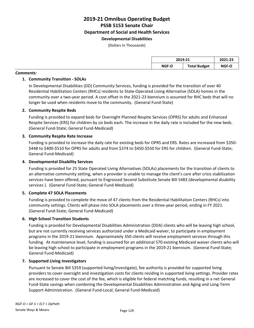# **Developmental Disabilities**

(Dollars In Thousands)

### *Comments:*

### **1. Community Transition - SOLAs**

In Developmental Disabilities (DD) Community Services, funding is provided for the transition of over 40 Residential Habilitation Centers (RHCs) residents to State-Operated Living Alternative (SOLA) homes in the community over a two-year period. A cost offset in the 2021-23 biennium is assumed for RHC beds that will no longer be used when residents move to the community. (General Fund-State)

### **2. Community Respite Beds**

Funding is provided to expand beds for Overnight Planned Respite Services (OPRS) for adults and Enhanced Respite Services (ERS) for children by six beds each. The increase in the daily rate is included for the new beds. (General Fund-State; General Fund-Medicaid)

### **3. Community Respite Rate Increase**

Funding is provided to increase the daily rate for existing beds for OPRS and ERS. Rates are increased from \$350- \$448 to \$400-\$510 for OPRS for adults and from \$374 to \$450-\$550 for ERS for children. (General Fund-State; General Fund-Medicaid)

### **4. Developmental Disability Services**

Funding is provided for 25 State Operated Living Alternatives (SOLAs) placements for the transition of clients to an alternative community setting, when a provider is unable to manage the client's care after crisis stabilization services have been offered, pursuant to Engrossed Second Substitute Senate Bill 5483 (developmental disability services ). (General Fund-State; General Fund-Medicaid)

### **5. Complete 47 SOLA Placements**

Funding is provided to complete the move of 47 clients from the Residential Habilitation Centers (RHCs) into community settings. Clients will phase into SOLA placements over a three-year period, ending in FY 2021. (General Fund-State; General Fund-Medicaid)

### **6. High School Transition Students**

Funding is provided for Developmental Disabilities Administration (DDA) clients who will be leaving high school, but are not currently receiving services authorized under a Medicaid waiver, to participate in employment programs in the 2019-21 biennium. Approximately 350 clients will receive employment services through this funding. At maintenance level, funding is assumed for an additional 570 existing Medicaid waiver clients who will be leaving high school to participate in employment programs in the 2019-21 biennium. (General Fund-State; General Fund-Medicaid)

### **7. Supported Living Investigators**

Pursuant to Senate Bill 5359 (supported living/investigate), fee authority is provided for supported living providers to cover oversight and investigation costs for clients residing in supported living settings. Provider rates are increased to cover the cost of the fee, which is eligible for federal matching funds, resulting in a net General Fund-State savings when combining the Developmental Disabilities Administration and Aging and Long-Term Support Administration. (General Fund-Local; General Fund-Medicaid)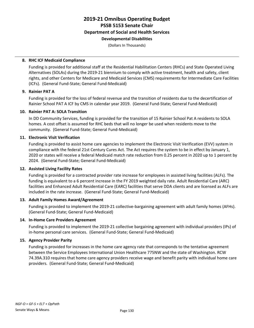### **2019-21 Omnibus Operating Budget PSSB 5153 Senate Chair Department of Social and Health Services Developmental Disabilities**

(Dollars In Thousands)

### **8. RHC ICF Medicaid Compliance**

Funding is provided for additional staff at the Residential Habilitation Centers (RHCs) and State Operated Living Alternatives (SOLAs) during the 2019-21 biennium to comply with active treatment, health and safety, client rights, and other Centers for Medicare and Medicaid Services (CMS) requirements for Intermediate Care Facilities (ICFs). (General Fund-State; General Fund-Medicaid)

### **9. Rainier PAT A**

Funding is provided for the loss of federal revenue and the transition of residents due to the decertification of Rainier School PAT A ICF by CMS in calendar year 2019. (General Fund-State; General Fund-Medicaid)

### **10. Rainier PAT A: SOLA Transition**

In DD Community Services, funding is provided for the transition of 15 Rainier School Pat A residents to SOLA homes. A cost offset is assumed for RHC beds that will no longer be used when residents move to the community. (General Fund-State; General Fund-Medicaid)

### **11. Electronic Visit Verification**

Funding is provided to assist home care agencies to implement the Electronic Visit Verification (EVV) system in compliance with the federal 21st Century Cures Act. The Act requires the system to be in effect by January 1, 2020 or states will receive a federal Medicaid match rate reduction from 0.25 percent in 2020 up to 1 percent by 2024. (General Fund-State; General Fund-Medicaid)

### **12. Assisted Living Facility Rates**

Funding is provided for a contracted provider rate increase for employees in assisted living facilities (ALFs). The funding is equivalent to a 6 percent increase in the FY 2019 weighted daily rate. Adult Residential Care (ARC) facilities and Enhanced Adult Residential Care (EARC) facilities that serve DDA clients and are licensed as ALFs are included in the rate increase. (General Fund-State; General Fund-Medicaid)

### **13. Adult Family Homes Award/Agreement**

Funding is provided to implement the 2019-21 collective-bargaining agreement with adult family homes (AFHs). (General Fund-State; General Fund-Medicaid)

### **14. In-Home Care Providers Agreement**

Funding is provided to implement the 2019-21 collective bargaining agreement with individual providers (IPs) of in-home personal care services. (General Fund-State; General Fund-Medicaid)

### **15. Agency Provider Parity**

Funding is provided for increases in the home care agency rate that corresponds to the tentative agreement between the Service Employees International Union Healthcare 775NW and the state of Washington. RCW 74.39A.310 requires that home care agency providers receive wage and benefit parity with individual home care providers. (General Fund-State; General Fund-Medicaid)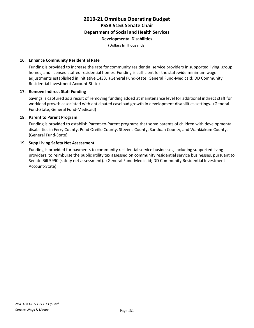### **2019-21 Omnibus Operating Budget PSSB 5153 Senate Chair Department of Social and Health Services Developmental Disabilities**

(Dollars In Thousands)

### **16. Enhance Community Residential Rate**

Funding is provided to increase the rate for community residential service providers in supported living, group homes, and licensed staffed residential homes. Funding is sufficient for the statewide minimum wage adjustments established in Initiative 1433. (General Fund-State; General Fund-Medicaid; DD Community Residential Investment Account-State)

### **17. Remove Indirect Staff Funding**

Savings is captured as a result of removing funding added at maintenance level for additional indirect staff for workload growth associated with anticipated caseload growth in development disabilities settings. (General Fund-State; General Fund-Medicaid)

### **18. Parent to Parent Program**

Funding is provided to establish Parent-to-Parent programs that serve parents of children with developmental disabilities in Ferry County, Pend Oreille County, Stevens County, San Juan County, and Wahkiakum County. (General Fund-State)

### **19. Supp Living Safety Net Assessment**

Funding is provided for payments to community residential service businesses, including supported living providers, to reimburse the public utility tax assessed on community residential service businesses, pursuant to Senate Bill 5990 (safety net assessment). (General Fund-Medicaid; DD Community Residential Investment Account-State)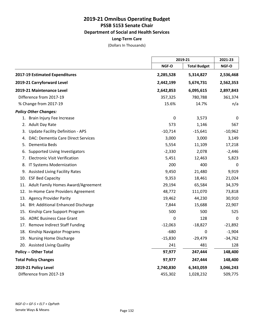**Department of Social and Health Services**

**Long-Term Care**

|                                               |           | 2019-21             |           |
|-----------------------------------------------|-----------|---------------------|-----------|
|                                               | NGF-O     | <b>Total Budget</b> | NGF-O     |
| 2017-19 Estimated Expenditures                | 2,285,528 | 5,314,827           | 2,536,468 |
| 2019-21 Carryforward Level                    | 2,442,199 | 5,674,731           | 2,562,353 |
| 2019-21 Maintenance Level                     | 2,642,853 | 6,095,615           | 2,897,843 |
| Difference from 2017-19                       | 357,325   | 780,788             | 361,374   |
| % Change from 2017-19                         | 15.6%     | 14.7%               | n/a       |
| <b>Policy Other Changes:</b>                  |           |                     |           |
| 1. Brain Injury Fee Increase                  | 0         | 3,573               | 0         |
| <b>Adult Day Rate</b><br>2.                   | 573       | 1,146               | 567       |
| <b>Update Facility Definition - APS</b><br>3. | $-10,714$ | $-15,641$           | $-10,962$ |
| DAC: Dementia Care Direct Services<br>4.      | 3,000     | 3,000               | 3,149     |
| Dementia Beds<br>5.                           | 5,554     | 11,109              | 17,218    |
| Supported Living Investigators<br>6.          | $-2,330$  | 2,078               | $-2,446$  |
| <b>Electronic Visit Verification</b><br>7.    | 5,451     | 12,463              | 5,823     |
| IT Systems Modernization<br>8.                | 200       | 400                 | 0         |
| 9. Assisted Living Facility Rates             | 9,450     | 21,480              | 9,919     |
| 10. ESF Bed Capacity                          | 9,353     | 18,461              | 21,024    |
| 11. Adult Family Homes Award/Agreement        | 29,194    | 65,584              | 34,379    |
| In-Home Care Providers Agreement<br>12.       | 48,772    | 111,070             | 73,818    |
| 13. Agency Provider Parity                    | 19,462    | 44,230              | 30,910    |
| 14. BH: Additional Enhanced Discharge         | 7,844     | 15,688              | 22,907    |
| Kinship Care Support Program<br>15.           | 500       | 500                 | 525       |
| <b>ADRC Business Case Grant</b><br>16.        | 0         | 128                 | 0         |
| 17. Remove Indirect Staff Funding             | $-12,063$ | $-18,827$           | $-21,892$ |
| 18. Kinship Navigator Programs                | $-680$    | $\pmb{0}$           | $-1,904$  |
| 19. Nursing Home Discharge                    | $-15,830$ | $-29,479$           | $-34,762$ |
| 20. Assisted Living Quality                   | 241       | 481                 | 128       |
| <b>Policy -- Other Total</b>                  | 97,977    | 247,444             | 148,400   |
| <b>Total Policy Changes</b>                   | 97,977    | 247,444             | 148,400   |
| 2019-21 Policy Level                          | 2,740,830 | 6,343,059           | 3,046,243 |
| Difference from 2017-19                       | 455,302   | 1,028,232           | 509,775   |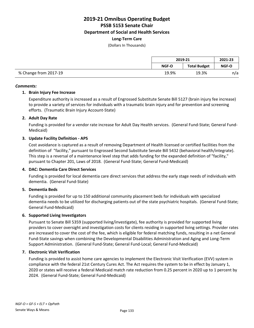**Department of Social and Health Services**

### **Long-Term Care**

(Dollars In Thousands)

|                       | 2019-21      |                     | 2021-23      |
|-----------------------|--------------|---------------------|--------------|
|                       | <b>NGF-O</b> | <b>Total Budget</b> | <b>NGF-O</b> |
| % Change from 2017-19 | 19.9%        | 19.3%               | n/a          |

### *Comments:*

### **1. Brain Injury Fee Increase**

Expenditure authority is increased as a result of Engrossed Substitute Senate Bill 5127 (brain injury fee increase) to provide a variety of services for individuals with a traumatic brain injury and for prevention and screening efforts. (Traumatic Brain Injury Account-State)

### **2. Adult Day Rate**

Funding is provided for a vendor rate increase for Adult Day Health services. (General Fund-State; General Fund-Medicaid)

### **3. Update Facility Definition - APS**

Cost avoidance is captured as a result of removing Department of Health licensed or certified facilities from the definition of "facility," pursuant to Engrossed Second Substitute Senate Bill 5432 (behavioral health/integrate). This step is a reversal of a maintenance level step that adds funding for the expanded definition of "facility," pursuant to Chapter 201, Laws of 2018. (General Fund-State; General Fund-Medicaid)

### **4. DAC: Dementia Care Direct Services**

Funding is provided for local dementia care direct services that address the early stage needs of individuals with dementia. (General Fund-State)

### **5. Dementia Beds**

Funding is provided for up to 150 additional community placement beds for individuals with specialized dementia needs to be utilized for discharging patients out of the state psychiatric hospitals. (General Fund-State; General Fund-Medicaid)

### **6. Supported Living Investigators**

Pursuant to Senate Bill 5359 (supported living/investigate), fee authority is provided for supported living providers to cover oversight and investigation costs for clients residing in supported living settings. Provider rates are increased to cover the cost of the fee, which is eligible for federal matching funds, resulting in a net General Fund-State savings when combining the Developmental Disabilities Administration and Aging and Long-Term Support Administration. (General Fund-State; General Fund-Local; General Fund-Medicaid)

### **7. Electronic Visit Verification**

Funding is provided to assist home care agencies to implement the Electronic Visit Verification (EVV) system in compliance with the federal 21st Century Cures Act. The Act requires the system to be in effect by January 1, 2020 or states will receive a federal Medicaid match rate reduction from 0.25 percent in 2020 up to 1 percent by 2024. (General Fund-State; General Fund-Medicaid)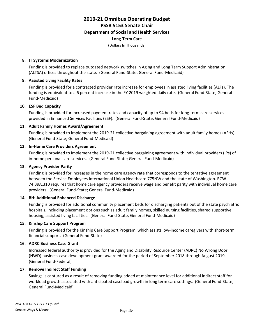### **Long-Term Care**

(Dollars In Thousands)

### **8. IT Systems Modernization**

Funding is provided to replace outdated network switches in Aging and Long Term Support Administration (ALTSA) offices throughout the state. (General Fund-State; General Fund-Medicaid)

### **9. Assisted Living Facility Rates**

Funding is provided for a contracted provider rate increase for employees in assisted living facilities (ALFs). The funding is equivalent to a 6 percent increase in the FY 2019 weighted daily rate. (General Fund-State; General Fund-Medicaid)

### **10. ESF Bed Capacity**

Funding is provided for increased payment rates and capacity of up to 94 beds for long-term care services provided in Enhanced Services Facilities (ESF). (General Fund-State; General Fund-Medicaid)

### **11. Adult Family Homes Award/Agreement**

Funding is provided to implement the 2019-21 collective-bargaining agreement with adult family homes (AFHs). (General Fund-State; General Fund-Medicaid)

### **12. In-Home Care Providers Agreement**

Funding is provided to implement the 2019-21 collective bargaining agreement with individual providers (IPs) of in-home personal care services. (General Fund-State; General Fund-Medicaid)

### **13. Agency Provider Parity**

Funding is provided for increases in the home care agency rate that corresponds to the tentative agreement between the Service Employees International Union Healthcare 775NW and the state of Washington. RCW 74.39A.310 requires that home care agency providers receive wage and benefit parity with individual home care providers. (General Fund-State; General Fund-Medicaid)

### **14. BH: Additional Enhanced Discharge**

Funding is provided for additional community placement beds for discharging patients out of the state psychiatric hospitals, including placement options such as adult family homes, skilled nursing facilities, shared supportive housing, assisted living facilities. (General Fund-State; General Fund-Medicaid)

### **15. Kinship Care Support Program**

Funding is provided for the Kinship Care Support Program, which assists low-income caregivers with short-term financial support. (General Fund-State)

### **16. ADRC Business Case Grant**

Increased federal authority is provided for the Aging and Disability Resource Center (ADRC) No Wrong Door (NWD) business case development grant awarded for the period of September 2018 through August 2019. (General Fund-Federal)

### **17. Remove Indirect Staff Funding**

Savings is captured as a result of removing funding added at maintenance level for additional indirect staff for workload growth associated with anticipated caseload growth in long term care settings. (General Fund-State; General Fund-Medicaid)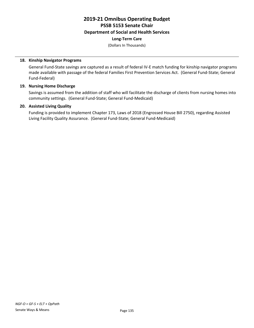### **Long-Term Care**

(Dollars In Thousands)

### **18. Kinship Navigator Programs**

General Fund-State savings are captured as a result of federal IV-E match funding for kinship navigator programs made available with passage of the federal Families First Prevention Services Act. (General Fund-State; General Fund-Federal)

### **19. Nursing Home Discharge**

Savings is assumed from the addition of staff who will facilitate the discharge of clients from nursing homes into community settings. (General Fund-State; General Fund-Medicaid)

### **20. Assisted Living Quality**

Funding is provided to implement Chapter 173, Laws of 2018 (Engrossed House Bill 2750), regarding Assisted Living Facility Quality Assurance. (General Fund-State; General Fund-Medicaid)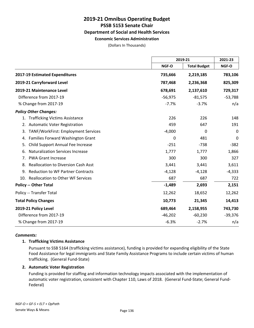**Economic Services Administration**

(Dollars In Thousands)

|                                                  | 2019-21   |                     | 2021-23   |
|--------------------------------------------------|-----------|---------------------|-----------|
|                                                  | NGF-O     | <b>Total Budget</b> | NGF-O     |
| 2017-19 Estimated Expenditures                   | 735,666   | 2,219,185           | 783,106   |
| 2019-21 Carryforward Level                       | 787,468   | 2,236,368           | 825,309   |
| 2019-21 Maintenance Level                        | 678,691   | 2,137,610           | 729,317   |
| Difference from 2017-19                          | $-56,975$ | $-81,575$           | $-53,788$ |
| % Change from 2017-19                            | $-7.7%$   | $-3.7%$             | n/a       |
| <b>Policy Other Changes:</b>                     |           |                     |           |
| <b>Trafficking Victims Assistance</b><br>1.      | 226       | 226                 | 148       |
| <b>Automatic Voter Registration</b><br>2.        | 459       | 647                 | 191       |
| TANF/WorkFirst: Employment Services<br>3.        | $-4,000$  | 0                   | $\Omega$  |
| Families Forward Washington Grant<br>4.          | 0         | 481                 | 0         |
| Child Support Annual Fee Increase<br>5.          | $-251$    | $-738$              | $-382$    |
| <b>Naturalization Services Increase</b><br>6.    | 1,777     | 1,777               | 1,866     |
| <b>PWA Grant Increase</b><br>7.                  | 300       | 300                 | 327       |
| <b>Reallocation to Diversion Cash Asst</b><br>8. | 3,441     | 3,441               | 3,611     |
| <b>Reduction to WF Partner Contracts</b><br>9.   | $-4,128$  | $-4,128$            | $-4,333$  |
| 10. Reallocation to Other WF Services            | 687       | 687                 | 722       |
| <b>Policy -- Other Total</b>                     | $-1,489$  | 2,693               | 2,151     |
| Policy -- Transfer Total                         | 12,262    | 18,652              | 12,262    |
| <b>Total Policy Changes</b>                      | 10,773    | 21,345              | 14,413    |
| 2019-21 Policy Level                             | 689,464   | 2,158,955           | 743,730   |
| Difference from 2017-19                          | $-46,202$ | $-60,230$           | $-39,376$ |
| % Change from 2017-19                            | $-6.3%$   | $-2.7%$             | n/a       |

### *Comments:*

### **1. Trafficking Victims Assistance**

Pursuant to SSB 5164 (trafficking victims assistance), funding is provided for expanding eligibility of the State Food Assistance for legal immigrants and State Family Assistance Programs to include certain victims of human trafficking. (General Fund-State)

### **2. Automatic Voter Registration**

Funding is provided for staffing and information technology impacts associated with the implementation of automatic voter registration, consistent with Chapter 110, Laws of 2018. (General Fund-State; General Fund-Federal)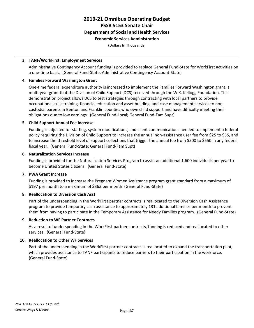### **Economic Services Administration**

(Dollars In Thousands)

### **3. TANF/WorkFirst: Employment Services**

Administrative Contingency Account funding is provided to replace General Fund-State for WorkFirst activities on a one-time basis. (General Fund-State; Administrative Contingency Account-State)

### **4. Families Forward Washington Grant**

One-time federal expenditure authority is increased to implement the Families Forward Washington grant, a multi-year grant that the Division of Child Support (DCS) received through the W.K. Kellogg Foundation. This demonstration project allows DCS to test strategies through contracting with local partners to provide occupational skills training, financial education and asset building, and case management services to noncustodial parents in Benton and Franklin counties who owe child support and have difficulty meeting their obligations due to low earnings. (General Fund-Local; General Fund-Fam Supt)

### **5. Child Support Annual Fee Increase**

Funding is adjusted for staffing, system modifications, and client communications needed to implement a federal policy requiring the Division of Child Support to increase the annual non-assistance user fee from \$25 to \$35, and to increase the threshold level of support collections that trigger the annual fee from \$500 to \$550 in any federal fiscal year. (General Fund-State; General Fund-Fam Supt)

### **6. Naturalization Services Increase**

Funding is provided for the Naturalization Services Program to assist an additional 1,600 individuals per year to become United States citizens. (General Fund-State)

### **7. PWA Grant Increase**

Funding is provided to increase the Pregnant Women Assistance program grant standard from a maximum of \$197 per month to a maximum of \$363 per month (General Fund-State)

### **8. Reallocation to Diversion Cash Asst**

Part of the underspending in the WorkFirst partner contracts is reallocated to the Diversion Cash Assistance program to provide temporary cash assistance to approximately 131 additional families per month to prevent them from having to participate in the Temporary Assistance for Needy Families program. (General Fund-State)

### **9. Reduction to WF Partner Contracts**

As a result of underspending in the WorkFirst partner contracts, funding is reduced and reallocated to other services. (General Fund-State)

### **10. Reallocation to Other WF Services**

Part of the underspending in the WorkFirst partner contracts is reallocated to expand the transportation pilot, which provides assistance to TANF participants to reduce barriers to their participation in the workforce. (General Fund-State)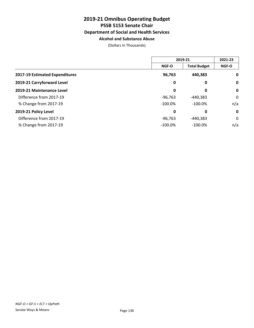### **Alcohol and Substance Abuse**

(Dollars In Thousands)

|                                |            | 2019-21             |              |
|--------------------------------|------------|---------------------|--------------|
|                                | NGF-O      | <b>Total Budget</b> | <b>NGF-O</b> |
| 2017-19 Estimated Expenditures | 96,763     | 440,383             | $\mathbf 0$  |
| 2019-21 Carryforward Level     | 0          | 0                   | $\mathbf 0$  |
| 2019-21 Maintenance Level      | 0          | 0                   | $\mathbf 0$  |
| Difference from 2017-19        | $-96,763$  | -440,383            | 0            |
| % Change from 2017-19          | $-100.0\%$ | $-100.0%$           | n/a          |
| 2019-21 Policy Level           | 0          | 0                   | $\mathbf 0$  |
| Difference from 2017-19        | $-96,763$  | $-440,383$          | 0            |
| % Change from 2017-19          | $-100.0%$  | $-100.0%$           | n/a          |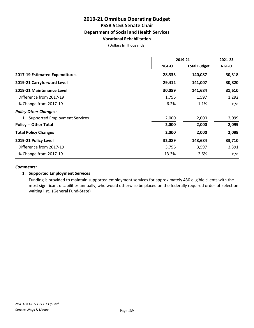#### **Vocational Rehabilitation**

(Dollars In Thousands)

|                                       | 2019-21      |                     | 2021-23      |
|---------------------------------------|--------------|---------------------|--------------|
|                                       | <b>NGF-O</b> | <b>Total Budget</b> | <b>NGF-O</b> |
| <b>2017-19 Estimated Expenditures</b> | 28,333       | 140,087             | 30,318       |
| 2019-21 Carryforward Level            | 29,412       | 141,007             | 30,820       |
| 2019-21 Maintenance Level             | 30,089       | 141,684             | 31,610       |
| Difference from 2017-19               | 1,756        | 1,597               | 1,292        |
| % Change from 2017-19                 | 6.2%         | 1.1%                | n/a          |
| <b>Policy Other Changes:</b>          |              |                     |              |
| 1. Supported Employment Services      | 2,000        | 2,000               | 2,099        |
| <b>Policy -- Other Total</b>          | 2,000        | 2,000               | 2,099        |
| <b>Total Policy Changes</b>           | 2,000        | 2,000               | 2,099        |
| 2019-21 Policy Level                  | 32,089       | 143,684             | 33,710       |
| Difference from 2017-19               | 3,756        | 3,597               | 3,391        |
| % Change from 2017-19                 | 13.3%        | 2.6%                | n/a          |

#### *Comments:*

#### **1. Supported Employment Services**

Funding is provided to maintain supported employment services for approximately 430 eligible clients with the most significant disabilities annually, who would otherwise be placed on the federally required order-of-selection waiting list. (General Fund-State)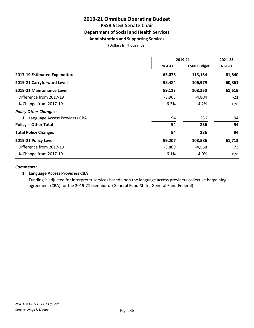### **Administration and Supporting Services**

(Dollars In Thousands)

|                                  | 2019-21  |                     | 2021-23      |
|----------------------------------|----------|---------------------|--------------|
|                                  | NGF-O    | <b>Total Budget</b> | <b>NGF-O</b> |
| 2017-19 Estimated Expenditures   | 63,076   | 113,154             | 61,640       |
| 2019-21 Carryforward Level       | 58,484   | 106,979             | 60,861       |
| 2019-21 Maintenance Level        | 59,113   | 108,350             | 61,619       |
| Difference from 2017-19          | $-3,963$ | $-4,804$            | $-21$        |
| % Change from 2017-19            | $-6.3%$  | $-4.2%$             | n/a          |
| <b>Policy Other Changes:</b>     |          |                     |              |
| 1. Language Access Providers CBA | 94       | 236                 | 94           |
| <b>Policy -- Other Total</b>     | 94       | 236                 | 94           |
| <b>Total Policy Changes</b>      | 94       | 236                 | 94           |
| 2019-21 Policy Level             | 59,207   | 108,586             | 61,713       |
| Difference from 2017-19          | $-3,869$ | $-4,568$            | 73           |
| % Change from 2017-19            | $-6.1%$  | $-4.0%$             | n/a          |

#### *Comments:*

#### **1. Language Access Providers CBA**

Funding is adjusted for interpreter services based upon the language access providers collective bargaining agreement (CBA) for the 2019-21 biennium. (General Fund-State; General Fund-Federal)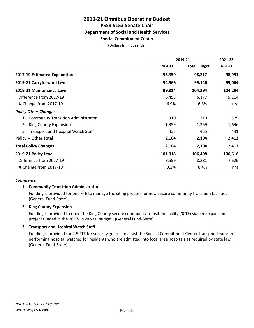### **Special Commitment Center**

(Dollars In Thousands)

|                                                 | 2019-21 |                     | 2021-23 |
|-------------------------------------------------|---------|---------------------|---------|
|                                                 | NGF-O   | <b>Total Budget</b> | NGF-O   |
| 2017-19 Estimated Expenditures                  | 93,359  | 98,217              | 98,991  |
| 2019-21 Carryforward Level                      | 94,566  | 99,146              | 99,064  |
| 2019-21 Maintenance Level                       | 99,814  | 104,394             | 104,204 |
| Difference from 2017-19                         | 6,455   | 6,177               | 5,214   |
| % Change from 2017-19                           | 6.9%    | 6.3%                | n/a     |
| <b>Policy Other Changes:</b>                    |         |                     |         |
| <b>Community Transition Administrator</b>       | 310     | 310                 | 325     |
| King County Expansion<br>2.                     | 1,359   | 1,359               | 1,646   |
| <b>Transport and Hospital Watch Staff</b><br>3. | 435     | 435                 | 441     |
| <b>Policy -- Other Total</b>                    | 2,104   | 2,104               | 2,412   |
| <b>Total Policy Changes</b>                     | 2,104   | 2,104               | 2,412   |
| 2019-21 Policy Level                            | 101,918 | 106,498             | 106,616 |
| Difference from 2017-19                         | 8,559   | 8,281               | 7,626   |
| % Change from 2017-19                           | 9.2%    | 8.4%                | n/a     |

#### *Comments:*

#### **1. Community Transition Administrator**

Funding is provided for one FTE to manage the siting process for new secure community transition facilities. (General Fund-State)

#### **2. King County Expansion**

Funding is provided to open the King County secure community transition facility (SCTF) six-bed expansion project funded in the 2017-19 capital budget. (General Fund-State)

#### **3. Transport and Hospital Watch Staff**

Funding is provided for 2.5 FTE for security guards to assist the Special Commitment Center transport teams in performing hospital watches for residents who are admitted into local area hospitals as required by state law. (General Fund-State)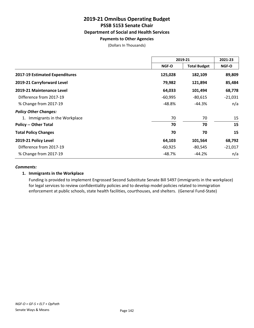#### **Payments to Other Agencies**

(Dollars In Thousands)

|                                   | 2019-21   |                     | 2021-23      |
|-----------------------------------|-----------|---------------------|--------------|
|                                   | NGF-O     | <b>Total Budget</b> | <b>NGF-O</b> |
| 2017-19 Estimated Expenditures    | 125,028   | 182,109             | 89,809       |
| 2019-21 Carryforward Level        | 79,982    | 121,894             | 85,484       |
| 2019-21 Maintenance Level         | 64,033    | 101,494             | 68,778       |
| Difference from 2017-19           | $-60,995$ | $-80,615$           | $-21,031$    |
| % Change from 2017-19             | -48.8%    | -44.3%              | n/a          |
| <b>Policy Other Changes:</b>      |           |                     |              |
| Immigrants in the Workplace<br>1. | 70        | 70                  | 15           |
| <b>Policy -- Other Total</b>      | 70        | 70                  | 15           |
| <b>Total Policy Changes</b>       | 70        | 70                  | 15           |
| 2019-21 Policy Level              | 64,103    | 101,564             | 68,792       |
| Difference from 2017-19           | $-60,925$ | $-80,545$           | $-21,017$    |
| % Change from 2017-19             | -48.7%    | $-44.2%$            | n/a          |

#### *Comments:*

#### **1. Immigrants in the Workplace**

Funding is provided to implement Engrossed Second Substitute Senate Bill 5497 (immigrants in the workplace) for legal services to review confidentiality policies and to develop model policies related to immigration enforcement at public schools, state health facilities, courthouses, and shelters. (General Fund-State)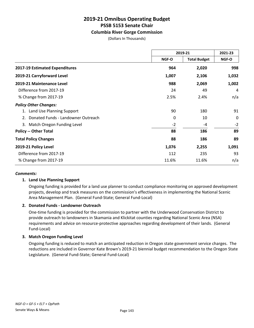#### **Columbia River Gorge Commission**

(Dollars In Thousands)

|                                          | 2019-21      |                     | 2021-23      |
|------------------------------------------|--------------|---------------------|--------------|
|                                          | <b>NGF-O</b> | <b>Total Budget</b> | <b>NGF-O</b> |
| 2017-19 Estimated Expenditures           | 964          | 2,020               | 998          |
| 2019-21 Carryforward Level               | 1,007        | 2,106               | 1,032        |
| 2019-21 Maintenance Level                | 988          | 2,069               | 1,002        |
| Difference from 2017-19                  | 24           | 49                  | 4            |
| % Change from 2017-19                    | 2.5%         | 2.4%                | n/a          |
| <b>Policy Other Changes:</b>             |              |                     |              |
| Land Use Planning Support                | 90           | 180                 | 91           |
| Donated Funds - Landowner Outreach<br>2. | 0            | 10                  | 0            |
| 3. Match Oregon Funding Level            | $-2$         | -4                  | $-2$         |
| <b>Policy -- Other Total</b>             | 88           | 186                 | 89           |
| <b>Total Policy Changes</b>              | 88           | 186                 | 89           |
| 2019-21 Policy Level                     | 1,076        | 2,255               | 1,091        |
| Difference from 2017-19                  | 112          | 235                 | 93           |
| % Change from 2017-19                    | 11.6%        | 11.6%               | n/a          |

#### *Comments:*

#### **1. Land Use Planning Support**

Ongoing funding is provided for a land use planner to conduct compliance monitoring on approved development projects, develop and track measures on the commission's effectiveness in implementing the National Scenic Area Management Plan. (General Fund-State; General Fund-Local)

#### **2. Donated Funds - Landowner Outreach**

One-time funding is provided for the commission to partner with the Underwood Conservation District to provide outreach to landowners in Skamania and Klickitat counties regarding National Scenic Area (NSA) requirements and advice on resource-protective approaches regarding development of their lands. (General Fund-Local)

#### **3. Match Oregon Funding Level**

Ongoing funding is reduced to match an anticipated reduction in Oregon state government service charges. The reductions are included in Governor Kate Brown's 2019-21 biennial budget recommendation to the Oregon State Legislature. (General Fund-State; General Fund-Local)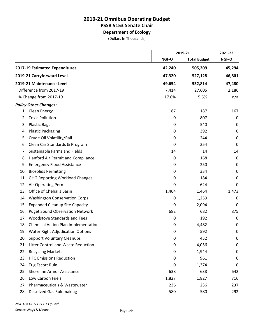**Department of Ecology**

(Dollars In Thousands)

|     |                                         |        | 2019-21             |             |
|-----|-----------------------------------------|--------|---------------------|-------------|
|     |                                         | NGF-O  | <b>Total Budget</b> | NGF-O       |
|     | 2017-19 Estimated Expenditures          | 42,240 | 505,209             | 45,294      |
|     | 2019-21 Carryforward Level              | 47,320 | 527,128             | 46,801      |
|     | 2019-21 Maintenance Level               | 49,654 | 532,814             | 47,480      |
|     | Difference from 2017-19                 | 7,414  | 27,605              | 2,186       |
|     | % Change from 2017-19                   | 17.6%  | 5.5%                | n/a         |
|     | <b>Policy Other Changes:</b>            |        |                     |             |
|     | 1. Clean Energy                         | 187    | 187                 | 167         |
| 2.  | <b>Toxic Pollution</b>                  | 0      | 807                 | 0           |
| 3.  | <b>Plastic Bags</b>                     | 0      | 540                 | 0           |
| 4.  | <b>Plastic Packaging</b>                | 0      | 392                 | $\mathbf 0$ |
| 5.  | Crude Oil Volatility/Rail               | 0      | 244                 | 0           |
| 6.  | Clean Car Standards & Program           | 0      | 254                 | 0           |
| 7.  | Sustainable Farms and Fields            | 14     | 14                  | 14          |
| 8.  | Hanford Air Permit and Compliance       | 0      | 168                 | 0           |
| 9.  | <b>Emergency Flood Assistance</b>       | 0      | 250                 | 0           |
| 10. | <b>Biosolids Permitting</b>             | 0      | 334                 | $\mathbf 0$ |
| 11. | <b>GHG Reporting Workload Changes</b>   | 0      | 184                 | 0           |
| 12. | Air Operating Permit                    | 0      | 624                 | 0           |
| 13. | Office of Chehalis Basin                | 1,464  | 1,464               | 1,473       |
| 14. | <b>Washington Conservation Corps</b>    | 0      | 1,259               | 0           |
| 15. | <b>Expanded Cleanup Site Capacity</b>   | 0      | 2,094               | 0           |
| 16. | <b>Puget Sound Observation Network</b>  | 682    | 682                 | 875         |
| 17. | <b>Woodstove Standards and Fees</b>     | 0      | 192                 | 0           |
|     | 18. Chemical Action Plan Implementation | 0      | 4,482               | 0           |
|     | 19. Water Right Adjudication Options    | 0      | 592                 | 0           |
|     | 20. Support Voluntary Cleanups          | 0      | 432                 | 0           |
| 21. | Litter Control and Waste Reduction      | 0      | 4,056               | 0           |
|     | 22. Recycling Markets                   | 0      | 1,944               | 0           |
|     | 23. HFC Emissions Reduction             | 0      | 961                 | 0           |
| 24. | <b>Tug Escort Rule</b>                  | 0      | 1,374               | 0           |
|     | 25. Shoreline Armor Assistance          | 638    | 638                 | 642         |
|     | 26. Low Carbon Fuels                    | 1,827  | 1,827               | 716         |
| 27. | Pharmaceuticals & Wastewater            | 236    | 236                 | 237         |
|     | 28. Dissolved Gas Rulemaking            | 580    | 580                 | 292         |

*NGF-O = GF-S + ELT + OpPath*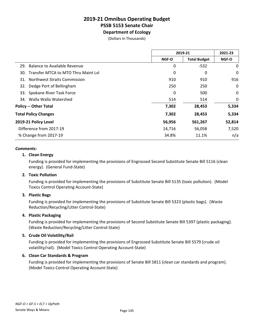### **2019-21 Omnibus Operating Budget PSSB 5153 Senate Chair Department of Ecology**

(Dollars In Thousands)

|                                            | 2019-21      |                     | 2021-23      |
|--------------------------------------------|--------------|---------------------|--------------|
|                                            | <b>NGF-O</b> | <b>Total Budget</b> | <b>NGF-O</b> |
| Balance to Available Revenue<br>29.        | 0            | $-532$              | 0            |
| 30. Transfer MTCA to MTO Thru Maint Lvl    | 0            | 0                   | 0            |
| <b>Northwest Straits Commission</b><br>31. | 910          | 910                 | 916          |
| 32. Dedge Port of Bellingham               | 250          | 250                 | 0            |
| Spokane River Task Force<br>33.            | 0            | 500                 | 0            |
| 34. Walla Walla Watershed                  | 514          | 514                 | 0            |
| <b>Policy -- Other Total</b>               | 7,302        | 28,453              | 5,334        |
| <b>Total Policy Changes</b>                | 7,302        | 28,453              | 5,334        |
| 2019-21 Policy Level                       | 56,956       | 561,267             | 52,814       |
| Difference from 2017-19                    | 14,716       | 56,058              | 7,520        |
| % Change from 2017-19                      | 34.8%        | 11.1%               | n/a          |

#### *Comments:*

#### **1. Clean Energy**

Funding is provided for implementing the provisions of Engrossed Second Substitute Senate Bill 5116 (clean energy). (General Fund-State)

#### **2. Toxic Pollution**

Funding is provided for implementing the provisions of Substitute Senate Bill 5135 (toxic pollution). (Model Toxics Control Operating Account-State)

#### **3. Plastic Bags**

Funding is provided for implementing the provisions of Substitute Senate Bill 5323 (plastic bags). (Waste Reduction/Recycling/Litter Control-State)

#### **4. Plastic Packaging**

Funding is provided for implementing the provisions of Second Substitute Senate Bill 5397 (plastic packaging). (Waste Reduction/Recycling/Litter Control-State)

#### **5. Crude Oil Volatility/Rail**

Funding is provided for implementing the provisions of Engrossed Substitute Senate Bill 5579 (crude oil volatility/rail). (Model Toxics Control Operating Account-State)

#### **6. Clean Car Standards & Program**

Funding is provided for implementing the provisions of Senate Bill 5811 (clean car standards and program). (Model Toxics Control Operating Account-State)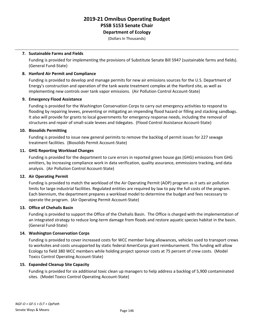**Department of Ecology**

(Dollars In Thousands)

#### **7. Sustainable Farms and Fields**

Funding is provided for implementing the provisions of Substitute Senate Bill 5947 (sustainable farms and fields). (General Fund-State)

#### **8. Hanford Air Permit and Compliance**

Funding is provided to develop and manage permits for new air emissions sources for the U.S. Department of Energy's construction and operation of the tank waste treatment complex at the Hanford site, as well as implementing new controls over tank vapor emissions. (Air Pollution Control Account-State)

#### **9. Emergency Flood Assistance**

Funding is provided for the Washington Conservation Corps to carry out emergency activities to respond to flooding by repairing levees, preventing or mitigating an impending flood hazard or filling and stacking sandbags. It also will provide for grants to local governments for emergency response needs, including the removal of structures and repair of small-scale levees and tidegates. (Flood Control Assistance Account-State)

#### **10. Biosolids Permitting**

Funding is provided to issue new general perimits to remove the backlog of permit issues for 227 sewage treatment facilities. (Biosolids Permit Account-State)

#### **11. GHG Reporting Workload Changes**

Funding is provided for the department to cure errors in reported green house gas (GHG) emissions from GHG emitters, by increasing compliance work in data verification, quality assurance, emmissions tracking, and data analysis. (Air Pollution Control Account-State)

#### **12. Air Operating Permit**

Funding is provided to match the workload of the Air Operating Permit (AOP) program as it sets air pollution limits for large industrial facilities. Regulated entities are required by law to pay the full costs of the program. Each biennium, the department prepares a workload model to determine the budget and fees necessary to operate the program. (Air Operating Permit Account-State)

#### **13. Office of Chehalis Basin**

Funding is provided to support the Office of the Chehalis Basin. The Office is charged with the implementation of an integrated strategy to reduce long-term damage from floods and restore aquatic species habitat in the basin. (General Fund-State)

#### **14. Washington Conservation Corps**

Funding is provided to cover increased costs for WCC member living allowances, vehicles used to transport crews to worksites and costs unsupported by static federal AmeriCorps grant reimbursement. This funding will allow Ecology to field 380 WCC members while holding project sponsor costs at 75 percent of crew costs. (Model Toxics Control Operating Account-State)

#### **15. Expanded Cleanup Site Capacity**

Funding is provided for six additional toxic clean up managers to help address a backlog of 5,900 contaminated sites. (Model Toxics Control Operating Account-State)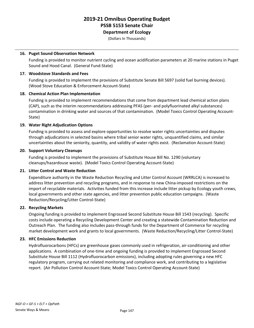**Department of Ecology**

(Dollars In Thousands)

#### **16. Puget Sound Observation Network**

Funding is provided to monitor nutrient cycling and ocean acidification parameters at 20 marine stations in Puget Sound and Hood Canal. (General Fund-State)

#### **17. Woodstove Standards and Fees**

Funding is provided to implement the provisions of Substitute Senate Bill 5697 (solid fuel burning devices). (Wood Stove Education & Enforcement Account-State)

#### **18. Chemical Action Plan Implementation**

Funding is provided to implement recommendations that come from department lead chemical action plans (CAP), such as the interim recommendations addressing PFAS (per- and polyfluorinated alkyl substances) contamination in drinking water and sources of that contamination. (Model Toxics Control Operating Account-State)

#### **19. Water Right Adjudication Options**

Funding is provided to assess and explore opportunities to resolve water rights uncertainties and disputes through adjudications in selected basins where tribal senior water rights, unquantified claims, and similar uncertainties about the seniority, quantity, and validity of water rights exist. (Reclamation Account-State)

#### **20. Support Voluntary Cleanups**

Funding is provided to implement the provisions of Substitute House Bill No. 1290 (voluntary cleanups/hazardouse waste). (Model Toxics Control Operating Account-State)

#### **21. Litter Control and Waste Reduction**

Expenditure authority in the Waste Reduction Recycling and Litter Control Account (WRRLCA) is increased to address litter prevention and recycling programs, and in response to new China-imposed restrictions on the import of recyclable materials. Activities funded from this increase include litter pickup by Ecology youth crews, local governments and other state agencies, and litter prevention public education campaigns. (Waste Reduction/Recycling/Litter Control-State)

#### **22. Recycling Markets**

Ongoing funding is provided to implement Engrossed Second Substitute House Bill 1543 (recycling). Specific costs include operating a Recycling Development Center and creating a statewide Contamination Reduction and Outreach Plan. The funding also includes pass-through funds for the Department of Commerce for recycling market development work and grants to local governments. (Waste Reduction/Recycling/Litter Control-State)

#### **23. HFC Emissions Reduction**

Hydrofluorocarbons (HFCs) are greenhouse gases commonly used in refrigeration, air-conditioning and other applications. A combination of one-time and ongoing funding is provided to implement Engrossed Second Substitute House Bill 1112 (Hydrofluorocarbon emissions), including adopting rules governing a new HFC regulatory program, carrying out related monitoring and compliance work, and contributing to a legislative report. (Air Pollution Control Account-State; Model Toxics Control Operating Account-State)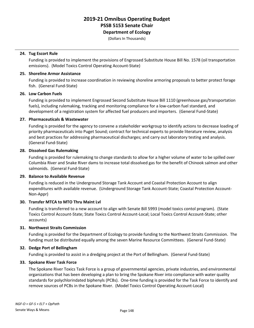**Department of Ecology**

(Dollars In Thousands)

#### **24. Tug Escort Rule**

Funding is provided to implement the provisions of Engrossed Substitute House Bill No. 1578 (oil transportation emissions). (Model Toxics Control Operating Account-State)

#### **25. Shoreline Armor Assistance**

Funding is provided to increase coordination in reviewing shoreline armoring proposals to better protect forage fish. (General Fund-State)

#### **26. Low Carbon Fuels**

Funding is provided to implement Engrossed Second Substitute House Bill 1110 (greenhouse gas/transportation fuels), including rulemaking, tracking and monitoring compliance for a low-carbon fuel standard, and development of a registration system for affected fuel producers and importers. (General Fund-State)

#### **27. Pharmaceuticals & Wastewater**

Funding is provided for the agency to convene a stakeholder workgroup to identify actions to decrease loading of priority pharmaceuticals into Puget Sound; contract for technical experts to provide literature review, analysis and best practices for addressing pharmaceutical discharges; and carry out laboratory testing and analysis. (General Fund-State)

#### **28. Dissolved Gas Rulemaking**

Funding is provided for rulemaking to change standards to allow for a higher volume of water to be spilled over Columbia River and Snake River dams to increase total dissolved gas for the benefit of Chinook salmon and other salmonids. (General Fund-State)

#### **29. Balance to Available Revenue**

Funding is reduced in the Underground Storage Tank Account and Coastal Protection Account to align expenditures with available revenue. (Underground Storage Tank Account-State; Coastal Protection Account-Non-Appr)

#### **30. Transfer MTCA to MTO Thru Maint Lvl**

Funding is transferred to a new account to align with Senate Bill 5993 (model toxics contol program). (State Toxics Control Account-State; State Toxics Control Account-Local; Local Toxics Control Account-State; other accounts)

#### **31. Northwest Straits Commission**

Funding is provided for the Department of Ecology to provide funding to the Northwest Straits Commission. The funding must be distributed equally among the seven Marine Resource Committees. (General Fund-State)

#### **32. Dedge Port of Bellingham**

Funding is provided to assist in a dredging project at the Port of Bellingham. (General Fund-State)

#### **33. Spokane River Task Force**

The Spokane River Toxics Task Force is a group of governmental agencies, private industries, and environmental organizations that has been developing a plan to bring the Spokane River into compliance with water quality standards for polychlorindated biphenyls (PCBs). One-time funding is provided for the Task Force to identify and remove sources of PCBs in the Spokane River. (Model Toxics Control Operating Account-Local)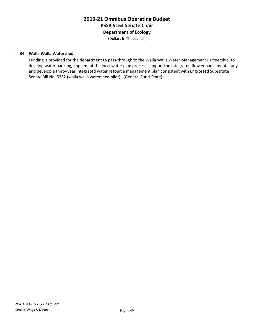**Department of Ecology**

(Dollars In Thousands)

#### **34. Walla Walla Watershed**

Funding is provided for the department to pass-through to the Walla Walla Water Management Partnership, to develop water banking, implement the local water plan process, support the integrated flow enhancement study and develop a thirty-year integrated water resource management plan consistent with Engrossed Substitute Senate Bill No. 5352 (walla walla watershed pilot). (General Fund-State)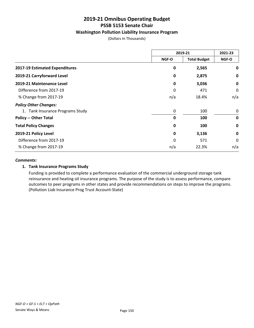#### **Washington Pollution Liability Insurance Program**

(Dollars In Thousands)

|                                  | 2019-21 |                     | 2021-23     |
|----------------------------------|---------|---------------------|-------------|
|                                  | NGF-O   | <b>Total Budget</b> | NGF-O       |
| 2017-19 Estimated Expenditures   | 0       | 2,565               | 0           |
| 2019-21 Carryforward Level       | 0       | 2,875               | 0           |
| 2019-21 Maintenance Level        | 0       | 3,036               | 0           |
| Difference from 2017-19          | 0       | 471                 | 0           |
| % Change from 2017-19            | n/a     | 18.4%               | n/a         |
| <b>Policy Other Changes:</b>     |         |                     |             |
| 1. Tank Insurance Programs Study | 0       | 100                 | 0           |
| <b>Policy -- Other Total</b>     | 0       | 100                 | $\mathbf 0$ |
| <b>Total Policy Changes</b>      | 0       | 100                 | $\mathbf 0$ |
| 2019-21 Policy Level             | 0       | 3,136               | 0           |
| Difference from 2017-19          | 0       | 571                 | 0           |
| % Change from 2017-19            | n/a     | 22.3%               | n/a         |

#### *Comments:*

#### **1. Tank Insurance Programs Study**

Funding is provided to complete a performance evaluation of the commercial underground storage tank reinsurance and heating oil insurance programs. The purpose of the study is to assess performance, compare outcomes to peer programs in other states and provide recommendations on steps to improve the programs. (Pollution Liab Insurance Prog Trust Account-State)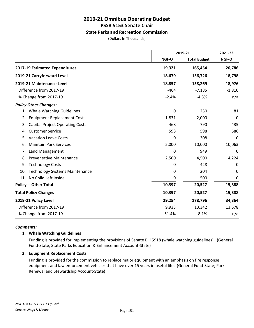#### **State Parks and Recreation Commission**

(Dollars In Thousands)

|                                              |              | 2019-21             |             |
|----------------------------------------------|--------------|---------------------|-------------|
|                                              | <b>NGF-O</b> | <b>Total Budget</b> | NGF-O       |
| 2017-19 Estimated Expenditures               | 19,321       | 165,454             | 20,786      |
| 2019-21 Carryforward Level                   | 18,679       | 156,726             | 18,798      |
| 2019-21 Maintenance Level                    | 18,857       | 158,269             | 18,976      |
| Difference from 2017-19                      | $-464$       | $-7,185$            | $-1,810$    |
| % Change from 2017-19                        | $-2.4%$      | $-4.3%$             | n/a         |
| <b>Policy Other Changes:</b>                 |              |                     |             |
| 1. Whale Watching Guidelines                 | 0            | 250                 | 81          |
| <b>Equipment Replacement Costs</b><br>2.     | 1,831        | 2,000               | $\mathbf 0$ |
| <b>Capital Project Operating Costs</b><br>3. | 468          | 790                 | 435         |
| <b>Customer Service</b><br>4.                | 598          | 598                 | 586         |
| <b>Vacation Leave Costs</b><br>5.            | 0            | 308                 | 0           |
| <b>Maintain Park Services</b><br>6.          | 5,000        | 10,000              | 10,063      |
| Land Management<br>7.                        | 0            | 949                 | 0           |
| <b>Preventative Maintenance</b><br>8.        | 2,500        | 4,500               | 4,224       |
| <b>Technology Costs</b><br>9.                | 0            | 428                 | 0           |
| <b>Technology Systems Maintenance</b><br>10. | 0            | 204                 | 0           |
| 11. No Child Left Inside                     | 0            | 500                 | 0           |
| <b>Policy -- Other Total</b>                 | 10,397       | 20,527              | 15,388      |
| <b>Total Policy Changes</b>                  | 10,397       | 20,527              | 15,388      |
| 2019-21 Policy Level                         | 29,254       | 178,796             | 34,364      |
| Difference from 2017-19                      | 9,933        | 13,342              | 13,578      |
| % Change from 2017-19                        | 51.4%        | 8.1%                | n/a         |

#### *Comments:*

#### **1. Whale Watching Guidelines**

Funding is provided for implementing the provisions of Senate Bill 5918 (whale watching guidelines). (General Fund-State; State Parks Education & Enhancement Account-State)

#### **2. Equipment Replacement Costs**

Funding is provided for the commission to replace major equipment with an emphasis on fire response equipment and law enforcement vehicles that have over 15 years in useful life. (General Fund-State; Parks Renewal and Stewardship Account-State)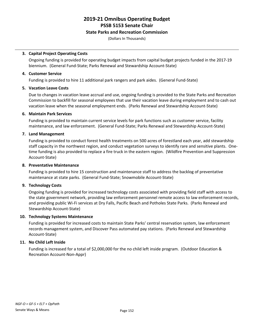#### **State Parks and Recreation Commission**

(Dollars In Thousands)

#### **3. Capital Project Operating Costs**

Ongoing funding is provided for operating budget impacts from capital budget projects funded in the 2017-19 biennium. (General Fund-State; Parks Renewal and Stewardship Account-State)

#### **4. Customer Service**

Funding is provided to hire 11 additional park rangers and park aides. (General Fund-State)

#### **5. Vacation Leave Costs**

Due to changes in vacation leave accrual and use, ongoing funding is provided to the State Parks and Recreation Commission to backfill for seasonal employees that use their vacation leave during employment and to cash out vacation leave when the seasonal employment ends. (Parks Renewal and Stewardship Account-State)

#### **6. Maintain Park Services**

Funding is provided to maintain current service levels for park functions such as customer service, facility maintenance, and law enforcement. (General Fund-State; Parks Renewal and Stewardship Account-State)

#### **7. Land Management**

Funding is provided to conduct forest health treatments on 500 acres of forestland each year, add stewardship staff capacity in the northwest region, and conduct vegetation surveys to identify rare and sensitive plants. Onetime funding is also provided to replace a fire truck in the eastern region. (Wildfire Prevention and Suppression Account-State)

#### **8. Preventative Maintenance**

Funding is provided to hire 15 construction and maintenance staff to address the backlog of preventative maintenance at state parks. (General Fund-State; Snowmobile Account-State)

#### **9. Technology Costs**

Ongoing funding is provided for increased technology costs associated with providing field staff with access to the state government network, providing law enforcement personnel remote access to law enforcement records, and providing public Wi-Fi services at Dry Falls, Pacific Beach and Potholes State Parks. (Parks Renewal and Stewardship Account-State)

#### **10. Technology Systems Maintenance**

Funding is provided for increased costs to maintain State Parks' central reservation system, law enforcement records management system, and Discover Pass automated pay stations. (Parks Renewal and Stewardship Account-State)

#### **11. No Child Left Inside**

Funding is increased for a total of \$2,000,000 for the no child left inside program. (Outdoor Education & Recreation Account-Non-Appr)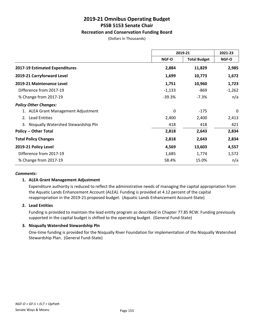#### **Recreation and Conservation Funding Board**

(Dollars In Thousands)

|                                           | 2019-21  |                     | 2021-23  |
|-------------------------------------------|----------|---------------------|----------|
|                                           | NGF-O    | <b>Total Budget</b> | NGF-O    |
| 2017-19 Estimated Expenditures            | 2,884    | 11,829              | 2,985    |
| 2019-21 Carryforward Level                | 1,699    | 10,773              | 1,672    |
| 2019-21 Maintenance Level                 | 1,751    | 10,960              | 1,723    |
| Difference from 2017-19                   | $-1,133$ | -869                | $-1,262$ |
| % Change from 2017-19                     | $-39.3%$ | $-7.3%$             | n/a      |
| <b>Policy Other Changes:</b>              |          |                     |          |
| 1. ALEA Grant Management Adjustment       | 0        | $-175$              | 0        |
| <b>Lead Entities</b><br>2.                | 2,400    | 2,400               | 2,413    |
| Nisqually Watershed Stewardship Pln<br>3. | 418      | 418                 | 421      |
| <b>Policy -- Other Total</b>              | 2,818    | 2,643               | 2,834    |
| <b>Total Policy Changes</b>               | 2,818    | 2,643               | 2,834    |
| 2019-21 Policy Level                      | 4,569    | 13,603              | 4,557    |
| Difference from 2017-19                   | 1,685    | 1,774               | 1,572    |
| % Change from 2017-19                     | 58.4%    | 15.0%               | n/a      |

#### *Comments:*

#### **1. ALEA Grant Management Adjustment**

Expenditure authority is reduced to reflect the administrative needs of managing the capital appropriation from the Aquatic Lands Enhancement Account (ALEA). Funding is provided at 4.12 percent of the capital reappropriation in the 2019-21 proposed budget. (Aquatic Lands Enhancement Account-State)

#### **2. Lead Entities**

Funding is provided to maintain the lead entity program as described in Chapter 77.85 RCW. Funding previously supported in the capital budget is shifted to the operating budget. (General Fund-State)

#### **3. Nisqually Watershed Stewardship Pln**

One-time funding is provided for the Nisqually River Foundation for implementation of the Nisqually Watershed Stewardship Plan. (General Fund-State)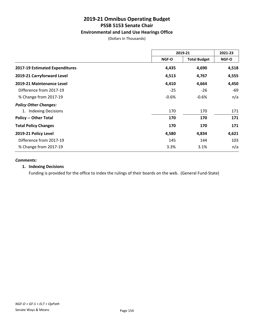#### **Environmental and Land Use Hearings Office**

(Dollars In Thousands)

|                                | 2019-21 |                     | 2021-23 |
|--------------------------------|---------|---------------------|---------|
|                                | NGF-O   | <b>Total Budget</b> | NGF-O   |
| 2017-19 Estimated Expenditures | 4,435   | 4,690               | 4,518   |
| 2019-21 Carryforward Level     | 4,513   | 4,767               | 4,555   |
| 2019-21 Maintenance Level      | 4,410   | 4,664               | 4,450   |
| Difference from 2017-19        | $-25$   | $-26$               | -69     |
| % Change from 2017-19          | $-0.6%$ | $-0.6%$             | n/a     |
| <b>Policy Other Changes:</b>   |         |                     |         |
| 1. Indexing Decisions          | 170     | 170                 | 171     |
| <b>Policy -- Other Total</b>   | 170     | 170                 | 171     |
| <b>Total Policy Changes</b>    | 170     | 170                 | 171     |
| 2019-21 Policy Level           | 4,580   | 4,834               | 4,621   |
| Difference from 2017-19        | 145     | 144                 | 103     |
| % Change from 2017-19          | 3.3%    | 3.1%                | n/a     |

#### *Comments:*

#### **1. Indexing Decisions**

Funding is provided for the office to index the rulings of their boards on the web. (General Fund-State)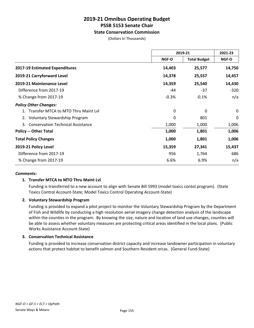#### **State Conservation Commission**

(Dollars In Thousands)

|                                                | 2019-21      |                     | 2021-23      |
|------------------------------------------------|--------------|---------------------|--------------|
|                                                | <b>NGF-O</b> | <b>Total Budget</b> | <b>NGF-O</b> |
| 2017-19 Estimated Expenditures                 | 14,403       | 25,577              | 14,750       |
| 2019-21 Carryforward Level                     | 14,378       | 25,557              | 14,457       |
| 2019-21 Maintenance Level                      | 14,359       | 25,540              | 14,430       |
| Difference from 2017-19                        | -44          | $-37$               | $-320$       |
| % Change from 2017-19                          | $-0.3%$      | $-0.1%$             | n/a          |
| <b>Policy Other Changes:</b>                   |              |                     |              |
| Transfer MTCA to MTO Thru Maint Lyl            | 0            | 0                   | 0            |
| 2. Voluntary Stewardship Program               | 0            | 801                 | 0            |
| <b>Conservation Technical Assistance</b><br>3. | 1,000        | 1,000               | 1,006        |
| <b>Policy -- Other Total</b>                   | 1,000        | 1,801               | 1,006        |
| <b>Total Policy Changes</b>                    | 1,000        | 1,801               | 1,006        |
| 2019-21 Policy Level                           | 15,359       | 27,341              | 15,437       |
| Difference from 2017-19                        | 956          | 1,764               | 686          |
| % Change from 2017-19                          | 6.6%         | 6.9%                | n/a          |

#### *Comments:*

#### **1. Transfer MTCA to MTO Thru Maint Lvl**

Funding is transferred to a new account to align with Senate Bill 5993 (model toxics contol program). (State Toxics Control Account-State; Model Toxics Control Operating Account-State)

#### **2. Voluntary Stewardship Program**

Funding is provided to expand a pilot project to monitor the Voluntary Stewardship Program by the Department of Fish and Wildlife by conducting a high resolution aerial imagery change detection analysis of the landscape within the counties in the program. By knowing the size, nature and location of land use changes, counties will be able to assess whether voluntary measures are protecting critical areas identified in the local plans. (Public Works Assistance Account-State)

#### **3. Conservation Technical Assistance**

Funding is provided to increase conservation district capacity and increase landowner participation in voluntary actions that protect habitat to benefit salmon and Southern Resident orcas. (General Fund-State)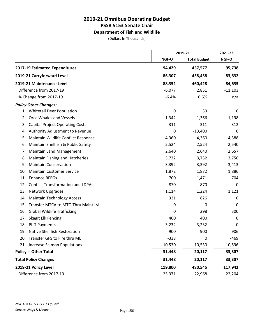### **Department of Fish and Wildlife**

(Dollars In Thousands)

|                                                 |          | 2019-21             |           |
|-------------------------------------------------|----------|---------------------|-----------|
|                                                 | NGF-O    | <b>Total Budget</b> | NGF-O     |
| 2017-19 Estimated Expenditures                  | 94,429   | 457,577             | 95,738    |
| 2019-21 Carryforward Level                      | 86,307   | 458,458             | 83,632    |
| 2019-21 Maintenance Level                       | 88,352   | 460,428             | 84,635    |
| Difference from 2017-19                         | $-6,077$ | 2,851               | $-11,103$ |
| % Change from 2017-19                           | $-6.4%$  | 0.6%                | n/a       |
| <b>Policy Other Changes:</b>                    |          |                     |           |
| 1. Whitetail Deer Population                    | 0        | 33                  | 0         |
| Orca Whales and Vessels<br>2.                   | 1,342    | 1,366               | 1,198     |
| <b>Capital Project Operating Costs</b><br>3.    | 311      | 311                 | 312       |
| Authority Adjustment to Revenue<br>4.           | 0        | $-13,400$           | 0         |
| Maintain Wildlife Conflict Response<br>5.       | 4,360    | 4,360               | 4,388     |
| Maintain Shellfish & Public Safety<br>6.        | 2,524    | 2,524               | 2,540     |
| <b>Maintain Land Management</b><br>7.           | 2,640    | 2,640               | 2,657     |
| Maintain Fishing and Hatcheries<br>8.           | 3,732    | 3,732               | 3,756     |
| <b>Maintain Conservation</b><br>9.              | 3,392    | 3,392               | 3,413     |
| <b>Maintain Customer Service</b><br>10.         | 1,872    | 1,872               | 1,886     |
| <b>Enhance RFEGs</b><br>11.                     | 700      | 1,471               | 704       |
| <b>Conflict Transformation and LDPAs</b><br>12. | 870      | 870                 | 0         |
| Network Upgrades<br>13.                         | 1,114    | 1,224               | 1,121     |
| <b>Maintain Technology Access</b><br>14.        | 331      | 826                 | 0         |
| Transfer MTCA to MTO Thru Maint Lvl<br>15.      | 0        | 0                   | 0         |
| <b>Global Wildlife Trafficking</b><br>16.       | 0        | 298                 | 300       |
| Skagit Elk Fencing<br>17.                       | 400      | 400                 | 0         |
| 18. PILT Payments                               | $-3,232$ | $-3,232$            | 0         |
| 19. Native Shellfish Restoration                | 900      | 900                 | 906       |
| 20. Transfer GFS to Fire thru ML                | $-338$   | 0                   | $-469$    |
| 21. Increase Salmon Populations                 | 10,530   | 10,530              | 10,596    |
| <b>Policy -- Other Total</b>                    | 31,448   | 20,117              | 33,307    |
| <b>Total Policy Changes</b>                     | 31,448   | 20,117              | 33,307    |
| 2019-21 Policy Level                            | 119,800  | 480,545             | 117,942   |
| Difference from 2017-19                         | 25,371   | 22,968              | 22,204    |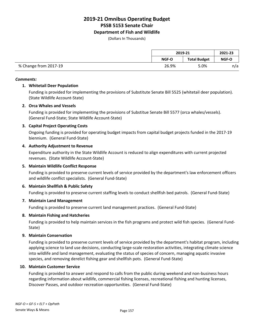#### **Department of Fish and Wildlife**

(Dollars In Thousands)

|                       | 2019-21 |                     | 2021-23 |
|-----------------------|---------|---------------------|---------|
|                       | NGF-O   | <b>Total Budget</b> | NGF-O   |
| % Change from 2017-19 | 26.9%   | 5.0%                | n/a     |

#### *Comments:*

#### **1. Whitetail Deer Population**

Funding is provided for implementing the provisions of Substitute Senate Bill 5525 (whitetail deer population). (State Wildlife Account-State)

#### **2. Orca Whales and Vessels**

Funding is provided for implementing the provisions of Substitue Senate Bill 5577 (orca whales/vessels). (General Fund-State; State Wildlife Account-State)

#### **3. Capital Project Operating Costs**

Ongoing funding is provided for operating budget impacts from capital budget projects funded in the 2017-19 biennium. (General Fund-State)

#### **4. Authority Adjustment to Revenue**

Expenditure authority in the State Wildlife Account is reduced to align expenditures with current projected revenues. (State Wildlife Account-State)

#### **5. Maintain Wildlife Conflict Response**

Funding is provided to preserve current levels of service provided by the department's law enforcement officers and wildlife conflict specialists. (General Fund-State)

#### **6. Maintain Shellfish & Public Safety**

Funding is provided to preserve current staffing levels to conduct shellfish bed patrols. (General Fund-State)

#### **7. Maintain Land Management**

Funding is provided to preserve current land management practices. (General Fund-State)

#### **8. Maintain Fishing and Hatcheries**

Funding is provided to help maintain services in the fish programs and protect wild fish species. (General Fund-State)

#### **9. Maintain Conservation**

Funding is provided to preserve current levels of service provided by the department's habitat program, including applying science to land use decisions, conducting large-scale restoration activities, integrating climate science into wildlife and land management, evaluating the status of species of concern, managing aquatic invasive species, and removing derelict fishing gear and shellfish pots. (General Fund-State)

#### **10. Maintain Customer Service**

Funding is provided to answer and respond to calls from the public during weekend and non-business hours regarding information about wildlife, commercial fishing licenses, recreational fishing and hunting licenses, Discover Passes, and outdoor recreation opportunities. (General Fund-State)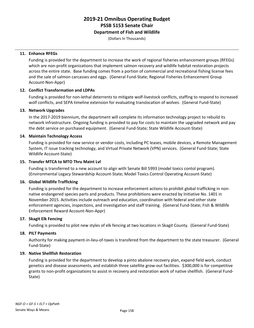#### **Department of Fish and Wildlife**

(Dollars In Thousands)

#### **11. Enhance RFEGs**

Funding is provided for the department to increase the work of regional fisheries enhancement groups (RFEGs) which are non-profit organizations that implement salmon recovery and wildlife habitat restoration projects across the entire state. Base funding comes from a portion of commercial and recreational fishing license fees and the sale of salmon carcasses and eggs. (General Fund-State; Regional Fisheries Enhancement Group Account-Non-Appr)

#### **12. Conflict Transformation and LDPAs**

Funding is provided for non-lethal deterrents to mitigate wolf-livestock conflicts, staffing to respond to increased wolf conflicts, and SEPA timeline extension for evaluating translocation of wolves. (General Fund-State)

#### **13. Network Upgrades**

In the 2017-2019 biennium, the department will complete its information technology project to rebuild its network infrastructure. Ongoing funding is provided to pay for costs to maintain the upgraded network and pay the debt service on purchased equipment. (General Fund-State; State Wildlife Account-State)

#### **14. Maintain Technology Access**

Funding is provided for new service or vendor costs, including PC leases, mobile devices, a Remote Management System, IT issue tracking technology, and Virtual Private Network (VPN) services. (General Fund-State; State Wildlife Account-State)

#### **15. Transfer MTCA to MTO Thru Maint Lvl**

Funding is transferred to a new account to align with Senate Bill 5993 (model toxics contol program). (Environmental Legacy Stewardship Account-State; Model Toxics Control Operating Account-State)

#### **16. Global Wildlife Trafficking**

Funding is provided for the department to increase enforcement actions to prohibit global trafficking in nonnative endangered species parts and products. These prohibitions were enacted by Initiative No. 1401 in November 2015. Activities include outreach and education, coordination with federal and other state enforcement agencies, inspections, and investigation and staff training. (General Fund-State; Fish & Wildlife Enforcement Reward Account-Non-Appr)

#### **17. Skagit Elk Fencing**

Funding is provided to pilot new styles of elk fencing at two locations in Skagit County. (General Fund-State)

#### **18. PILT Payments**

Authority for making payment-in-lieu-of-taxes is transfered from the department to the state treasurer. (General Fund-State)

#### **19. Native Shellfish Restoration**

Funding is provided for the department to develop a pinto abalone recovery plan, expand field work, conduct genetics and disease assessments, and establish three satellite grow-out facilities. \$300,000 is for competitive grants to non-profit organizations to assist in recovery and restoration work of native shellfish. (General Fund-State)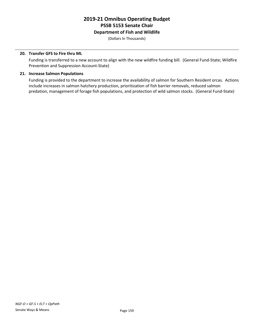### **Department of Fish and Wildlife**

(Dollars In Thousands)

#### **20. Transfer GFS to Fire thru ML**

Funding is transferred to a new account to align with the new wildfire funding bill. (General Fund-State; Wildfire Prevention and Suppression Account-State)

#### **21. Increase Salmon Populations**

Funding is provided to the department to increase the availability of salmon for Southern Resident orcas. Actions include increases in salmon hatchery production, prioritization of fish barrier removals, reduced salmon predation, management of forage fish populations, and protection of wild salmon stocks. (General Fund-State)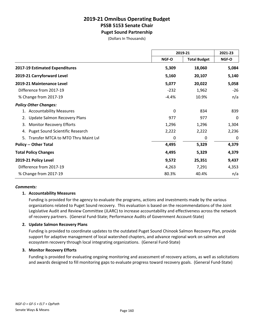### **2019-21 Omnibus Operating Budget PSSB 5153 Senate Chair Puget Sound Partnership**

(Dollars In Thousands)

|                                              |         | 2019-21             |       |
|----------------------------------------------|---------|---------------------|-------|
|                                              | NGF-O   | <b>Total Budget</b> | NGF-O |
| 2017-19 Estimated Expenditures               | 5,309   | 18,060              | 5,084 |
| 2019-21 Carryforward Level                   | 5,160   | 20,107              | 5,140 |
| 2019-21 Maintenance Level                    | 5,077   | 20,022              | 5,058 |
| Difference from 2017-19                      | $-232$  | 1,962               | $-26$ |
| % Change from 2017-19                        | $-4.4%$ | 10.9%               | n/a   |
| <b>Policy Other Changes:</b>                 |         |                     |       |
| 1. Accountability Measures                   | 0       | 834                 | 839   |
| <b>Update Salmon Recovery Plans</b>          | 977     | 977                 | 0     |
| <b>Monitor Recovery Efforts</b><br>3.        | 1,296   | 1,296               | 1,304 |
| <b>Puget Sound Scientific Research</b><br>4. | 2,222   | 2,222               | 2,236 |
| Transfer MTCA to MTO Thru Maint Lvl<br>5.    | 0       | 0                   | 0     |
| <b>Policy -- Other Total</b>                 | 4,495   | 5,329               | 4,379 |
| <b>Total Policy Changes</b>                  | 4,495   | 5,329               | 4,379 |
| 2019-21 Policy Level                         | 9,572   | 25,351              | 9,437 |
| Difference from 2017-19                      | 4,263   | 7,291               | 4,353 |
| % Change from 2017-19                        | 80.3%   | 40.4%               | n/a   |

#### *Comments:*

#### **1. Accountability Measures**

Funding is provided for the agency to evaluate the programs, actions and investments made by the various organizations related to Puget Sound recovery. This evaluation is based on the recommendations of the Joint Legislative Audit and Review Committee (JLARC) to increase accountability and effectiveness across the network of recovery partners. (General Fund-State; Performance Audits of Government Account-State)

#### **2. Update Salmon Recovery Plans**

Funding is provided to coordinate updates to the outdated Puget Sound Chinook Salmon Recovery Plan, provide support for adaptive management of local watershed chapters, and advance regional work on salmon and ecosystem recovery through local integrating organizations. (General Fund-State)

#### **3. Monitor Recovery Efforts**

Funding is provided for evaluating ongoing monitoring and assessment of recovery actions, as well as solicitations and awards designed to fill monitoring gaps to evaluate progress toward recovery goals. (General Fund-State)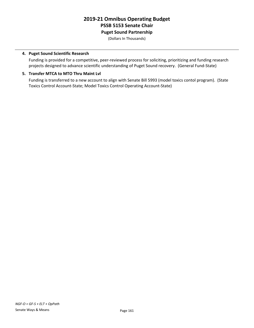### **2019-21 Omnibus Operating Budget PSSB 5153 Senate Chair Puget Sound Partnership**

(Dollars In Thousands)

#### **4. Puget Sound Scientific Research**

Funding is provided for a competitive, peer-reviewed process for soliciting, prioritizing and funding research projects designed to advance scientific understanding of Puget Sound recovery. (General Fund-State)

#### **5. Transfer MTCA to MTO Thru Maint Lvl**

Funding is transferred to a new account to align with Senate Bill 5993 (model toxics contol program). (State Toxics Control Account-State; Model Toxics Control Operating Account-State)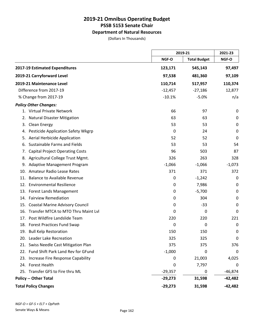### **Department of Natural Resources**

(Dollars In Thousands)

|     |                                        | 2019-21   |                     | 2021-23     |
|-----|----------------------------------------|-----------|---------------------|-------------|
|     |                                        | NGF-O     | <b>Total Budget</b> | NGF-O       |
|     | 2017-19 Estimated Expenditures         | 123,171   | 545,143             | 97,497      |
|     | 2019-21 Carryforward Level             | 97,538    | 481,360             | 97,109      |
|     | 2019-21 Maintenance Level              | 110,714   | 517,957             | 110,374     |
|     | Difference from 2017-19                | $-12,457$ | $-27,186$           | 12,877      |
|     | % Change from 2017-19                  | $-10.1%$  | $-5.0%$             | n/a         |
|     | <b>Policy Other Changes:</b>           |           |                     |             |
|     | 1. Virtual Private Network             | 66        | 97                  | 0           |
| 2.  | <b>Natural Disaster Mitigation</b>     | 63        | 63                  | 0           |
| 3.  | Clean Energy                           | 53        | 53                  | $\mathbf 0$ |
| 4.  | Pesticide Application Safety Wkgrp     | 0         | 24                  | 0           |
| 5.  | Aerial Herbicide Application           | 52        | 52                  | 0           |
| 6.  | Sustainable Farms and Fields           | 53        | 53                  | 54          |
| 7.  | <b>Capital Project Operating Costs</b> | 96        | 503                 | 87          |
| 8.  | Agricultural College Trust Mgmt.       | 326       | 263                 | 328         |
| 9.  | <b>Adaptive Management Program</b>     | $-1,066$  | $-1,066$            | $-1,073$    |
| 10. | <b>Amateur Radio Lease Rates</b>       | 371       | 371                 | 372         |
| 11. | <b>Balance to Available Revenue</b>    | 0         | $-1,242$            | 0           |
|     | 12. Environmental Resilience           | 0         | 7,986               | 0           |
| 13. | <b>Forest Lands Management</b>         | 0         | $-5,700$            | 0           |
| 14. | <b>Fairview Remediation</b>            | 0         | 304                 | 0           |
| 15. | <b>Coastal Marine Advisory Council</b> | 0         | $-33$               | 0           |
| 16. | Transfer MTCA to MTO Thru Maint Lyl    | 0         | $\mathbf 0$         | 0           |
| 17. | Post Wildfire Landslide Team           | 220       | 220                 | 221         |
|     | 18. Forest Practices Fund Swap         | 0         | 0                   | 0           |
|     | 19. Bull Kelp Restoration              | 150       | 150                 | 0           |
|     | 20. Leader Lake Recreation             | 325       | 325                 | 0           |
| 21. | Swiss Needle Cast Mitigation Plan      | 375       | 375                 | 376         |
|     | 22. Fund Shift Park Land Rev for GFund | $-1,000$  | 0                   | 0           |
|     | 23. Increase Fire Response Capability  | 0         | 21,003              | 4,025       |
|     | 24. Forest Health                      | 0         | 7,797               | 0           |
|     | 25. Transfer GFS to Fire thru ML       | $-29,357$ | 0                   | $-46,874$   |
|     | <b>Policy -- Other Total</b>           | $-29,273$ | 31,598              | $-42,482$   |
|     | <b>Total Policy Changes</b>            | $-29,273$ | 31,598              | $-42,482$   |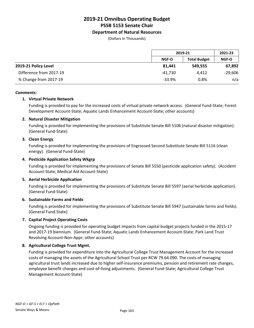#### **Department of Natural Resources**

(Dollars In Thousands)

|                         |              | 2019-21             |              |
|-------------------------|--------------|---------------------|--------------|
|                         | <b>NGF-O</b> | <b>Total Budget</b> | <b>NGF-O</b> |
| 2019-21 Policy Level    | 81.441       | 549.555             | 67,892       |
| Difference from 2017-19 | -41.730      | 4.412               | $-29,606$    |
| % Change from 2017-19   | $-33.9%$     | 0.8%                | n/a          |

#### *Comments:*

#### **1. Virtual Private Network**

Funding is provided to pay for the increased costs of virtual private network access. (General Fund-State; Forest Development Account-State; Aquatic Lands Enhancement Account-State; other accounts)

#### **2. Natural Disaster Mitigation**

Funding is provided for implementing the provisions of Substitute Senate Bill 5106 (natural disaster mitigation). (General Fund-State)

#### **3. Clean Energy**

Funding is provided for implementing the provisions of Engrossed Second Substitute Senate Bill 5116 (clean energy). (General Fund-State)

#### **4. Pesticide Application Safety Wkgrp**

Funding is provided for implementing the provisions of Senate Bill 5550 (pesticide application safety). (Accident Account-State; Medical Aid Account-State)

#### **5. Aerial Herbicide Application**

Funding is provided for implementing the provisions of Substitute Senate Bill 5597 (aerial herbicide application). (General Fund-State)

#### **6. Sustainable Farms and Fields**

Funding is provided for implementing the provisions of Substitute Senate Bill 5947 (sustainable farms and fields). (General Fund-State)

#### **7. Capital Project Operating Costs**

Ongoing funding is provided for operating budget impacts from capital budget projects funded in the 2015-17 and 2017-19 biennium. (General Fund-State; Aquatic Lands Enhancement Account-State; Park Land Trust Revolving Account-Non-Appr; other accounts)

#### **8. Agricultural College Trust Mgmt.**

Funding is provided for expenditure into the Agricultural College Trust Management Account for the increased costs of managing the assets of the Agricultural School Trust per RCW 79.64.090. The costs of managing agricultural trust lands increased due to higher self-insurance premiums, pension and retirement rate changes, employee benefit changes and cost-of-living adjustments. (General Fund-State; Agricultural College Trust Management Account-State)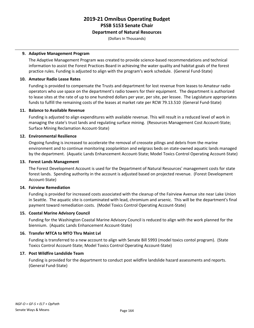#### **Department of Natural Resources**

(Dollars In Thousands)

#### **9. Adaptive Management Program**

The Adaptive Management Program was created to provide science-based recommendations and technical information to assist the Forest Practices Board in achieving the water quality and habitat goals of the forest practice rules. Funding is adjusted to align with the program's work schedule. (General Fund-State)

#### **10. Amateur Radio Lease Rates**

Funding is provided to compensate the Trusts and department for lost revenue from leases to Amateur radio operators who use space on the department's radio towers for their equipment. The department is authorized to lease sites at the rate of up to one hundred dollars per year, per site, per lessee. The Legislature appropriates funds to fulfill the remaining costs of the leases at market rate per RCW 79.13.510 (General Fund-State)

#### **11. Balance to Available Revenue**

Funding is adjusted to align expenditures with available revenue. This will result in a reduced level of work in managing the state's trust lands and regulating surface mining. (Resources Management Cost Account-State; Surface Mining Reclamation Account-State)

#### **12. Environmental Resilience**

Ongoing funding is increased to accelerate the removal of creosote pilings and debris from the marine environment and to continue monitoring zooplankton and eelgrass beds on state-owned aquatic lands managed by the department. (Aquatic Lands Enhancement Account-State; Model Toxics Control Operating Account-State)

#### **13. Forest Lands Management**

The Forest Development Account is used for the Department of Natural Resources' management costs for state forest lands. Spending authority in the account is adjusted based on projected revenue. (Forest Development Account-State)

#### **14. Fairview Remediation**

Funding is provided for increased costs associated with the cleanup of the Fairview Avenue site near Lake Union in Seattle. The aquatic site is contaminated with lead, chromium and arsenic. This will be the department's final payment toward remediation costs. (Model Toxics Control Operating Account-State)

#### **15. Coastal Marine Advisory Council**

Funding for the Washington Coastal Marine Advisory Council is reduced to align with the work planned for the biennium. (Aquatic Lands Enhancement Account-State)

#### **16. Transfer MTCA to MTO Thru Maint Lvl**

Funding is transferred to a new account to align with Senate Bill 5993 (model toxics contol program). (State Toxics Control Account-State; Model Toxics Control Operating Account-State)

#### **17. Post Wildfire Landslide Team**

Funding is provided for the department to conduct post wildfire landslide hazard assessments and reports. (General Fund-State)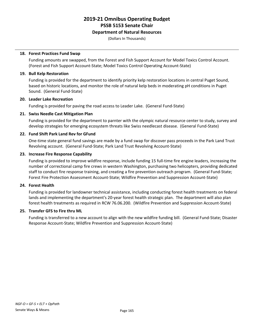#### **Department of Natural Resources**

(Dollars In Thousands)

#### **18. Forest Practices Fund Swap**

Funding amounts are swapped, from the Forest and Fish Support Account for Model Toxics Control Account. (Forest and Fish Support Account-State; Model Toxics Control Operating Account-State)

#### **19. Bull Kelp Restoration**

Funding is provided for the department to identify priority kelp restoration locations in central Puget Sound, based on historic locations, and monitor the role of natural kelp beds in moderating pH conditions in Puget Sound. (General Fund-State)

#### **20. Leader Lake Recreation**

Funding is provided for paving the road access to Leader Lake. (General Fund-State)

#### **21. Swiss Needle Cast Mitigation Plan**

Funding is provided for the department to parnter with the olympic natural resource center to study, survey and develop strategies for emerging ecosystem threats like Swiss needlecast disease. (General Fund-State)

#### **22. Fund Shift Park Land Rev for GFund**

One-time state general fund savings are made by a fund swap for discover pass proceeds in the Park Land Trust Revolving account. (General Fund-State; Park Land Trust Revolving Account-State)

#### **23. Increase Fire Response Capability**

Funding is provided to improve wildfire response, include funding 15 full-time fire engine leaders, increasing the number of correctional camp fire crews in western Washington, purchasing two helicopters, providing dedicated staff to conduct fire response training, and creating a fire prevention outreach program. (General Fund-State; Forest Fire Protection Assessment Account-State; Wildfire Prevention and Suppression Account-State)

#### **24. Forest Health**

Funding is provided for landowner technical assistance, including conducting forest health treatments on federal lands and implementing the department's 20-year forest health strategic plan. The department will also plan forest health treatments as required in RCW 76.06.200. (Wildfire Prevention and Suppression Account-State)

#### **25. Transfer GFS to Fire thru ML**

Funding is transferred to a new account to align with the new wildfire funding bill. (General Fund-State; Disaster Response Account-State; Wildfire Prevention and Suppression Account-State)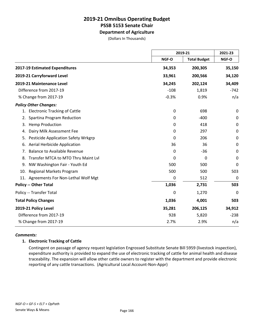**Department of Agriculture**

(Dollars In Thousands)

|                                                  | 2019-21 |                     | 2021-23     |
|--------------------------------------------------|---------|---------------------|-------------|
|                                                  | NGF-O   | <b>Total Budget</b> | NGF-O       |
| 2017-19 Estimated Expenditures                   | 34,353  | 200,305             | 35,150      |
| 2019-21 Carryforward Level                       | 33,961  | 200,566             | 34,120      |
| 2019-21 Maintenance Level                        | 34,245  | 202,124             | 34,409      |
| Difference from 2017-19                          | $-108$  | 1,819               | $-742$      |
| % Change from 2017-19                            | $-0.3%$ | 0.9%                | n/a         |
| <b>Policy Other Changes:</b>                     |         |                     |             |
| <b>Electronic Tracking of Cattle</b><br>1.       | 0       | 698                 | 0           |
| Spartina Program Reduction<br>2.                 | 0       | $-400$              | $\mathbf 0$ |
| <b>Hemp Production</b><br>3.                     | 0       | 418                 | $\pmb{0}$   |
| Dairy Milk Assessment Fee<br>4.                  | 0       | 297                 | 0           |
| <b>Pesticide Application Safety Wrkgrp</b><br>5. | 0       | 206                 | $\pmb{0}$   |
| Aerial Herbicide Application<br>6.               | 36      | 36                  | $\mathbf 0$ |
| <b>Balance to Available Revenue</b><br>7.        | 0       | -36                 | 0           |
| Transfer MTCA to MTO Thru Maint Lvl<br>8.        | 0       | 0                   | $\mathbf 0$ |
| NW Washington Fair - Youth Ed<br>9.              | 500     | 500                 | 0           |
| <b>Regional Markets Program</b><br>10.           | 500     | 500                 | 503         |
| 11. Agreements For Non-Lethal Wolf Mgt           | 0       | 512                 | $\mathbf 0$ |
| <b>Policy -- Other Total</b>                     | 1,036   | 2,731               | 503         |
| Policy -- Transfer Total                         | 0       | 1,270               | 0           |
| <b>Total Policy Changes</b>                      | 1,036   | 4,001               | 503         |
| 2019-21 Policy Level                             | 35,281  | 206,125             | 34,912      |
| Difference from 2017-19                          | 928     | 5,820               | $-238$      |
| % Change from 2017-19                            | 2.7%    | 2.9%                | n/a         |

#### *Comments:*

#### **1. Electronic Tracking of Cattle**

Contingent on passage of agency request legislation Engrossed Substitute Senate Bill 5959 (livestock inspection), expenditure authority is provided to expand the use of electronic tracking of cattle for animal health and disease traceability. The expansion will allow other cattle owners to register with the department and provide electronic reporting of any cattle transactions. (Agricultural Local Account-Non-Appr)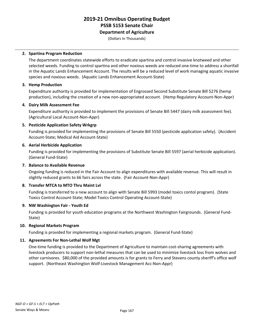**Department of Agriculture**

(Dollars In Thousands)

#### **2. Spartina Program Reduction**

The department coordinates statewide efforts to eradicate spartina and control invasive knotweed and other selected weeds. Funding to control spartina and other noxious weeds are reduced one-time to address a shortfall in the Aquatic Lands Enhancement Account. The results will be a reduced level of work managing aquatic invasive species and noxious weeds. (Aquatic Lands Enhancement Account-State)

#### **3. Hemp Production**

Expenditure authority is provided for implementation of Engrossed Second Substitute Senate Bill 5276 (hemp production), including the creation of a new non-appropriated account. (Hemp Regulatory Account-Non-Appr)

#### **4. Dairy Milk Assessment Fee**

Expenditure authority is provided to implement the provisions of Senate Bill 5447 (dairy milk assessment fee). (Agricultural Local Account-Non-Appr)

#### **5. Pesticide Application Safety Wrkgrp**

Funding is provided for implementing the provisions of Senate Bill 5550 (pesticide application safety). (Accident Account-State; Medical Aid Account-State)

#### **6. Aerial Herbicide Application**

Funding is provided for implementing the provisions of Substitute Senate Bill 5597 (aerial herbicide application). (General Fund-State)

#### **7. Balance to Available Revenue**

Ongoing funding is reduced in the Fair Account to align expenditures with available revenue. This will result in slightly reduced grants to 66 fairs across the state. (Fair Account-Non-Appr)

#### **8. Transfer MTCA to MTO Thru Maint Lvl**

Funding is transferred to a new account to align with Senate Bill 5993 (model toxics contol program). (State Toxics Control Account-State; Model Toxics Control Operating Account-State)

#### **9. NW Washington Fair - Youth Ed**

Funding is provided for youth education programs at the Northwest Washington Fairgrounds. (General Fund-State)

#### **10. Regional Markets Program**

Funding is provided for implementing a regional markets program. (General Fund-State)

#### **11. Agreements For Non-Lethal Wolf Mgt**

One-time funding is provided to the Department of Agriculture to maintain cost-sharing agreements with livestock producers to support non-lethal measures that can be used to minimize livestock loss from wolves and other carnivores. \$80,000 of the provided amounts is for grants to Ferry and Stevens county sheriff's office wolf support. (Northeast Washington Wolf-Livestock Management Acc-Non-Appr)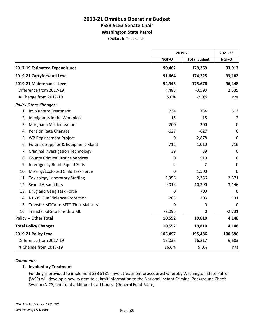### **2019-21 Omnibus Operating Budget PSSB 5153 Senate Chair Washington State Patrol**

(Dollars In Thousands)

|                                                |             | 2019-21             |             |
|------------------------------------------------|-------------|---------------------|-------------|
|                                                | NGF-O       | <b>Total Budget</b> | NGF-O       |
| 2017-19 Estimated Expenditures                 | 90,462      | 179,269             | 93,913      |
| 2019-21 Carryforward Level                     | 91,664      | 174,225             | 93,102      |
| 2019-21 Maintenance Level                      | 94,945      | 175,676             | 96,448      |
| Difference from 2017-19                        | 4,483       | $-3,593$            | 2,535       |
| % Change from 2017-19                          | 5.0%        | $-2.0%$             | n/a         |
| <b>Policy Other Changes:</b>                   |             |                     |             |
| <b>Involuntary Treatment</b><br>1.             | 734         | 734                 | 513         |
| Immigrants in the Workplace<br>2.              | 15          | 15                  | 2           |
| Marijuana Misdemeanors<br>3.                   | 200         | 200                 | 0           |
| <b>Pension Rate Changes</b><br>4.              | $-627$      | $-627$              | $\mathbf 0$ |
| W2 Replacement Project<br>5.                   | $\mathbf 0$ | 2,878               | 0           |
| Forensic Supplies & Equipment Maint<br>6.      | 712         | 1,010               | 716         |
| <b>Criminal Investigation Technology</b><br>7. | 39          | 39                  | $\pmb{0}$   |
| <b>County Criminal Justice Services</b><br>8.  | $\mathbf 0$ | 510                 | $\mathbf 0$ |
| <b>Interagency Bomb Squad Suits</b><br>9.      | 2           | 2                   | $\mathbf 0$ |
| Missing/Exploited Child Task Force<br>10.      | 0           | 1,500               | $\mathbf 0$ |
| <b>Toxicology Laboratory Staffing</b><br>11.   | 2,356       | 2,356               | 2,371       |
| Sexual Assault Kits<br>12.                     | 9,013       | 10,290              | 3,146       |
| Drug and Gang Task Force<br>13.                | 0           | 700                 | 0           |
| 14. I-1639 Gun Violence Protection             | 203         | 203                 | 131         |
| Transfer MTCA to MTO Thru Maint Lvl<br>15.     | 0           | $\mathbf 0$         | $\pmb{0}$   |
| 16. Transfer GFS to Fire thru ML               | $-2,095$    | $\mathbf 0$         | $-2,731$    |
| <b>Policy -- Other Total</b>                   | 10,552      | 19,810              | 4,148       |
| <b>Total Policy Changes</b>                    | 10,552      | 19,810              | 4,148       |
| 2019-21 Policy Level                           | 105,497     | 195,486             | 100,596     |
| Difference from 2017-19                        | 15,035      | 16,217              | 6,683       |
| % Change from 2017-19                          | 16.6%       | 9.0%                | n/a         |

#### *Comments:*

#### **1. Involuntary Treatment**

Funding is provided to implement SSB 5181 (invol. treatment procedures) whereby Washington State Patrol (WSP) will develop a new system to submit information to the National Instant Criminal Background Check System (NICS) and fund additional staff hours. (General Fund-State)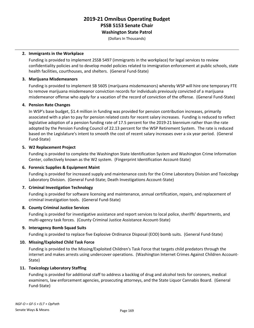**Washington State Patrol**

(Dollars In Thousands)

#### **2. Immigrants in the Workplace**

Funding is provided to implement 2SSB 5497 (immigrants in the workplace) for legal services to review confidentiality policies and to develop model policies related to immigration enforcement at public schools, state health facilities, courthouses, and shelters. (General Fund-State)

#### **3. Marijuana Misdemeanors**

Funding is provided to implement SB 5605 (marijuana misdemeanors) whereby WSP will hire one temporary FTE to remove marijuana misdemeanor conviction records for individuals previously convicted of a marijuana misdemeanor offense who apply for a vacation of the record of conviction of the offense. (General Fund-State)

#### **4. Pension Rate Changes**

In WSP's base budget, \$1.4 million in funding was provided for pension contribution increases, primarily associated with a plan to pay for pension related costs for recent salary increases. Funding is reduced to reflect legislative adoption of a pension funding rate of 17.5 percent for the 2019-21 biennium rather than the rate adopted by the Pension Funding Council of 22.13 percent for the WSP Retirement System. The rate is reduced based on the Legislature's intent to smooth the cost of recent salary increases over a six year period. (General Fund-State)

#### **5. W2 Replacement Project**

Funding is provided to complete the Washington State Identification System and Washington Crime Information Center, collectively known as the W2 system. (Fingerprint Identification Account-State)

#### **6. Forensic Supplies & Equipment Maint**

Funding is provided for increased supply and maintenance costs for the Crime Laboratory Division and Toxicology Laboratory Division. (General Fund-State; Death Investigations Account-State)

#### **7. Criminal Investigation Technology**

Funding is provided for software licensing and maintenance, annual certification, repairs, and replacement of criminal investigation tools. (General Fund-State)

#### **8. County Criminal Justice Services**

Funding is provided for investigative assistance and report services to local police, sheriffs' departments, and multi-agency task forces. (County Criminal Justice Assistance Account-State)

#### **9. Interagency Bomb Squad Suits**

Funding is provided to replace five Explosive Ordinance Disposal (EOD) bomb suits. (General Fund-State)

#### **10. Missing/Exploited Child Task Force**

Funding is provided to the Missing/Exploited Children's Task Force that targets child predators through the internet and makes arrests using undercover operations. (Washington Internet Crimes Against Children Account-State)

#### **11. Toxicology Laboratory Staffing**

Funding is provided for additional staff to address a backlog of drug and alcohol tests for coroners, medical examiners, law enforcement agencies, prosecuting attorneys, and the State Liquor Cannabis Board. (General Fund-State)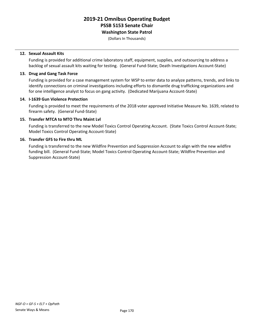**Washington State Patrol**

(Dollars In Thousands)

#### **12. Sexual Assault Kits**

Funding is provided for additional crime laboratory staff, equipment, supplies, and outsourcing to address a backlog of sexual assault kits waiting for testing. (General Fund-State; Death Investigations Account-State)

#### **13. Drug and Gang Task Force**

Funding is provided for a case management system for WSP to enter data to analyze patterns, trends, and links to identify connections on criminal investigations including efforts to dismantle drug trafficking organizations and for one intelligence analyst to focus on gang activity. (Dedicated Marijuana Account-State)

#### **14. I-1639 Gun Violence Protection**

Funding is provided to meet the requirements of the 2018 voter approved Initiative Measure No. 1639, related to firearm safety. (General Fund-State)

#### **15. Transfer MTCA to MTO Thru Maint Lvl**

Funding is transferred to the new Model Toxics Control Operating Account. (State Toxics Control Account-State; Model Toxics Control Operating Account-State)

#### **16. Transfer GFS to Fire thru ML**

Funding is transferred to the new Wildfire Prevention and Suppression Account to align with the new wildfire funding bill. (General Fund-State; Model Toxics Control Operating Account-State; Wildfire Prevention and Suppression Account-State)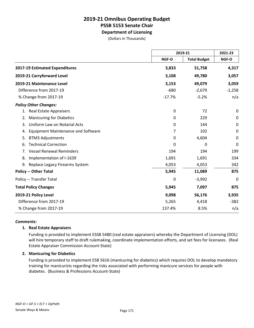**Department of Licensing**

(Dollars In Thousands)

|                                                 |              | 2019-21             |             |
|-------------------------------------------------|--------------|---------------------|-------------|
|                                                 | <b>NGF-O</b> | <b>Total Budget</b> | NGF-O       |
| 2017-19 Estimated Expenditures                  | 3,833        | 51,758              | 4,317       |
| 2019-21 Carryforward Level                      | 3,108        | 49,780              | 3,057       |
| 2019-21 Maintenance Level                       | 3,153        | 49,079              | 3,059       |
| Difference from 2017-19                         | $-680$       | $-2,679$            | $-1,258$    |
| % Change from 2017-19                           | $-17.7%$     | $-5.2%$             | n/a         |
| <b>Policy Other Changes:</b>                    |              |                     |             |
| <b>Real Estate Appraisers</b><br>1.             | 0            | 72                  | 0           |
| <b>Manicuring for Diabetics</b><br>2.           | 0            | 229                 | 0           |
| Uniform Law on Notarial Acts<br>3.              | 0            | 144                 | $\mathbf 0$ |
| <b>Equipment Maintenance and Software</b><br>4. | 7            | 102                 | $\mathbf 0$ |
| <b>BTM3 Adjustments</b><br>5.                   | $\mathbf{0}$ | 4,604               | $\mathbf 0$ |
| <b>Technical Correction</b><br>6.               | 0            | 0                   | $\mathbf 0$ |
| <b>Vessel Renewal Reminders</b><br>7.           | 194          | 194                 | 199         |
| Implementation of I-1639<br>8.                  | 1,691        | 1,691               | 334         |
| 9. Replace Legacy Firearms System               | 4,053        | 4,053               | 342         |
| <b>Policy -- Other Total</b>                    | 5,945        | 11,089              | 875         |
| Policy -- Transfer Total                        | 0            | $-3,992$            | $\mathbf 0$ |
| <b>Total Policy Changes</b>                     | 5,945        | 7,097               | 875         |
| 2019-21 Policy Level                            | 9,098        | 56,176              | 3,935       |
| Difference from 2017-19                         | 5,265        | 4,418               | $-382$      |
| % Change from 2017-19                           | 137.4%       | 8.5%                | n/a         |

#### *Comments:*

#### **1. Real Estate Appraisers**

Funding is provided to implement ESSB 5480 (real estate appraisers) whereby the Department of Licensing (DOL) will hire temporary staff to draft rulemaking, coordinate implementation efforts, and set fees for licensees. (Real Estate Appraiser Commission Account-State)

#### **2. Manicuring for Diabetics**

Funding is provided to implement ESB 5616 (manicuring for diabetics) which requires DOL to develop mandatory training for manicurists regarding the risks associated with performing manicure services for people with diabetes. (Business & Professions Account-State)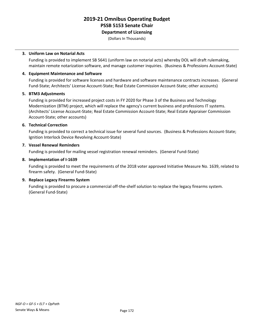**Department of Licensing**

(Dollars In Thousands)

#### **3. Uniform Law on Notarial Acts**

Funding is provided to implement SB 5641 (uniform law on notarial acts) whereby DOL will draft rulemaking, maintain remote notarization software, and manage customer inquiries. (Business & Professions Account-State)

#### **4. Equipment Maintenance and Software**

Funding is provided for software licenses and hardware and software maintenance contracts increases. (General Fund-State; Architects' License Account-State; Real Estate Commission Account-State; other accounts)

#### **5. BTM3 Adjustments**

Funding is provided for increased project costs in FY 2020 for Phase 3 of the Business and Technology Modernization (BTM) project, which will replace the agency's current business and professions IT systems. (Architects' License Account-State; Real Estate Commission Account-State; Real Estate Appraiser Commission Account-State; other accounts)

#### **6. Technical Correction**

Funding is provided to correct a technical issue for several fund sources. (Business & Professions Account-State; Ignition Interlock Device Revolving Account-State)

#### **7. Vessel Renewal Reminders**

Funding is provided for mailing vessel registration renewal reminders. (General Fund-State)

#### **8. Implementation of I-1639**

Funding is provided to meet the requirements of the 2018 voter approved Initiative Measure No. 1639, related to firearm safety. (General Fund-State)

#### **9. Replace Legacy Firearms System**

Funding is provided to procure a commercial off-the-shelf solution to replace the legacy firearms system. (General Fund-State)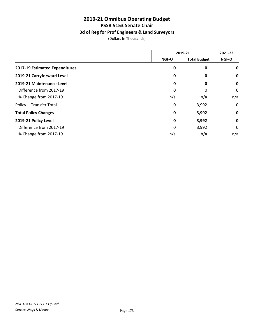### **Bd of Reg for Prof Engineers & Land Surveyors**

(Dollars In Thousands)

|                                | 2019-21      |                     | 2021-23      |
|--------------------------------|--------------|---------------------|--------------|
|                                | <b>NGF-O</b> | <b>Total Budget</b> | <b>NGF-O</b> |
| 2017-19 Estimated Expenditures | 0            | 0                   | 0            |
| 2019-21 Carryforward Level     | 0            | 0                   | 0            |
| 2019-21 Maintenance Level      | 0            | 0                   | $\mathbf 0$  |
| Difference from 2017-19        | 0            | 0                   | 0            |
| % Change from 2017-19          | n/a          | n/a                 | n/a          |
| Policy -- Transfer Total       | 0            | 3,992               | 0            |
| <b>Total Policy Changes</b>    | $\mathbf 0$  | 3,992               | $\mathbf 0$  |
| 2019-21 Policy Level           | $\mathbf 0$  | 3,992               | $\mathbf 0$  |
| Difference from 2017-19        | $\Omega$     | 3,992               | 0            |
| % Change from 2017-19          | n/a          | n/a                 | n/a          |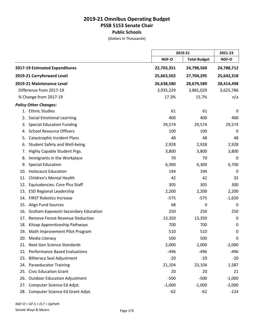### **2019-21 Omnibus Operating Budget PSSB 5153 Senate Chair Public Schools**

(Dollars In Thousands)

|     |                                            |            | 2019-21             |             |
|-----|--------------------------------------------|------------|---------------------|-------------|
|     |                                            | NGF-O      | <b>Total Budget</b> | NGF-O       |
|     | 2017-19 Estimated Expenditures             | 22,703,351 | 24,798,560          | 24,788,712  |
|     | 2019-21 Carryforward Level                 | 25,663,502 | 27,704,295          | 25,642,318  |
|     | 2019-21 Maintenance Level                  | 26,638,580 | 28,679,589          | 28,414,498  |
|     | Difference from 2017-19                    | 3,935,229  | 3,881,029           | 3,625,786   |
|     | % Change from 2017-19                      | 17.3%      | 15.7%               | n/a         |
|     | <b>Policy Other Changes:</b>               |            |                     |             |
|     | 1. Ethnic Studies                          | 61         | 61                  | 0           |
| 2.  | <b>Social Emotional Learning</b>           | 400        | 400                 | 400         |
| 3.  | <b>Special Education Funding</b>           | 29,574     | 29,574              | 29,574      |
| 4.  | <b>School Resource Officers</b>            | 100        | 100                 | 0           |
| 5.  | <b>Catastrophic Incident Plans</b>         | 48         | 48                  | 48          |
| 6.  | Student Safety and Well-being              | 2,928      | 2,928               | 2,928       |
| 7.  | Highly Capable Student Prgs.               | 3,800      | 3,800               | 3,800       |
| 8.  | Immigrants in the Workplace                | 70         | 70                  | 0           |
| 9.  | <b>Special Education</b>                   | 6,300      | 6,300               | 6,700       |
| 10. | <b>Holocaust Education</b>                 | 194        | 194                 | 0           |
| 11. | Children's Mental Health                   | 42         | 42                  | 32          |
| 12. | Equivalencies: Core Plus Staff             | 305        | 305                 | 300         |
| 13. | <b>ESD Regional Leadership</b>             | 2,200      | 2,200               | 2,200       |
| 14. | <b>FIRST Robotics Increase</b>             | $-575$     | $-575$              | $-1,650$    |
| 15. | <b>Align Fund Sources</b>                  | 68         | 0                   | 0           |
| 16. | <b>Graham Kapowsin Secondary Education</b> | 250        | 250                 | 250         |
| 17. | <b>Remove Forest Revenue Deduction</b>     | 13,350     | 13,350              | $\mathbf 0$ |
| 18. | Kitsap Apprenticeship Pathways             | 700        | 700                 | 0           |
|     | 19. Math Improvement Pilot Program         | 510        | 510                 | 0           |
|     | 20. Media Literacy                         | 500        | 500                 | 0           |
| 21. | Next Gen Science Standards                 | 2,000      | 2,000               | $-2,000$    |
| 22. | <b>Performance Based Evaluations</b>       | $-496$     | $-496$              | $-496$      |
| 23. | <b>Biliteracy Seal Adjustment</b>          | $-20$      | $-20$               | $-20$       |
| 24. | <b>Paraeducator Training</b>               | 21,104     | 23,104              | 1,587       |
| 25. | <b>Civic Education Grant</b>               | 20         | 20                  | 21          |
| 26. | <b>Outdoor Education Adjustment</b>        | $-500$     | $-500$              | $-1,000$    |
| 27. | Computer Science Ed Adjst.                 | $-1,000$   | $-1,000$            | $-2,000$    |
| 28. | Computer Science Ed Grant Adjst.           | $-62$      | $-62$               | $-124$      |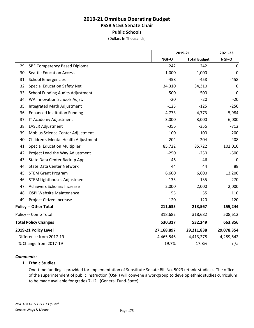### **2019-21 Omnibus Operating Budget PSSB 5153 Senate Chair Public Schools**

(Dollars In Thousands)

|                                                |            | 2019-21             |             |
|------------------------------------------------|------------|---------------------|-------------|
|                                                | NGF-O      | <b>Total Budget</b> | NGF-O       |
| 29. SBE Competency Based Diploma               | 242        | 242                 | $\pmb{0}$   |
| <b>Seattle Education Access</b><br>30.         | 1,000      | 1,000               | 0           |
| 31.<br><b>School Emergencies</b>               | $-458$     | $-458$              | $-458$      |
| <b>Special Education Safety Net</b><br>32.     | 34,310     | 34,310              | $\mathbf 0$ |
| 33.<br><b>School Funding Audits Adjustment</b> | $-500$     | $-500$              | 0           |
| WA Innovation Schools Adjst.<br>34.            | $-20$      | $-20$               | $-20$       |
| 35.<br>Integrated Math Adjustment              | $-125$     | $-125$              | $-250$      |
| <b>Enhanced Institution Funding</b><br>36.     | 4,773      | 4,773               | 5,984       |
| IT Academy Adjustment<br>37.                   | $-3,000$   | $-3,000$            | $-6,000$    |
| 38.<br><b>LASER Adjustment</b>                 | $-356$     | $-356$              | $-712$      |
| Mobius Science Center Adjustment<br>39.        | $-100$     | $-100$              | $-200$      |
| Children's Mental Health Adjustment<br>40.     | $-204$     | $-204$              | $-408$      |
| <b>Special Education Multiplier</b><br>41.     | 85,722     | 85,722              | 102,010     |
| 42.<br>Project Lead the Way Adjustment         | $-250$     | $-250$              | $-500$      |
| State Data Center Backup App.<br>43.           | 46         | 46                  | 0           |
| <b>State Data Center Network</b><br>44.        | 44         | 44                  | 88          |
| 45.<br><b>STEM Grant Program</b>               | 6,600      | 6,600               | 13,200      |
| 46.<br><b>STEM Lighthouses Adjustment</b>      | $-135$     | $-135$              | $-270$      |
| Achievers Scholars Increase<br>47.             | 2,000      | 2,000               | 2,000       |
| <b>OSPI Website Maintenance</b><br>48.         | 55         | 55                  | 110         |
| 49. Project Citizen Increase                   | 120        | 120                 | 120         |
| <b>Policy -- Other Total</b>                   | 211,635    | 213,567             | 155,244     |
| Policy -- Comp Total                           | 318,682    | 318,682             | 508,612     |
| <b>Total Policy Changes</b>                    | 530,317    | 532,249             | 663,856     |
| 2019-21 Policy Level                           | 27,168,897 | 29,211,838          | 29,078,354  |
| Difference from 2017-19                        | 4,465,546  | 4,413,278           | 4,289,642   |
| % Change from 2017-19                          | 19.7%      | 17.8%               | n/a         |

#### *Comments:*

#### **1. Ethnic Studies**

One-time funding is provided for implementation of Substitute Senate Bill No. 5023 (ethnic studies). The office of the superintendent of public instruction (OSPI) will convene a workgroup to develop ethnic studies curriculum to be made available for grades 7-12. (General Fund-State)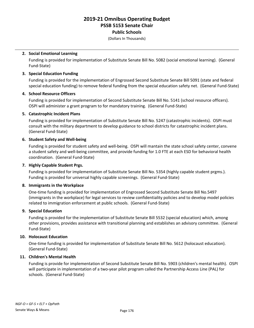**Public Schools**

(Dollars In Thousands)

#### **2. Social Emotional Learning**

Funding is provided for implementation of Substitute Senate Bill No. 5082 (social emotional learning). (General Fund-State)

#### **3. Special Education Funding**

Funding is provided for the implementation of Engrossed Second Substitute Senate Bill 5091 (state and federal special education funding) to remove federal funding from the special education safety net. (General Fund-State)

#### **4. School Resource Officers**

Funding is provided for implementation of Second Substitute Senate Bill No. 5141 (school resource officers). OSPI will administer a grant program to for mandatory training. (General Fund-State)

#### **5. Catastrophic Incident Plans**

Funding is provided for implementation of Substitute Senate Bill No. 5247 (catastrophic incidents). OSPI must consult with the military department to develop guidance to school districts for catastrophic incident plans. (General Fund-State)

#### **6. Student Safety and Well-being**

Funding is provided for student safety and well-being. OSPI will mantain the state school safety center, convene a student safety and well-being committee, and provide funding for 1.0 FTE at each ESD for behavioral health coordination. (General Fund-State)

#### **7. Highly Capable Student Prgs.**

Funding is provided for implementation of Substitute Senate Bill No. 5354 (highly capable student prgms.). Funding is provided for universal highly capable screenings. (General Fund-State)

#### **8. Immigrants in the Workplace**

One-time funding is provided for implementation of Engrossed Second Substitute Senate Bill No.5497 (immigrants in the workplace) for legal services to review confidentiality policies and to develop model policies related to immigration enforcement at public schools. (General Fund-State)

#### **9. Special Education**

Funding is provided for the implementation of Substitute Senate Bill 5532 (special education) which, among other provisions, provides assistance with transitional planning and establishes an advisory committee. (General Fund-State)

#### **10. Holocaust Education**

One-time funding is provided for implementation of Substitute Senate Bill No. 5612 (holocaust education). (General Fund-State)

#### **11. Children's Mental Health**

Funding is provide for implementation of Second Substitute Senate Bill No. 5903 (children's mental health). OSPI will participate in implementation of a two-year pilot program called the Partnership Access Line (PAL) for schools. (General Fund-State)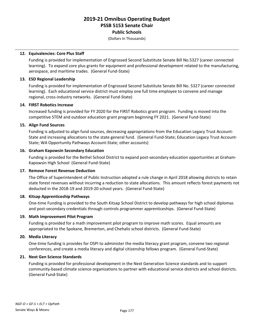**Public Schools**

(Dollars In Thousands)

#### **12. Equivalencies: Core Plus Staff**

Funding is provided for implementation of Engrossed Second Substitute Senate Bill No.5327 (career connected learning). To expand core plus grants for equipment and professional development related to the manufacturing, aerospace, and maritime trades. (General Fund-State)

#### **13. ESD Regional Leadership**

Funding is provided for implementation of Engrossed Second Substitute Senate Bill No. 5327 (career connected learning). Each educational service district must employ one full time employee to convene and manage regional, cross-industry networks. (General Fund-State)

#### **14. FIRST Robotics Increase**

Increased funding is provided for FY 2020 for the FIRST Robotics grant program. Funding is moved into the competitive STEM and outdoor education grant program beginning FY 2021. (General Fund-State)

#### **15. Align Fund Sources**

Funding is adjusted to align fund sources, decreasing appropriations from the Education Legacy Trust Account-State and increasing allocations to the state general fund. (General Fund-State; Education Legacy Trust Account-State; WA Opportunity Pathways Account-State; other accounts)

#### **16. Graham Kapowsin Secondary Education**

Funding is provided for the Bethel School District to expand post-secondary education opportunities at Graham-Kapowsin High School (General Fund-State)

#### **17. Remove Forest Revenue Deduction**

The Office of Superintendent of Public Instruction adopted a rule change in April 2018 allowing districts to retain state forest revenues without incurring a reduction to state allocations. This amount reflects forest payments not deducted in the 2018-19 and 2019-20 school years. (General Fund-State)

#### **18. Kitsap Apprenticeship Pathways**

One-time Funding is provided to the South Kitsap School District to develop pathways for high school diplomas and post-secondary credentials through controls programmer apprenticeships. (General Fund-State)

#### **19. Math Improvement Pilot Program**

Funding is provided for a math improvement pilot program to improve math scores. Equal amounts are appropriated to the Spokane, Bremerton, and Chehalis school districts. (General Fund-State)

#### **20. Media Literacy**

One-time funding is provides for OSPI to administer the media literacy grant program, convene two regional conferences, and create a media literacy and digital citizenship fellows program. (General Fund-State)

#### **21. Next Gen Science Standards**

Funding is provided for professional development in the Next Generation Science standards and to support community-based climate science organizations to partner with educational service districts and school districts. (General Fund-State)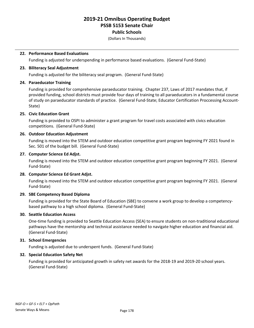#### **Public Schools**

(Dollars In Thousands)

#### **22. Performance Based Evaluations**

Funding is adjusted for underspending in performance based evaluations. (General Fund-State)

#### **23. Biliteracy Seal Adjustment**

Funding is adjusted for the biliteracy seal program. (General Fund-State)

#### **24. Paraeducator Training**

Funding is provided for comprehensive paraeducator training. Chapter 237, Laws of 2017 mandates that, if provided funding, school districts must provide four days of training to all paraeducators in a fundamental course of study on paraeducator standards of practice. (General Fund-State; Educator Certification Proccessing Account-State)

#### **25. Civic Education Grant**

Funding is provided to OSPI to administer a grant program for travel costs associated with civics education competitions. (General Fund-State)

#### **26. Outdoor Education Adjustment**

Funding is moved into the STEM and outdoor education competitive grant program beginning FY 2021 found in Sec. 501 of the budget bill. (General Fund-State)

#### **27. Computer Science Ed Adjst.**

Funding is moved into the STEM and outdoor education competitive grant program beginning FY 2021. (General Fund-State)

#### **28. Computer Science Ed Grant Adjst.**

Funding is moved into the STEM and outdoor education competitive grant program beginning FY 2021. (General Fund-State)

#### **29. SBE Competency Based Diploma**

Funding is provided for the State Board of Education (SBE) to convene a work group to develop a competencybased pathway to a high school diploma. (General Fund-State)

#### **30. Seattle Education Access**

One-time funding is provided to Seattle Education Access (SEA) to ensure students on non-traditional educational pathways have the mentorship and technical assistance needed to navigate higher education and financial aid. (General Fund-State)

#### **31. School Emergencies**

Funding is adjusted due to underspent funds. (General Fund-State)

#### **32. Special Education Safety Net**

Funding is provided for anticipated growth in safety net awards for the 2018-19 and 2019-20 school years. (General Fund-State)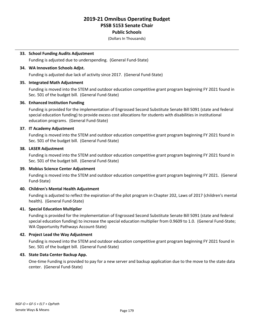#### **Public Schools**

(Dollars In Thousands)

#### **33. School Funding Audits Adjustment**

Funding is adjusted due to underspending. (General Fund-State)

#### **34. WA Innovation Schools Adjst.**

Funding is adjusted due lack of activity since 2017. (General Fund-State)

#### **35. Integrated Math Adjustment**

Funding is moved into the STEM and outdoor education competitive grant program beginning FY 2021 found in Sec. 501 of the budget bill. (General Fund-State)

#### **36. Enhanced Institution Funding**

Funding is provided for the implementation of Engrossed Second Substitute Senate Bill 5091 (state and federal special education funding) to provide excess cost allocations for students with disabilities in institutional education programs. (General Fund-State)

#### **37. IT Academy Adjustment**

Funding is moved into the STEM and outdoor education competitive grant program beginning FY 2021 found in Sec. 501 of the budget bill. (General Fund-State)

#### **38. LASER Adjustment**

Funding is moved into the STEM and outdoor education competitive grant program beginning FY 2021 found in Sec. 501 of the budget bill. (General Fund-State)

#### **39. Mobius Science Center Adjustment**

Funding is moved into the STEM and outdoor education competitive grant program beginning FY 2021. (General Fund-State)

#### **40. Children's Mental Health Adjustment**

Funding is adjusted to reflect the expiration of the pilot program in Chapter 202, Laws of 2017 (children's mental health). (General Fund-State)

#### **41. Special Education Multiplier**

Funding is provided for the implementation of Engrossed Second Substitute Senate Bill 5091 (state and federal special education funding) to increase the special education multiplier from 0.9609 to 1.0. (General Fund-State; WA Opportunity Pathways Account-State)

#### **42. Project Lead the Way Adjustment**

Funding is moved into the STEM and outdoor education competitive grant program beginning FY 2021 found in Sec. 501 of the budget bill. (General Fund-State)

#### **43. State Data Center Backup App.**

One-time Funding is provided to pay for a new server and backup application due to the move to the state data center. (General Fund-State)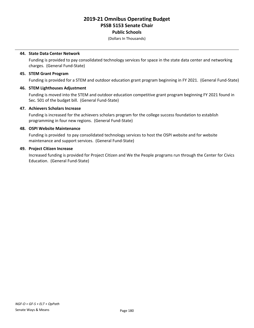#### **Public Schools**

(Dollars In Thousands)

#### **44. State Data Center Network**

Funding is provided to pay consolidated technology services for space in the state data center and networking charges. (General Fund-State)

#### **45. STEM Grant Program**

Funding is provided for a STEM and outdoor education grant program beginning in FY 2021. (General Fund-State)

#### **46. STEM Lighthouses Adjustment**

Funding is moved into the STEM and outdoor education competitive grant program beginning FY 2021 found in Sec. 501 of the budget bill. (General Fund-State)

#### **47. Achievers Scholars Increase**

Funding is increased for the achievers scholars program for the college success foundation to establish programming in four new regions. (General Fund-State)

#### **48. OSPI Website Maintenance**

Funding is provided to pay consolidated technology services to host the OSPI website and for website maintenance and support services. (General Fund-State)

#### **49. Project Citizen Increase**

Increased funding is provided for Project Citizen and We the People programs run through the Center for Civics Education. (General Fund-State)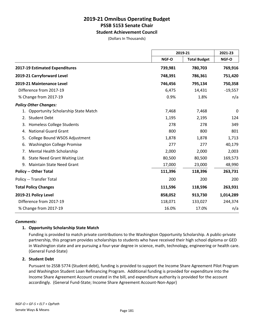#### **Student Achievement Council**

(Dollars In Thousands)

|                                                  |                              | 2019-21 |           |
|--------------------------------------------------|------------------------------|---------|-----------|
|                                                  | NGF-O<br><b>Total Budget</b> | NGF-O   |           |
| 2017-19 Estimated Expenditures                   | 739,981                      | 780,703 | 769,916   |
| 2019-21 Carryforward Level                       | 748,391                      | 786,361 | 751,420   |
| 2019-21 Maintenance Level                        | 746,456                      | 795,134 | 750,358   |
| Difference from 2017-19                          | 6,475                        | 14,431  | $-19,557$ |
| % Change from 2017-19                            | 0.9%                         | 1.8%    | n/a       |
| <b>Policy Other Changes:</b>                     |                              |         |           |
| <b>Opportunity Scholarship State Match</b><br>1. | 7,468                        | 7,468   | 0         |
| <b>Student Debt</b><br>2.                        | 1,195                        | 2,195   | 124       |
| Homeless College Students<br>3.                  | 278                          | 278     | 349       |
| <b>National Guard Grant</b><br>4.                | 800                          | 800     | 801       |
| College Bound WSOS Adjustment<br>5.              | 1,878                        | 1,878   | 1,713     |
| <b>Washington College Promise</b><br>6.          | 277                          | 277     | 40,179    |
| Mental Health Scholarship<br>7.                  | 2,000                        | 2,000   | 2,003     |
| <b>State Need Grant Waiting List</b><br>8.       | 80,500                       | 80,500  | 169,573   |
| <b>Maintain State Need Grant</b><br>9.           | 17,000                       | 23,000  | 48,990    |
| <b>Policy -- Other Total</b>                     | 111,396                      | 118,396 | 263,731   |
| Policy -- Transfer Total                         | 200                          | 200     | 200       |
| <b>Total Policy Changes</b>                      | 111,596                      | 118,596 | 263,931   |
| 2019-21 Policy Level                             | 858,052                      | 913,730 | 1,014,289 |
| Difference from 2017-19                          | 118,071                      | 133,027 | 244,374   |
| % Change from 2017-19                            | 16.0%                        | 17.0%   | n/a       |

#### *Comments:*

#### **1. Opportunity Scholarship State Match**

Funding is provided to match private contributions to the Washington Opportunity Scholarship. A public-private partnership, this program provides scholarships to students who have received their high school diploma or GED in Washington state and are pursuing a four-year degree in science, math, technology, engineering or health care. (General Fund-State)

#### **2. Student Debt**

Pursuant to 2SSB 5774 (Student debt), funding is provided to support the Income Share Agreement Pilot Program and Washington Student Loan Refinancing Program. Additional funding is provided for expenditure into the Income Share Agreement Account created in the bill, and expenditure authority is provided for the account accordingly. (General Fund-State; Income Share Agreement Account-Non-Appr)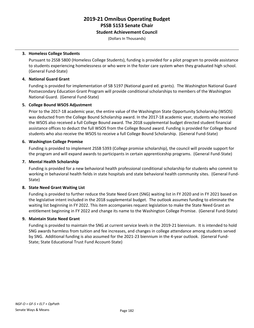#### **Student Achievement Council**

(Dollars In Thousands)

#### **3. Homeless College Students**

Pursuant to 2SSB 5800 (Homeless College Students), funding is provided for a pilot program to provide assistance to students experiencing homelessness or who were in the foster care system when they graduated high school. (General Fund-State)

#### **4. National Guard Grant**

Funding is provided for implementation of SB 5197 (National guard ed. grants). The Washington National Guard Postsecondary Education Grant Program will provide conditional scholarships to members of the Washington National Guard. (General Fund-State)

#### **5. College Bound WSOS Adjustment**

Prior to the 2017-18 academic year, the entire value of the Washington State Opportunity Scholarship (WSOS) was deducted from the College Bound Scholarship award. In the 2017-18 academic year, students who received the WSOS also received a full College Bound award. The 2018 supplemental budget directed student financial assistance offices to deduct the full WSOS from the College Bound award. Funding is provided for College Bound students who also receive the WSOS to receive a full College Bound Scholarship. (General Fund-State)

#### **6. Washington College Promise**

Funding is provided to implement 2SSB 5393 (College promise scholarship), the council will provide support for the program and will expand awards to participants in certain apprenticeship programs. (General Fund-State)

#### **7. Mental Health Scholarship**

Funding is provided for a new behavioral health professional conditional scholarship for students who commit to working in behavioral health fields in state hospitals and state behavioral health community sites. (General Fund-State)

#### **8. State Need Grant Waiting List**

Funding is provided to further reduce the State Need Grant (SNG) waiting list in FY 2020 and in FY 2021 based on the legislative intent included in the 2018 supplemental budget. The outlook assumes funding to eliminate the waiting list beginning in FY 2022. This item accompanies request legislation to make the State Need Grant an entitlement beginning in FY 2022 and change its name to the Washington College Promise. (General Fund-State)

#### **9. Maintain State Need Grant**

Funding is provided to maintain the SNG at current service levels in the 2019-21 biennium. It is intended to hold SNG awards harmless from tuition and fee increases, and changes in college attendance among students served by SNG. Additional funding is also assumed for the 2021-23 biennium in the 4-year outlook. (General Fund-State; State Educational Trust Fund Account-State)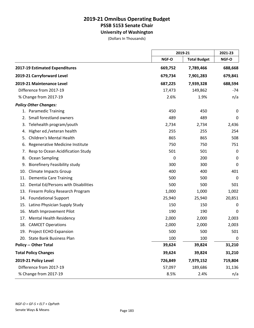### **2019-21 Omnibus Operating Budget PSSB 5153 Senate Chair University of Washington**

(Dollars In Thousands)

|                                            |         | 2019-21             |             |
|--------------------------------------------|---------|---------------------|-------------|
|                                            | NGF-O   | <b>Total Budget</b> | NGF-O       |
| 2017-19 Estimated Expenditures             | 669,752 | 7,789,466           | 688,668     |
| 2019-21 Carryforward Level                 | 679,734 | 7,901,283           | 679,841     |
| 2019-21 Maintenance Level                  | 687,225 | 7,939,328           | 688,594     |
| Difference from 2017-19                    | 17,473  | 149,862             | $-74$       |
| % Change from 2017-19                      | 2.6%    | 1.9%                | n/a         |
| <b>Policy Other Changes:</b>               |         |                     |             |
| 1. Paramedic Training                      | 450     | 450                 | 0           |
| Small forestland owners<br>2.              | 489     | 489                 | 0           |
| Telehealth program/youth<br>3.             | 2,734   | 2,734               | 2,436       |
| Higher ed./veteran health<br>4.            | 255     | 255                 | 254         |
| <b>Children's Mental Health</b><br>5.      | 865     | 865                 | 508         |
| Regenerative Medicine Institute<br>6.      | 750     | 750                 | 751         |
| Resp to Ocean Acidification Study<br>7.    | 501     | 501                 | 0           |
| Ocean Sampling<br>8.                       | 0       | 200                 | $\mathbf 0$ |
| <b>Biorefinery Feasibility study</b><br>9. | 300     | 300                 | 0           |
| <b>Climate Impacts Group</b><br>10.        | 400     | 400                 | 401         |
| <b>Dementia Care Training</b><br>11.       | 500     | 500                 | $\mathbf 0$ |
| Dental Ed/Persons with Disabilities<br>12. | 500     | 500                 | 501         |
| 13.<br>Firearm Policy Research Program     | 1,000   | 1,000               | 1,002       |
| <b>Foundational Support</b><br>14.         | 25,940  | 25,940              | 20,851      |
| Latino Physician Supply Study<br>15.       | 150     | 150                 | 0           |
| 16.<br>Math Improvement Pilot              | 190     | 190                 | 0           |
| 17.<br><b>Mental Health Residency</b>      | 2,000   | 2,000               | 2,003       |
| 18.<br><b>CAMCET Operations</b>            | 2,000   | 2,000               | 2,003       |
| Project ECHO Expansion<br>19.              | 500     | 500                 | 501         |
| 20. State Bank Business Plan               | 100     | 100                 | $\mathbf 0$ |
| <b>Policy -- Other Total</b>               | 39,624  | 39,824              | 31,210      |
| <b>Total Policy Changes</b>                | 39,624  | 39,824              | 31,210      |
| 2019-21 Policy Level                       | 726,849 | 7,979,152           | 719,804     |
| Difference from 2017-19                    | 57,097  | 189,686             | 31,136      |
| % Change from 2017-19                      | 8.5%    | 2.4%                | n/a         |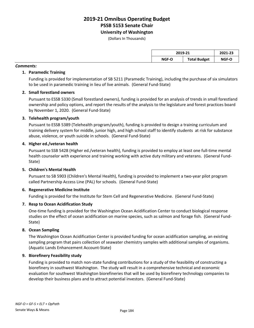**University of Washington**

(Dollars In Thousands)

| 2019-21 |                     | 2021-23 |
|---------|---------------------|---------|
| NGF-O   | <b>Total Budget</b> | NGF-O   |

#### *Comments:*

#### **1. Paramedic Training**

Funding is provided for implementation of SB 5211 (Paramedic Training), including the purchase of six simulators to be used in paramedic training in lieu of live animals. (General Fund-State)

#### **2. Small forestland owners**

Pursuant to ESSB 5330 (Small forestland owners), funding is provided for an analysis of trends in small forestland ownership and policy options, and report the results of the analysis to the legislature and forest practices board by November 1, 2020. (General Fund-State)

#### **3. Telehealth program/youth**

Pursuant to ESSB 5389 (Telehealth program/youth), funding is provided to design a training curriculum and training delivery system for middle, junior high, and high school staff to identify students at risk for substance abuse, violence, or youth suicide in schools. (General Fund-State)

#### **4. Higher ed./veteran health**

Pursuant to SSB 5428 (Higher ed./veteran health), funding is provided to employ at least one full-time mental health counselor with experience and training working with active duty military and veterans. (General Fund-State)

#### **5. Children's Mental Health**

Pursuant to SB 5903 (Children's Mental Health), funding is provided to implement a two-year pilot program called Partnership Access Line (PAL) for schools. (General Fund-State)

#### **6. Regenerative Medicine Institute**

Funding is provided for the Institute for Stem Cell and Regenerative Medicine. (General Fund-State)

#### **7. Resp to Ocean Acidification Study**

One-time funding is provided for the Washington Ocean Acidification Center to conduct biological response studies on the effect of ocean acidification on marine species, such as salmon and forage fish. (General Fund-State)

#### **8. Ocean Sampling**

The Washington Ocean Acidification Center is provided funding for ocean acidification sampling, an existing sampling program that pairs collection of seawater chemistry samples with additional samples of organisms. (Aquatic Lands Enhancement Account-State)

#### **9. Biorefinery Feasibility study**

Funding is provided to match non-state funding contributions for a study of the feasibility of constructing a biorefinery in southwest Washington. The study will result in a comprehensive technical and economic evaluation for southwest Washington biorefineries that will be used by biorefinery technology companies to develop their business plans and to attract potential investors. (General Fund-State)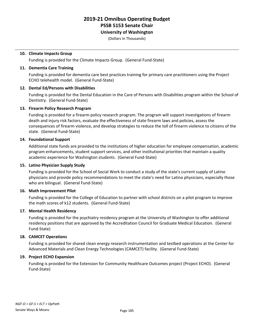### **University of Washington**

(Dollars In Thousands)

#### **10. Climate Impacts Group**

Funding is provided for the Climate Impacts Group. (General Fund-State)

#### **11. Dementia Care Training**

Funding is provided for dementia care best practices training for primary care practitioners using the Project ECHO telehealth model. (General Fund-State)

#### **12. Dental Ed/Persons with Disabilities**

Funding is provided for the Dental Education in the Care of Persons with Disabilities program within the School of Dentistry. (General Fund-State)

#### **13. Firearm Policy Research Program**

Funding is provided for a firearm policy research program. The program will support investigations of firearm death and injury risk factors, evaluate the effectiveness of state firearm laws and policies, assess the consequences of firearm violence, and develop strategies to reduce the toll of firearm violence to citizens of the state. (General Fund-State)

#### **14. Foundational Support**

Additional state funds are provided to the institutions of higher education for employee compensation, academic program enhancements, student support services, and other institutional priorities that maintain a quality academic experience for Washington students. (General Fund-State)

#### **15. Latino Physician Supply Study**

Funding is provided for the School of Social Work to conduct a study of the state's current supply of Latino physicians and provide policy recommendations to meet the state's need for Latino physicians, especially those who are bilingual. (General Fund-State)

#### **16. Math Improvement Pilot**

Funding is provided for the College of Education to partner with school districts on a pilot program to improve the math scores of k12 students. (General Fund-State)

#### **17. Mental Health Residency**

Funding is provided for the psychiatry residency program at the University of Washington to offer additional residency positions that are approved by the Accreditation Council for Graduate Medical Education. (General Fund-State)

#### **18. CAMCET Operations**

Funding is provided for shared clean energy research instrumentation and testbed operations at the Center for Advanced Materials and Clean Energy Technologies (CAMCET) facility. (General Fund-State)

#### **19. Project ECHO Expansion**

Funding is provided for the Extension for Community Healthcare Outcomes project (Project ECHO). (General Fund-State)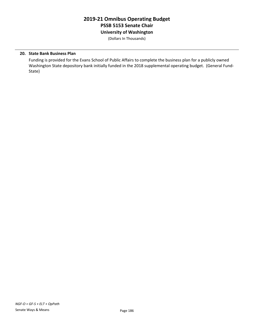### **2019-21 Omnibus Operating Budget PSSB 5153 Senate Chair University of Washington**

(Dollars In Thousands)

#### **20. State Bank Business Plan**

Funding is provided for the Evans School of Public Affairs to complete the business plan for a publicly owned Washington State depository bank initially funded in the 2018 supplemental operating budget. (General Fund-State)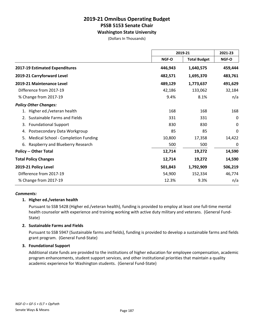#### **Washington State University**

(Dollars In Thousands)

|                                           |         | 2019-21             |          |
|-------------------------------------------|---------|---------------------|----------|
|                                           | NGF-O   | <b>Total Budget</b> | NGF-O    |
| 2017-19 Estimated Expenditures            | 446,943 | 1,640,575           | 459,444  |
| 2019-21 Carryforward Level                | 482,571 | 1,695,370           | 483,761  |
| 2019-21 Maintenance Level                 | 489,129 | 1,773,637           | 491,629  |
| Difference from 2017-19                   | 42,186  | 133,062             | 32,184   |
| % Change from 2017-19                     | 9.4%    | 8.1%                | n/a      |
| <b>Policy Other Changes:</b>              |         |                     |          |
| 1. Higher ed./veteran health              | 168     | 168                 | 168      |
| Sustainable Farms and Fields              | 331     | 331                 | $\Omega$ |
| <b>Foundational Support</b><br>3.         | 830     | 830                 | 0        |
| Postsecondary Data Workgroup<br>4.        | 85      | 85                  | 0        |
| Medical School - Completion Funding<br>5. | 10,800  | 17,358              | 14,422   |
| Raspberry and Blueberry Research<br>6.    | 500     | 500                 | 0        |
| <b>Policy -- Other Total</b>              | 12,714  | 19,272              | 14,590   |
| <b>Total Policy Changes</b>               | 12,714  | 19,272              | 14,590   |
| 2019-21 Policy Level                      | 501,843 | 1,792,909           | 506,219  |
| Difference from 2017-19                   | 54,900  | 152,334             | 46,774   |
| % Change from 2017-19                     | 12.3%   | 9.3%                | n/a      |

#### *Comments:*

#### **1. Higher ed./veteran health**

Pursuant to SSB 5428 (Higher ed./veteran health), funding is provided to employ at least one full-time mental health counselor with experience and training working with active duty military and veterans. (General Fund-State)

#### **2. Sustainable Farms and Fields**

Pursuant to SSB 5947 (Sustainable farms and fields), funding is provided to develop a sustainable farms and fields grant program. (General Fund-State)

#### **3. Foundational Support**

Additional state funds are provided to the institutions of higher education for employee compensation, academic program enhancements, student support services, and other institutional priorities that maintain a quality academic experience for Washington students. (General Fund-State)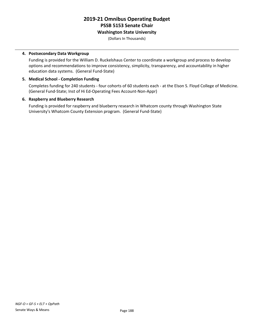#### **Washington State University**

(Dollars In Thousands)

#### **4. Postsecondary Data Workgroup**

Funding is provided for the William D. Ruckelshaus Center to coordinate a workgroup and process to develop options and recommendations to improve consistency, simplicity, transparency, and accountability in higher education data systems. (General Fund-State)

#### **5. Medical School - Completion Funding**

Completes funding for 240 students - four cohorts of 60 students each - at the Elson S. Floyd College of Medicine. (General Fund-State; Inst of Hi Ed-Operating Fees Account-Non-Appr)

#### **6. Raspberry and Blueberry Research**

Funding is provided for raspberry and blueberry research in Whatcom county through Washington State University's Whatcom County Extension program. (General Fund-State)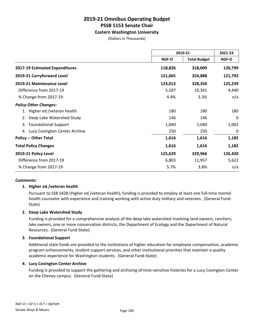#### **Eastern Washington University**

(Dollars In Thousands)

|                                   | 2019-21 |                     | 2021-23 |
|-----------------------------------|---------|---------------------|---------|
|                                   | NGF-O   | <b>Total Budget</b> | NGF-O   |
| 2017-19 Estimated Expenditures    | 118,826 | 318,009             | 120,799 |
| 2019-21 Carryforward Level        | 121,665 | 324,888             | 121,792 |
| 2019-21 Maintenance Level         | 124,013 | 328,350             | 125,239 |
| Difference from 2017-19           | 5,187   | 10,341              | 4,440   |
| % Change from 2017-19             | 4.4%    | 3.3%                | n/a     |
| <b>Policy Other Changes:</b>      |         |                     |         |
| 1. Higher ed./veteran health      | 180     | 180                 | 180     |
| Deep Lake Watershed Study         | 146     | 146                 | 0       |
| <b>Foundational Support</b><br>3. | 1,040   | 1,040               | 1,002   |
| 4. Lucy Covington Center Archive  | 250     | 250                 | 0       |
| <b>Policy -- Other Total</b>      | 1,616   | 1,616               | 1,182   |
| <b>Total Policy Changes</b>       | 1,616   | 1,616               | 1,182   |
| 2019-21 Policy Level              | 125,629 | 329,966             | 126,420 |
| Difference from 2017-19           | 6,803   | 11,957              | 5,622   |
| % Change from 2017-19             | 5.7%    | 3.8%                | n/a     |

#### *Comments:*

#### **1. Higher ed./veteran health**

Pursuant to SSB 5428 (Higher ed./veteran health), funding is provided to employ at least one full-time mental health counselor with experience and training working with active duty military and veterans. (General Fund-State)

#### **2. Deep Lake Watershed Study**

Funding is provided for a comprehensive analysis of the deep lake watershed involving land owners, ranchers, lake owners, one or more conservation districts, the Department of Ecology and the Department of Natural Resources. (General Fund-State)

#### **3. Foundational Support**

Additional state funds are provided to the institutions of higher education for employee compensation, academic program enhancements, student support services, and other institutional priorities that maintain a quality academic experience for Washington students. (General Fund-State)

#### **4. Lucy Covington Center Archive**

Funding is provided to support the gathering and archiving of time-sensitive histories for a Lucy Covington Center on the Cheney campus. (General Fund-State)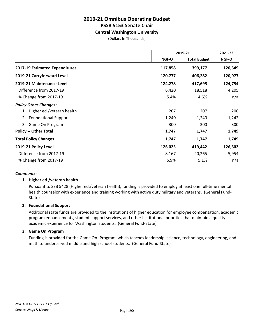#### **Central Washington University**

(Dollars In Thousands)

|                                   | 2019-21 |                     | 2021-23 |
|-----------------------------------|---------|---------------------|---------|
|                                   | NGF-O   | <b>Total Budget</b> | NGF-O   |
| 2017-19 Estimated Expenditures    | 117,858 | 399,177             | 120,549 |
| 2019-21 Carryforward Level        | 120,777 | 406,282             | 120,977 |
| 2019-21 Maintenance Level         | 124,278 | 417,695             | 124,754 |
| Difference from 2017-19           | 6,420   | 18,518              | 4,205   |
| % Change from 2017-19             | 5.4%    | 4.6%                | n/a     |
| <b>Policy Other Changes:</b>      |         |                     |         |
| Higher ed./veteran health         | 207     | 207                 | 206     |
| <b>Foundational Support</b><br>2. | 1,240   | 1,240               | 1,242   |
| Game On Program<br>3.             | 300     | 300                 | 300     |
| <b>Policy -- Other Total</b>      | 1,747   | 1,747               | 1,749   |
| <b>Total Policy Changes</b>       | 1,747   | 1,747               | 1,749   |
| 2019-21 Policy Level              | 126,025 | 419,442             | 126,502 |
| Difference from 2017-19           | 8,167   | 20,265              | 5,954   |
| % Change from 2017-19             | 6.9%    | 5.1%                | n/a     |

#### *Comments:*

#### **1. Higher ed./veteran health**

Pursuant to SSB 5428 (Higher ed./veteran health), funding is provided to employ at least one full-time mental health counselor with experience and training working with active duty military and veterans. (General Fund-State)

#### **2. Foundational Support**

Additional state funds are provided to the institutions of higher education for employee compensation, academic program enhancements, student support services, and other institutional priorities that maintain a quality academic experience for Washington students. (General Fund-State)

#### **3. Game On Program**

Funding is provided for the Game On! Program, which teaches leadership, science, technology, engineering, and math to underserved middle and high school students. (General Fund-State)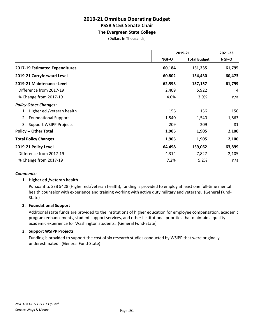### **The Evergreen State College**

(Dollars In Thousands)

|                                     | 2019-21 |                     | 2021-23      |
|-------------------------------------|---------|---------------------|--------------|
|                                     | NGF-O   | <b>Total Budget</b> | <b>NGF-O</b> |
| 2017-19 Estimated Expenditures      | 60,184  | 151,235             | 61,795       |
| 2019-21 Carryforward Level          | 60,802  | 154,430             | 60,473       |
| 2019-21 Maintenance Level           | 62,593  | 157,157             | 61,799       |
| Difference from 2017-19             | 2,409   | 5,922               | 4            |
| % Change from 2017-19               | 4.0%    | 3.9%                | n/a          |
| <b>Policy Other Changes:</b>        |         |                     |              |
| Higher ed./veteran health           | 156     | 156                 | 156          |
| <b>Foundational Support</b><br>2.   | 1,540   | 1,540               | 1,863        |
| <b>Support WSIPP Projects</b><br>3. | 209     | 209                 | 81           |
| <b>Policy -- Other Total</b>        | 1,905   | 1,905               | 2,100        |
| <b>Total Policy Changes</b>         | 1,905   | 1,905               | 2,100        |
| 2019-21 Policy Level                | 64,498  | 159,062             | 63,899       |
| Difference from 2017-19             | 4,314   | 7,827               | 2,105        |
| % Change from 2017-19               | 7.2%    | 5.2%                | n/a          |

#### *Comments:*

#### **1. Higher ed./veteran health**

Pursuant to SSB 5428 (Higher ed./veteran health), funding is provided to employ at least one full-time mental health counselor with experience and training working with active duty military and veterans. (General Fund-State)

#### **2. Foundational Support**

Additional state funds are provided to the institutions of higher education for employee compensation, academic program enhancements, student support services, and other institutional priorities that maintain a quality academic experience for Washington students. (General Fund-State)

#### **3. Support WSIPP Projects**

Funding is provided to support the cost of six research studies conducted by WSIPP that were originally underestimated. (General Fund-State)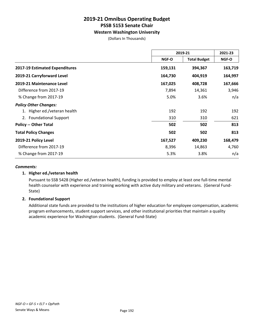#### **Western Washington University**

(Dollars In Thousands)

|                                | 2019-21 |                     | 2021-23 |
|--------------------------------|---------|---------------------|---------|
|                                | NGF-O   | <b>Total Budget</b> | NGF-O   |
| 2017-19 Estimated Expenditures | 159,131 | 394,367             | 163,719 |
| 2019-21 Carryforward Level     | 164,730 | 404,919             | 164,997 |
| 2019-21 Maintenance Level      | 167,025 | 408,728             | 167,666 |
| Difference from 2017-19        | 7,894   | 14,361              | 3,946   |
| % Change from 2017-19          | 5.0%    | 3.6%                | n/a     |
| <b>Policy Other Changes:</b>   |         |                     |         |
| 1. Higher ed./veteran health   | 192     | 192                 | 192     |
| 2. Foundational Support        | 310     | 310                 | 621     |
| <b>Policy -- Other Total</b>   | 502     | 502                 | 813     |
| <b>Total Policy Changes</b>    | 502     | 502                 | 813     |
| 2019-21 Policy Level           | 167,527 | 409,230             | 168,479 |
| Difference from 2017-19        | 8,396   | 14,863              | 4,760   |
| % Change from 2017-19          | 5.3%    | 3.8%                | n/a     |

#### *Comments:*

#### **1. Higher ed./veteran health**

Pursuant to SSB 5428 (Higher ed./veteran health), funding is provided to employ at least one full-time mental health counselor with experience and training working with active duty military and veterans. (General Fund-State)

#### **2. Foundational Support**

Additional state funds are provided to the institutions of higher education for employee compensation, academic program enhancements, student support services, and other institutional priorities that maintain a quality academic experience for Washington students. (General Fund-State)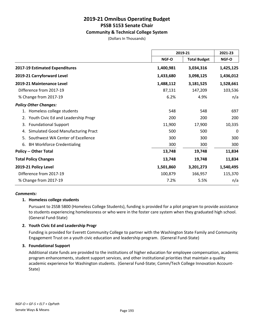#### **Community & Technical College System**

(Dollars In Thousands)

|                                          |              | 2019-21             |              |
|------------------------------------------|--------------|---------------------|--------------|
|                                          | <b>NGF-O</b> | <b>Total Budget</b> | <b>NGF-O</b> |
| 2017-19 Estimated Expenditures           | 1,400,981    | 3,034,316           | 1,425,125    |
| 2019-21 Carryforward Level               | 1,433,680    | 3,098,125           | 1,436,012    |
| 2019-21 Maintenance Level                | 1,488,112    | 3,181,525           | 1,528,661    |
| Difference from 2017-19                  | 87,131       | 147,209             | 103,536      |
| % Change from 2017-19                    | 6.2%         | 4.9%                | n/a          |
| <b>Policy Other Changes:</b>             |              |                     |              |
| 1. Homeless college students             | 548          | 548                 | 697          |
| 2. Youth Civic Ed and Leadership Progr   | 200          | 200                 | 200          |
| <b>Foundational Support</b><br>3.        | 11,900       | 17,900              | 10,335       |
| Simulated Good Manufacturing Pract<br>4. | 500          | 500                 | 0            |
| Southwest WA Center of Excellence<br>5.  | 300          | 300                 | 300          |
| <b>BH Workforce Credentialing</b><br>6.  | 300          | 300                 | 300          |
| <b>Policy -- Other Total</b>             | 13,748       | 19,748              | 11,834       |
| <b>Total Policy Changes</b>              | 13,748       | 19,748              | 11,834       |
| 2019-21 Policy Level                     | 1,501,860    | 3,201,273           | 1,540,495    |
| Difference from 2017-19                  | 100,879      | 166,957             | 115,370      |
| % Change from 2017-19                    | 7.2%         | 5.5%                | n/a          |

#### *Comments:*

#### **1. Homeless college students**

Pursuant to 2SSB 5800 (Homeless College Students), funding is provided for a pilot program to provide assistance to students experiencing homelessness or who were in the foster care system when they graduated high school. (General Fund-State)

#### **2. Youth Civic Ed and Leadership Progr**

Funding is provided for Everett Community College to partner with the Washington State Family and Community Engagement Trust on a youth civic education and leadership program. (General Fund-State)

#### **3. Foundational Support**

Additional state funds are provided to the institutions of higher education for employee compensation, academic program enhancements, student support services, and other institutional priorities that maintain a quality academic experience for Washington students. (General Fund-State; Comm/Tech College Innovation Account-State)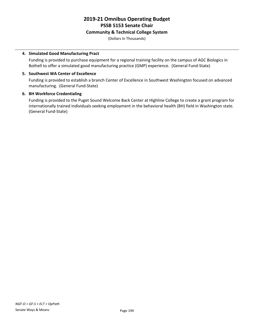#### **Community & Technical College System**

(Dollars In Thousands)

#### **4. Simulated Good Manufacturing Pract**

Funding is provided to purchase equipment for a regional training facility on the campus of AGC Biologics in Bothell to offer a simulated good manufacturing practice (GMP) experience. (General Fund-State)

#### **5. Southwest WA Center of Excellence**

Funding is provided to establish a branch Center of Excellence in Southwest Washington focused on advanced manufacturing. (General Fund-State)

#### **6. BH Workforce Credentialing**

Funding is provided to the Puget Sound Welcome Back Center at Highline College to create a grant program for internationally trained individuals seeking employment in the behavioral health (BH) field in Washington state. (General Fund-State)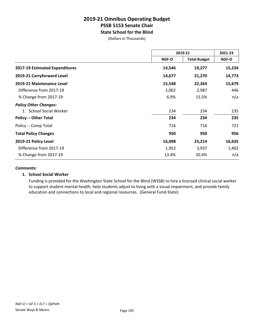### **2019-21 Omnibus Operating Budget PSSB 5153 Senate Chair State School for the Blind**

(Dollars In Thousands)

|                                | 2019-21 |                     | 2021-23 |  |
|--------------------------------|---------|---------------------|---------|--|
|                                | NGF-O   | <b>Total Budget</b> | NGF-O   |  |
| 2017-19 Estimated Expenditures | 14,546  | 19,277              | 15,234  |  |
| 2019-21 Carryforward Level     | 14,677  | 21,270              | 14,773  |  |
| 2019-21 Maintenance Level      | 15,548  | 22,264              | 15,679  |  |
| Difference from 2017-19        | 1,002   | 2,987               | 446     |  |
| % Change from 2017-19          | 6.9%    | 15.5%               | n/a     |  |
| <b>Policy Other Changes:</b>   |         |                     |         |  |
| 1. School Social Worker        | 234     | 234                 | 235     |  |
| <b>Policy -- Other Total</b>   | 234     | 234                 | 235     |  |
| Policy -- Comp Total           | 716     | 716                 | 721     |  |
| <b>Total Policy Changes</b>    | 950     | 950                 | 956     |  |
| 2019-21 Policy Level           | 16,498  | 23,214              | 16,635  |  |
| Difference from 2017-19        | 1,952   | 3,937               | 1,402   |  |
| % Change from 2017-19          | 13.4%   | 20.4%               | n/a     |  |

#### *Comments:*

#### **1. School Social Worker**

Funding is provided for the Washington State School for the Blind (WSSB) to hire a licensed clinical social worker to support student mental health, help students adjust to living with a visual impairment, and provide family education and connections to local and regional resources. (General Fund-State)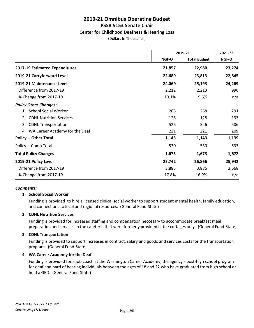#### **Center for Childhood Deafness & Hearing Loss**

(Dollars In Thousands)

|                                        | 2019-21 |                     | 2021-23 |
|----------------------------------------|---------|---------------------|---------|
|                                        | NGF-O   | <b>Total Budget</b> | NGF-O   |
| 2017-19 Estimated Expenditures         | 21,857  | 22,980              | 23,274  |
| 2019-21 Carryforward Level             | 22,689  | 23,813              | 22,845  |
| 2019-21 Maintenance Level              | 24,069  | 25,193              | 24,269  |
| Difference from 2017-19                | 2,212   | 2,213               | 996     |
| % Change from 2017-19                  | 10.1%   | 9.6%                | n/a     |
| <b>Policy Other Changes:</b>           |         |                     |         |
| <b>School Social Worker</b><br>$1_{-}$ | 268     | 268                 | 291     |
| <b>CDHL Nutrition Services</b><br>2.   | 128     | 128                 | 133     |
| <b>CDHL Transportation</b><br>3.       | 526     | 526                 | 506     |
| 4. WA Career Academy for the Deaf      | 221     | 221                 | 209     |
| <b>Policy -- Other Total</b>           | 1,143   | 1,143               | 1,139   |
| Policy -- Comp Total                   | 530     | 530                 | 533     |
| <b>Total Policy Changes</b>            | 1,673   | 1,673               | 1,672   |
| 2019-21 Policy Level                   | 25,742  | 26,866              | 25,942  |
| Difference from 2017-19                | 3,885   | 3,886               | 2,668   |
| % Change from 2017-19                  | 17.8%   | 16.9%               | n/a     |

#### *Comments:*

#### **1. School Social Worker**

Funding is provided to hire a licensed clinical social worker to support student mental health, family education, and connections to local and regional resources. (General Fund-State)

#### **2. CDHL Nutrition Services**

Funding is provided for increased staffing and compensation neccesary to accommodate breakfast meal preparation and services in the cafeteria that were formerly provided in the cottages only. (General Fund-State)

#### **3. CDHL Transportation**

Funding is provided to support increases in contract, salary and goods and services costs for the transportation program. (General Fund-State)

#### **4. WA Career Academy for the Deaf**

Funding is provided for a job coach at the Washington Career Academy, the agency's post-high school program for deaf and hard of hearing individuals between the ages of 18 and 22 who have graduated from high school or hold a GED. (General Fund-State)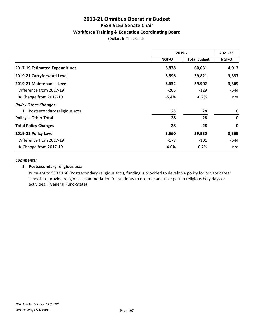#### **Workforce Training & Education Coordinating Board**

(Dollars In Thousands)

|                                  | 2019-21                             |         | 2021-23     |
|----------------------------------|-------------------------------------|---------|-------------|
|                                  | <b>Total Budget</b><br><b>NGF-O</b> | NGF-O   |             |
| 2017-19 Estimated Expenditures   | 3,838                               | 60,031  | 4,013       |
| 2019-21 Carryforward Level       | 3,596                               | 59,821  | 3,337       |
| 2019-21 Maintenance Level        | 3,632                               | 59,902  | 3,369       |
| Difference from 2017-19          | $-206$                              | $-129$  | -644        |
| % Change from 2017-19            | $-5.4%$                             | $-0.2%$ | n/a         |
| <b>Policy Other Changes:</b>     |                                     |         |             |
| 1. Postsecondary religious accs. | 28                                  | 28      | 0           |
| <b>Policy -- Other Total</b>     | 28                                  | 28      | $\mathbf 0$ |
| <b>Total Policy Changes</b>      | 28                                  | 28      | $\mathbf 0$ |
| 2019-21 Policy Level             | 3,660                               | 59,930  | 3,369       |
| Difference from 2017-19          | $-178$                              | $-101$  | -644        |
| % Change from 2017-19            | -4.6%                               | $-0.2%$ | n/a         |

#### *Comments:*

#### **1. Postsecondary religious accs.**

Pursuant to SSB 5166 (Postsecondary religious acc.), funding is provided to develop a policy for private career schools to provide religious accommodation for students to observe and take part in religious holy days or activities. (General Fund-State)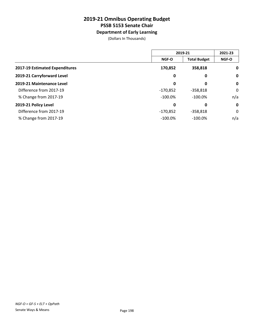### **Department of Early Learning**

(Dollars In Thousands)

|                                | 2019-21      |                     | 2021-23      |
|--------------------------------|--------------|---------------------|--------------|
|                                | <b>NGF-O</b> | <b>Total Budget</b> | <b>NGF-O</b> |
| 2017-19 Estimated Expenditures | 170,852      | 358,818             | $\mathbf 0$  |
| 2019-21 Carryforward Level     | 0            | 0                   | $\mathbf 0$  |
| 2019-21 Maintenance Level      | 0            | 0                   | $\mathbf 0$  |
| Difference from 2017-19        | $-170,852$   | $-358,818$          | 0            |
| % Change from 2017-19          | $-100.0\%$   | $-100.0%$           | n/a          |
| 2019-21 Policy Level           | 0            | 0                   | $\mathbf 0$  |
| Difference from 2017-19        | $-170,852$   | $-358,818$          | 0            |
| % Change from 2017-19          | $-100.0\%$   | $-100.0%$           | n/a          |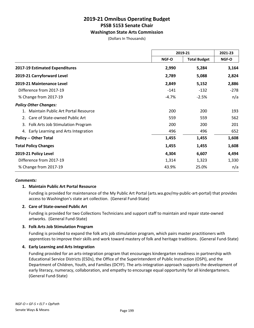#### **Washington State Arts Commission**

(Dollars In Thousands)

|                                        | 2019-21      |                     | 2021-23 |
|----------------------------------------|--------------|---------------------|---------|
|                                        | <b>NGF-O</b> | <b>Total Budget</b> | NGF-O   |
| 2017-19 Estimated Expenditures         | 2,990        | 5,284               | 3,164   |
| 2019-21 Carryforward Level             | 2,789        | 5,088               | 2,824   |
| 2019-21 Maintenance Level              | 2,849        | 5,152               | 2,886   |
| Difference from 2017-19                | $-141$       | $-132$              | $-278$  |
| % Change from 2017-19                  | $-4.7%$      | $-2.5%$             | n/a     |
| <b>Policy Other Changes:</b>           |              |                     |         |
| Maintain Public Art Portal Resource    | 200          | 200                 | 193     |
| Care of State-owned Public Art<br>2.   | 559          | 559                 | 562     |
| 3. Folk Arts Job Stimulation Program   | 200          | 200                 | 201     |
| 4. Early Learning and Arts Integration | 496          | 496                 | 652     |
| <b>Policy -- Other Total</b>           | 1,455        | 1,455               | 1,608   |
| <b>Total Policy Changes</b>            | 1,455        | 1,455               | 1,608   |
| 2019-21 Policy Level                   | 4,304        | 6,607               | 4,494   |
| Difference from 2017-19                | 1,314        | 1,323               | 1,330   |
| % Change from 2017-19                  | 43.9%        | 25.0%               | n/a     |

#### *Comments:*

#### **1. Maintain Public Art Portal Resource**

Funding is provided for maintenance of the My Public Art Portal (arts.wa.gov/my-public-art-portal) that provides access to Washington's state art collection. (General Fund-State)

#### **2. Care of State-owned Public Art**

Funding is provided for two Collections Technicians and support staff to maintain and repair state-owned artworks. (General Fund-State)

#### **3. Folk Arts Job Stimulation Program**

Funding is provided to expand the folk arts job stimulation program, which pairs master practitioners with apprentices to improve their skills and work toward mastery of folk and heritage traditions. (General Fund-State)

#### **4. Early Learning and Arts Integration**

Funding provided for an arts-integration program that encourages kindergarten readiness in partnership with Educational Service Districts (ESDs), the Office of the Superintendent of Public Instruction (OSPI), and the Department of Children, Youth, and Families (DCYF). The arts-integration approach supports the development of early literacy, numeracy, collaboration, and empathy to encourage equal opportunity for all kindergarteners. (General Fund-State)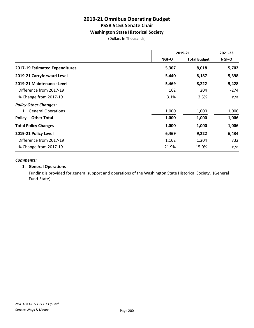#### **Washington State Historical Society**

(Dollars In Thousands)

|                                | 2019-21 |                     | 2021-23 |
|--------------------------------|---------|---------------------|---------|
|                                | NGF-O   | <b>Total Budget</b> | NGF-O   |
| 2017-19 Estimated Expenditures | 5,307   | 8,018               | 5,702   |
| 2019-21 Carryforward Level     | 5,440   | 8,187               | 5,398   |
| 2019-21 Maintenance Level      | 5,469   | 8,222               | 5,428   |
| Difference from 2017-19        | 162     | 204                 | $-274$  |
| % Change from 2017-19          | 3.1%    | 2.5%                | n/a     |
| <b>Policy Other Changes:</b>   |         |                     |         |
| 1. General Operations          | 1,000   | 1,000               | 1,006   |
| <b>Policy -- Other Total</b>   | 1,000   | 1,000               | 1,006   |
| <b>Total Policy Changes</b>    | 1,000   | 1,000               | 1,006   |
| 2019-21 Policy Level           | 6,469   | 9,222               | 6,434   |
| Difference from 2017-19        | 1,162   | 1,204               | 732     |
| % Change from 2017-19          | 21.9%   | 15.0%               | n/a     |

#### *Comments:*

#### **1. General Operations**

Funding is provided for general support and operations of the Washington State Historical Society. (General Fund-State)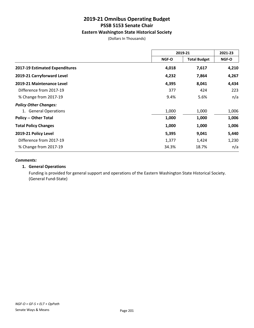#### **Eastern Washington State Historical Society**

(Dollars In Thousands)

|                                       | 2019-21                      |       | 2021-23      |
|---------------------------------------|------------------------------|-------|--------------|
|                                       | <b>Total Budget</b><br>NGF-O |       | <b>NGF-O</b> |
| <b>2017-19 Estimated Expenditures</b> | 4,018                        | 7,617 | 4,210        |
| 2019-21 Carryforward Level            | 4,232                        | 7,864 | 4,267        |
| 2019-21 Maintenance Level             | 4,395                        | 8,041 | 4,434        |
| Difference from 2017-19               | 377                          | 424   | 223          |
| % Change from 2017-19                 | 9.4%                         | 5.6%  | n/a          |
| <b>Policy Other Changes:</b>          |                              |       |              |
| 1. General Operations                 | 1,000                        | 1,000 | 1,006        |
| <b>Policy -- Other Total</b>          | 1,000                        | 1,000 | 1,006        |
| <b>Total Policy Changes</b>           | 1,000                        | 1,000 | 1,006        |
| 2019-21 Policy Level                  | 5,395                        | 9,041 | 5,440        |
| Difference from 2017-19               | 1,377                        | 1,424 | 1,230        |
| % Change from 2017-19                 | 34.3%                        | 18.7% | n/a          |

#### *Comments:*

#### **1. General Operations**

Funding is provided for general support and operations of the Eastern Washington State Historical Society. (General Fund-State)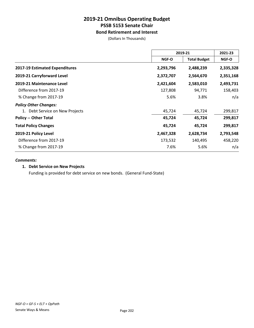#### **Bond Retirement and Interest**

(Dollars In Thousands)

|                                 | 2019-21   |                     | 2021-23      |
|---------------------------------|-----------|---------------------|--------------|
|                                 | NGF-O     | <b>Total Budget</b> | <b>NGF-O</b> |
| 2017-19 Estimated Expenditures  | 2,293,796 | 2,488,239           | 2,335,328    |
| 2019-21 Carryforward Level      | 2,372,707 | 2,564,670           | 2,351,168    |
| 2019-21 Maintenance Level       | 2,421,604 | 2,583,010           | 2,493,731    |
| Difference from 2017-19         | 127,808   | 94,771              | 158,403      |
| % Change from 2017-19           | 5.6%      | 3.8%                | n/a          |
| <b>Policy Other Changes:</b>    |           |                     |              |
| 1. Debt Service on New Projects | 45,724    | 45,724              | 299,817      |
| <b>Policy -- Other Total</b>    | 45,724    | 45,724              | 299,817      |
| <b>Total Policy Changes</b>     | 45,724    | 45,724              | 299,817      |
| 2019-21 Policy Level            | 2,467,328 | 2,628,734           | 2,793,548    |
| Difference from 2017-19         | 173,532   | 140,495             | 458,220      |
| % Change from 2017-19           | 7.6%      | 5.6%                | n/a          |

#### *Comments:*

#### **1. Debt Service on New Projects**

Funding is provided for debt service on new bonds. (General Fund-State)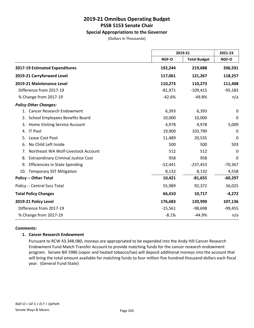#### **Special Appropriations to the Governor**

(Dollars In Thousands)

|                                                  |           | 2019-21             |           |
|--------------------------------------------------|-----------|---------------------|-----------|
|                                                  | NGF-O     | <b>Total Budget</b> | NGF-O     |
| 2017-19 Estimated Expenditures                   | 192,244   | 219,688             | 206,591   |
| 2019-21 Carryforward Level                       | 117,061   | 121,267             | 118,257   |
| 2019-21 Maintenance Level                        | 110,273   | 110,273             | 111,408   |
| Difference from 2017-19                          | $-81,971$ | $-109,415$          | $-95,183$ |
| % Change from 2017-19                            | $-42.6%$  | $-49.8%$            | n/a       |
| <b>Policy Other Changes:</b>                     |           |                     |           |
| 1. Cancer Research Endowment                     | 6,393     | 6,393               | 0         |
| School Employees Benefits Board<br>2.            | 10,000    | 10,000              | 0         |
| Home Visiting Service Account<br>3.              | 4,978     | 4,978               | 5,009     |
| <b>IT Pool</b><br>4.                             | 19,900    | 103,790             | 0         |
| Lease Cost Pool<br>5.                            | 11,489    | 20,535              | 0         |
| No Child Left Inside<br>6.                       | 500       | 500                 | 503       |
| Northeast WA Wolf-Livestock Account<br>7.        | 512       | 512                 | $\Omega$  |
| 8.<br><b>Extraordinary Criminal Justice Cost</b> | 958       | 958                 | 0         |
| <b>Efficiencies in State Spending</b><br>9.      | $-52,441$ | $-237,453$          | $-70,367$ |
| 10.<br><b>Temporary SST Mitigation</b>           | 8,132     | 8,132               | 4,558     |
| <b>Policy -- Other Total</b>                     | 10,421    | $-81,655$           | $-60,297$ |
| Policy -- Central Svcs Total                     | 55,989    | 92,372              | 56,025    |
| <b>Total Policy Changes</b>                      | 66,410    | 10,717              | $-4,272$  |
| 2019-21 Policy Level                             | 176,683   | 120,990             | 107,136   |
| Difference from 2017-19                          | $-15,561$ | $-98,698$           | $-99,455$ |
| % Change from 2017-19                            | $-8.1%$   | $-44.9%$            | n/a       |

#### *Comments:*

#### **1. Cancer Research Endowment**

Pursuant to RCW 43.348.080, moneys are appropriated to be expended into the Andy Hill Cancer Research Endowment Fund Match Transfer Account to provide matching funds for the cancer research endowment program. Senate Bill 5986 (vapor and heated tobacco/tax) will deposit additional moneys into the account that will bring the total amount available for matching funds to four million five hundred thousand dollars each fiscal year. (General Fund-State)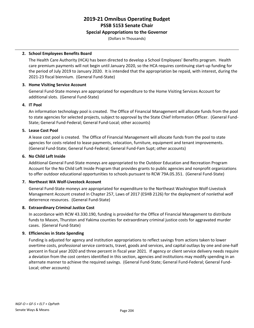#### **Special Appropriations to the Governor**

(Dollars In Thousands)

#### **2. School Employees Benefits Board**

The Health Care Authority (HCA) has been directed to develop a School Employees' Benefits program. Health care premium payments will not begin until January 2020, so the HCA requires continuing start-up funding for the period of July 2019 to January 2020. It is intended that the appropriation be repaid, with interest, during the 2021-23 fiscal biennium. (General Fund-State)

#### **3. Home Visiting Service Account**

General Fund-State moneys are appropriated for expenditure to the Home Visiting Services Account for additional slots. (General Fund-State)

#### **4. IT Pool**

An information technology pool is created. The Office of Financial Management will allocate funds from the pool to state agencies for selected projects, subject to approval by the State Chief Information Officer. (General Fund-State; General Fund-Federal; General Fund-Local; other accounts)

#### **5. Lease Cost Pool**

A lease cost pool is created. The Office of Financial Management will allocate funds from the pool to state agencies for costs related to lease payments, relocation, furniture, equipment and tenant improvements. (General Fund-State; General Fund-Federal; General Fund-Fam Supt; other accounts)

#### **6. No Child Left Inside**

Additional General Fund-State moneys are appropriated to the Outdoor Education and Recreation Program Account for the No Child Left Inside Program that provides grants to public agencies and nonprofit organizations to offer outdoor educational opportunities to schools pursuant to RCW 79A.05.351. (General Fund-State)

#### **7. Northeast WA Wolf-Livestock Account**

General Fund-State moneys are appropriated for expenditure to the Northeast Washington Wolf-Livestock Management Account created in Chapter 257, Laws of 2017 (ESHB 2126) for the deployment of nonlethal wolf deterrence resources. (General Fund-State)

#### **8. Extraordinary Criminal Justice Cost**

In accordance with RCW 43.330.190, funding is provided for the Office of Financial Management to distribute funds to Mason, Thurston and Yakima counties for extraordinary criminal justice costs for aggravated murder cases. (General Fund-State)

#### **9. Efficiencies in State Spending**

Funding is adjusted for agency and institution appropriations to reflect savings from actions taken to lower overtime costs, professional service contracts, travel, goods and services, and capital outlays by one and one-half percent in fiscal year 2020 and three percent in fiscal year 2021. If agency or client service delivery needs require a deviation from the cost centers identified in this section, agencies and institutions may modify spending in an alternate manner to achieve the required savings. (General Fund-State; General Fund-Federal; General Fund-Local; other accounts)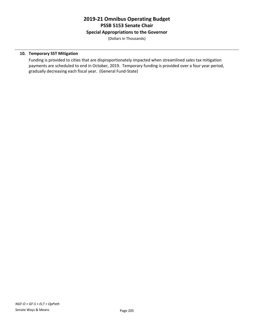#### **Special Appropriations to the Governor**

(Dollars In Thousands)

#### **10. Temporary SST Mitigation**

Funding is provided to cities that are disproportionately impacted when streamlined sales tax mitigation payments are scheduled to end in October, 2019. Temporary funding is provided over a four year period, gradually decreasing each fiscal year. (General Fund-State)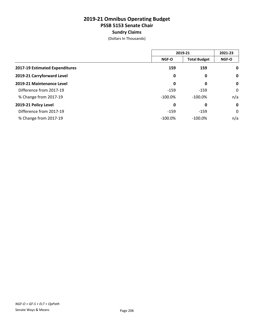### **2019-21 Omnibus Operating Budget PSSB 5153 Senate Chair Sundry Claims**

(Dollars In Thousands)

|                                | 2019-21      |                     | 2021-23      |
|--------------------------------|--------------|---------------------|--------------|
|                                | <b>NGF-O</b> | <b>Total Budget</b> | <b>NGF-O</b> |
| 2017-19 Estimated Expenditures | 159          | 159                 | $\mathbf 0$  |
| 2019-21 Carryforward Level     | 0            | 0                   | $\mathbf 0$  |
| 2019-21 Maintenance Level      | 0            | 0                   | $\mathbf 0$  |
| Difference from 2017-19        | $-159$       | $-159$              | 0            |
| % Change from 2017-19          | $-100.0\%$   | $-100.0%$           | n/a          |
| 2019-21 Policy Level           | 0            | 0                   | $\mathbf 0$  |
| Difference from 2017-19        | $-159$       | $-159$              | 0            |
| % Change from 2017-19          | $-100.0\%$   | $-100.0%$           | n/a          |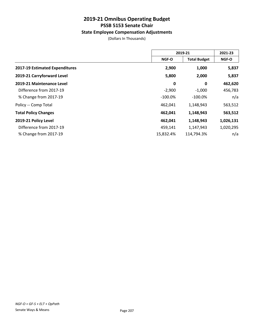#### **State Employee Compensation Adjustments**

(Dollars In Thousands)

|                                | 2019-21      |                     | 2021-23      |
|--------------------------------|--------------|---------------------|--------------|
|                                | <b>NGF-O</b> | <b>Total Budget</b> | <b>NGF-O</b> |
| 2017-19 Estimated Expenditures | 2,900        | 1,000               | 5,837        |
| 2019-21 Carryforward Level     | 5,800        | 2,000               | 5,837        |
| 2019-21 Maintenance Level      | $\mathbf 0$  | 0                   | 462,620      |
| Difference from 2017-19        | $-2,900$     | $-1,000$            | 456,783      |
| % Change from 2017-19          | $-100.0\%$   | $-100.0\%$          | n/a          |
| Policy -- Comp Total           | 462,041      | 1,148,943           | 563,512      |
| <b>Total Policy Changes</b>    | 462,041      | 1,148,943           | 563,512      |
| 2019-21 Policy Level           | 462,041      | 1,148,943           | 1,026,131    |
| Difference from 2017-19        | 459,141      | 1,147,943           | 1,020,295    |
| % Change from 2017-19          | 15,832.4%    | 114,794.3%          | n/a          |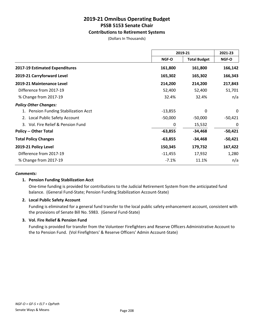#### **Contributions to Retirement Systems**

(Dollars In Thousands)

|                                       | 2019-21      |                     | 2021-23      |
|---------------------------------------|--------------|---------------------|--------------|
|                                       | <b>NGF-O</b> | <b>Total Budget</b> | <b>NGF-O</b> |
| <b>2017-19 Estimated Expenditures</b> | 161,800      | 161,800             | 166,142      |
| 2019-21 Carryforward Level            | 165,302      | 165,302             | 166,343      |
| 2019-21 Maintenance Level             | 214,200      | 214,200             | 217,843      |
| Difference from 2017-19               | 52,400       | 52,400              | 51,701       |
| % Change from 2017-19                 | 32.4%        | 32.4%               | n/a          |
| <b>Policy Other Changes:</b>          |              |                     |              |
| 1. Pension Funding Stabilization Acct | $-13,855$    | 0                   | $\mathbf{0}$ |
| 2. Local Public Safety Account        | $-50,000$    | $-50,000$           | $-50,421$    |
| 3. Vol. Fire Relief & Pension Fund    | 0            | 15,532              | 0            |
| <b>Policy -- Other Total</b>          | $-63,855$    | $-34,468$           | $-50,421$    |
| <b>Total Policy Changes</b>           | $-63,855$    | $-34,468$           | $-50,421$    |
| 2019-21 Policy Level                  | 150,345      | 179,732             | 167,422      |
| Difference from 2017-19               | $-11,455$    | 17,932              | 1,280        |
| % Change from 2017-19                 | $-7.1%$      | 11.1%               | n/a          |

#### *Comments:*

#### **1. Pension Funding Stabilization Acct**

One-time funding is provided for contributions to the Judicial Retirement System from the anticipated fund balance. (General Fund-State; Pension Funding Stabilization Account-State)

#### **2. Local Public Safety Account**

Funding is eliminated for a general fund transfer to the local public safety enhancement account, consistent with the provisions of Senate Bill No. 5983. (General Fund-State)

#### **3. Vol. Fire Relief & Pension Fund**

Funding is provided for transfer from the Volunteer Firefighters and Reserve Officers Administrative Account to the to Pension Fund. (Vol Firefighters' & Reserve Officers' Admin Account-State)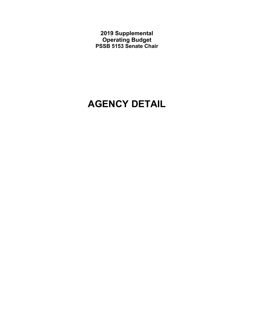**2019 Supplemental Operating Budget PSSB 5153 Senate Chair** 

# **AGENCY DETAIL**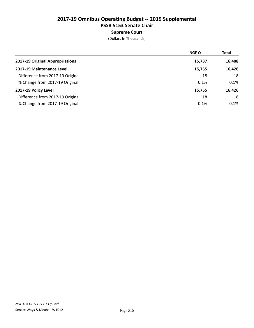### Supreme Court

|                                  | <b>NGF-O</b> | <b>Total</b> |
|----------------------------------|--------------|--------------|
| 2017-19 Original Appropriations  | 15,737       | 16,408       |
| 2017-19 Maintenance Level        | 15,755       | 16,426       |
| Difference from 2017-19 Original | 18           | 18           |
| % Change from 2017-19 Original   | 0.1%         | 0.1%         |
| 2017-19 Policy Level             | 15,755       | 16,426       |
| Difference from 2017-19 Original | 18           | 18           |
| % Change from 2017-19 Original   | 0.1%         | 0.1%         |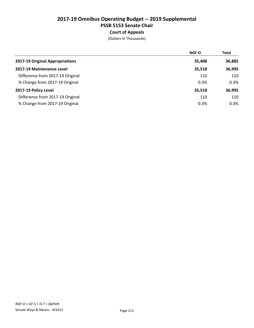### Court of Appeals

|                                  | <b>NGF-O</b> | <b>Total</b> |
|----------------------------------|--------------|--------------|
| 2017-19 Original Appropriations  | 35,408       | 36,885       |
| 2017-19 Maintenance Level        | 35,518       | 36,995       |
| Difference from 2017-19 Original | 110          | 110          |
| % Change from 2017-19 Original   | 0.3%         | 0.3%         |
| 2017-19 Policy Level             | 35,518       | 36,995       |
| Difference from 2017-19 Original | 110          | 110          |
| % Change from 2017-19 Original   | 0.3%         | 0.3%         |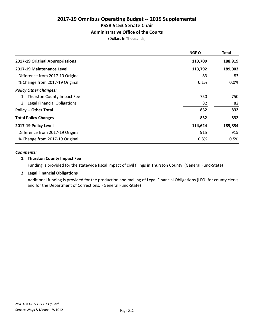### Administrative Office of the Courts

(Dollars In Thousands)

| <b>NGF-O</b> | <b>Total</b> |
|--------------|--------------|
| 113,709      | 188,919      |
| 113,792      | 189,002      |
| 83           | 83           |
| 0.1%         | 0.0%         |
|              |              |
| 750          | 750          |
| 82           | 82           |
| 832          | 832          |
| 832          | 832          |
| 114,624      | 189,834      |
| 915          | 915          |
| 0.8%         | 0.5%         |
|              |              |

#### *Comments:*

### 1. Thurston County Impact Fee

Funding is provided for the statewide fiscal impact of civil filings in Thurston County (General Fund-State)

### 2. Legal Financial Obligations

Additional funding is provided for the production and mailing of Legal Financial Obligations (LFO) for county clerks and for the Department of Corrections. (General Fund-State)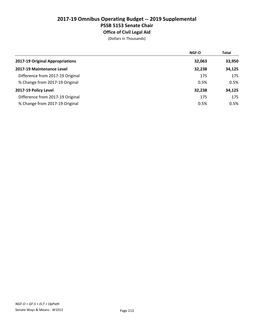## 2017-19 Omnibus Operating Budget -- 2019 Supplemental PSSB 5153 Senate Chair Office of Civil Legal Aid

|                                  | <b>NGF-O</b> | <b>Total</b> |
|----------------------------------|--------------|--------------|
| 2017-19 Original Appropriations  | 32,063       | 33,950       |
| 2017-19 Maintenance Level        | 32,238       | 34,125       |
| Difference from 2017-19 Original | 175          | 175          |
| % Change from 2017-19 Original   | 0.5%         | 0.5%         |
| 2017-19 Policy Level             | 32,238       | 34,125       |
| Difference from 2017-19 Original | 175          | 175          |
| % Change from 2017-19 Original   | 0.5%         | 0.5%         |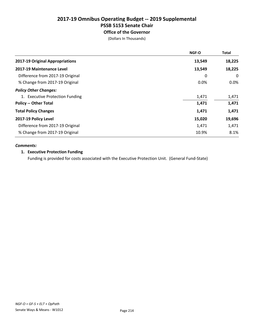# Office of the Governor

(Dollars In Thousands)

|                                  | NGF-O  | <b>Total</b> |
|----------------------------------|--------|--------------|
| 2017-19 Original Appropriations  | 13,549 | 18,225       |
| 2017-19 Maintenance Level        | 13,549 | 18,225       |
| Difference from 2017-19 Original | 0      | $\Omega$     |
| % Change from 2017-19 Original   | 0.0%   | $0.0\%$      |
| <b>Policy Other Changes:</b>     |        |              |
| 1. Executive Protection Funding  | 1,471  | 1,471        |
| <b>Policy -- Other Total</b>     | 1,471  | 1,471        |
| <b>Total Policy Changes</b>      | 1,471  | 1,471        |
| 2017-19 Policy Level             | 15,020 | 19,696       |
| Difference from 2017-19 Original | 1,471  | 1,471        |
| % Change from 2017-19 Original   | 10.9%  | 8.1%         |

### *Comments:*

### 1. Executive Protection Funding

Funding is provided for costs associated with the Executive Protection Unit. (General Fund-State)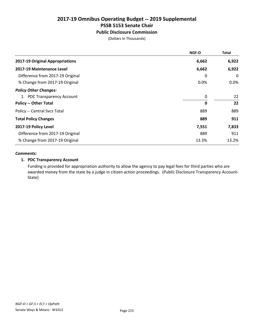### Public Disclosure Commission

(Dollars In Thousands)

|                                  | <b>NGF-O</b> | <b>Total</b> |
|----------------------------------|--------------|--------------|
| 2017-19 Original Appropriations  | 6,662        | 6,922        |
| 2017-19 Maintenance Level        | 6,662        | 6,922        |
| Difference from 2017-19 Original | 0            | 0            |
| % Change from 2017-19 Original   | 0.0%         | 0.0%         |
| <b>Policy Other Changes:</b>     |              |              |
| 1. PDC Transparency Account      | $\mathbf 0$  | 22           |
| <b>Policy -- Other Total</b>     | $\mathbf 0$  | 22           |
| Policy -- Central Svcs Total     | 889          | 889          |
| <b>Total Policy Changes</b>      | 889          | 911          |
| 2017-19 Policy Level             | 7,551        | 7,833        |
| Difference from 2017-19 Original | 889          | 911          |
| % Change from 2017-19 Original   | 13.3%        | 13.2%        |

#### *Comments:*

### 1. PDC Transparency Account

Funding is provided for appropriation authority to allow the agency to pay legal fees for third parties who are awarded money from the state by a judge in citizen action proceedings. (Public Disclosure Transparency Account-State)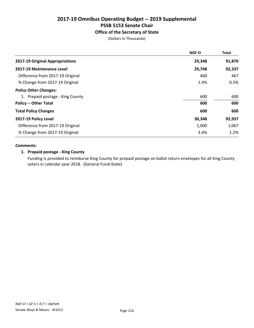### Office of the Secretary of State

(Dollars In Thousands)

|                                  | <b>NGF-O</b> | <b>Total</b> |
|----------------------------------|--------------|--------------|
| 2017-19 Original Appropriations  | 29,348       | 91,870       |
| 2017-19 Maintenance Level        | 29,748       | 92,337       |
| Difference from 2017-19 Original | 400          | 467          |
| % Change from 2017-19 Original   | 1.4%         | 0.5%         |
| <b>Policy Other Changes:</b>     |              |              |
| 1. Prepaid postage - King County | 600          | 600          |
| <b>Policy -- Other Total</b>     | 600          | 600          |
| <b>Total Policy Changes</b>      | 600          | 600          |
| 2017-19 Policy Level             | 30,348       | 92,937       |
| Difference from 2017-19 Original | 1,000        | 1,067        |
| % Change from 2017-19 Original   | 3.4%         | 1.2%         |

### *Comments:*

### 1. Prepaid postage - King County

Funding is provided to reimburse King County for prepaid postage on ballot return envelopes for all King County voters in calendar year 2018. (General Fund-State)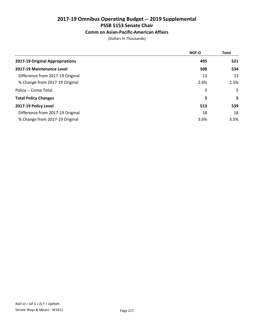### Comm on Asian-Pacific-American Affairs

|                                  | <b>NGF-O</b> | <b>Total</b> |
|----------------------------------|--------------|--------------|
| 2017-19 Original Appropriations  | 495          | 521          |
| 2017-19 Maintenance Level        | 508          | 534          |
| Difference from 2017-19 Original | 13           | 13           |
| % Change from 2017-19 Original   | 2.6%         | 2.5%         |
| Policy -- Comp Total             | 5            | 5            |
| <b>Total Policy Changes</b>      | 5            | 5            |
| 2017-19 Policy Level             | 513          | 539          |
| Difference from 2017-19 Original | 18           | 18           |
| % Change from 2017-19 Original   | 3.6%         | 3.5%         |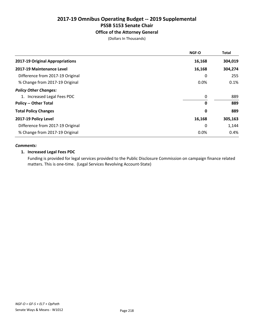### Office of the Attorney General

(Dollars In Thousands)

|                                  | <b>NGF-O</b> | <b>Total</b> |
|----------------------------------|--------------|--------------|
| 2017-19 Original Appropriations  | 16,168       | 304,019      |
| 2017-19 Maintenance Level        | 16,168       | 304,274      |
| Difference from 2017-19 Original | 0            | 255          |
| % Change from 2017-19 Original   | 0.0%         | 0.1%         |
| <b>Policy Other Changes:</b>     |              |              |
| 1. Increased Legal Fees PDC      | 0            | 889          |
| <b>Policy -- Other Total</b>     | 0            | 889          |
| <b>Total Policy Changes</b>      | 0            | 889          |
| 2017-19 Policy Level             | 16,168       | 305,163      |
| Difference from 2017-19 Original | 0            | 1,144        |
| % Change from 2017-19 Original   | 0.0%         | 0.4%         |

### *Comments:*

#### 1. Increased Legal Fees PDC

Funding is provided for legal services provided to the Public Disclosure Commission on campaign finance related matters. This is one-time. (Legal Services Revolving Account-State)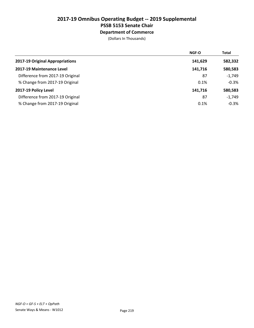### Department of Commerce

|                                  | <b>NGF-O</b> | <b>Total</b> |
|----------------------------------|--------------|--------------|
| 2017-19 Original Appropriations  | 141,629      | 582,332      |
| 2017-19 Maintenance Level        | 141,716      | 580,583      |
| Difference from 2017-19 Original | 87           | $-1,749$     |
| % Change from 2017-19 Original   | 0.1%         | $-0.3%$      |
| 2017-19 Policy Level             | 141,716      | 580,583      |
| Difference from 2017-19 Original | 87           | $-1,749$     |
| % Change from 2017-19 Original   | 0.1%         | $-0.3%$      |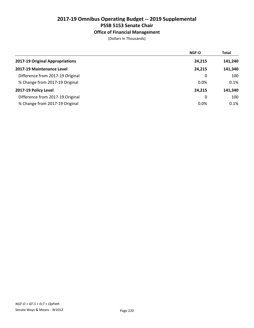### Office of Financial Management

|                                  | <b>NGF-O</b> | <b>Total</b> |
|----------------------------------|--------------|--------------|
| 2017-19 Original Appropriations  | 24,215       | 141,240      |
| 2017-19 Maintenance Level        | 24,215       | 141,340      |
| Difference from 2017-19 Original | 0            | 100          |
| % Change from 2017-19 Original   | 0.0%         | 0.1%         |
| 2017-19 Policy Level             | 24.215       | 141,340      |
| Difference from 2017-19 Original | 0            | 100          |
| % Change from 2017-19 Original   | 0.0%         | 0.1%         |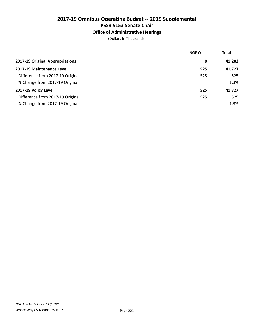### Office of Administrative Hearings

|                                  | <b>NGF-O</b> | <b>Total</b> |
|----------------------------------|--------------|--------------|
| 2017-19 Original Appropriations  | 0            | 41,202       |
| 2017-19 Maintenance Level        | 525          | 41,727       |
| Difference from 2017-19 Original | 525          | 525          |
| % Change from 2017-19 Original   |              | 1.3%         |
| 2017-19 Policy Level             | 525          | 41,727       |
| Difference from 2017-19 Original | 525          | 525          |
| % Change from 2017-19 Original   |              | 1.3%         |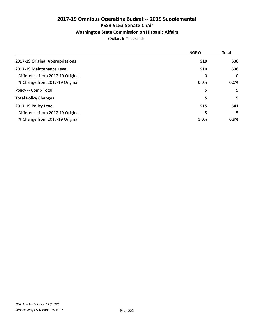### Washington State Commission on Hispanic Affairs

|                                  | <b>NGF-O</b> | <b>Total</b> |
|----------------------------------|--------------|--------------|
| 2017-19 Original Appropriations  | 510          | 536          |
| 2017-19 Maintenance Level        | 510          | 536          |
| Difference from 2017-19 Original | 0            | $\mathbf 0$  |
| % Change from 2017-19 Original   | 0.0%         | $0.0\%$      |
| Policy -- Comp Total             | 5            | 5            |
| <b>Total Policy Changes</b>      | 5            | 5.           |
| 2017-19 Policy Level             | 515          | 541          |
| Difference from 2017-19 Original | 5            | 5.           |
| % Change from 2017-19 Original   | 1.0%         | $0.9\%$      |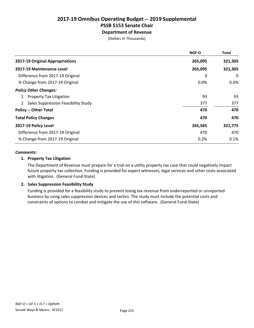Department of Revenue

(Dollars In Thousands)

|                                        | NGF-O   | Total   |
|----------------------------------------|---------|---------|
| 2017-19 Original Appropriations        | 265,095 | 321,305 |
| 2017-19 Maintenance Level              | 265,095 | 321,305 |
| Difference from 2017-19 Original       | 0       | 0       |
| % Change from 2017-19 Original         | 0.0%    | $0.0\%$ |
| <b>Policy Other Changes:</b>           |         |         |
| 1. Property Tax Litigation             | 93      | 93      |
| 2. Sales Suppression Feasibility Study | 377     | 377     |
| <b>Policy -- Other Total</b>           | 470     | 470     |
| <b>Total Policy Changes</b>            | 470     | 470     |
| 2017-19 Policy Level                   | 265,565 | 321,775 |
| Difference from 2017-19 Original       | 470     | 470     |
| % Change from 2017-19 Original         | 0.2%    | 0.1%    |

### *Comments:*

### 1. Property Tax Litigation

The Department of Revenue must prepare for a trial on a utility property tax case that could negatively impact future property tax collection. Funding is provided for expert witnesses, legal services and other costs associated with litigation. (General Fund-State)

### 2. Sales Suppression Feasibility Study

Funding is provided for a feasibility study to prevent losing tax revenue from underreported or unreported business by using sales suppression devices and tactics. The study must include the potential costs and constraints of options to combat and mitigate the use of this software. (General Fund-State)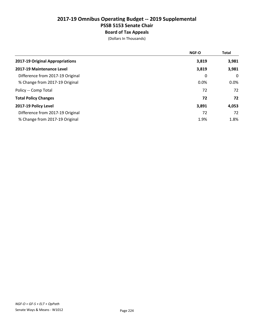## 2017-19 Omnibus Operating Budget -- 2019 Supplemental PSSB 5153 Senate Chair Board of Tax Appeals

|                                  | <b>NGF-O</b> | <b>Total</b> |
|----------------------------------|--------------|--------------|
| 2017-19 Original Appropriations  | 3,819        | 3,981        |
| 2017-19 Maintenance Level        | 3,819        | 3,981        |
| Difference from 2017-19 Original | 0            | $\Omega$     |
| % Change from 2017-19 Original   | 0.0%         | $0.0\%$      |
| Policy -- Comp Total             | 72           | 72           |
| <b>Total Policy Changes</b>      | 72           | 72           |
| 2017-19 Policy Level             | 3,891        | 4,053        |
| Difference from 2017-19 Original | 72           | 72           |
| % Change from 2017-19 Original   | 1.9%         | 1.8%         |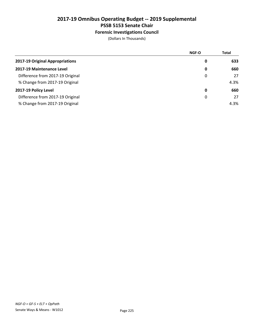### Forensic Investigations Council

|                                  | <b>NGF-O</b> | <b>Total</b> |
|----------------------------------|--------------|--------------|
| 2017-19 Original Appropriations  | 0            | 633          |
| 2017-19 Maintenance Level        | 0            | 660          |
| Difference from 2017-19 Original | 0            | 27           |
| % Change from 2017-19 Original   |              | 4.3%         |
| 2017-19 Policy Level             | 0            | 660          |
| Difference from 2017-19 Original | 0            | 27           |
| % Change from 2017-19 Original   |              | 4.3%         |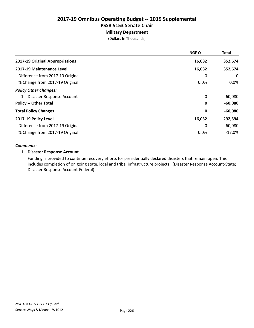### Military Department

(Dollars In Thousands)

|                                  | <b>NGF-O</b> | <b>Total</b> |
|----------------------------------|--------------|--------------|
| 2017-19 Original Appropriations  | 16,032       | 352,674      |
| 2017-19 Maintenance Level        | 16,032       | 352,674      |
| Difference from 2017-19 Original | 0            | $\mathbf{0}$ |
| % Change from 2017-19 Original   | 0.0%         | $0.0\%$      |
| <b>Policy Other Changes:</b>     |              |              |
| 1. Disaster Response Account     | 0            | $-60,080$    |
| <b>Policy -- Other Total</b>     | 0            | $-60,080$    |
| <b>Total Policy Changes</b>      | 0            | $-60,080$    |
| 2017-19 Policy Level             | 16,032       | 292,594      |
| Difference from 2017-19 Original | 0            | $-60,080$    |
| % Change from 2017-19 Original   | 0.0%         | $-17.0\%$    |

#### *Comments:*

### 1. Disaster Response Account

Funding is provided to continue recovery efforts for presidentially declared disasters that remain open. This includes completion of on going state, local and tribal infrastructure projects. (Disaster Response Account-State; Disaster Response Account-Federal)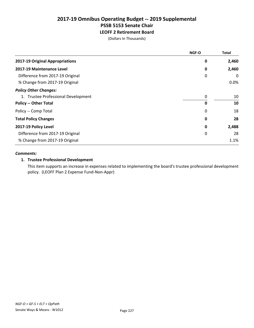LEOFF 2 Retirement Board

(Dollars In Thousands)

|                                     | <b>NGF-O</b> | <b>Total</b> |
|-------------------------------------|--------------|--------------|
| 2017-19 Original Appropriations     | 0            | 2,460        |
| 2017-19 Maintenance Level           | 0            | 2,460        |
| Difference from 2017-19 Original    | 0            | 0            |
| % Change from 2017-19 Original      |              | 0.0%         |
| <b>Policy Other Changes:</b>        |              |              |
| 1. Trustee Professional Development | 0            | 10           |
| <b>Policy -- Other Total</b>        | 0            | 10           |
| Policy -- Comp Total                | 0            | 18           |
| <b>Total Policy Changes</b>         | 0            | 28           |
| 2017-19 Policy Level                | 0            | 2,488        |
| Difference from 2017-19 Original    | 0            | 28           |
| % Change from 2017-19 Original      |              | 1.1%         |

#### *Comments:*

### 1. Trustee Professional Development

This item supports an increase in expenses related to implementing the board's trustee professional development policy. (LEOFF Plan 2 Expense Fund-Non-Appr)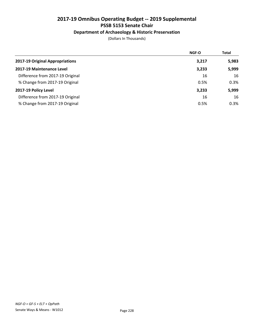### Department of Archaeology & Historic Preservation

|                                  | <b>NGF-O</b> | <b>Total</b> |
|----------------------------------|--------------|--------------|
| 2017-19 Original Appropriations  | 3,217        | 5,983        |
| 2017-19 Maintenance Level        | 3,233        | 5,999        |
| Difference from 2017-19 Original | 16           | 16           |
| % Change from 2017-19 Original   | 0.5%         | 0.3%         |
| 2017-19 Policy Level             | 3,233        | 5,999        |
| Difference from 2017-19 Original | 16           | 16           |
| % Change from 2017-19 Original   | 0.5%         | 0.3%         |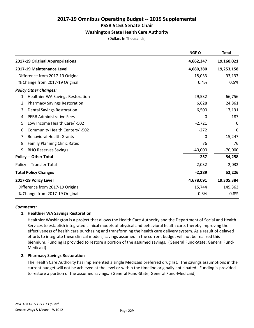### Washington State Health Care Authority

(Dollars In Thousands)

|                                               | NGF-O     | Total      |
|-----------------------------------------------|-----------|------------|
| 2017-19 Original Appropriations               | 4,662,347 | 19,160,021 |
| 2017-19 Maintenance Level                     | 4,680,380 | 19,253,158 |
| Difference from 2017-19 Original              | 18,033    | 93,137     |
| % Change from 2017-19 Original                | 0.4%      | 0.5%       |
| <b>Policy Other Changes:</b>                  |           |            |
| <b>Healthier WA Savings Restoration</b><br>1. | 29,532    | 66,756     |
| <b>Pharmacy Savings Restoration</b><br>2.     | 6,628     | 24,861     |
| <b>Dental Savings Restoration</b><br>3.       | 6,500     | 17,131     |
| <b>PEBB Administrative Fees</b><br>4.         | 0         | 187        |
| Low Income Health Care/I-502<br>5.            | $-2,721$  | 0          |
| Community Health Centers/I-502<br>6.          | $-272$    | 0          |
| <b>Behavioral Health Grants</b><br>7.         | 0         | 15,247     |
| 8.<br><b>Family Planning Clinic Rates</b>     | 76        | 76         |
| 9.<br><b>BHO Reserves Savings</b>             | $-40,000$ | $-70,000$  |
| <b>Policy -- Other Total</b>                  | $-257$    | 54,258     |
| Policy -- Transfer Total                      | $-2,032$  | $-2,032$   |
| <b>Total Policy Changes</b>                   | $-2,289$  | 52,226     |
| 2017-19 Policy Level                          | 4,678,091 | 19,305,384 |
| Difference from 2017-19 Original              | 15,744    | 145,363    |
| % Change from 2017-19 Original                | 0.3%      | 0.8%       |

#### *Comments:*

### 1. Healthier WA Savings Restoration

Healthier Washington is a project that allows the Health Care Authority and the Department of Social and Health Services to establish integrated clinical models of physical and behavioral health care, thereby improving the effectiveness of health care purchasing and transforming the health care delivery system. As a result of delayed efforts to integrate these clinical models, savings assumed in the current budget will not be realized this biennium. Funding is provided to restore a portion of the assumed savings. (General Fund-State; General Fund-Medicaid)

### 2. Pharmacy Savings Restoration

The Health Care Authority has implemented a single Medicaid preferred drug list. The savings assumptions in the current budget will not be achieved at the level or within the timeline originally anticipated. Funding is provided to restore a portion of the assumed savings. (General Fund-State; General Fund-Medicaid)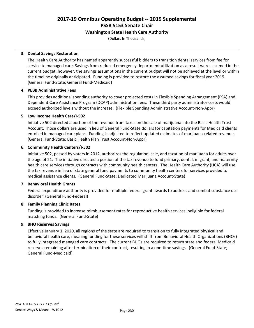### Washington State Health Care Authority

(Dollars In Thousands)

### 3. Dental Savings Restoration

The Health Care Authority has named apparently successful bidders to transition dental services from fee for service to managed care. Savings from reduced emergency department utilization as a result were assumed in the current budget; however, the savings assumptions in the current budget will not be achieved at the level or within the timeline originally anticipated. Funding is provided to restore the assumed savings for fiscal year 2019. (General Fund-State; General Fund-Medicaid)

### 4. PEBB Administrative Fees

This provides additional spending authority to cover projected costs in Flexible Spending Arrangement (FSA) and Dependent Care Assistance Program (DCAP) administration fees. These third party administrator costs would exceed authorized levels without the increase. (Flexible Spending Administrative Account-Non-Appr)

### 5. Low Income Health Care/I-502

Initiative 502 directed a portion of the revenue from taxes on the sale of marijuana into the Basic Health Trust Account. Those dollars are used in lieu of General Fund-State dollars for capitation payments for Medicaid clients enrolled in managed care plans. Funding is adjusted to reflect updated estimates of marijuana-related revenue. (General Fund-State; Basic Health Plan Trust Account-Non-Appr)

### 6. Community Health Centers/I-502

Initiative 502, passed by voters in 2012, authorizes the regulation, sale, and taxation of marijuana for adults over the age of 21. The initiative directed a portion of the tax revenue to fund primary, dental, migrant, and maternity health care services through contracts with community health centers. The Health Care Authority (HCA) will use the tax revenue in lieu of state general fund payments to community health centers for services provided to medical assistance clients. (General Fund-State; Dedicated Marijuana Account-State)

### 7. Behavioral Health Grants

Federal expenditure authority is provided for multiple federal grant awards to address and combat substance use disorder (General Fund-Federal)

### 8. Family Planning Clinic Rates

Funding is provided to increase reimbursement rates for reproductive health services ineligible for federal matching funds. (General Fund-State)

### 9. BHO Reserves Savings

Effective January 1, 2020, all regions of the state are required to transition to fully integrated physical and behavioral health care, meaning funding for these services will shift from Behavioral Health Organizations (BHOs) to fully integrated managed care contracts. The current BHOs are required to return state and federal Medicaid reserves remaining after termination of their contract, resulting in a one-time savings. (General Fund-State; General Fund-Medicaid)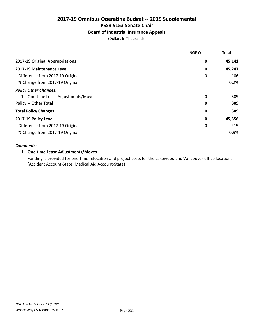### Board of Industrial Insurance Appeals

(Dollars In Thousands)

|                                     | NGF-O | <b>Total</b> |
|-------------------------------------|-------|--------------|
| 2017-19 Original Appropriations     | 0     | 45,141       |
| 2017-19 Maintenance Level           | 0     | 45,247       |
| Difference from 2017-19 Original    | 0     | 106          |
| % Change from 2017-19 Original      |       | 0.2%         |
| <b>Policy Other Changes:</b>        |       |              |
| 1. One-time Lease Adjustments/Moves | 0     | 309          |
| <b>Policy -- Other Total</b>        | 0     | 309          |
| <b>Total Policy Changes</b>         | 0     | 309          |
| 2017-19 Policy Level                | 0     | 45,556       |
| Difference from 2017-19 Original    | 0     | 415          |
| % Change from 2017-19 Original      |       | 0.9%         |

### *Comments:*

### 1. One-time Lease Adjustments/Moves

Funding is provided for one-time relocation and project costs for the Lakewood and Vancouver office locations. (Accident Account-State; Medical Aid Account-State)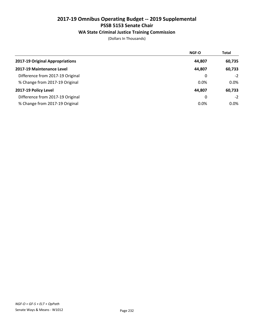### WA State Criminal Justice Training Commission

|                                  | <b>NGF-O</b> | <b>Total</b> |
|----------------------------------|--------------|--------------|
| 2017-19 Original Appropriations  | 44,807       | 60,735       |
| 2017-19 Maintenance Level        | 44,807       | 60,733       |
| Difference from 2017-19 Original | 0            | $-2$         |
| % Change from 2017-19 Original   | 0.0%         | $0.0\%$      |
| 2017-19 Policy Level             | 44.807       | 60,733       |
| Difference from 2017-19 Original | 0            | $-2$         |
| % Change from 2017-19 Original   | 0.0%         | $0.0\%$      |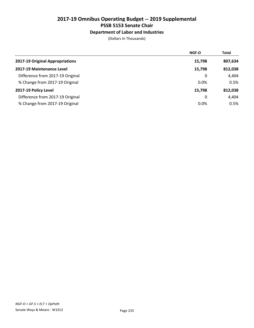### Department of Labor and Industries

|                                  | <b>NGF-O</b> | <b>Total</b> |
|----------------------------------|--------------|--------------|
| 2017-19 Original Appropriations  | 15,798       | 807,634      |
| 2017-19 Maintenance Level        | 15,798       | 812,038      |
| Difference from 2017-19 Original | 0            | 4,404        |
| % Change from 2017-19 Original   | 0.0%         | 0.5%         |
| 2017-19 Policy Level             | 15,798       | 812,038      |
| Difference from 2017-19 Original | 0            | 4,404        |
| % Change from 2017-19 Original   | 0.0%         | 0.5%         |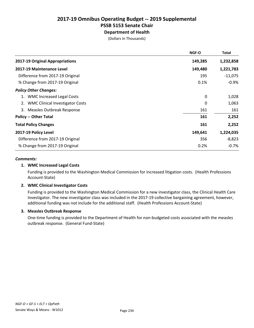# Department of Health

(Dollars In Thousands)

|                                        | <b>NGF-O</b> | <b>Total</b> |
|----------------------------------------|--------------|--------------|
| 2017-19 Original Appropriations        | 149,285      | 1,232,858    |
| 2017-19 Maintenance Level              | 149,480      | 1,221,783    |
| Difference from 2017-19 Original       | 195          | $-11,075$    |
| % Change from 2017-19 Original         | 0.1%         | $-0.9%$      |
| <b>Policy Other Changes:</b>           |              |              |
| 1. WMC Increased Legal Costs           | 0            | 1,028        |
| <b>WMC Clinical Investigator Costs</b> | 0            | 1,063        |
| 3. Measles Outbreak Response           | 161          | 161          |
| <b>Policy -- Other Total</b>           | 161          | 2,252        |
| <b>Total Policy Changes</b>            | 161          | 2,252        |
| 2017-19 Policy Level                   | 149,641      | 1,224,035    |
| Difference from 2017-19 Original       | 356          | $-8,823$     |
| % Change from 2017-19 Original         | 0.2%         | $-0.7%$      |

#### *Comments:*

### 1. WMC Increased Legal Costs

Funding is provided to the Washington Medical Commission for increased litigation costs. (Health Professions Account-State)

### 2. WMC Clinical Investigator Costs

Funding is provided to the Washington Medical Commission for a new investigator class, the Clinical Health Care Investigator. The new investigator class was included in the 2017-19 collective bargaining agreement, however, additional funding was not include for the additional staff. (Health Professions Account-State)

### 3. Measles Outbreak Response

One-time funding is provided to the Department of Health for non-budgeted costs associated with the measles outbreak response. (General Fund-State)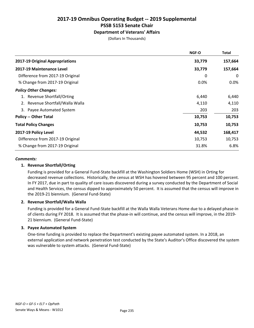### Department of Veterans' Affairs

(Dollars In Thousands)

|                                  | <b>NGF-O</b> | <b>Total</b> |
|----------------------------------|--------------|--------------|
| 2017-19 Original Appropriations  | 33,779       | 157,664      |
| 2017-19 Maintenance Level        | 33,779       | 157,664      |
| Difference from 2017-19 Original | 0            | 0            |
| % Change from 2017-19 Original   | 0.0%         | 0.0%         |
| <b>Policy Other Changes:</b>     |              |              |
| 1. Revenue Shortfall/Orting      | 6,440        | 6,440        |
| 2. Revenue Shortfall/Walla Walla | 4,110        | 4,110        |
| 3. Payee Automated System        | 203          | 203          |
| <b>Policy -- Other Total</b>     | 10,753       | 10,753       |
| <b>Total Policy Changes</b>      | 10,753       | 10,753       |
| 2017-19 Policy Level             | 44,532       | 168,417      |
| Difference from 2017-19 Original | 10,753       | 10,753       |
| % Change from 2017-19 Original   | 31.8%        | 6.8%         |

#### *Comments:*

### 1. Revenue Shortfall/Orting

Funding is provided for a General Fund-State backfill at the Washington Soldiers Home (WSH) in Orting for decreased revenue collections. Historically, the census at WSH has hovered between 95 percent and 100 percent. In FY 2017, due in part to quality of care issues discovered during a survey conducted by the Department of Social and Health Services, the census dipped to approximately 50 percent. It is assumed that the census will improve in the 2019-21 biennium. (General Fund-State)

#### 2. Revenue Shortfall/Walla Walla

Funding is provided for a General Fund-State backfill at the Walla Walla Veterans Home due to a delayed phase-in of clients during FY 2018. It is assumed that the phase-in will continue, and the census will improve, in the 2019- 21 biennium. (General Fund-State)

### 3. Payee Automated System

One-time funding is provided to replace the Department's existing payee automated system. In a 2018, an external application and network penetration test conducted by the State's Auditor's Office discovered the system was vulnerable to system attacks. (General Fund-State)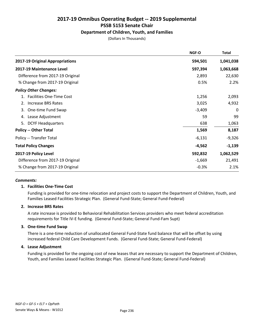### Department of Children, Youth, and Families

(Dollars In Thousands)

|                                       | NGF-O    | <b>Total</b> |
|---------------------------------------|----------|--------------|
| 2017-19 Original Appropriations       | 594,501  | 1,041,038    |
| 2017-19 Maintenance Level             | 597,394  | 1,063,668    |
| Difference from 2017-19 Original      | 2,893    | 22,630       |
| % Change from 2017-19 Original        | 0.5%     | 2.2%         |
| <b>Policy Other Changes:</b>          |          |              |
| <b>Facilities One-Time Cost</b><br>1. | 1,256    | 2,093        |
| Increase BRS Rates<br>2.              | 3,025    | 4,932        |
| One-time Fund Swap<br>3.              | $-3,409$ | 0            |
| Lease Adjustment<br>4.                | 59       | 99           |
| 5.<br><b>DCYF Headquarters</b>        | 638      | 1,063        |
| <b>Policy -- Other Total</b>          | 1,569    | 8,187        |
| Policy -- Transfer Total              | $-6,131$ | $-9,326$     |
| <b>Total Policy Changes</b>           | $-4,562$ | $-1,139$     |
| 2017-19 Policy Level                  | 592,832  | 1,062,529    |
| Difference from 2017-19 Original      | $-1,669$ | 21,491       |
| % Change from 2017-19 Original        | $-0.3%$  | 2.1%         |

#### *Comments:*

#### 1. Facilities One-Time Cost

Funding is provided for one-time relocation and project costs to support the Department of Children, Youth, and Families Leased Facilities Strategic Plan. (General Fund-State; General Fund-Federal)

#### 2. Increase BRS Rates

A rate increase is provided to Behavioral Rehabilitation Services providers who meet federal accreditation requirements for Title IV-E funding. (General Fund-State; General Fund-Fam Supt)

### 3. One-time Fund Swap

There is a one-time reduction of unallocated General Fund-State fund balance that will be offset by using increased federal Child Care Development Funds. (General Fund-State; General Fund-Federal)

#### 4. Lease Adjustment

Funding is provided for the ongoing cost of new leases that are necessary to support the Department of Children, Youth, and Families Leased Facilities Strategic Plan. (General Fund-State; General Fund-Federal)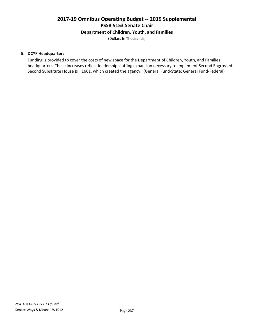### Department of Children, Youth, and Families

(Dollars In Thousands)

### 5. DCYF Headquarters

Funding is provided to cover the costs of new space for the Department of Children, Youth, and Families headquarters. These increases reflect leadership staffing expansion necessary to implement Second Engrossed Second Substitute House Bill 1661, which created the agency. (General Fund-State; General Fund-Federal)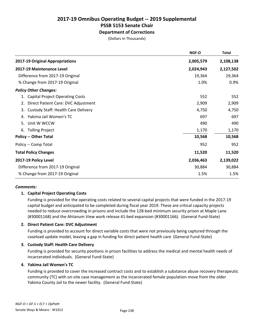### Department of Corrections

(Dollars In Thousands)

|                                                  | <b>NGF-O</b> | <b>Total</b> |
|--------------------------------------------------|--------------|--------------|
| 2017-19 Original Appropriations                  | 2,005,579    | 2,108,138    |
| 2017-19 Maintenance Level                        | 2,024,943    | 2,127,502    |
| Difference from 2017-19 Original                 | 19,364       | 19,364       |
| % Change from 2017-19 Original                   | 1.0%         | 0.9%         |
| <b>Policy Other Changes:</b>                     |              |              |
| <b>Capital Project Operating Costs</b><br>1.     | 552          | 552          |
| Direct Patient Care: DVC Adjustment<br>2.        | 2,909        | 2,909        |
| <b>Custody Staff: Health Care Delivery</b><br>3. | 4,750        | 4,750        |
| Yakima Jail Women's TC<br>4.                     | 697          | 697          |
| Unit W WCCW<br>5.                                | 490          | 490          |
| <b>Tolling Project</b><br>6.                     | 1,170        | 1,170        |
| <b>Policy -- Other Total</b>                     | 10,568       | 10,568       |
| Policy -- Comp Total                             | 952          | 952          |
| <b>Total Policy Changes</b>                      | 11,520       | 11,520       |
| 2017-19 Policy Level                             | 2,036,463    | 2,139,022    |
| Difference from 2017-19 Original                 | 30,884       | 30,884       |
| % Change from 2017-19 Original                   | 1.5%         | 1.5%         |
|                                                  |              |              |

#### *Comments:*

### 1. Capital Project Operating Costs

Funding is provided for the operating costs related to several capital projects that were funded in the 2017-19 capital budget and anticipated to be completed during fiscal year 2019. These are critical capacity projects needed to reduce overcrowding in prisons and include the 128-bed minimum security prison at Maple Lane (#30001168) and the Ahtanum View work release 41-bed expansion (#30001166). (General Fund-State)

### 2. Direct Patient Care: DVC Adjustment

Funding is provided to account for direct variable costs that were not previously being captured through the caseload update model, leaving a gap in funding for direct patient health care (General Fund-State)

### 3. Custody Staff: Health Care Delivery

Funding is provided for security positions in prison facilities to address the medical and mental health needs of incarcerated individuals. (General Fund-State)

#### 4. Yakima Jail Women's TC

Funding is provided to cover the increased contract costs and to establish a substance abuse recovery therapeutic community (TC) with on-site case management as the incarcerated female population move from the older Yakima County Jail to the newer facility. (General Fund-State)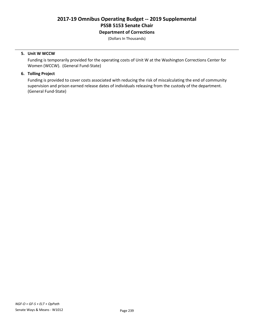### Department of Corrections

(Dollars In Thousands)

### 5. Unit W WCCW

Funding is temporarily provided for the operating costs of Unit W at the Washington Corrections Center for Women (WCCW). (General Fund-State)

### 6. Tolling Project

Funding is provided to cover costs associated with reducing the risk of miscalculating the end of community supervision and prison earned release dates of individuals releasing from the custody of the department. (General Fund-State)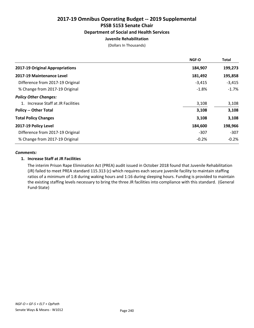### 2017-19 Omnibus Operating Budget -- 2019 Supplemental PSSB 5153 Senate Chair Department of Social and Health Services

### Juvenile Rehabilitation

(Dollars In Thousands)

| NGF-O    | <b>Total</b> |
|----------|--------------|
| 184,907  | 199,273      |
| 181,492  | 195,858      |
| $-3,415$ | $-3,415$     |
| $-1.8%$  | $-1.7%$      |
|          |              |
| 3,108    | 3,108        |
| 3,108    | 3,108        |
| 3,108    | 3,108        |
| 184,600  | 198,966      |
| $-307$   | $-307$       |
| $-0.2%$  | $-0.2%$      |
|          |              |

#### *Comments:*

### 1. Increase Staff at JR Facilities

The interim Prison Rape Elimination Act (PREA) audit issued in October 2018 found that Juvenile Rehabilitation (JR) failed to meet PREA standard 115.313 (c) which requires each secure juvenile facility to maintain staffing ratios of a minimum of 1:8 during waking hours and 1:16 during sleeping hours. Funding is provided to maintain the existing staffing levels necessary to bring the three JR facilities into compliance with this standard. (General Fund-State)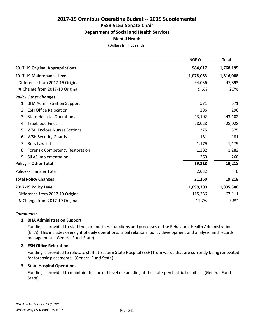## 2017-19 Omnibus Operating Budget -- 2019 Supplemental PSSB 5153 Senate Chair Department of Social and Health Services

### Mental Health

(Dollars In Thousands)

|                                              | NGF-O     | <b>Total</b> |
|----------------------------------------------|-----------|--------------|
| 2017-19 Original Appropriations              | 984,017   | 1,768,195    |
| 2017-19 Maintenance Level                    | 1,078,053 | 1,816,088    |
| Difference from 2017-19 Original             | 94,036    | 47,893       |
| % Change from 2017-19 Original               | 9.6%      | 2.7%         |
| <b>Policy Other Changes:</b>                 |           |              |
| 1. BHA Administration Support                | 571       | 571          |
| 2. ESH Office Relocation                     | 296       | 296          |
| <b>State Hospital Operations</b><br>3.       | 43,102    | 43,102       |
| <b>Trueblood Fines</b><br>4.                 | $-28,028$ | $-28,028$    |
| <b>WSH Enclose Nurses Stations</b><br>5.     | 375       | 375          |
| <b>WSH Security Guards</b><br>6.             | 181       | 181          |
| 7. Ross Lawsuit                              | 1,179     | 1,179        |
| <b>Forensic Competency Restoration</b><br>8. | 1,282     | 1,282        |
| <b>SILAS Implementation</b><br>9.            | 260       | 260          |
| <b>Policy -- Other Total</b>                 | 19,218    | 19,218       |
| Policy -- Transfer Total                     | 2,032     | 0            |
| <b>Total Policy Changes</b>                  | 21,250    | 19,218       |
| 2017-19 Policy Level                         | 1,099,303 | 1,835,306    |
| Difference from 2017-19 Original             | 115,286   | 67,111       |
| % Change from 2017-19 Original               | 11.7%     | 3.8%         |

#### *Comments:*

### 1. BHA Administration Support

Funding is provided to staff the core business functions and processes of the Behavioral Health Administration (BHA). This includes oversight of daily operations, tribal relations, policy development and analysis, and records management. (General Fund-State)

### 2. ESH Office Relocation

Funding is provided to relocate staff at Eastern State Hospital (ESH) from wards that are currently being renovated for forensic placements. (General Fund-State)

### 3. State Hospital Operations

Funding is provided to maintain the current level of spending at the state psychiatric hospitals. (General Fund-State)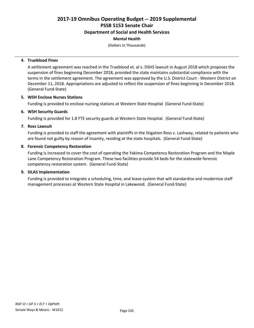### Department of Social and Health Services

### Mental Health

(Dollars In Thousands)

### 4. Trueblood Fines

A settlement agreement was reached in the Trueblood et. al v. DSHS lawsuit in August 2018 which proposes the suspension of fines beginning December 2018, provided the state maintains substantial compliance with the terms in the settlement agreement. The agreement was approved by the U.S. District Court - Western District on December 11, 2018. Appropriations are adjusted to reflect the suspension of fines beginning in December 2018. (General Fund-State)

#### 5. WSH Enclose Nurses Stations

Funding is provided to enclose nurisng stations at Western State Hospital (General Fund-State)

#### 6. WSH Security Guards

Funding is provided for 1.8 FTE security guards at Western State Hospital. (General Fund-State)

#### 7. Ross Lawsuit

Funding is provided to staff the agreement with plaintiffs in the litigation Ross v. Lashway, related to patients who are found not guilty by reason of insanity, residing at the state hospitals. (General Fund-State)

#### 8. Forensic Competency Restoration

Funding is increased to cover the cost of operating the Yakima Competency Restoration Program and the Maple Lane Competency Restoration Program. These two facilities provide 54 beds for the statewide forensic competency restoration system. (General Fund-State)

#### 9. SILAS Implementation

Funding is provided to integrate a scheduling, time, and leave system that will standardize and modernize staff management processes at Western State Hospital in Lakewood. (General Fund-State)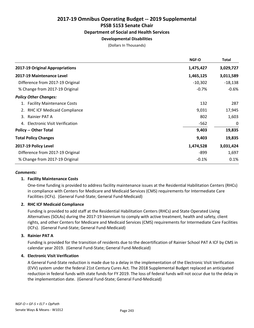## 2017-19 Omnibus Operating Budget -- 2019 Supplemental PSSB 5153 Senate Chair Department of Social and Health Services

### Developmental Disabilities

(Dollars In Thousands)

|                                            | NGF-O     | Total     |
|--------------------------------------------|-----------|-----------|
| 2017-19 Original Appropriations            | 1,475,427 | 3,029,727 |
| 2017-19 Maintenance Level                  | 1,465,125 | 3,011,589 |
| Difference from 2017-19 Original           | $-10,302$ | $-18,138$ |
| % Change from 2017-19 Original             | $-0.7%$   | $-0.6%$   |
| <b>Policy Other Changes:</b>               |           |           |
| 1. Facility Maintenance Costs              | 132       | 287       |
| 2. RHC ICF Medicaid Compliance             | 9,031     | 17,945    |
| Rainier PAT A<br>3.                        | 802       | 1,603     |
| <b>Electronic Visit Verification</b><br>4. | $-562$    | 0         |
| <b>Policy -- Other Total</b>               | 9,403     | 19,835    |
| <b>Total Policy Changes</b>                | 9,403     | 19,835    |
| 2017-19 Policy Level                       | 1,474,528 | 3,031,424 |
| Difference from 2017-19 Original           | -899      | 1,697     |
| % Change from 2017-19 Original             | $-0.1%$   | 0.1%      |
|                                            |           |           |

#### *Comments:*

### 1. Facility Maintenance Costs

One-time funding is provided to address facility maintenance issues at the Residential Habilitation Centers (RHCs) in compliance with Centers for Medicare and Medicaid Services (CMS) requirements for Intermediate Care Facilities (ICFs). (General Fund-State; General Fund-Medicaid)

### 2. RHC ICF Medicaid Compliance

Funding is provided to add staff at the Residential Habilitation Centers (RHCs) and State Operated Living Alternatives (SOLAs) during the 2017-19 biennium to comply with active treatment, health and safety, client rights, and other Centers for Medicare and Medicaid Services (CMS) requirements for Intermediate Care Facilities (ICFs). (General Fund-State; General Fund-Medicaid)

### 3. Rainier PAT A

Funding is provided for the transition of residents due to the decertification of Rainier School PAT A ICF by CMS in calendar year 2019. (General Fund-State; General Fund-Medicaid)

### 4. Electronic Visit Verification

A General Fund-State reduction is made due to a delay in the implementation of the Electronic Visit Verification (EVV) system under the federal 21st Century Cures Act. The 2018 Supplemental Budget replaced an anticipated reduction in federal funds with state funds for FY 2019. The loss of federal funds will not occur due to the delay in the implementation date. (General Fund-State; General Fund-Medicaid)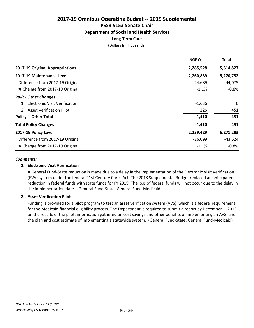# Department of Social and Health Services

### Long-Term Care

(Dollars In Thousands)

|                                  | <b>NGF-O</b> | Total     |
|----------------------------------|--------------|-----------|
| 2017-19 Original Appropriations  | 2,285,528    | 5,314,827 |
| 2017-19 Maintenance Level        | 2,260,839    | 5,270,752 |
| Difference from 2017-19 Original | $-24,689$    | $-44,075$ |
| % Change from 2017-19 Original   | $-1.1%$      | $-0.8%$   |
| <b>Policy Other Changes:</b>     |              |           |
| 1. Electronic Visit Verification | $-1,636$     | 0         |
| 2. Asset Verification Pilot      | 226          | 451       |
| <b>Policy -- Other Total</b>     | $-1,410$     | 451       |
| <b>Total Policy Changes</b>      | $-1,410$     | 451       |
| 2017-19 Policy Level             | 2,259,429    | 5,271,203 |
| Difference from 2017-19 Original | $-26,099$    | $-43,624$ |
| % Change from 2017-19 Original   | $-1.1%$      | $-0.8\%$  |

#### *Comments:*

### 1. Electronic Visit Verification

A General Fund-State reduction is made due to a delay in the implementation of the Electronic Visit Verification (EVV) system under the federal 21st Century Cures Act. The 2018 Supplemental Budget replaced an anticipated reduction in federal funds with state funds for FY 2019. The loss of federal funds will not occur due to the delay in the implementation date. (General Fund-State; General Fund-Medicaid)

#### 2. Asset Verification Pilot

Funding is provided for a pilot program to test an asset verification system (AVS), which is a federal requirement for the Medicaid financial eligibility process. The Department is required to submit a report by December 1, 2019 on the results of the pilot, information gathered on cost savings and other benefits of implementing an AVS, and the plan and cost estimate of implementing a statewide system. (General Fund-State; General Fund-Medicaid)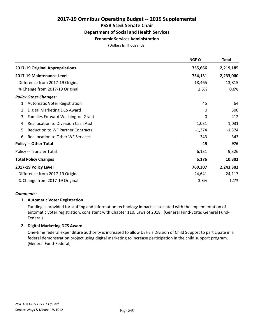### 2017-19 Omnibus Operating Budget -- 2019 Supplemental PSSB 5153 Senate Chair Department of Social and Health Services

### Economic Services Administration

(Dollars In Thousands)

|                                                  | NGF-O    | <b>Total</b> |
|--------------------------------------------------|----------|--------------|
| 2017-19 Original Appropriations                  | 735,666  | 2,219,185    |
| 2017-19 Maintenance Level                        | 754,131  | 2,233,000    |
| Difference from 2017-19 Original                 | 18,465   | 13,815       |
| % Change from 2017-19 Original                   | 2.5%     | 0.6%         |
| <b>Policy Other Changes:</b>                     |          |              |
| 1. Automatic Voter Registration                  | 45       | 64           |
| Digital Marketing DCS Award<br>2.                | 0        | 500          |
| Families Forward Washington Grant<br>3.          | 0        | 412          |
| <b>Reallocation to Diversion Cash Asst</b><br>4. | 1,031    | 1,031        |
| <b>Reduction to WF Partner Contracts</b><br>5.   | $-1,374$ | $-1,374$     |
| <b>Reallocation to Other WF Services</b><br>6.   | 343      | 343          |
| <b>Policy -- Other Total</b>                     | 45       | 976          |
| Policy -- Transfer Total                         | 6,131    | 9,326        |
| <b>Total Policy Changes</b>                      | 6,176    | 10,302       |
| 2017-19 Policy Level                             | 760,307  | 2,243,302    |
| Difference from 2017-19 Original                 | 24,641   | 24,117       |
| % Change from 2017-19 Original                   | 3.3%     | 1.1%         |

### *Comments:*

### 1. Automatic Voter Registration

Funding is provided for staffing and information technology impacts associated with the implementation of automatic voter registration, consistent with Chapter 110, Laws of 2018. (General Fund-State; General Fund-Federal)

### 2. Digital Marketing DCS Award

One-time federal expenditure authority is increased to allow DSHS's Division of Child Support to participate in a federal demonstration project using digital marketing to increase participation in the child support program. (General Fund-Federal)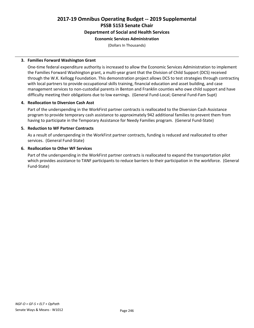#### Department of Social and Health Services

#### Economic Services Administration

(Dollars In Thousands)

#### 3. Families Forward Washington Grant

One-time federal expenditure authority is increased to allow the Economic Services Administration to implement the Families Forward Washington grant, a multi-year grant that the Division of Child Support (DCS) received through the W.K. Kellogg Foundation. This demonstration project allows DCS to test strategies through contracting with local partners to provide occupational skills training, financial education and asset building, and case management services to non-custodial parents in Benton and Franklin counties who owe child support and have difficulty meeting their obligations due to low earnings. (General Fund-Local; General Fund-Fam Supt)

#### 4. Reallocation to Diversion Cash Asst

Part of the underspending in the WorkFirst partner contracts is reallocated to the Diversion Cash Assistance program to provide temporary cash assistance to approximately 942 additional families to prevent them from having to participate in the Temporary Assistance for Needy Families program. (General Fund-State)

#### 5. Reduction to WF Partner Contracts

As a result of underspending in the WorkFirst partner contracts, funding is reduced and reallocated to other services. (General Fund-State)

#### 6. Reallocation to Other WF Services

Part of the underspending in the WorkFirst partner contracts is reallocated to expand the transportation pilot which provides assistance to TANF participants to reduce barriers to their participation in the workforce. (General Fund-State)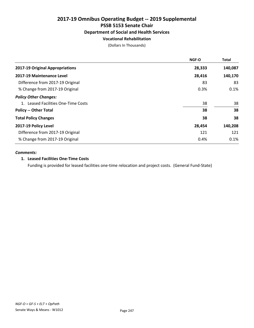#### Vocational Rehabilitation

(Dollars In Thousands)

|                                     | <b>NGF-O</b> | <b>Total</b> |
|-------------------------------------|--------------|--------------|
| 2017-19 Original Appropriations     | 28,333       | 140,087      |
| 2017-19 Maintenance Level           | 28,416       | 140,170      |
| Difference from 2017-19 Original    | 83           | 83           |
| % Change from 2017-19 Original      | 0.3%         | 0.1%         |
| <b>Policy Other Changes:</b>        |              |              |
| 1. Leased Facilities One-Time Costs | 38           | 38           |
| <b>Policy -- Other Total</b>        | 38           | 38           |
| <b>Total Policy Changes</b>         | 38           | 38           |
| 2017-19 Policy Level                | 28,454       | 140,208      |
| Difference from 2017-19 Original    | 121          | 121          |
| % Change from 2017-19 Original      | 0.4%         | 0.1%         |

#### *Comments:*

#### 1. Leased Facilities One-Time Costs

Funding is provided for leased facilities one-time relocation and project costs. (General Fund-State)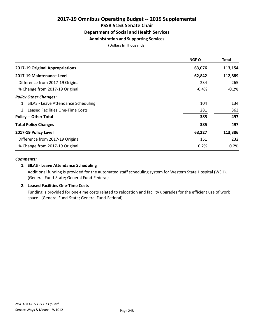### Administration and Supporting Services

(Dollars In Thousands)

|                                        | <b>NGF-O</b> | Total   |
|----------------------------------------|--------------|---------|
| 2017-19 Original Appropriations        | 63,076       | 113,154 |
| 2017-19 Maintenance Level              | 62,842       | 112,889 |
| Difference from 2017-19 Original       | $-234$       | $-265$  |
| % Change from 2017-19 Original         | $-0.4%$      | $-0.2%$ |
| <b>Policy Other Changes:</b>           |              |         |
| 1. SILAS - Leave Attendance Scheduling | 104          | 134     |
| 2. Leased Facilities One-Time Costs    | 281          | 363     |
| <b>Policy -- Other Total</b>           | 385          | 497     |
| <b>Total Policy Changes</b>            | 385          | 497     |
| 2017-19 Policy Level                   | 63,227       | 113,386 |
| Difference from 2017-19 Original       | 151          | 232     |
| % Change from 2017-19 Original         | 0.2%         | 0.2%    |

#### *Comments:*

#### 1. SILAS - Leave Attendance Scheduling

Additional funding is provided for the automated staff scheduling system for Western State Hospital (WSH). (General Fund-State; General Fund-Federal)

#### 2. Leased Facilities One-Time Costs

Funding is provided for one-time costs related to relocation and facility upgrades for the efficient use of work space. (General Fund-State; General Fund-Federal)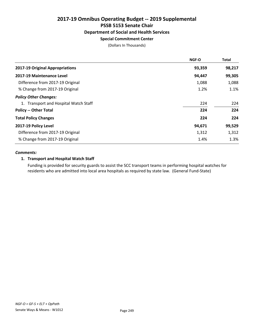# Special Commitment Center

(Dollars In Thousands)

| <b>NGF-O</b> | <b>Total</b> |
|--------------|--------------|
| 93,359       | 98,217       |
| 94,447       | 99,305       |
| 1,088        | 1,088        |
| 1.2%         | 1.1%         |
|              |              |
| 224          | 224          |
| 224          | 224          |
| 224          | 224          |
| 94,671       | 99,529       |
| 1,312        | 1,312        |
| 1.4%         | 1.3%         |
|              |              |

#### *Comments:*

#### 1. Transport and Hospital Watch Staff

Funding is provided for security guards to assist the SCC transport teams in performing hospital watches for residents who are admitted into local area hospitals as required by state law. (General Fund-State)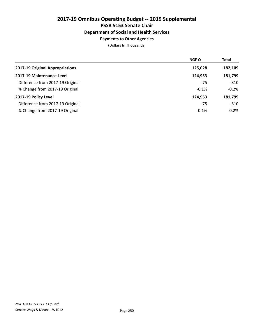### Payments to Other Agencies

|                                  | <b>NGF-O</b> | <b>Total</b> |
|----------------------------------|--------------|--------------|
| 2017-19 Original Appropriations  | 125,028      | 182,109      |
| 2017-19 Maintenance Level        | 124,953      | 181,799      |
| Difference from 2017-19 Original | $-75$        | $-310$       |
| % Change from 2017-19 Original   | $-0.1%$      | $-0.2%$      |
| 2017-19 Policy Level             | 124,953      | 181,799      |
| Difference from 2017-19 Original | $-75$        | $-310$       |
| % Change from 2017-19 Original   | $-0.1%$      | $-0.2%$      |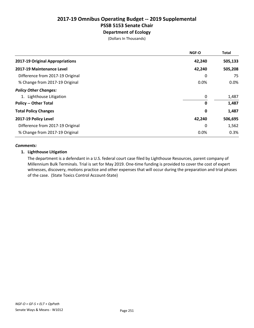Department of Ecology (Dollars In Thousands)

|                                  | NGF-O  | <b>Total</b> |
|----------------------------------|--------|--------------|
| 2017-19 Original Appropriations  | 42,240 | 505,133      |
| 2017-19 Maintenance Level        | 42,240 | 505,208      |
| Difference from 2017-19 Original | 0      | 75           |
| % Change from 2017-19 Original   | 0.0%   | $0.0\%$      |
| <b>Policy Other Changes:</b>     |        |              |
| 1. Lighthouse Litigation         | 0      | 1,487        |
| <b>Policy -- Other Total</b>     | 0      | 1,487        |
| <b>Total Policy Changes</b>      | 0      | 1,487        |
| 2017-19 Policy Level             | 42,240 | 506,695      |
| Difference from 2017-19 Original | 0      | 1,562        |
| % Change from 2017-19 Original   | 0.0%   | 0.3%         |

#### *Comments:*

#### 1. Lighthouse Litigation

The department is a defendant in a U.S. federal court case filed by Lighthouse Resources, parent company of Millennium Bulk Terminals. Trial is set for May 2019. One-time funding is provided to cover the cost of expert witnesses, discovery, motions practice and other expenses that will occur during the preparation and trial phases of the case. (State Toxics Control Account-State)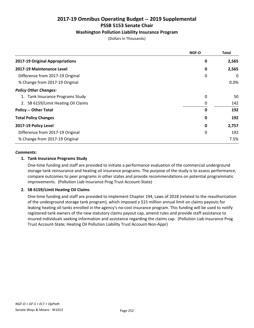#### Washington Pollution Liability Insurance Program

(Dollars In Thousands)

|                                     | <b>NGF-O</b> | <b>Total</b> |
|-------------------------------------|--------------|--------------|
| 2017-19 Original Appropriations     | 0            | 2,565        |
| 2017-19 Maintenance Level           | 0            | 2,565        |
| Difference from 2017-19 Original    | 0            | 0            |
| % Change from 2017-19 Original      |              | $0.0\%$      |
| <b>Policy Other Changes:</b>        |              |              |
| 1. Tank Insurance Programs Study    | 0            | 50           |
| 2. SB 6159/Limit Heating Oil Claims | 0            | 142          |
| <b>Policy -- Other Total</b>        | 0            | 192          |
| <b>Total Policy Changes</b>         | 0            | 192          |
| 2017-19 Policy Level                | 0            | 2,757        |
| Difference from 2017-19 Original    | 0            | 192          |
| % Change from 2017-19 Original      |              | 7.5%         |

#### *Comments:*

#### 1. Tank Insurance Programs Study

One-time funding and staff are provided to initiate a performance evaluation of the commercial underground storage tank reinsurance and heating oil insurance programs. The purpose of the study is to assess performance, compare outcomes to peer programs in other states and provide recommendations on potential programmatic improvements. (Pollution Liab Insurance Prog Trust Account-State)

#### 2. SB 6159/Limit Heating Oil Claims

One-time funding and staff are provided to implement Chapter 194, Laws of 2018 (related to the reauthorization of the underground storage tank program), which imposed a \$15 million annual limit on claims payouts for leaking heating oil tanks enrolled in the agency's no-cost insurance program. This funding will be used to notify registered tank owners of the new statutory claims payout cap, amend rules and provide staff assistance to insured individuals seeking information and assistance regarding the claims cap. (Pollution Liab Insurance Prog Trust Account-State; Heating Oil Pollution Liability Trust Account-Non-Appr)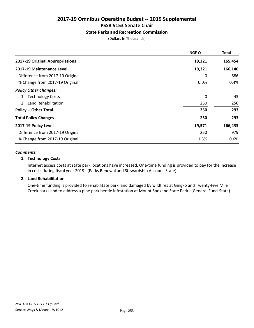#### State Parks and Recreation Commission

(Dollars In Thousands)

|                                  | <b>NGF-O</b> | Total   |
|----------------------------------|--------------|---------|
| 2017-19 Original Appropriations  | 19,321       | 165,454 |
| 2017-19 Maintenance Level        | 19,321       | 166,140 |
| Difference from 2017-19 Original | 0            | 686     |
| % Change from 2017-19 Original   | 0.0%         | 0.4%    |
| <b>Policy Other Changes:</b>     |              |         |
| 1. Technology Costs              | 0            | 43      |
| 2. Land Rehabilitation           | 250          | 250     |
| <b>Policy -- Other Total</b>     | 250          | 293     |
| <b>Total Policy Changes</b>      | 250          | 293     |
| 2017-19 Policy Level             | 19,571       | 166,433 |
| Difference from 2017-19 Original | 250          | 979     |
| % Change from 2017-19 Original   | 1.3%         | 0.6%    |

#### *Comments:*

#### 1. Technology Costs

Internet access costs at state park locations have increased. One-time funding is provided to pay for the increase in costs during fiscal year 2019. (Parks Renewal and Stewardship Account-State)

#### 2. Land Rehabilitation

One-time funding is provided to rehabilitate park land damaged by wildfires at Gingko and Twenty-Five Mile Creek parks and to address a pine park beetle infestation at Mount Spokane State Park. (General Fund-State)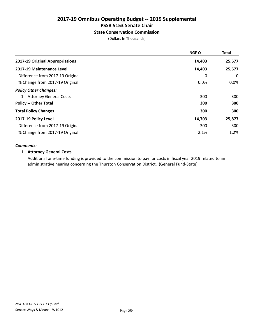#### State Conservation Commission

(Dollars In Thousands)

|                                  | <b>NGF-O</b> | <b>Total</b> |
|----------------------------------|--------------|--------------|
| 2017-19 Original Appropriations  | 14,403       | 25,577       |
| 2017-19 Maintenance Level        | 14,403       | 25,577       |
| Difference from 2017-19 Original | 0            | 0            |
| % Change from 2017-19 Original   | 0.0%         | $0.0\%$      |
| <b>Policy Other Changes:</b>     |              |              |
| 1. Attorney General Costs        | 300          | 300          |
| <b>Policy -- Other Total</b>     | 300          | 300          |
| <b>Total Policy Changes</b>      | 300          | 300          |
| 2017-19 Policy Level             | 14,703       | 25,877       |
| Difference from 2017-19 Original | 300          | 300          |
| % Change from 2017-19 Original   | 2.1%         | 1.2%         |

#### *Comments:*

#### 1. Attorney General Costs

Additional one-time funding is provided to the commission to pay for costs in fiscal year 2019 related to an administrative hearing concerning the Thurston Conservation District. (General Fund-State)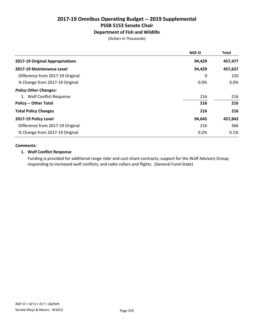#### Department of Fish and Wildlife

(Dollars In Thousands)

|                                  | <b>NGF-O</b> | <b>Total</b> |
|----------------------------------|--------------|--------------|
| 2017-19 Original Appropriations  | 94,429       | 457,477      |
| 2017-19 Maintenance Level        | 94,429       | 457,627      |
| Difference from 2017-19 Original | 0            | 150          |
| % Change from 2017-19 Original   | 0.0%         | 0.0%         |
| <b>Policy Other Changes:</b>     |              |              |
| 1. Wolf Conflict Response        | 216          | 216          |
| <b>Policy -- Other Total</b>     | 216          | 216          |
| <b>Total Policy Changes</b>      | 216          | 216          |
| 2017-19 Policy Level             | 94,645       | 457,843      |
| Difference from 2017-19 Original | 216          | 366          |
| % Change from 2017-19 Original   | 0.2%         | 0.1%         |

#### *Comments:*

#### 1. Wolf Conflict Response

Funding is provided for additional range rider and cost-share contracts; support for the Wolf Advisory Group; responding to increased wolf conflicts; and radio collars and flights. (General Fund-State)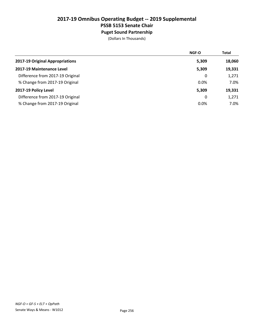Puget Sound Partnership

|                                  | NGF-O   | Total  |
|----------------------------------|---------|--------|
| 2017-19 Original Appropriations  | 5,309   | 18,060 |
| 2017-19 Maintenance Level        | 5,309   | 19,331 |
| Difference from 2017-19 Original | 0       | 1,271  |
| % Change from 2017-19 Original   | 0.0%    | 7.0%   |
| 2017-19 Policy Level             | 5,309   | 19,331 |
| Difference from 2017-19 Original | 0       | 1,271  |
| % Change from 2017-19 Original   | $0.0\%$ | 7.0%   |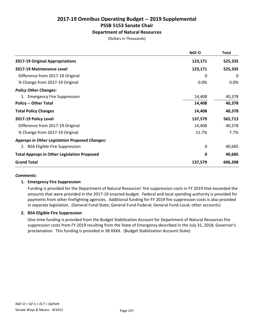### Department of Natural Resources

(Dollars In Thousands)

|                                                       | NGF-O   | Total   |
|-------------------------------------------------------|---------|---------|
| 2017-19 Original Appropriations                       | 123,171 | 525,335 |
| 2017-19 Maintenance Level                             | 123,171 | 525,335 |
| Difference from 2017-19 Original                      | 0       | 0       |
| % Change from 2017-19 Original                        | 0.0%    | 0.0%    |
| <b>Policy Other Changes:</b>                          |         |         |
| 1. Emergency Fire Suppression                         | 14,408  | 40,378  |
| <b>Policy -- Other Total</b>                          | 14,408  | 40,378  |
| <b>Total Policy Changes</b>                           | 14,408  | 40,378  |
| 2017-19 Policy Level                                  | 137,579 | 565,713 |
| Difference from 2017-19 Original                      | 14,408  | 40,378  |
| % Change from 2017-19 Original                        | 11.7%   | 7.7%    |
| <b>Approps in Other Legislation Proposed Changes:</b> |         |         |
| 2. BSA Eligible Fire Suppression                      | 0       | 40,685  |
| <b>Total Approps in Other Legislation Proposed</b>    | 0       | 40,685  |
| <b>Grand Total</b>                                    | 137,579 | 606,398 |

#### *Comments:*

#### 1. Emergency Fire Suppression

Funding is provided for the Department of Natural Resources' fire suppression costs in FY 2019 that exceeded the amounts that were provided in the 2017-19 enacted budget. Federal and local spending authority is provided for payments from other firefighting agencies. Additional funding for FY 2019 fire suppression costs is also provided in separate legislation. (General Fund-State; General Fund-Federal; General Fund-Local; other accounts)

#### 2. BSA Eligible Fire Suppression

One-time funding is provided from the Budget Stabilization Account for Department of Natural Resources fire suppression costs from FY 2019 resulting from the State of Emergency described in the July 31, 2018, Governor's proclamation. This funding is provided in SB XXXX. (Budget Stabilization Account-State)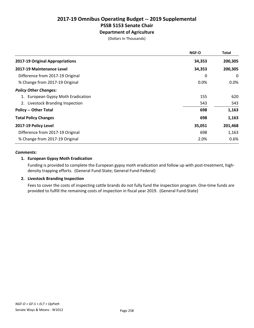### Department of Agriculture

(Dollars In Thousands)

|                                    | <b>NGF-O</b> | Total   |
|------------------------------------|--------------|---------|
| 2017-19 Original Appropriations    | 34,353       | 200,305 |
| 2017-19 Maintenance Level          | 34,353       | 200,305 |
| Difference from 2017-19 Original   | 0            | 0       |
| % Change from 2017-19 Original     | $0.0\%$      | $0.0\%$ |
| <b>Policy Other Changes:</b>       |              |         |
| 1. European Gypsy Moth Eradication | 155          | 620     |
| 2. Livestock Branding Inspection   | 543          | 543     |
| <b>Policy -- Other Total</b>       | 698          | 1,163   |
| <b>Total Policy Changes</b>        | 698          | 1,163   |
| 2017-19 Policy Level               | 35,051       | 201,468 |
| Difference from 2017-19 Original   | 698          | 1,163   |
| % Change from 2017-19 Original     | 2.0%         | 0.6%    |

#### *Comments:*

#### 1. European Gypsy Moth Eradication

Funding is provided to complete the European gypsy moth eradication and follow up with post-treatment, highdensity trapping efforts. (General Fund-State; General Fund-Federal)

#### 2. Livestock Branding Inspection

Fees to cover the costs of inspecting cattle brands do not fully fund the inspection program. One-time funds are provided to fulfill the remaining costs of inspection in fiscal year 2019. (General Fund-State)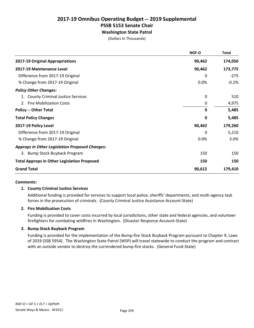Washington State Patrol

(Dollars In Thousands)

|                                                       | NGF-O       | <b>Total</b> |
|-------------------------------------------------------|-------------|--------------|
| 2017-19 Original Appropriations                       | 90,462      | 174,050      |
| 2017-19 Maintenance Level                             | 90,462      | 173,775      |
| Difference from 2017-19 Original                      | 0           | $-275$       |
| % Change from 2017-19 Original                        | 0.0%        | $-0.2%$      |
| <b>Policy Other Changes:</b>                          |             |              |
| 1. County Criminal Justice Services                   | 0           | 510          |
| 2. Fire Mobilization Costs                            | $\mathbf 0$ | 4,975        |
| <b>Policy -- Other Total</b>                          | $\mathbf 0$ | 5,485        |
| <b>Total Policy Changes</b>                           | 0           | 5,485        |
| 2017-19 Policy Level                                  | 90,462      | 179,260      |
| Difference from 2017-19 Original                      | 0           | 5,210        |
| % Change from 2017-19 Original                        | 0.0%        | 3.0%         |
| <b>Approps in Other Legislation Proposed Changes:</b> |             |              |
| 3. Bump Stock Buyback Program                         | 150         | 150          |
| <b>Total Approps in Other Legislation Proposed</b>    | 150         | 150          |
| <b>Grand Total</b>                                    | 90,612      | 179,410      |

#### *Comments:*

#### 1. County Criminal Justice Services

Additional funding is provided for services to support local police, sheriffs' departments, and multi-agency task forces in the prosecution of criminals. (County Criminal Justice Assistance Account-State)

#### 2. Fire Mobilization Costs

Funding is provided to cover costs incurred by local jurisdictions, other state and federal agencies, and volunteer firefighters for combating wildfires in Washington. (Disaster Response Account-State)

#### 3. Bump Stock Buyback Program

Funding is provided for the implementation of the Bump-fire Stock Buyback Program pursuant to Chapter 9, Laws of 2019 (SSB 5954). The Washington State Patrol (WSP) will travel statewide to conduct the program and contract with an outside vendor to destroy the surrendered bump-fire stocks. (General Fund-State)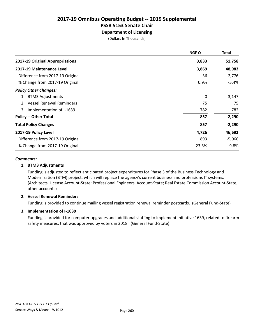Department of Licensing

(Dollars In Thousands)

|                                  | <b>NGF-O</b> | Total    |
|----------------------------------|--------------|----------|
| 2017-19 Original Appropriations  | 3,833        | 51,758   |
| 2017-19 Maintenance Level        | 3,869        | 48,982   |
| Difference from 2017-19 Original | 36           | $-2,776$ |
| % Change from 2017-19 Original   | 0.9%         | $-5.4%$  |
| <b>Policy Other Changes:</b>     |              |          |
| 1. BTM3 Adjustments              | 0            | $-3,147$ |
| <b>Vessel Renewal Reminders</b>  | 75           | 75       |
| 3. Implementation of I-1639      | 782          | 782      |
| <b>Policy -- Other Total</b>     | 857          | $-2,290$ |
| <b>Total Policy Changes</b>      | 857          | $-2,290$ |
| 2017-19 Policy Level             | 4,726        | 46,692   |
| Difference from 2017-19 Original | 893          | $-5,066$ |
| % Change from 2017-19 Original   | 23.3%        | -9.8%    |

#### *Comments:*

#### 1. BTM3 Adjustments

Funding is adjusted to reflect anticipated project expenditures for Phase 3 of the Business Technology and Modernization (BTM) project, which will replace the agency's current business and professions IT systems. (Architects' License Account-State; Professional Engineers' Account-State; Real Estate Commission Account-State; other accounts)

#### 2. Vessel Renewal Reminders

Funding is provided to continue mailing vessel registration renewal reminder postcards. (General Fund-State)

#### 3. Implementation of I-1639

Funding is provided for computer upgrades and additional staffing to implement Initiative 1639, related to firearm safety measures, that was approved by voters in 2018. (General Fund-State)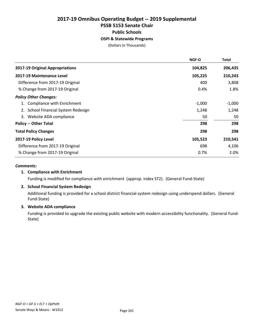### 2017-19 Omnibus Operating Budget -- 2019 Supplemental PSSB 5153 Senate Chair Public Schools OSPI & Statewide Programs

(Dollars In Thousands)

|                                  | NGF-O    | <b>Total</b> |
|----------------------------------|----------|--------------|
| 2017-19 Original Appropriations  | 104,825  | 206,435      |
| 2017-19 Maintenance Level        | 105,225  | 210,243      |
| Difference from 2017-19 Original | 400      | 3,808        |
| % Change from 2017-19 Original   | 0.4%     | 1.8%         |
| <b>Policy Other Changes:</b>     |          |              |
| 1. Compliance with Enrichment    | $-1,000$ | $-1,000$     |
| School Financial System Redesign | 1,248    | 1,248        |
| Website ADA compliance<br>3.     | 50       | 50           |
| <b>Policy -- Other Total</b>     | 298      | 298          |
| <b>Total Policy Changes</b>      | 298      | 298          |
| 2017-19 Policy Level             | 105,523  | 210,541      |
| Difference from 2017-19 Original | 698      | 4,106        |
| % Change from 2017-19 Original   | 0.7%     | 2.0%         |
|                                  |          |              |

#### *Comments:*

#### 1. Compliance with Enrichment

Funding is modified for compliance with enrichment (approp. index ST2). (General Fund-State)

#### 2. School Financial System Redesign

Additional funding is provided for a school district financial system redesign using underspend dollars. (General Fund-State)

#### 3. Website ADA compliance

Funding is provided to upgrade the existing public website with modern accessibility functionality. (General Fund-State)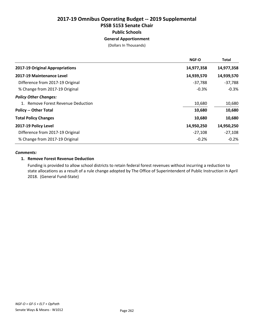### 2017-19 Omnibus Operating Budget -- 2019 Supplemental PSSB 5153 Senate Chair Public Schools General Apportionment

(Dollars In Thousands)

|                                    | <b>NGF-O</b> | <b>Total</b> |
|------------------------------------|--------------|--------------|
| 2017-19 Original Appropriations    | 14,977,358   | 14,977,358   |
| 2017-19 Maintenance Level          | 14,939,570   | 14,939,570   |
| Difference from 2017-19 Original   | $-37,788$    | $-37,788$    |
| % Change from 2017-19 Original     | $-0.3%$      | $-0.3%$      |
| <b>Policy Other Changes:</b>       |              |              |
| 1. Remove Forest Revenue Deduction | 10,680       | 10,680       |
| <b>Policy -- Other Total</b>       | 10,680       | 10,680       |
| <b>Total Policy Changes</b>        | 10,680       | 10,680       |
| 2017-19 Policy Level               | 14,950,250   | 14,950,250   |
| Difference from 2017-19 Original   | $-27,108$    | $-27,108$    |
| % Change from 2017-19 Original     | $-0.2%$      | $-0.2%$      |

#### *Comments:*

#### 1. Remove Forest Revenue Deduction

Funding is provided to allow school districts to retain federal forest revenues without incurring a reduction to state allocations as a result of a rule change adopted by The Office of Superintendent of Public Instruction in April 2018. (General Fund-State)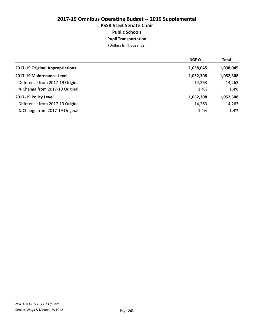### 2017-19 Omnibus Operating Budget -- 2019 Supplemental PSSB 5153 Senate Chair Public Schools Pupil Transportation

|                                  | <b>NGF-O</b> | <b>Total</b> |
|----------------------------------|--------------|--------------|
| 2017-19 Original Appropriations  | 1,038,045    | 1,038,045    |
| 2017-19 Maintenance Level        | 1,052,308    | 1,052,308    |
| Difference from 2017-19 Original | 14,263       | 14,263       |
| % Change from 2017-19 Original   | 1.4%         | 1.4%         |
| 2017-19 Policy Level             | 1,052,308    | 1,052,308    |
| Difference from 2017-19 Original | 14,263       | 14,263       |
| % Change from 2017-19 Original   | 1.4%         | 1.4%         |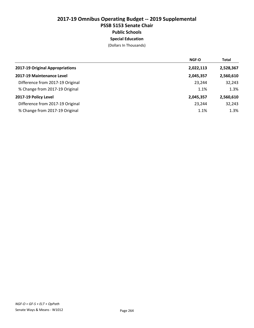### 2017-19 Omnibus Operating Budget -- 2019 Supplemental PSSB 5153 Senate Chair Public Schools Special Education

|                                  | <b>NGF-O</b> | <b>Total</b> |
|----------------------------------|--------------|--------------|
| 2017-19 Original Appropriations  | 2,022,113    | 2,528,367    |
| 2017-19 Maintenance Level        | 2,045,357    | 2,560,610    |
| Difference from 2017-19 Original | 23.244       | 32,243       |
| % Change from 2017-19 Original   | 1.1%         | 1.3%         |
| 2017-19 Policy Level             | 2,045,357    | 2,560,610    |
| Difference from 2017-19 Original | 23,244       | 32,243       |
| % Change from 2017-19 Original   | 1.1%         | 1.3%         |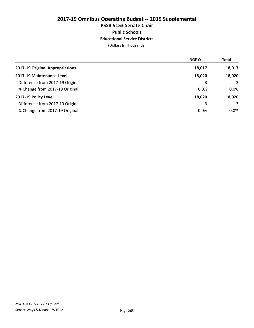### 2017-19 Omnibus Operating Budget -- 2019 Supplemental PSSB 5153 Senate Chair Public Schools Educational Service Districts

|                                  | <b>NGF-O</b> | <b>Total</b> |
|----------------------------------|--------------|--------------|
| 2017-19 Original Appropriations  | 18,017       | 18,017       |
| 2017-19 Maintenance Level        | 18,020       | 18,020       |
| Difference from 2017-19 Original | 3            | 3            |
| % Change from 2017-19 Original   | 0.0%         | $0.0\%$      |
| 2017-19 Policy Level             | 18,020       | 18,020       |
| Difference from 2017-19 Original | 3            | 3            |
| % Change from 2017-19 Original   | 0.0%         | $0.0\%$      |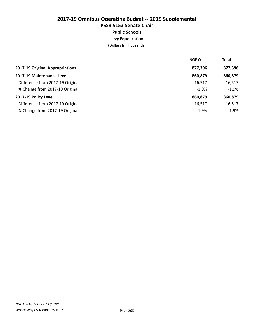### 2017-19 Omnibus Operating Budget -- 2019 Supplemental PSSB 5153 Senate Chair Public Schools Levy Equalization

|                                  | <b>NGF-O</b> | <b>Total</b> |
|----------------------------------|--------------|--------------|
| 2017-19 Original Appropriations  | 877,396      | 877,396      |
| 2017-19 Maintenance Level        | 860,879      | 860,879      |
| Difference from 2017-19 Original | $-16,517$    | $-16,517$    |
| % Change from 2017-19 Original   | $-1.9%$      | $-1.9%$      |
| 2017-19 Policy Level             | 860,879      | 860,879      |
| Difference from 2017-19 Original | $-16,517$    | $-16,517$    |
| % Change from 2017-19 Original   | $-1.9%$      | $-1.9%$      |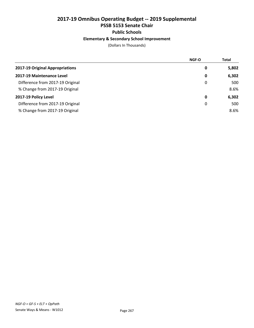#### Elementary & Secondary School Improvement

|                                  | NGF-O | <b>Total</b> |
|----------------------------------|-------|--------------|
| 2017-19 Original Appropriations  | 0     | 5,802        |
| 2017-19 Maintenance Level        | 0     | 6,302        |
| Difference from 2017-19 Original | 0     | 500          |
| % Change from 2017-19 Original   |       | 8.6%         |
| 2017-19 Policy Level             | 0     | 6,302        |
| Difference from 2017-19 Original | 0     | 500          |
| % Change from 2017-19 Original   |       | 8.6%         |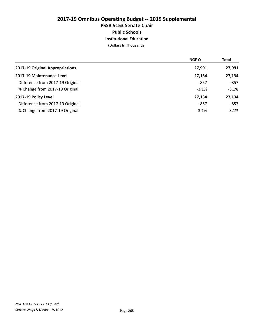### 2017-19 Omnibus Operating Budget -- 2019 Supplemental PSSB 5153 Senate Chair Public Schools Institutional Education

|                                  | <b>NGF-O</b> | <b>Total</b> |
|----------------------------------|--------------|--------------|
| 2017-19 Original Appropriations  | 27,991       | 27,991       |
| 2017-19 Maintenance Level        | 27,134       | 27,134       |
| Difference from 2017-19 Original | -857         | $-857$       |
| % Change from 2017-19 Original   | $-3.1%$      | $-3.1%$      |
| 2017-19 Policy Level             | 27,134       | 27,134       |
| Difference from 2017-19 Original | -857         | $-857$       |
| % Change from 2017-19 Original   | $-3.1%$      | $-3.1%$      |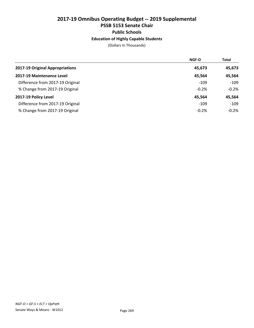### 2017-19 Omnibus Operating Budget -- 2019 Supplemental PSSB 5153 Senate Chair Public Schools Education of Highly Capable Students

|                                  | <b>NGF-O</b> | <b>Total</b> |
|----------------------------------|--------------|--------------|
| 2017-19 Original Appropriations  | 45,673       | 45,673       |
| 2017-19 Maintenance Level        | 45,564       | 45,564       |
| Difference from 2017-19 Original | $-109$       | $-109$       |
| % Change from 2017-19 Original   | $-0.2%$      | $-0.2%$      |
| 2017-19 Policy Level             | 45,564       | 45,564       |
| Difference from 2017-19 Original | $-109$       | $-109$       |
| % Change from 2017-19 Original   | $-0.2%$      | $-0.2%$      |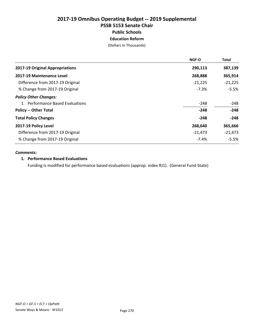### 2017-19 Omnibus Operating Budget -- 2019 Supplemental PSSB 5153 Senate Chair Public Schools Education Reform

(Dollars In Thousands)

|                                  | <b>NGF-O</b> | <b>Total</b> |
|----------------------------------|--------------|--------------|
| 2017-19 Original Appropriations  | 290,113      | 387,139      |
| 2017-19 Maintenance Level        | 268,888      | 365,914      |
| Difference from 2017-19 Original | $-21,225$    | $-21,225$    |
| % Change from 2017-19 Original   | $-7.3%$      | $-5.5%$      |
| <b>Policy Other Changes:</b>     |              |              |
| 1. Performance Based Evaluations | $-248$       | $-248$       |
| <b>Policy -- Other Total</b>     | $-248$       | $-248$       |
| <b>Total Policy Changes</b>      | $-248$       | $-248$       |
| 2017-19 Policy Level             | 268,640      | 365,666      |
| Difference from 2017-19 Original | $-21,473$    | $-21,473$    |
| % Change from 2017-19 Original   | $-7.4%$      | $-5.5%$      |

#### *Comments:*

#### 1. Performance Based Evaluations

Funding is modified for performance based evaluations (approp. index RJ1). (General Fund-State)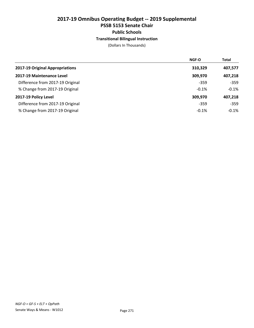### 2017-19 Omnibus Operating Budget -- 2019 Supplemental PSSB 5153 Senate Chair Public Schools Transitional Bilingual Instruction

|                                  | <b>NGF-O</b> | <b>Total</b> |
|----------------------------------|--------------|--------------|
| 2017-19 Original Appropriations  | 310,329      | 407,577      |
| 2017-19 Maintenance Level        | 309,970      | 407,218      |
| Difference from 2017-19 Original | $-359$       | $-359$       |
| % Change from 2017-19 Original   | $-0.1%$      | $-0.1%$      |
| 2017-19 Policy Level             | 309,970      | 407,218      |
| Difference from 2017-19 Original | $-359$       | $-359$       |
| % Change from 2017-19 Original   | $-0.1%$      | $-0.1%$      |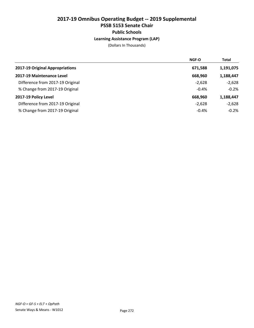### 2017-19 Omnibus Operating Budget -- 2019 Supplemental PSSB 5153 Senate Chair Public Schools Learning Assistance Program (LAP)

|                                  | <b>NGF-O</b> | <b>Total</b> |
|----------------------------------|--------------|--------------|
| 2017-19 Original Appropriations  | 671,588      | 1,191,075    |
| 2017-19 Maintenance Level        | 668,960      | 1,188,447    |
| Difference from 2017-19 Original | $-2,628$     | $-2,628$     |
| % Change from 2017-19 Original   | $-0.4%$      | $-0.2%$      |
| 2017-19 Policy Level             | 668,960      | 1,188,447    |
| Difference from 2017-19 Original | $-2,628$     | $-2,628$     |
| % Change from 2017-19 Original   | $-0.4%$      | $-0.2%$      |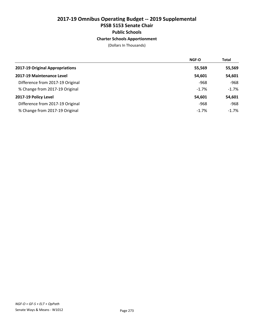### 2017-19 Omnibus Operating Budget -- 2019 Supplemental PSSB 5153 Senate Chair Public Schools Charter Schools Apportionment

|                                  | <b>NGF-O</b> | <b>Total</b> |
|----------------------------------|--------------|--------------|
| 2017-19 Original Appropriations  | 55,569       | 55,569       |
| 2017-19 Maintenance Level        | 54,601       | 54,601       |
| Difference from 2017-19 Original | $-968$       | $-968$       |
| % Change from 2017-19 Original   | $-1.7%$      | $-1.7%$      |
| 2017-19 Policy Level             | 54,601       | 54,601       |
| Difference from 2017-19 Original | $-968$       | $-968$       |
| % Change from 2017-19 Original   | $-1.7%$      | $-1.7\%$     |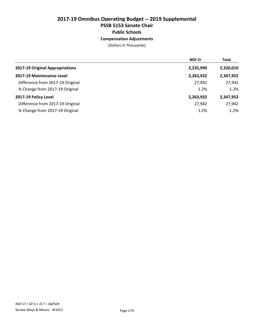### 2017-19 Omnibus Operating Budget -- 2019 Supplemental PSSB 5153 Senate Chair Public Schools Compensation Adjustments

|                                  | <b>NGF-O</b> | <b>Total</b> |
|----------------------------------|--------------|--------------|
| 2017-19 Original Appropriations  | 2,235,990    | 2,320,010    |
| 2017-19 Maintenance Level        | 2,263,932    | 2,347,952    |
| Difference from 2017-19 Original | 27,942       | 27,942       |
| % Change from 2017-19 Original   | 1.2%         | 1.2%         |
| 2017-19 Policy Level             | 2,263,932    | 2,347,952    |
| Difference from 2017-19 Original | 27,942       | 27,942       |
| % Change from 2017-19 Original   | 1.2%         | 1.2%         |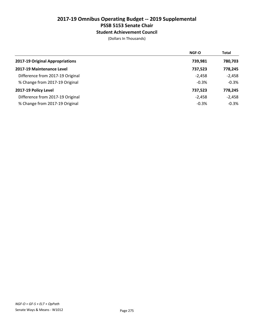#### Student Achievement Council

|                                  | <b>NGF-O</b> | <b>Total</b> |
|----------------------------------|--------------|--------------|
| 2017-19 Original Appropriations  | 739,981      | 780,703      |
| 2017-19 Maintenance Level        | 737,523      | 778,245      |
| Difference from 2017-19 Original | $-2,458$     | $-2,458$     |
| % Change from 2017-19 Original   | $-0.3%$      | $-0.3%$      |
| 2017-19 Policy Level             | 737,523      | 778,245      |
| Difference from 2017-19 Original | $-2,458$     | $-2,458$     |
| % Change from 2017-19 Original   | $-0.3%$      | $-0.3%$      |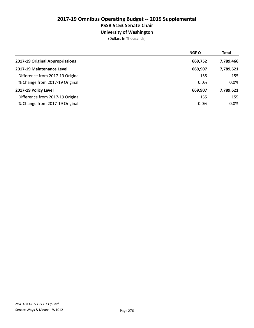University of Washington

|                                  | <b>NGF-O</b> | <b>Total</b> |
|----------------------------------|--------------|--------------|
| 2017-19 Original Appropriations  | 669,752      | 7,789,466    |
| 2017-19 Maintenance Level        | 669,907      | 7,789,621    |
| Difference from 2017-19 Original | 155          | 155          |
| % Change from 2017-19 Original   | 0.0%         | 0.0%         |
| 2017-19 Policy Level             | 669,907      | 7,789,621    |
| Difference from 2017-19 Original | 155          | 155          |
| % Change from 2017-19 Original   | 0.0%         | 0.0%         |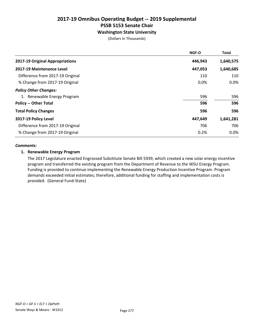#### Washington State University

(Dollars In Thousands)

|                                  | <b>NGF-O</b> | <b>Total</b> |
|----------------------------------|--------------|--------------|
| 2017-19 Original Appropriations  | 446,943      | 1,640,575    |
| 2017-19 Maintenance Level        | 447,053      | 1,640,685    |
| Difference from 2017-19 Original | 110          | 110          |
| % Change from 2017-19 Original   | 0.0%         | 0.0%         |
| <b>Policy Other Changes:</b>     |              |              |
| 1. Renewable Energy Program      | 596          | 596          |
| <b>Policy -- Other Total</b>     | 596          | 596          |
| <b>Total Policy Changes</b>      | 596          | 596          |
| 2017-19 Policy Level             | 447,649      | 1,641,281    |
| Difference from 2017-19 Original | 706          | 706          |
| % Change from 2017-19 Original   | 0.2%         | $0.0\%$      |

#### *Comments:*

#### 1. Renewable Energy Program

The 2017 Legislature enacted Engrossed Substitute Senate Bill 5939, which created a new solar energy incentive program and transferred the existing program from the Department of Revenue to the WSU Energy Program. Funding is provided to continue implementing the Renewable Energy Production Incentive Program. Program demands exceeded initial estimates; therefore, additional funding for staffing and implementation costs is provided. (General Fund-State)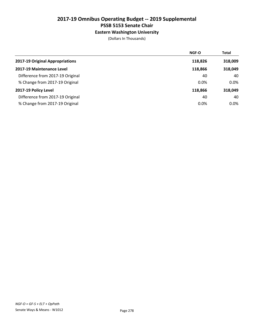#### Eastern Washington University

|                                  | <b>NGF-O</b> | <b>Total</b> |
|----------------------------------|--------------|--------------|
| 2017-19 Original Appropriations  | 118,826      | 318,009      |
| 2017-19 Maintenance Level        | 118,866      | 318,049      |
| Difference from 2017-19 Original | 40           | 40           |
| % Change from 2017-19 Original   | 0.0%         | $0.0\%$      |
| 2017-19 Policy Level             | 118,866      | 318,049      |
| Difference from 2017-19 Original | 40           | 40           |
| % Change from 2017-19 Original   | $0.0\%$      | $0.0\%$      |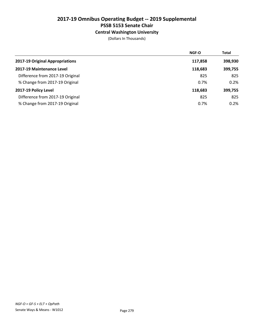#### Central Washington University

|                                  | NGF-O   | <b>Total</b> |
|----------------------------------|---------|--------------|
| 2017-19 Original Appropriations  | 117,858 | 398,930      |
| 2017-19 Maintenance Level        | 118,683 | 399,755      |
| Difference from 2017-19 Original | 825     | 825          |
| % Change from 2017-19 Original   | 0.7%    | 0.2%         |
| 2017-19 Policy Level             | 118,683 | 399,755      |
| Difference from 2017-19 Original | 825     | 825          |
| % Change from 2017-19 Original   | 0.7%    | 0.2%         |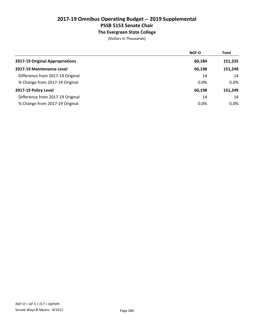### The Evergreen State College

|                                  | <b>NGF-O</b> | <b>Total</b> |
|----------------------------------|--------------|--------------|
| 2017-19 Original Appropriations  | 60,184       | 151,235      |
| 2017-19 Maintenance Level        | 60,198       | 151,249      |
| Difference from 2017-19 Original | 14           | 14           |
| % Change from 2017-19 Original   | 0.0%         | $0.0\%$      |
| 2017-19 Policy Level             | 60,198       | 151,249      |
| Difference from 2017-19 Original | 14           | 14           |
| % Change from 2017-19 Original   | 0.0%         | $0.0\%$      |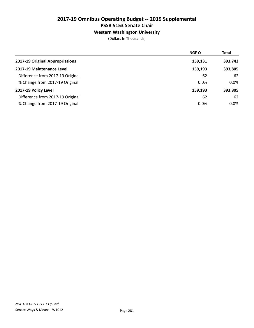### Western Washington University

|                                  | <b>NGF-O</b> | <b>Total</b> |
|----------------------------------|--------------|--------------|
| 2017-19 Original Appropriations  | 159,131      | 393,743      |
| 2017-19 Maintenance Level        | 159,193      | 393,805      |
| Difference from 2017-19 Original | 62           | 62           |
| % Change from 2017-19 Original   | 0.0%         | $0.0\%$      |
| 2017-19 Policy Level             | 159.193      | 393,805      |
| Difference from 2017-19 Original | 62           | 62           |
| % Change from 2017-19 Original   | 0.0%         | $0.0\%$      |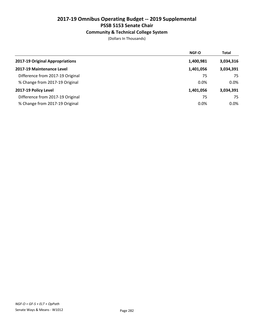# Community & Technical College System

|                                  | <b>NGF-O</b> | <b>Total</b> |
|----------------------------------|--------------|--------------|
| 2017-19 Original Appropriations  | 1,400,981    | 3,034,316    |
| 2017-19 Maintenance Level        | 1,401,056    | 3,034,391    |
| Difference from 2017-19 Original | 75           | 75           |
| % Change from 2017-19 Original   | $0.0\%$      | $0.0\%$      |
| 2017-19 Policy Level             | 1,401,056    | 3,034,391    |
| Difference from 2017-19 Original | 75           | 75           |
| % Change from 2017-19 Original   | 0.0%         | 0.0%         |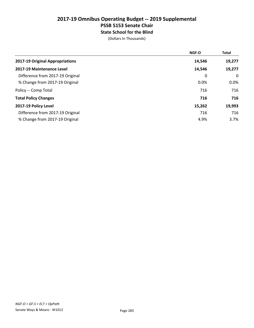# 2017-19 Omnibus Operating Budget -- 2019 Supplemental PSSB 5153 Senate Chair State School for the Blind

|                                  | NGF-O  | <b>Total</b> |
|----------------------------------|--------|--------------|
| 2017-19 Original Appropriations  | 14,546 | 19,277       |
| 2017-19 Maintenance Level        | 14,546 | 19,277       |
| Difference from 2017-19 Original | 0      | 0            |
| % Change from 2017-19 Original   | 0.0%   | $0.0\%$      |
| Policy -- Comp Total             | 716    | 716          |
| <b>Total Policy Changes</b>      | 716    | 716          |
| 2017-19 Policy Level             | 15,262 | 19,993       |
| Difference from 2017-19 Original | 716    | 716          |
| % Change from 2017-19 Original   | 4.9%   | 3.7%         |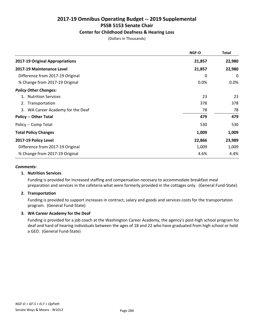### Center for Childhood Deafness & Hearing Loss

(Dollars In Thousands)

|                                   | NGF-O  | Total   |
|-----------------------------------|--------|---------|
| 2017-19 Original Appropriations   | 21,857 | 22,980  |
| 2017-19 Maintenance Level         | 21,857 | 22,980  |
| Difference from 2017-19 Original  | 0      | 0       |
| % Change from 2017-19 Original    | 0.0%   | $0.0\%$ |
| <b>Policy Other Changes:</b>      |        |         |
| <b>Nutrition Services</b><br>1.   | 23     | 23      |
| 2. Transportation                 | 378    | 378     |
| 3. WA Career Academy for the Deaf | 78     | 78      |
| <b>Policy -- Other Total</b>      | 479    | 479     |
| Policy -- Comp Total              | 530    | 530     |
| <b>Total Policy Changes</b>       | 1,009  | 1,009   |
| 2017-19 Policy Level              | 22,866 | 23,989  |
| Difference from 2017-19 Original  | 1,009  | 1,009   |
| % Change from 2017-19 Original    | 4.6%   | 4.4%    |

#### *Comments:*

### 1. Nutrition Services

Funding is provided for increased staffing and compensation necesary to accommodate breakfast meal preparation and services in the cafeteria what were formerly provided in the cottages only. (General Fund-State)

### 2. Transportation

Funding is provided to support increases in contract, salary and goods and services costs for the transportation program. (General Fund-State)

### 3. WA Career Academy for the Deaf

Funding is provided for a job coach at the Washington Career Academy, the agency's post-high school program for deaf and hard of hearing individuals between the ages of 18 and 22 who have graduated from high school or hold a GED. (General Fund-State)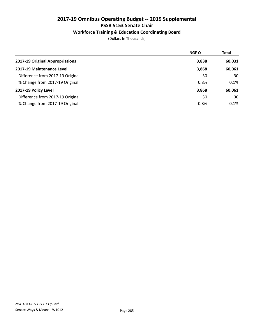# Workforce Training & Education Coordinating Board

|                                  | <b>NGF-O</b> | <b>Total</b> |
|----------------------------------|--------------|--------------|
| 2017-19 Original Appropriations  | 3,838        | 60,031       |
| 2017-19 Maintenance Level        | 3,868        | 60,061       |
| Difference from 2017-19 Original | 30           | 30           |
| % Change from 2017-19 Original   | 0.8%         | 0.1%         |
| 2017-19 Policy Level             | 3,868        | 60,061       |
| Difference from 2017-19 Original | 30           | 30           |
| % Change from 2017-19 Original   | 0.8%         | 0.1%         |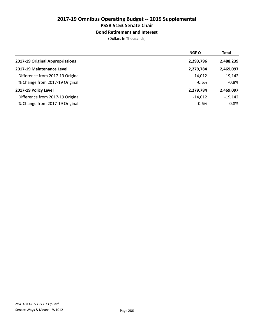## Bond Retirement and Interest

|                                  | <b>NGF-O</b> | <b>Total</b> |
|----------------------------------|--------------|--------------|
| 2017-19 Original Appropriations  | 2,293,796    | 2,488,239    |
| 2017-19 Maintenance Level        | 2,279,784    | 2,469,097    |
| Difference from 2017-19 Original | $-14.012$    | $-19,142$    |
| % Change from 2017-19 Original   | $-0.6%$      | $-0.8%$      |
| 2017-19 Policy Level             | 2,279,784    | 2,469,097    |
| Difference from 2017-19 Original | $-14.012$    | $-19,142$    |
| % Change from 2017-19 Original   | $-0.6%$      | $-0.8%$      |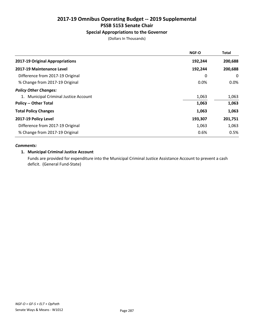# Special Appropriations to the Governor

(Dollars In Thousands)

|                                       | <b>NGF-O</b> | <b>Total</b> |
|---------------------------------------|--------------|--------------|
| 2017-19 Original Appropriations       | 192,244      | 200,688      |
| 2017-19 Maintenance Level             | 192,244      | 200,688      |
| Difference from 2017-19 Original      | 0            | 0            |
| % Change from 2017-19 Original        | 0.0%         | $0.0\%$      |
| <b>Policy Other Changes:</b>          |              |              |
| 1. Municipal Criminal Justice Account | 1,063        | 1,063        |
| <b>Policy -- Other Total</b>          | 1,063        | 1,063        |
| <b>Total Policy Changes</b>           | 1,063        | 1,063        |
| 2017-19 Policy Level                  | 193,307      | 201,751      |
| Difference from 2017-19 Original      | 1,063        | 1,063        |
| % Change from 2017-19 Original        | 0.6%         | 0.5%         |

#### *Comments:*

### 1. Municipal Criminal Justice Account

Funds are provided for expenditure into the Municipal Criminal Justice Assistance Account to prevent a cash deficit. (General Fund-State)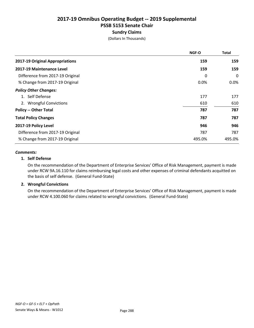# Sundry Claims

(Dollars In Thousands)

|                                  | <b>NGF-O</b> | <b>Total</b> |
|----------------------------------|--------------|--------------|
| 2017-19 Original Appropriations  | 159          | 159          |
| 2017-19 Maintenance Level        | 159          | 159          |
| Difference from 2017-19 Original | 0            | 0            |
| % Change from 2017-19 Original   | 0.0%         | $0.0\%$      |
| <b>Policy Other Changes:</b>     |              |              |
| 1. Self Defense                  | 177          | 177          |
| 2. Wrongful Convictions          | 610          | 610          |
| <b>Policy -- Other Total</b>     | 787          | 787          |
| <b>Total Policy Changes</b>      | 787          | 787          |
| 2017-19 Policy Level             | 946          | 946          |
| Difference from 2017-19 Original | 787          | 787          |
| % Change from 2017-19 Original   | 495.0%       | 495.0%       |

#### *Comments:*

#### 1. Self Defense

On the recommendation of the Department of Enterprise Services' Office of Risk Management, payment is made under RCW 9A.16.110 for claims reimbursing legal costs and other expenses of criminal defendants acquitted on the basis of self defense. (General Fund-State)

### 2. Wrongful Convictions

On the recommendation of the Department of Enterprise Services' Office of Risk Management, payment is made under RCW 4.100.060 for claims related to wrongful convictions. (General Fund-State)